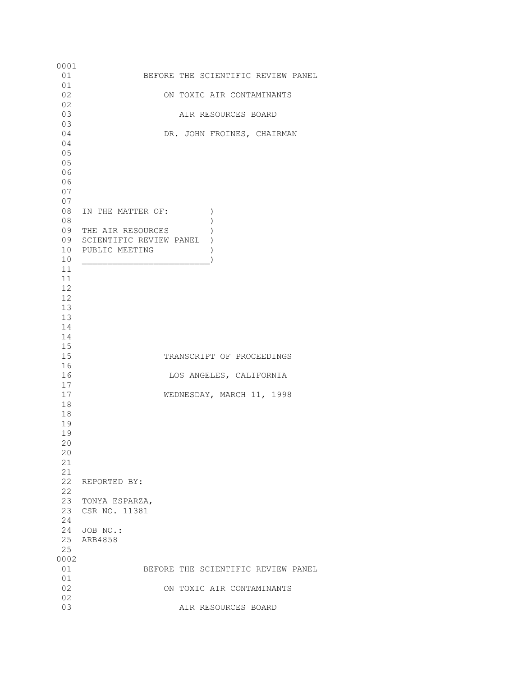0001<br>01 01 BEFORE THE SCIENTIFIC REVIEW PANEL 01<br>02 02 ON TOXIC AIR CONTAMINANTS 02<br>03 03 AIR RESOURCES BOARD 03 DR. JOHN FROINES, CHAIRMAN 04 05 05 06 06 07 07 08 IN THE MATTER OF: (1) 08 ) 09 THE AIR RESOURCES ) 09 SCIENTIFIC REVIEW PANEL ) 10 PUBLIC MEETING )  $10$  ) 11 11 12 12 13 13 14 14 15 15 TRANSCRIPT OF PROCEEDINGS 16<br>16 LOS ANGELES, CALIFORNIA  $\frac{17}{17}$ WEDNESDAY, MARCH 11, 1998 18 18 19 19 20 20 21 21 22 REPORTED BY: 22 23 TONYA ESPARZA, 23 CSR NO. 11381 24 24 JOB NO.: 25 ARB4858 25 0002 BEFORE THE SCIENTIFIC REVIEW PANEL 01 02 ON TOXIC AIR CONTAMINANTS 02<br>03 03 AIR RESOURCES BOARD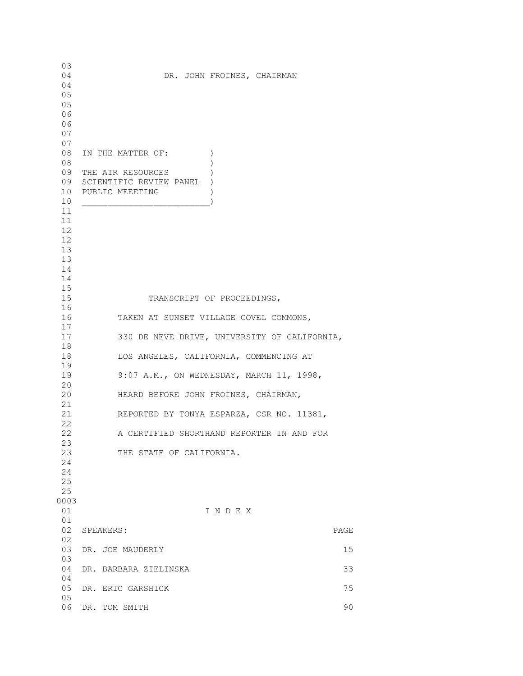03 DR. JOHN FROINES, CHAIRMAN 04 05 05 06 06 07 07 08 IN THE MATTER OF:  $)$  08 ) 09 THE AIR RESOURCES ) 09 SCIENTIFIC REVIEW PANEL ) 10 PUBLIC MEEETING )  $10$  ) 11 11 12 12 13 13 14 14 15 15 TRANSCRIPT OF PROCEEDINGS, 16 16 TAKEN AT SUNSET VILLAGE COVEL COMMONS, 17 17 330 DE NEVE DRIVE, UNIVERSITY OF CALIFORNIA, 18 18 LOS ANGELES, CALIFORNIA, COMMENCING AT 19<br>19 9:07 A.M., ON WEDNESDAY, MARCH 11, 1998, 20<br>20 HEARD BEFORE JOHN FROINES, CHAIRMAN, 21 21 REPORTED BY TONYA ESPARZA, CSR NO. 11381, 22 22 A CERTIFIED SHORTHAND REPORTER IN AND FOR 23 23 THE STATE OF CALIFORNIA. 24 24 25 25 0003 01 I N D E X 01 02 SPEAKERS: PAGE 02 03 DR. JOE MAUDERLY 15 03 04 DR. BARBARA ZIELINSKA 33 04 05 DR. ERIC GARSHICK 75 05 06 DR. TOM SMITH 90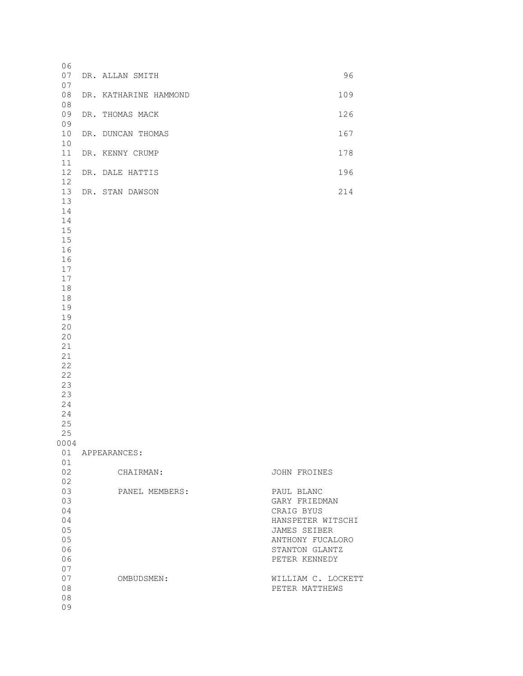| 06<br>07<br>07<br>08<br>08<br>09<br>09<br>10<br>$10$<br>11<br>11<br>12<br>12<br>13<br>13<br>14<br>14<br>15<br>15<br>16<br>16<br>17<br>$17$<br>18<br>18<br>19<br>19<br>20<br>20<br>21<br>21<br>22<br>22<br>23<br>23<br>24 | DR. ALLAN SMITH       | 96                                                                                                                                    |
|--------------------------------------------------------------------------------------------------------------------------------------------------------------------------------------------------------------------------|-----------------------|---------------------------------------------------------------------------------------------------------------------------------------|
|                                                                                                                                                                                                                          | DR. KATHARINE HAMMOND | 109                                                                                                                                   |
|                                                                                                                                                                                                                          | DR. THOMAS MACK       | 126                                                                                                                                   |
|                                                                                                                                                                                                                          | DR. DUNCAN THOMAS     | 167                                                                                                                                   |
|                                                                                                                                                                                                                          | DR. KENNY CRUMP       | 178                                                                                                                                   |
|                                                                                                                                                                                                                          | DR. DALE HATTIS       | 196                                                                                                                                   |
|                                                                                                                                                                                                                          | DR. STAN DAWSON       | 214                                                                                                                                   |
| 24<br>25                                                                                                                                                                                                                 |                       |                                                                                                                                       |
| 25<br>0004                                                                                                                                                                                                               |                       |                                                                                                                                       |
| 01                                                                                                                                                                                                                       | 01 APPEARANCES:       |                                                                                                                                       |
| 02<br>02<br>03<br>03<br>04<br>04<br>05<br>05<br>06<br>06<br>07                                                                                                                                                           | CHAIRMAN:             | JOHN FROINES                                                                                                                          |
|                                                                                                                                                                                                                          | PANEL MEMBERS:        | PAUL BLANC<br>GARY FRIEDMAN<br>CRAIG BYUS<br>HANSPETER WITSCHI<br>JAMES SEIBER<br>ANTHONY FUCALORO<br>STANTON GLANTZ<br>PETER KENNEDY |
| 07<br>08<br>08<br>09                                                                                                                                                                                                     | OMBUDSMEN:            | WILLIAM C. LOCKETT<br>PETER MATTHEWS                                                                                                  |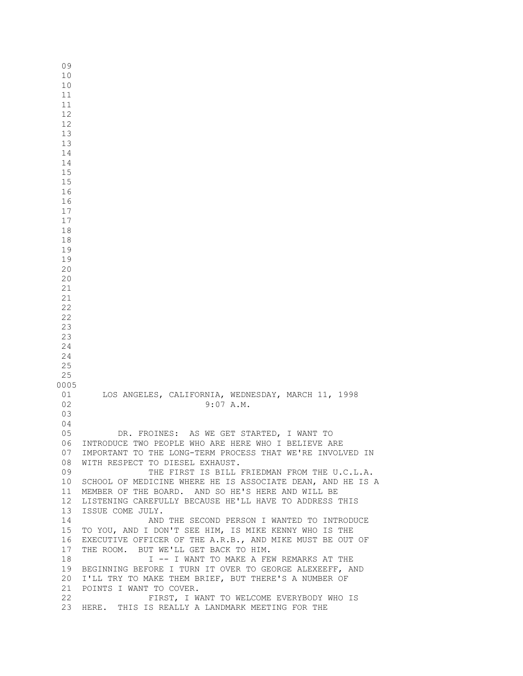01 LOS ANGELES, CALIFORNIA, WEDNESDAY, MARCH 11, 1998<br>02 9:07 A.M. 02 9:07 A.M. 04<br>05 DR. FROINES: AS WE GET STARTED, I WANT TO 06 INTRODUCE TWO PEOPLE WHO ARE HERE WHO I BELIEVE ARE 07 IMPORTANT TO THE LONG-TERM PROCESS THAT WE'RE INVOLVED IN 08 WITH RESPECT TO DIESEL EXHAUST. 09 THE FIRST IS BILL FRIEDMAN FROM THE U.C.L.A. 10 SCHOOL OF MEDICINE WHERE HE IS ASSOCIATE DEAN, AND HE IS A 11 MEMBER OF THE BOARD. AND SO HE'S HERE AND WILL BE 12 LISTENING CAREFULLY BECAUSE HE'LL HAVE TO ADDRESS THIS 13 ISSUE COME JULY. 14 AND THE SECOND PERSON I WANTED TO INTRODUCE 15 TO YOU, AND I DON'T SEE HIM, IS MIKE KENNY WHO IS THE 16 EXECUTIVE OFFICER OF THE A.R.B., AND MIKE MUST BE OUT OF 17 THE ROOM. BUT WE'LL GET BACK TO HIM. 18 I -- I WANT TO MAKE A FEW REMARKS AT THE 19 BEGINNING BEFORE I TURN IT OVER TO GEORGE ALEXEEFF, AND 20 I'LL TRY TO MAKE THEM BRIEF, BUT THERE'S A NUMBER OF 21 POINTS I WANT TO COVER. 22 FIRST, I WANT TO WELCOME EVERYBODY WHO IS 23 HERE. THIS IS REALLY A LANDMARK MEETING FOR THE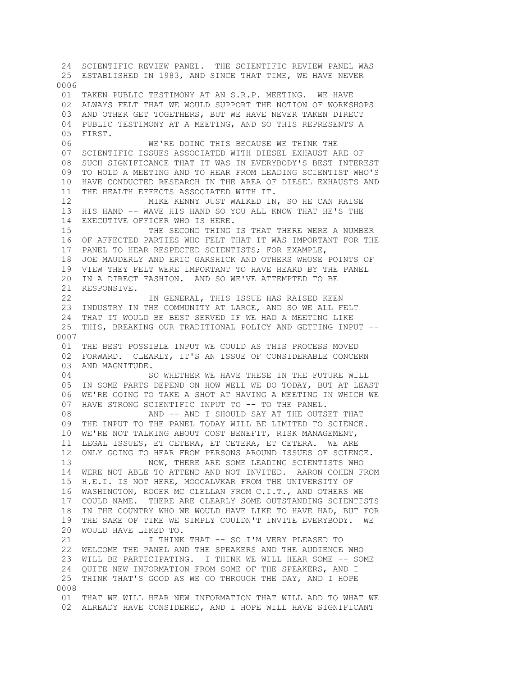24 SCIENTIFIC REVIEW PANEL. THE SCIENTIFIC REVIEW PANEL WAS 25 ESTABLISHED IN 1983, AND SINCE THAT TIME, WE HAVE NEVER 0006 01 TAKEN PUBLIC TESTIMONY AT AN S.R.P. MEETING. WE HAVE 02 ALWAYS FELT THAT WE WOULD SUPPORT THE NOTION OF WORKSHOPS 03 AND OTHER GET TOGETHERS, BUT WE HAVE NEVER TAKEN DIRECT 04 PUBLIC TESTIMONY AT A MEETING, AND SO THIS REPRESENTS A 05 FIRST. 06 WE'RE DOING THIS BECAUSE WE THINK THE 07 SCIENTIFIC ISSUES ASSOCIATED WITH DIESEL EXHAUST ARE OF 08 SUCH SIGNIFICANCE THAT IT WAS IN EVERYBODY'S BEST INTEREST 09 TO HOLD A MEETING AND TO HEAR FROM LEADING SCIENTIST WHO'S 10 HAVE CONDUCTED RESEARCH IN THE AREA OF DIESEL EXHAUSTS AND 11 THE HEALTH EFFECTS ASSOCIATED WITH IT. 12 MIKE KENNY JUST WALKED IN, SO HE CAN RAISE 13 HIS HAND -- WAVE HIS HAND SO YOU ALL KNOW THAT HE'S THE 14 EXECUTIVE OFFICER WHO IS HERE. 15 THE SECOND THING IS THAT THERE WERE A NUMBER 16 OF AFFECTED PARTIES WHO FELT THAT IT WAS IMPORTANT FOR THE 17 PANEL TO HEAR RESPECTED SCIENTISTS; FOR EXAMPLE, 18 JOE MAUDERLY AND ERIC GARSHICK AND OTHERS WHOSE POINTS OF 19 VIEW THEY FELT WERE IMPORTANT TO HAVE HEARD BY THE PANEL 20 IN A DIRECT FASHION. AND SO WE'VE ATTEMPTED TO BE 21 RESPONSIVE. 22 IN GENERAL, THIS ISSUE HAS RAISED KEEN 23 INDUSTRY IN THE COMMUNITY AT LARGE, AND SO WE ALL FELT 24 THAT IT WOULD BE BEST SERVED IF WE HAD A MEETING LIKE 25 THIS, BREAKING OUR TRADITIONAL POLICY AND GETTING INPUT -- 0007 01 THE BEST POSSIBLE INPUT WE COULD AS THIS PROCESS MOVED 02 FORWARD. CLEARLY, IT'S AN ISSUE OF CONSIDERABLE CONCERN 03 AND MAGNITUDE. 04 SO WHETHER WE HAVE THESE IN THE FUTURE WILL 05 IN SOME PARTS DEPEND ON HOW WELL WE DO TODAY, BUT AT LEAST 06 WE'RE GOING TO TAKE A SHOT AT HAVING A MEETING IN WHICH WE 07 HAVE STRONG SCIENTIFIC INPUT TO -- TO THE PANEL. 08 AND -- AND I SHOULD SAY AT THE OUTSET THAT 09 THE INPUT TO THE PANEL TODAY WILL BE LIMITED TO SCIENCE. 10 WE'RE NOT TALKING ABOUT COST BENEFIT, RISK MANAGEMENT, 11 LEGAL ISSUES, ET CETERA, ET CETERA, ET CETERA. WE ARE 12 ONLY GOING TO HEAR FROM PERSONS AROUND ISSUES OF SCIENCE. 13 NOW, THERE ARE SOME LEADING SCIENTISTS WHO 14 WERE NOT ABLE TO ATTEND AND NOT INVITED. AARON COHEN FROM 15 H.E.I. IS NOT HERE, MOOGALVKAR FROM THE UNIVERSITY OF 16 WASHINGTON, ROGER MC CLELLAN FROM C.I.T., AND OTHERS WE 17 COULD NAME. THERE ARE CLEARLY SOME OUTSTANDING SCIENTISTS 18 IN THE COUNTRY WHO WE WOULD HAVE LIKE TO HAVE HAD, BUT FOR 19 THE SAKE OF TIME WE SIMPLY COULDN'T INVITE EVERYBODY. WE 20 WOULD HAVE LIKED TO. 21 I THINK THAT -- SO I'M VERY PLEASED TO 22 WELCOME THE PANEL AND THE SPEAKERS AND THE AUDIENCE WHO 23 WILL BE PARTICIPATING. I THINK WE WILL HEAR SOME -- SOME 24 QUITE NEW INFORMATION FROM SOME OF THE SPEAKERS, AND I 25 THINK THAT'S GOOD AS WE GO THROUGH THE DAY, AND I HOPE 0008 01 THAT WE WILL HEAR NEW INFORMATION THAT WILL ADD TO WHAT WE 02 ALREADY HAVE CONSIDERED, AND I HOPE WILL HAVE SIGNIFICANT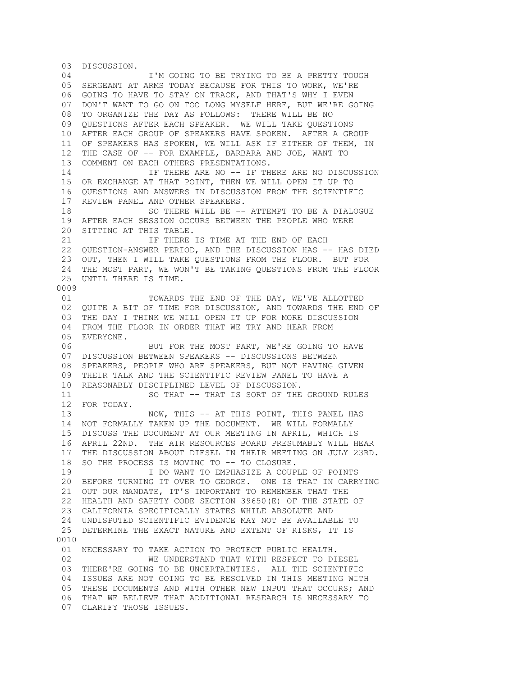03 DISCUSSION. 04 **I'M GOING TO BE TRYING TO BE A PRETTY TOUGH**  05 SERGEANT AT ARMS TODAY BECAUSE FOR THIS TO WORK, WE'RE 06 GOING TO HAVE TO STAY ON TRACK, AND THAT'S WHY I EVEN 07 DON'T WANT TO GO ON TOO LONG MYSELF HERE, BUT WE'RE GOING 08 TO ORGANIZE THE DAY AS FOLLOWS: THERE WILL BE NO 09 QUESTIONS AFTER EACH SPEAKER. WE WILL TAKE QUESTIONS 10 AFTER EACH GROUP OF SPEAKERS HAVE SPOKEN. AFTER A GROUP 11 OF SPEAKERS HAS SPOKEN, WE WILL ASK IF EITHER OF THEM, IN 12 THE CASE OF -- FOR EXAMPLE, BARBARA AND JOE, WANT TO 13 COMMENT ON EACH OTHERS PRESENTATIONS. 14 IF THERE ARE NO -- IF THERE ARE NO DISCUSSION 15 OR EXCHANGE AT THAT POINT, THEN WE WILL OPEN IT UP TO 16 QUESTIONS AND ANSWERS IN DISCUSSION FROM THE SCIENTIFIC 17 REVIEW PANEL AND OTHER SPEAKERS. 18 SO THERE WILL BE -- ATTEMPT TO BE A DIALOGUE 19 AFTER EACH SESSION OCCURS BETWEEN THE PEOPLE WHO WERE 20 SITTING AT THIS TABLE. 21 **IF THERE IS TIME AT THE END OF EACH** 22 QUESTION-ANSWER PERIOD, AND THE DISCUSSION HAS -- HAS DIED 23 OUT, THEN I WILL TAKE QUESTIONS FROM THE FLOOR. BUT FOR 24 THE MOST PART, WE WON'T BE TAKING QUESTIONS FROM THE FLOOR 25 UNTIL THERE IS TIME. 0009 01 TOWARDS THE END OF THE DAY, WE'VE ALLOTTED 02 QUITE A BIT OF TIME FOR DISCUSSION, AND TOWARDS THE END OF 03 THE DAY I THINK WE WILL OPEN IT UP FOR MORE DISCUSSION 04 FROM THE FLOOR IN ORDER THAT WE TRY AND HEAR FROM 05 EVERYONE. 06 BUT FOR THE MOST PART, WE'RE GOING TO HAVE 07 DISCUSSION BETWEEN SPEAKERS -- DISCUSSIONS BETWEEN 08 SPEAKERS, PEOPLE WHO ARE SPEAKERS, BUT NOT HAVING GIVEN 09 THEIR TALK AND THE SCIENTIFIC REVIEW PANEL TO HAVE A 10 REASONABLY DISCIPLINED LEVEL OF DISCUSSION. 11 SO THAT -- THAT IS SORT OF THE GROUND RULES 12 FOR TODAY. 13 NOW, THIS -- AT THIS POINT, THIS PANEL HAS 14 NOT FORMALLY TAKEN UP THE DOCUMENT. WE WILL FORMALLY 15 DISCUSS THE DOCUMENT AT OUR MEETING IN APRIL, WHICH IS 16 APRIL 22ND. THE AIR RESOURCES BOARD PRESUMABLY WILL HEAR 17 THE DISCUSSION ABOUT DIESEL IN THEIR MEETING ON JULY 23RD. 18 SO THE PROCESS IS MOVING TO -- TO CLOSURE. 19 I DO WANT TO EMPHASIZE A COUPLE OF POINTS 20 BEFORE TURNING IT OVER TO GEORGE. ONE IS THAT IN CARRYING 21 OUT OUR MANDATE, IT'S IMPORTANT TO REMEMBER THAT THE 22 HEALTH AND SAFETY CODE SECTION 39650(E) OF THE STATE OF 23 CALIFORNIA SPECIFICALLY STATES WHILE ABSOLUTE AND 24 UNDISPUTED SCIENTIFIC EVIDENCE MAY NOT BE AVAILABLE TO 25 DETERMINE THE EXACT NATURE AND EXTENT OF RISKS, IT IS 0010 01 NECESSARY TO TAKE ACTION TO PROTECT PUBLIC HEALTH. 02 WE UNDERSTAND THAT WITH RESPECT TO DIESEL 03 THERE'RE GOING TO BE UNCERTAINTIES. ALL THE SCIENTIFIC 04 ISSUES ARE NOT GOING TO BE RESOLVED IN THIS MEETING WITH 05 THESE DOCUMENTS AND WITH OTHER NEW INPUT THAT OCCURS; AND 06 THAT WE BELIEVE THAT ADDITIONAL RESEARCH IS NECESSARY TO 07 CLARIFY THOSE ISSUES.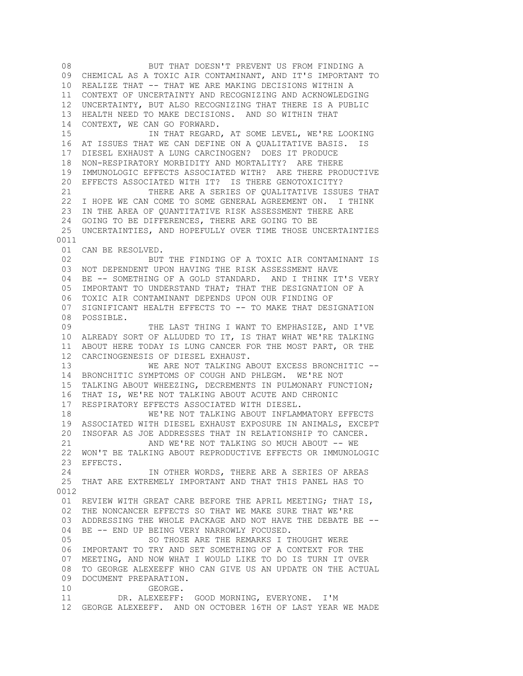08 BUT THAT DOESN'T PREVENT US FROM FINDING A 09 CHEMICAL AS A TOXIC AIR CONTAMINANT, AND IT'S IMPORTANT TO 10 REALIZE THAT -- THAT WE ARE MAKING DECISIONS WITHIN A 11 CONTEXT OF UNCERTAINTY AND RECOGNIZING AND ACKNOWLEDGING 12 UNCERTAINTY, BUT ALSO RECOGNIZING THAT THERE IS A PUBLIC 13 HEALTH NEED TO MAKE DECISIONS. AND SO WITHIN THAT 14 CONTEXT, WE CAN GO FORWARD. 15 IN THAT REGARD, AT SOME LEVEL, WE'RE LOOKING 16 AT ISSUES THAT WE CAN DEFINE ON A QUALITATIVE BASIS. IS 17 DIESEL EXHAUST A LUNG CARCINOGEN? DOES IT PRODUCE 18 NON-RESPIRATORY MORBIDITY AND MORTALITY? ARE THERE 19 IMMUNOLOGIC EFFECTS ASSOCIATED WITH? ARE THERE PRODUCTIVE 20 EFFECTS ASSOCIATED WITH IT? IS THERE GENOTOXICITY? 21 THERE ARE A SERIES OF QUALITATIVE ISSUES THAT 22 I HOPE WE CAN COME TO SOME GENERAL AGREEMENT ON. I THINK 23 IN THE AREA OF QUANTITATIVE RISK ASSESSMENT THERE ARE 24 GOING TO BE DIFFERENCES, THERE ARE GOING TO BE 25 UNCERTAINTIES, AND HOPEFULLY OVER TIME THOSE UNCERTAINTIES 0011 01 CAN BE RESOLVED. 02 BUT THE FINDING OF A TOXIC AIR CONTAMINANT IS 03 NOT DEPENDENT UPON HAVING THE RISK ASSESSMENT HAVE 04 BE -- SOMETHING OF A GOLD STANDARD. AND I THINK IT'S VERY 05 IMPORTANT TO UNDERSTAND THAT; THAT THE DESIGNATION OF A 06 TOXIC AIR CONTAMINANT DEPENDS UPON OUR FINDING OF 07 SIGNIFICANT HEALTH EFFECTS TO -- TO MAKE THAT DESIGNATION 08 POSSIBLE. 09 THE LAST THING I WANT TO EMPHASIZE, AND I'VE 10 ALREADY SORT OF ALLUDED TO IT, IS THAT WHAT WE'RE TALKING 11 ABOUT HERE TODAY IS LUNG CANCER FOR THE MOST PART, OR THE 12 CARCINOGENESIS OF DIESEL EXHAUST. WE ARE NOT TALKING ABOUT EXCESS BRONCHITIC -- 14 BRONCHITIC SYMPTOMS OF COUGH AND PHLEGM. WE'RE NOT 15 TALKING ABOUT WHEEZING, DECREMENTS IN PULMONARY FUNCTION; 16 THAT IS, WE'RE NOT TALKING ABOUT ACUTE AND CHRONIC 17 RESPIRATORY EFFECTS ASSOCIATED WITH DIESEL. 18 WE'RE NOT TALKING ABOUT INFLAMMATORY EFFECTS 19 ASSOCIATED WITH DIESEL EXHAUST EXPOSURE IN ANIMALS, EXCEPT 20 INSOFAR AS JOE ADDRESSES THAT IN RELATIONSHIP TO CANCER. 21 AND WE'RE NOT TALKING SO MUCH ABOUT -- WE 22 WON'T BE TALKING ABOUT REPRODUCTIVE EFFECTS OR IMMUNOLOGIC 23 EFFECTS. 24 IN OTHER WORDS, THERE ARE A SERIES OF AREAS 25 THAT ARE EXTREMELY IMPORTANT AND THAT THIS PANEL HAS TO 0012 01 REVIEW WITH GREAT CARE BEFORE THE APRIL MEETING; THAT IS, 02 THE NONCANCER EFFECTS SO THAT WE MAKE SURE THAT WE'RE 03 ADDRESSING THE WHOLE PACKAGE AND NOT HAVE THE DEBATE BE -- 04 BE -- END UP BEING VERY NARROWLY FOCUSED. 05 SO THOSE ARE THE REMARKS I THOUGHT WERE 06 IMPORTANT TO TRY AND SET SOMETHING OF A CONTEXT FOR THE 07 MEETING, AND NOW WHAT I WOULD LIKE TO DO IS TURN IT OVER 08 TO GEORGE ALEXEEFF WHO CAN GIVE US AN UPDATE ON THE ACTUAL 09 DOCUMENT PREPARATION. 10 GEORGE. 11 DR. ALEXEEFF: GOOD MORNING, EVERYONE. I'M 12 GEORGE ALEXEEFF. AND ON OCTOBER 16TH OF LAST YEAR WE MADE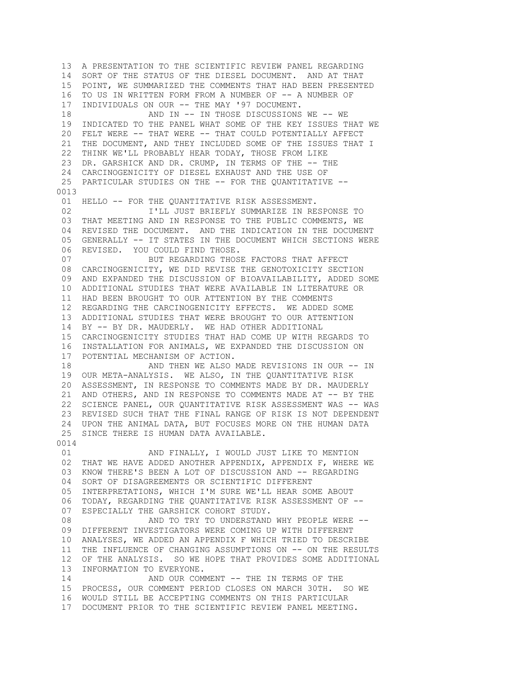13 A PRESENTATION TO THE SCIENTIFIC REVIEW PANEL REGARDING 14 SORT OF THE STATUS OF THE DIESEL DOCUMENT. AND AT THAT 15 POINT, WE SUMMARIZED THE COMMENTS THAT HAD BEEN PRESENTED 16 TO US IN WRITTEN FORM FROM A NUMBER OF -- A NUMBER OF 17 INDIVIDUALS ON OUR -- THE MAY '97 DOCUMENT. 18 AND IN -- IN THOSE DISCUSSIONS WE -- WE 19 INDICATED TO THE PANEL WHAT SOME OF THE KEY ISSUES THAT WE 20 FELT WERE -- THAT WERE -- THAT COULD POTENTIALLY AFFECT 21 THE DOCUMENT, AND THEY INCLUDED SOME OF THE ISSUES THAT I 22 THINK WE'LL PROBABLY HEAR TODAY, THOSE FROM LIKE 23 DR. GARSHICK AND DR. CRUMP, IN TERMS OF THE -- THE 24 CARCINOGENICITY OF DIESEL EXHAUST AND THE USE OF 25 PARTICULAR STUDIES ON THE -- FOR THE QUANTITATIVE --0013 01 HELLO -- FOR THE QUANTITATIVE RISK ASSESSMENT. 02 **I'LL JUST BRIEFLY SUMMARIZE IN RESPONSE TO**  03 THAT MEETING AND IN RESPONSE TO THE PUBLIC COMMENTS, WE 04 REVISED THE DOCUMENT. AND THE INDICATION IN THE DOCUMENT 05 GENERALLY -- IT STATES IN THE DOCUMENT WHICH SECTIONS WERE 06 REVISED. YOU COULD FIND THOSE. 07 BUT REGARDING THOSE FACTORS THAT AFFECT 08 CARCINOGENICITY, WE DID REVISE THE GENOTOXICITY SECTION 09 AND EXPANDED THE DISCUSSION OF BIOAVAILABILITY, ADDED SOME 10 ADDITIONAL STUDIES THAT WERE AVAILABLE IN LITERATURE OR 11 HAD BEEN BROUGHT TO OUR ATTENTION BY THE COMMENTS 12 REGARDING THE CARCINOGENICITY EFFECTS. WE ADDED SOME 13 ADDITIONAL STUDIES THAT WERE BROUGHT TO OUR ATTENTION 14 BY -- BY DR. MAUDERLY. WE HAD OTHER ADDITIONAL 15 CARCINOGENICITY STUDIES THAT HAD COME UP WITH REGARDS TO 16 INSTALLATION FOR ANIMALS, WE EXPANDED THE DISCUSSION ON 17 POTENTIAL MECHANISM OF ACTION. AND THEN WE ALSO MADE REVISIONS IN OUR -- IN 19 OUR META-ANALYSIS. WE ALSO, IN THE QUANTITATIVE RISK 20 ASSESSMENT, IN RESPONSE TO COMMENTS MADE BY DR. MAUDERLY 21 AND OTHERS, AND IN RESPONSE TO COMMENTS MADE AT -- BY THE 22 SCIENCE PANEL, OUR QUANTITATIVE RISK ASSESSMENT WAS -- WAS 23 REVISED SUCH THAT THE FINAL RANGE OF RISK IS NOT DEPENDENT 24 UPON THE ANIMAL DATA, BUT FOCUSES MORE ON THE HUMAN DATA 25 SINCE THERE IS HUMAN DATA AVAILABLE. 0014 01 AND FINALLY, I WOULD JUST LIKE TO MENTION 02 THAT WE HAVE ADDED ANOTHER APPENDIX, APPENDIX F, WHERE WE 03 KNOW THERE'S BEEN A LOT OF DISCUSSION AND -- REGARDING 04 SORT OF DISAGREEMENTS OR SCIENTIFIC DIFFERENT 05 INTERPRETATIONS, WHICH I'M SURE WE'LL HEAR SOME ABOUT 06 TODAY, REGARDING THE QUANTITATIVE RISK ASSESSMENT OF -- 07 ESPECIALLY THE GARSHICK COHORT STUDY. 08 AND TO TRY TO UNDERSTAND WHY PEOPLE WERE -- 09 DIFFERENT INVESTIGATORS WERE COMING UP WITH DIFFERENT 10 ANALYSES, WE ADDED AN APPENDIX F WHICH TRIED TO DESCRIBE 11 THE INFLUENCE OF CHANGING ASSUMPTIONS ON -- ON THE RESULTS 12 OF THE ANALYSIS. SO WE HOPE THAT PROVIDES SOME ADDITIONAL 13 INFORMATION TO EVERYONE. 14 AND OUR COMMENT -- THE IN TERMS OF THE 15 PROCESS, OUR COMMENT PERIOD CLOSES ON MARCH 30TH. SO WE 16 WOULD STILL BE ACCEPTING COMMENTS ON THIS PARTICULAR 17 DOCUMENT PRIOR TO THE SCIENTIFIC REVIEW PANEL MEETING.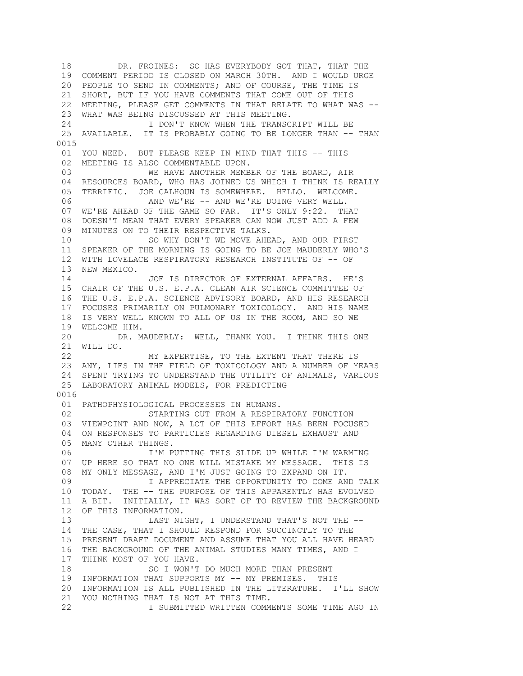18 DR. FROINES: SO HAS EVERYBODY GOT THAT, THAT THE 19 COMMENT PERIOD IS CLOSED ON MARCH 30TH. AND I WOULD URGE 20 PEOPLE TO SEND IN COMMENTS; AND OF COURSE, THE TIME IS 21 SHORT, BUT IF YOU HAVE COMMENTS THAT COME OUT OF THIS 22 MEETING, PLEASE GET COMMENTS IN THAT RELATE TO WHAT WAS -- 23 WHAT WAS BEING DISCUSSED AT THIS MEETING. 24 I DON'T KNOW WHEN THE TRANSCRIPT WILL BE 25 AVAILABLE. IT IS PROBABLY GOING TO BE LONGER THAN -- THAN 0015 01 YOU NEED. BUT PLEASE KEEP IN MIND THAT THIS -- THIS 02 MEETING IS ALSO COMMENTABLE UPON. 03 WE HAVE ANOTHER MEMBER OF THE BOARD, AIR 04 RESOURCES BOARD, WHO HAS JOINED US WHICH I THINK IS REALLY 05 TERRIFIC. JOE CALHOUN IS SOMEWHERE. HELLO. WELCOME. 06 AND WE'RE -- AND WE'RE DOING VERY WELL. 07 WE'RE AHEAD OF THE GAME SO FAR. IT'S ONLY 9:22. THAT 08 DOESN'T MEAN THAT EVERY SPEAKER CAN NOW JUST ADD A FEW 09 MINUTES ON TO THEIR RESPECTIVE TALKS. 10 SO WHY DON'T WE MOVE AHEAD, AND OUR FIRST 11 SPEAKER OF THE MORNING IS GOING TO BE JOE MAUDERLY WHO'S 12 WITH LOVELACE RESPIRATORY RESEARCH INSTITUTE OF -- OF 13 NEW MEXICO. 14 JOE IS DIRECTOR OF EXTERNAL AFFAIRS. HE'S 15 CHAIR OF THE U.S. E.P.A. CLEAN AIR SCIENCE COMMITTEE OF 16 THE U.S. E.P.A. SCIENCE ADVISORY BOARD, AND HIS RESEARCH 17 FOCUSES PRIMARILY ON PULMONARY TOXICOLOGY. AND HIS NAME 18 IS VERY WELL KNOWN TO ALL OF US IN THE ROOM, AND SO WE 19 WELCOME HIM. 20 DR. MAUDERLY: WELL, THANK YOU. I THINK THIS ONE 21 WILL DO. 22 MY EXPERTISE, TO THE EXTENT THAT THERE IS 23 ANY, LIES IN THE FIELD OF TOXICOLOGY AND A NUMBER OF YEARS 24 SPENT TRYING TO UNDERSTAND THE UTILITY OF ANIMALS, VARIOUS 25 LABORATORY ANIMAL MODELS, FOR PREDICTING 0016 01 PATHOPHYSIOLOGICAL PROCESSES IN HUMANS. 02 STARTING OUT FROM A RESPIRATORY FUNCTION 03 VIEWPOINT AND NOW, A LOT OF THIS EFFORT HAS BEEN FOCUSED 04 ON RESPONSES TO PARTICLES REGARDING DIESEL EXHAUST AND 05 MANY OTHER THINGS. 06 I'M PUTTING THIS SLIDE UP WHILE I'M WARMING 07 UP HERE SO THAT NO ONE WILL MISTAKE MY MESSAGE. THIS IS 08 MY ONLY MESSAGE, AND I'M JUST GOING TO EXPAND ON IT. 09 I APPRECIATE THE OPPORTUNITY TO COME AND TALK 10 TODAY. THE -- THE PURPOSE OF THIS APPARENTLY HAS EVOLVED 11 A BIT. INITIALLY, IT WAS SORT OF TO REVIEW THE BACKGROUND 12 OF THIS INFORMATION. 13 LAST NIGHT, I UNDERSTAND THAT'S NOT THE -- 14 THE CASE, THAT I SHOULD RESPOND FOR SUCCINCTLY TO THE 15 PRESENT DRAFT DOCUMENT AND ASSUME THAT YOU ALL HAVE HEARD 16 THE BACKGROUND OF THE ANIMAL STUDIES MANY TIMES, AND I 17 THINK MOST OF YOU HAVE. 18 SO I WON'T DO MUCH MORE THAN PRESENT 19 INFORMATION THAT SUPPORTS MY -- MY PREMISES. THIS 20 INFORMATION IS ALL PUBLISHED IN THE LITERATURE. I'LL SHOW 21 YOU NOTHING THAT IS NOT AT THIS TIME. 22 I SUBMITTED WRITTEN COMMENTS SOME TIME AGO IN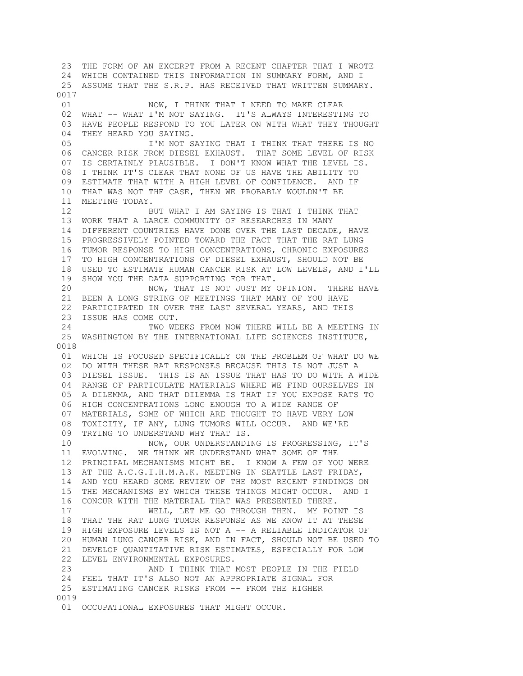23 THE FORM OF AN EXCERPT FROM A RECENT CHAPTER THAT I WROTE 24 WHICH CONTAINED THIS INFORMATION IN SUMMARY FORM, AND I 25 ASSUME THAT THE S.R.P. HAS RECEIVED THAT WRITTEN SUMMARY. 0017 01 NOW, I THINK THAT I NEED TO MAKE CLEAR 02 WHAT -- WHAT I'M NOT SAYING. IT'S ALWAYS INTERESTING TO 03 HAVE PEOPLE RESPOND TO YOU LATER ON WITH WHAT THEY THOUGHT 04 THEY HEARD YOU SAYING. 05 I'M NOT SAYING THAT I THINK THAT THERE IS NO 06 CANCER RISK FROM DIESEL EXHAUST. THAT SOME LEVEL OF RISK 07 IS CERTAINLY PLAUSIBLE. I DON'T KNOW WHAT THE LEVEL IS. 08 I THINK IT'S CLEAR THAT NONE OF US HAVE THE ABILITY TO 09 ESTIMATE THAT WITH A HIGH LEVEL OF CONFIDENCE. AND IF 10 THAT WAS NOT THE CASE, THEN WE PROBABLY WOULDN'T BE 11 MEETING TODAY. 12 BUT WHAT I AM SAYING IS THAT I THINK THAT 13 WORK THAT A LARGE COMMUNITY OF RESEARCHES IN MANY 14 DIFFERENT COUNTRIES HAVE DONE OVER THE LAST DECADE, HAVE 15 PROGRESSIVELY POINTED TOWARD THE FACT THAT THE RAT LUNG 16 TUMOR RESPONSE TO HIGH CONCENTRATIONS, CHRONIC EXPOSURES 17 TO HIGH CONCENTRATIONS OF DIESEL EXHAUST, SHOULD NOT BE 18 USED TO ESTIMATE HUMAN CANCER RISK AT LOW LEVELS, AND I'LL 19 SHOW YOU THE DATA SUPPORTING FOR THAT. 20 NOW, THAT IS NOT JUST MY OPINION. THERE HAVE 21 BEEN A LONG STRING OF MEETINGS THAT MANY OF YOU HAVE 22 PARTICIPATED IN OVER THE LAST SEVERAL YEARS, AND THIS 23 ISSUE HAS COME OUT. 24 TWO WEEKS FROM NOW THERE WILL BE A MEETING IN 25 WASHINGTON BY THE INTERNATIONAL LIFE SCIENCES INSTITUTE, 0018 01 WHICH IS FOCUSED SPECIFICALLY ON THE PROBLEM OF WHAT DO WE 02 DO WITH THESE RAT RESPONSES BECAUSE THIS IS NOT JUST A 03 DIESEL ISSUE. THIS IS AN ISSUE THAT HAS TO DO WITH A WIDE 04 RANGE OF PARTICULATE MATERIALS WHERE WE FIND OURSELVES IN 05 A DILEMMA, AND THAT DILEMMA IS THAT IF YOU EXPOSE RATS TO 06 HIGH CONCENTRATIONS LONG ENOUGH TO A WIDE RANGE OF 07 MATERIALS, SOME OF WHICH ARE THOUGHT TO HAVE VERY LOW 08 TOXICITY, IF ANY, LUNG TUMORS WILL OCCUR. AND WE'RE 09 TRYING TO UNDERSTAND WHY THAT IS. 10 NOW, OUR UNDERSTANDING IS PROGRESSING, IT'S 11 EVOLVING. WE THINK WE UNDERSTAND WHAT SOME OF THE 12 PRINCIPAL MECHANISMS MIGHT BE. I KNOW A FEW OF YOU WERE 13 AT THE A.C.G.I.H.M.A.K. MEETING IN SEATTLE LAST FRIDAY, 14 AND YOU HEARD SOME REVIEW OF THE MOST RECENT FINDINGS ON 15 THE MECHANISMS BY WHICH THESE THINGS MIGHT OCCUR. AND I 16 CONCUR WITH THE MATERIAL THAT WAS PRESENTED THERE. 17 WELL, LET ME GO THROUGH THEN. MY POINT IS 18 THAT THE RAT LUNG TUMOR RESPONSE AS WE KNOW IT AT THESE 19 HIGH EXPOSURE LEVELS IS NOT A -- A RELIABLE INDICATOR OF 20 HUMAN LUNG CANCER RISK, AND IN FACT, SHOULD NOT BE USED TO 21 DEVELOP QUANTITATIVE RISK ESTIMATES, ESPECIALLY FOR LOW 22 LEVEL ENVIRONMENTAL EXPOSURES. 23 AND I THINK THAT MOST PEOPLE IN THE FIELD 24 FEEL THAT IT'S ALSO NOT AN APPROPRIATE SIGNAL FOR 25 ESTIMATING CANCER RISKS FROM -- FROM THE HIGHER 0019 01 OCCUPATIONAL EXPOSURES THAT MIGHT OCCUR.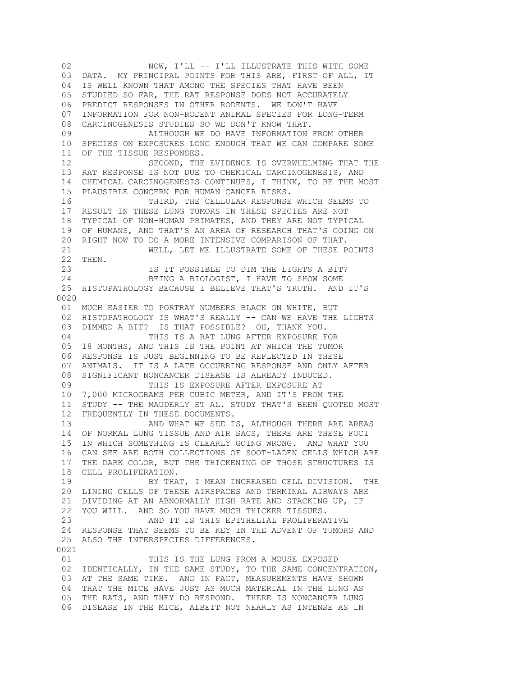02 NOW, I'LL -- I'LL ILLUSTRATE THIS WITH SOME 03 DATA. MY PRINCIPAL POINTS FOR THIS ARE, FIRST OF ALL, IT 04 IS WELL KNOWN THAT AMONG THE SPECIES THAT HAVE BEEN 05 STUDIED SO FAR, THE RAT RESPONSE DOES NOT ACCURATELY 06 PREDICT RESPONSES IN OTHER RODENTS. WE DON'T HAVE 07 INFORMATION FOR NON-RODENT ANIMAL SPECIES FOR LONG-TERM 08 CARCINOGENESIS STUDIES SO WE DON'T KNOW THAT. 09 ALTHOUGH WE DO HAVE INFORMATION FROM OTHER 10 SPECIES ON EXPOSURES LONG ENOUGH THAT WE CAN COMPARE SOME 11 OF THE TISSUE RESPONSES. 12 SECOND, THE EVIDENCE IS OVERWHELMING THAT THE 13 RAT RESPONSE IS NOT DUE TO CHEMICAL CARCINOGENESIS, AND 14 CHEMICAL CARCINOGENESIS CONTINUES, I THINK, TO BE THE MOST 15 PLAUSIBLE CONCERN FOR HUMAN CANCER RISKS. 16 THIRD, THE CELLULAR RESPONSE WHICH SEEMS TO 17 RESULT IN THESE LUNG TUMORS IN THESE SPECIES ARE NOT 18 TYPICAL OF NON-HUMAN PRIMATES, AND THEY ARE NOT TYPICAL 19 OF HUMANS, AND THAT'S AN AREA OF RESEARCH THAT'S GOING ON 20 RIGHT NOW TO DO A MORE INTENSIVE COMPARISON OF THAT. 21 WELL, LET ME ILLUSTRATE SOME OF THESE POINTS 22 THEN. 23 IS IT POSSIBLE TO DIM THE LIGHTS A BIT? 24 BEING A BIOLOGIST, I HAVE TO SHOW SOME 25 HISTOPATHOLOGY BECAUSE I BELIEVE THAT'S TRUTH. AND IT'S 0020 01 MUCH EASIER TO PORTRAY NUMBERS BLACK ON WHITE, BUT 02 HISTOPATHOLOGY IS WHAT'S REALLY -- CAN WE HAVE THE LIGHTS 03 DIMMED A BIT? IS THAT POSSIBLE? OH, THANK YOU. 04 THIS IS A RAT LUNG AFTER EXPOSURE FOR 05 18 MONTHS, AND THIS IS THE POINT AT WHICH THE TUMOR 06 RESPONSE IS JUST BEGINNING TO BE REFLECTED IN THESE 07 ANIMALS. IT IS A LATE OCCURRING RESPONSE AND ONLY AFTER 08 SIGNIFICANT NONCANCER DISEASE IS ALREADY INDUCED. 09 THIS IS EXPOSURE AFTER EXPOSURE AT 10 7,000 MICROGRAMS PER CUBIC METER, AND IT'S FROM THE 11 STUDY -- THE MAUDERLY ET AL. STUDY THAT'S BEEN QUOTED MOST 12 FREQUENTLY IN THESE DOCUMENTS. 13 AND WHAT WE SEE IS, ALTHOUGH THERE ARE AREAS 14 OF NORMAL LUNG TISSUE AND AIR SACS, THERE ARE THESE FOCI 15 IN WHICH SOMETHING IS CLEARLY GOING WRONG. AND WHAT YOU 16 CAN SEE ARE BOTH COLLECTIONS OF SOOT-LADEN CELLS WHICH ARE 17 THE DARK COLOR, BUT THE THICKENING OF THOSE STRUCTURES IS 18 CELL PROLIFERATION. 19 BY THAT, I MEAN INCREASED CELL DIVISION. THE 20 LINING CELLS OF THESE AIRSPACES AND TERMINAL AIRWAYS ARE 21 DIVIDING AT AN ABNORMALLY HIGH RATE AND STACKING UP, IF 22 YOU WILL. AND SO YOU HAVE MUCH THICKER TISSUES. 23 AND IT IS THIS EPITHELIAL PROLIFERATIVE 24 RESPONSE THAT SEEMS TO BE KEY IN THE ADVENT OF TUMORS AND 25 ALSO THE INTERSPECIES DIFFERENCES. 0021 01 THIS IS THE LUNG FROM A MOUSE EXPOSED 02 IDENTICALLY, IN THE SAME STUDY, TO THE SAME CONCENTRATION, 03 AT THE SAME TIME. AND IN FACT, MEASUREMENTS HAVE SHOWN 04 THAT THE MICE HAVE JUST AS MUCH MATERIAL IN THE LUNG AS 05 THE RATS, AND THEY DO RESPOND. THERE IS NONCANCER LUNG

06 DISEASE IN THE MICE, ALBEIT NOT NEARLY AS INTENSE AS IN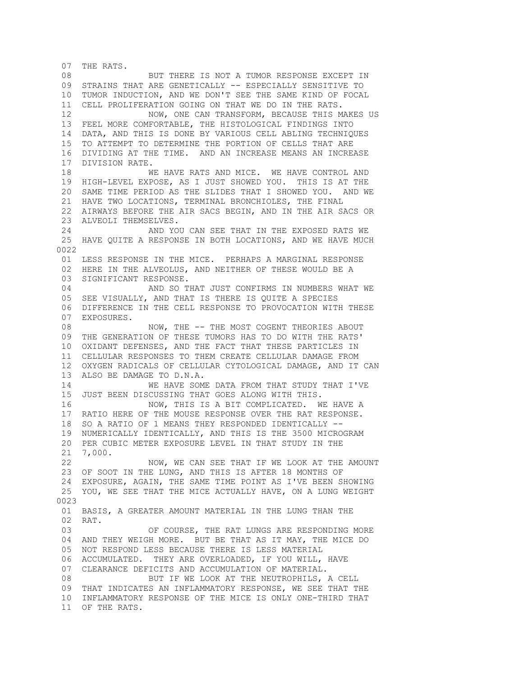07 THE RATS. 08 BUT THERE IS NOT A TUMOR RESPONSE EXCEPT IN 09 STRAINS THAT ARE GENETICALLY -- ESPECIALLY SENSITIVE TO 10 TUMOR INDUCTION, AND WE DON'T SEE THE SAME KIND OF FOCAL 11 CELL PROLIFERATION GOING ON THAT WE DO IN THE RATS. 12 NOW, ONE CAN TRANSFORM, BECAUSE THIS MAKES US 13 FEEL MORE COMFORTABLE, THE HISTOLOGICAL FINDINGS INTO 14 DATA, AND THIS IS DONE BY VARIOUS CELL ABLING TECHNIQUES 15 TO ATTEMPT TO DETERMINE THE PORTION OF CELLS THAT ARE 16 DIVIDING AT THE TIME. AND AN INCREASE MEANS AN INCREASE 17 DIVISION RATE. 18 WE HAVE RATS AND MICE. WE HAVE CONTROL AND 19 HIGH-LEVEL EXPOSE, AS I JUST SHOWED YOU. THIS IS AT THE 20 SAME TIME PERIOD AS THE SLIDES THAT I SHOWED YOU. AND WE 21 HAVE TWO LOCATIONS, TERMINAL BRONCHIOLES, THE FINAL 22 AIRWAYS BEFORE THE AIR SACS BEGIN, AND IN THE AIR SACS OR 23 ALVEOLI THEMSELVES. 24 AND YOU CAN SEE THAT IN THE EXPOSED RATS WE 25 HAVE QUITE A RESPONSE IN BOTH LOCATIONS, AND WE HAVE MUCH 0022 01 LESS RESPONSE IN THE MICE. PERHAPS A MARGINAL RESPONSE 02 HERE IN THE ALVEOLUS, AND NEITHER OF THESE WOULD BE A 03 SIGNIFICANT RESPONSE. 04 AND SO THAT JUST CONFIRMS IN NUMBERS WHAT WE 05 SEE VISUALLY, AND THAT IS THERE IS QUITE A SPECIES 06 DIFFERENCE IN THE CELL RESPONSE TO PROVOCATION WITH THESE 07 EXPOSURES. 08 NOW, THE -- THE MOST COGENT THEORIES ABOUT 09 THE GENERATION OF THESE TUMORS HAS TO DO WITH THE RATS' 10 OXIDANT DEFENSES, AND THE FACT THAT THESE PARTICLES IN 11 CELLULAR RESPONSES TO THEM CREATE CELLULAR DAMAGE FROM 12 OXYGEN RADICALS OF CELLULAR CYTOLOGICAL DAMAGE, AND IT CAN 13 ALSO BE DAMAGE TO D.N.A. 14 WE HAVE SOME DATA FROM THAT STUDY THAT I'VE 15 JUST BEEN DISCUSSING THAT GOES ALONG WITH THIS. 16 NOW, THIS IS A BIT COMPLICATED. WE HAVE A 17 RATIO HERE OF THE MOUSE RESPONSE OVER THE RAT RESPONSE. 18 SO A RATIO OF 1 MEANS THEY RESPONDED IDENTICALLY -- 19 NUMERICALLY IDENTICALLY, AND THIS IS THE 3500 MICROGRAM 20 PER CUBIC METER EXPOSURE LEVEL IN THAT STUDY IN THE 21 7,000. 22 NOW, WE CAN SEE THAT IF WE LOOK AT THE AMOUNT 23 OF SOOT IN THE LUNG, AND THIS IS AFTER 18 MONTHS OF 24 EXPOSURE, AGAIN, THE SAME TIME POINT AS I'VE BEEN SHOWING 25 YOU, WE SEE THAT THE MICE ACTUALLY HAVE, ON A LUNG WEIGHT 0023 01 BASIS, A GREATER AMOUNT MATERIAL IN THE LUNG THAN THE 02 RAT. 03 OF COURSE, THE RAT LUNGS ARE RESPONDING MORE 04 AND THEY WEIGH MORE. BUT BE THAT AS IT MAY, THE MICE DO 05 NOT RESPOND LESS BECAUSE THERE IS LESS MATERIAL 06 ACCUMULATED. THEY ARE OVERLOADED, IF YOU WILL, HAVE 07 CLEARANCE DEFICITS AND ACCUMULATION OF MATERIAL. 08 BUT IF WE LOOK AT THE NEUTROPHILS, A CELL 09 THAT INDICATES AN INFLAMMATORY RESPONSE, WE SEE THAT THE 10 INFLAMMATORY RESPONSE OF THE MICE IS ONLY ONE-THIRD THAT 11 OF THE RATS.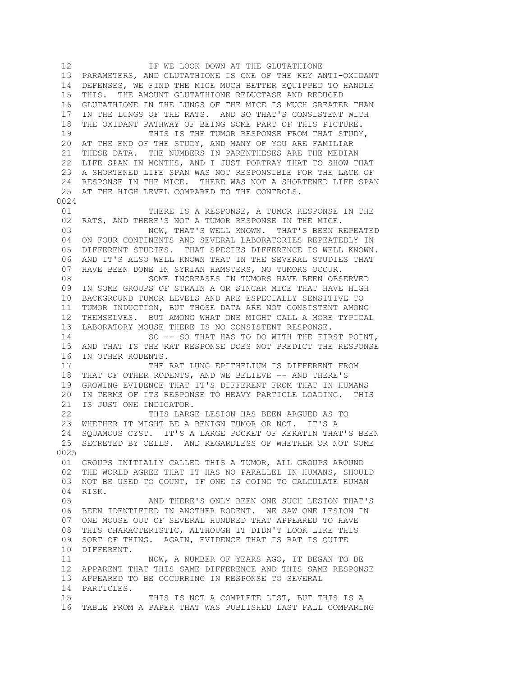12 **IF WE LOOK DOWN AT THE GLUTATHIONE**  13 PARAMETERS, AND GLUTATHIONE IS ONE OF THE KEY ANTI-OXIDANT 14 DEFENSES, WE FIND THE MICE MUCH BETTER EQUIPPED TO HANDLE 15 THIS. THE AMOUNT GLUTATHIONE REDUCTASE AND REDUCED 16 GLUTATHIONE IN THE LUNGS OF THE MICE IS MUCH GREATER THAN 17 IN THE LUNGS OF THE RATS. AND SO THAT'S CONSISTENT WITH 18 THE OXIDANT PATHWAY OF BEING SOME PART OF THIS PICTURE. 19 THIS IS THE TUMOR RESPONSE FROM THAT STUDY, 20 AT THE END OF THE STUDY, AND MANY OF YOU ARE FAMILIAR 21 THESE DATA. THE NUMBERS IN PARENTHESES ARE THE MEDIAN 22 LIFE SPAN IN MONTHS, AND I JUST PORTRAY THAT TO SHOW THAT 23 A SHORTENED LIFE SPAN WAS NOT RESPONSIBLE FOR THE LACK OF 24 RESPONSE IN THE MICE. THERE WAS NOT A SHORTENED LIFE SPAN 25 AT THE HIGH LEVEL COMPARED TO THE CONTROLS. 0024 01 THERE IS A RESPONSE, A TUMOR RESPONSE IN THE 02 RATS, AND THERE'S NOT A TUMOR RESPONSE IN THE MICE. 03 NOW, THAT'S WELL KNOWN. THAT'S BEEN REPEATED 04 ON FOUR CONTINENTS AND SEVERAL LABORATORIES REPEATEDLY IN 05 DIFFERENT STUDIES. THAT SPECIES DIFFERENCE IS WELL KNOWN. 06 AND IT'S ALSO WELL KNOWN THAT IN THE SEVERAL STUDIES THAT 07 HAVE BEEN DONE IN SYRIAN HAMSTERS, NO TUMORS OCCUR. 08 SOME INCREASES IN TUMORS HAVE BEEN OBSERVED 09 IN SOME GROUPS OF STRAIN A OR SINCAR MICE THAT HAVE HIGH 10 BACKGROUND TUMOR LEVELS AND ARE ESPECIALLY SENSITIVE TO 11 TUMOR INDUCTION, BUT THOSE DATA ARE NOT CONSISTENT AMONG 12 THEMSELVES. BUT AMONG WHAT ONE MIGHT CALL A MORE TYPICAL 13 LABORATORY MOUSE THERE IS NO CONSISTENT RESPONSE. 14 SO -- SO THAT HAS TO DO WITH THE FIRST POINT, 15 AND THAT IS THE RAT RESPONSE DOES NOT PREDICT THE RESPONSE 16 IN OTHER RODENTS.<br>17 THE THE RAT LUNG EPITHELIUM IS DIFFERENT FROM 18 THAT OF OTHER RODENTS, AND WE BELIEVE -- AND THERE'S 19 GROWING EVIDENCE THAT IT'S DIFFERENT FROM THAT IN HUMANS 20 IN TERMS OF ITS RESPONSE TO HEAVY PARTICLE LOADING. THIS 21 IS JUST ONE INDICATOR.<br>22 THIS LARG THIS LARGE LESION HAS BEEN ARGUED AS TO 23 WHETHER IT MIGHT BE A BENIGN TUMOR OR NOT. IT'S A 24 SQUAMOUS CYST. IT'S A LARGE POCKET OF KERATIN THAT'S BEEN 25 SECRETED BY CELLS. AND REGARDLESS OF WHETHER OR NOT SOME 0025 01 GROUPS INITIALLY CALLED THIS A TUMOR, ALL GROUPS AROUND 02 THE WORLD AGREE THAT IT HAS NO PARALLEL IN HUMANS, SHOULD 03 NOT BE USED TO COUNT, IF ONE IS GOING TO CALCULATE HUMAN 04 RISK. 05 AND THERE'S ONLY BEEN ONE SUCH LESION THAT'S 06 BEEN IDENTIFIED IN ANOTHER RODENT. WE SAW ONE LESION IN 07 ONE MOUSE OUT OF SEVERAL HUNDRED THAT APPEARED TO HAVE 08 THIS CHARACTERISTIC, ALTHOUGH IT DIDN'T LOOK LIKE THIS 09 SORT OF THING. AGAIN, EVIDENCE THAT IS RAT IS QUITE 10 DIFFERENT. 11 NOW, A NUMBER OF YEARS AGO, IT BEGAN TO BE 12 APPARENT THAT THIS SAME DIFFERENCE AND THIS SAME RESPONSE 13 APPEARED TO BE OCCURRING IN RESPONSE TO SEVERAL 14 PARTICLES. 15 THIS IS NOT A COMPLETE LIST, BUT THIS IS A 16 TABLE FROM A PAPER THAT WAS PUBLISHED LAST FALL COMPARING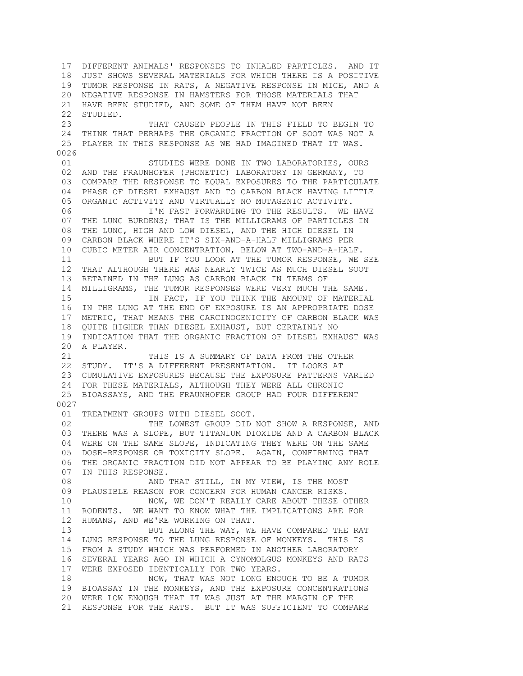17 DIFFERENT ANIMALS' RESPONSES TO INHALED PARTICLES. AND IT 18 JUST SHOWS SEVERAL MATERIALS FOR WHICH THERE IS A POSITIVE 19 TUMOR RESPONSE IN RATS, A NEGATIVE RESPONSE IN MICE, AND A 20 NEGATIVE RESPONSE IN HAMSTERS FOR THOSE MATERIALS THAT 21 HAVE BEEN STUDIED, AND SOME OF THEM HAVE NOT BEEN 22 STUDIED. 23 THAT CAUSED PEOPLE IN THIS FIELD TO BEGIN TO 24 THINK THAT PERHAPS THE ORGANIC FRACTION OF SOOT WAS NOT A 25 PLAYER IN THIS RESPONSE AS WE HAD IMAGINED THAT IT WAS. 0026 01 STUDIES WERE DONE IN TWO LABORATORIES, OURS 02 AND THE FRAUNHOFER (PHONETIC) LABORATORY IN GERMANY, TO 03 COMPARE THE RESPONSE TO EQUAL EXPOSURES TO THE PARTICULATE 04 PHASE OF DIESEL EXHAUST AND TO CARBON BLACK HAVING LITTLE 05 ORGANIC ACTIVITY AND VIRTUALLY NO MUTAGENIC ACTIVITY. 06 I'M FAST FORWARDING TO THE RESULTS. WE HAVE 07 THE LUNG BURDENS; THAT IS THE MILLIGRAMS OF PARTICLES IN 08 THE LUNG, HIGH AND LOW DIESEL, AND THE HIGH DIESEL IN 09 CARBON BLACK WHERE IT'S SIX-AND-A-HALF MILLIGRAMS PER 10 CUBIC METER AIR CONCENTRATION, BELOW AT TWO-AND-A-HALF. 11 BUT IF YOU LOOK AT THE TUMOR RESPONSE, WE SEE 12 THAT ALTHOUGH THERE WAS NEARLY TWICE AS MUCH DIESEL SOOT 13 RETAINED IN THE LUNG AS CARBON BLACK IN TERMS OF 14 MILLIGRAMS, THE TUMOR RESPONSES WERE VERY MUCH THE SAME. 15 IN FACT, IF YOU THINK THE AMOUNT OF MATERIAL 16 IN THE LUNG AT THE END OF EXPOSURE IS AN APPROPRIATE DOSE 17 METRIC, THAT MEANS THE CARCINOGENICITY OF CARBON BLACK WAS 18 QUITE HIGHER THAN DIESEL EXHAUST, BUT CERTAINLY NO 19 INDICATION THAT THE ORGANIC FRACTION OF DIESEL EXHAUST WAS 20 A PLAYER. 21 THIS IS A SUMMARY OF DATA FROM THE OTHER 22 STUDY. IT'S A DIFFERENT PRESENTATION. IT LOOKS AT 23 CUMULATIVE EXPOSURES BECAUSE THE EXPOSURE PATTERNS VARIED 24 FOR THESE MATERIALS, ALTHOUGH THEY WERE ALL CHRONIC 25 BIOASSAYS, AND THE FRAUNHOFER GROUP HAD FOUR DIFFERENT 0027 01 TREATMENT GROUPS WITH DIESEL SOOT. 02 THE LOWEST GROUP DID NOT SHOW A RESPONSE, AND 03 THERE WAS A SLOPE, BUT TITANIUM DIOXIDE AND A CARBON BLACK 04 WERE ON THE SAME SLOPE, INDICATING THEY WERE ON THE SAME 05 DOSE-RESPONSE OR TOXICITY SLOPE. AGAIN, CONFIRMING THAT 06 THE ORGANIC FRACTION DID NOT APPEAR TO BE PLAYING ANY ROLE 07 IN THIS RESPONSE. 08 AND THAT STILL, IN MY VIEW, IS THE MOST 09 PLAUSIBLE REASON FOR CONCERN FOR HUMAN CANCER RISKS. 10 NOW, WE DON'T REALLY CARE ABOUT THESE OTHER 11 RODENTS. WE WANT TO KNOW WHAT THE IMPLICATIONS ARE FOR 12 HUMANS, AND WE'RE WORKING ON THAT. 13 BUT ALONG THE WAY, WE HAVE COMPARED THE RAT 14 LUNG RESPONSE TO THE LUNG RESPONSE OF MONKEYS. THIS IS 15 FROM A STUDY WHICH WAS PERFORMED IN ANOTHER LABORATORY 16 SEVERAL YEARS AGO IN WHICH A CYNOMOLGUS MONKEYS AND RATS 17 WERE EXPOSED IDENTICALLY FOR TWO YEARS. 18 NOW, THAT WAS NOT LONG ENOUGH TO BE A TUMOR 19 BIOASSAY IN THE MONKEYS, AND THE EXPOSURE CONCENTRATIONS 20 WERE LOW ENOUGH THAT IT WAS JUST AT THE MARGIN OF THE 21 RESPONSE FOR THE RATS. BUT IT WAS SUFFICIENT TO COMPARE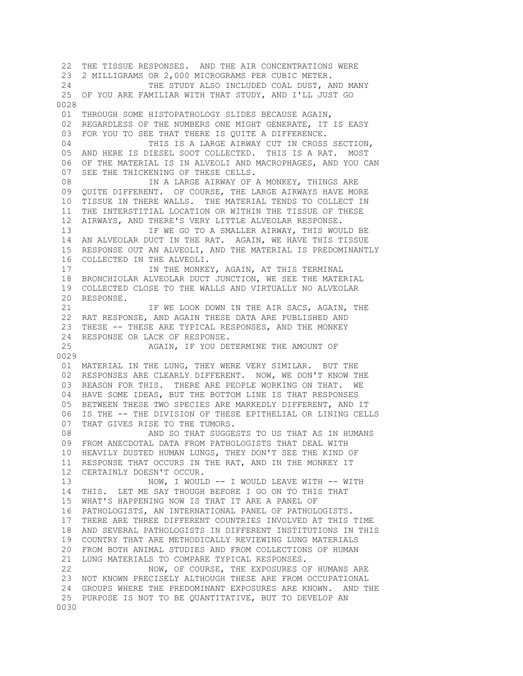22 THE TISSUE RESPONSES. AND THE AIR CONCENTRATIONS WERE 23 2 MILLIGRAMS OR 2,000 MICROGRAMS PER CUBIC METER. 24 THE STUDY ALSO INCLUDED COAL DUST, AND MANY 25 OF YOU ARE FAMILIAR WITH THAT STUDY, AND I'LL JUST GO 0028 01 THROUGH SOME HISTOPATHOLOGY SLIDES BECAUSE AGAIN, 02 REGARDLESS OF THE NUMBERS ONE MIGHT GENERATE, IT IS EASY 03 FOR YOU TO SEE THAT THERE IS QUITE A DIFFERENCE. 04 THIS IS A LARGE AIRWAY CUT IN CROSS SECTION, 05 AND HERE IS DIESEL SOOT COLLECTED. THIS IS A RAT. MOST 06 OF THE MATERIAL IS IN ALVEOLI AND MACROPHAGES, AND YOU CAN 07 SEE THE THICKENING OF THESE CELLS. 08 TN A LARGE AIRWAY OF A MONKEY, THINGS ARE 09 QUITE DIFFERENT. OF COURSE, THE LARGE AIRWAYS HAVE MORE 10 TISSUE IN THERE WALLS. THE MATERIAL TENDS TO COLLECT IN 11 THE INTERSTITIAL LOCATION OR WITHIN THE TISSUE OF THESE 12 AIRWAYS, AND THERE'S VERY LITTLE ALVEOLAR RESPONSE. 13 TE WE GO TO A SMALLER AIRWAY, THIS WOULD BE 14 AN ALVEOLAR DUCT IN THE RAT. AGAIN, WE HAVE THIS TISSUE 15 RESPONSE OUT AN ALVEOLI, AND THE MATERIAL IS PREDOMINANTLY 16 COLLECTED IN THE ALVEOLI. 17 18 IN THE MONKEY, AGAIN, AT THIS TERMINAL 18 BRONCHIOLAR ALVEOLAR DUCT JUNCTION, WE SEE THE MATERIAL 19 COLLECTED CLOSE TO THE WALLS AND VIRTUALLY NO ALVEOLAR 20 RESPONSE. 21 TE WE LOOK DOWN IN THE AIR SACS, AGAIN, THE 22 RAT RESPONSE, AND AGAIN THESE DATA ARE PUBLISHED AND 23 THESE -- THESE ARE TYPICAL RESPONSES, AND THE MONKEY 24 RESPONSE OR LACK OF RESPONSE. 25 AGAIN, IF YOU DETERMINE THE AMOUNT OF 0029 01 MATERIAL IN THE LUNG, THEY WERE VERY SIMILAR. BUT THE 02 RESPONSES ARE CLEARLY DIFFERENT. NOW, WE DON'T KNOW THE 03 REASON FOR THIS. THERE ARE PEOPLE WORKING ON THAT. WE 04 HAVE SOME IDEAS, BUT THE BOTTOM LINE IS THAT RESPONSES 05 BETWEEN THESE TWO SPECIES ARE MARKEDLY DIFFERENT, AND IT 06 IS THE -- THE DIVISION OF THESE EPITHELIAL OR LINING CELLS 07 THAT GIVES RISE TO THE TUMORS. 08 AND SO THAT SUGGESTS TO US THAT AS IN HUMANS 09 FROM ANECDOTAL DATA FROM PATHOLOGISTS THAT DEAL WITH 10 HEAVILY DUSTED HUMAN LUNGS, THEY DON'T SEE THE KIND OF 11 RESPONSE THAT OCCURS IN THE RAT, AND IN THE MONKEY IT 12 CERTAINLY DOESN'T OCCUR. 13 NOW, I WOULD -- I WOULD LEAVE WITH -- WITH 14 THIS. LET ME SAY THOUGH BEFORE I GO ON TO THIS THAT 15 WHAT'S HAPPENING NOW IS THAT IT ARE A PANEL OF 16 PATHOLOGISTS, AN INTERNATIONAL PANEL OF PATHOLOGISTS. 17 THERE ARE THREE DIFFERENT COUNTRIES INVOLVED AT THIS TIME 18 AND SEVERAL PATHOLOGISTS IN DIFFERENT INSTITUTIONS IN THIS 19 COUNTRY THAT ARE METHODICALLY REVIEWING LUNG MATERIALS 20 FROM BOTH ANIMAL STUDIES AND FROM COLLECTIONS OF HUMAN 21 LUNG MATERIALS TO COMPARE TYPICAL RESPONSES. 22 NOW, OF COURSE, THE EXPOSURES OF HUMANS ARE 23 NOT KNOWN PRECISELY ALTHOUGH THESE ARE FROM OCCUPATIONAL 24 GROUPS WHERE THE PREDOMINANT EXPOSURES ARE KNOWN. AND THE 25 PURPOSE IS NOT TO BE QUANTITATIVE, BUT TO DEVELOP AN 0030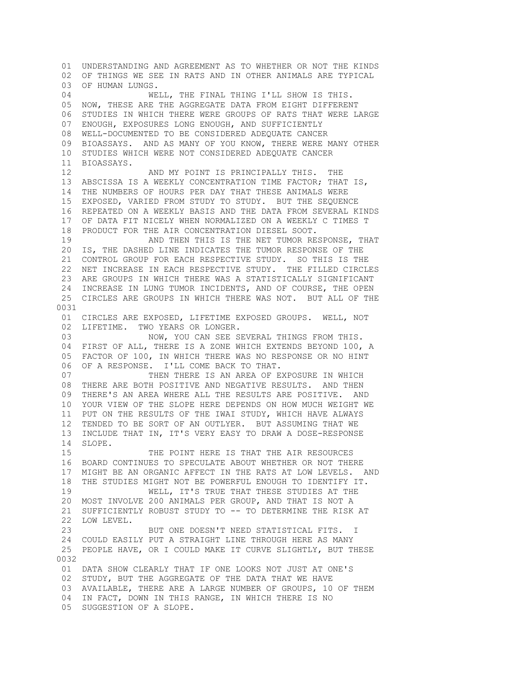01 UNDERSTANDING AND AGREEMENT AS TO WHETHER OR NOT THE KINDS 02 OF THINGS WE SEE IN RATS AND IN OTHER ANIMALS ARE TYPICAL 03 OF HUMAN LUNGS. 04 WELL, THE FINAL THING I'LL SHOW IS THIS. 05 NOW, THESE ARE THE AGGREGATE DATA FROM EIGHT DIFFERENT 06 STUDIES IN WHICH THERE WERE GROUPS OF RATS THAT WERE LARGE 07 ENOUGH, EXPOSURES LONG ENOUGH, AND SUFFICIENTLY 08 WELL-DOCUMENTED TO BE CONSIDERED ADEQUATE CANCER 09 BIOASSAYS. AND AS MANY OF YOU KNOW, THERE WERE MANY OTHER 10 STUDIES WHICH WERE NOT CONSIDERED ADEQUATE CANCER 11 BIOASSAYS. 12 AND MY POINT IS PRINCIPALLY THIS. THE 13 ABSCISSA IS A WEEKLY CONCENTRATION TIME FACTOR; THAT IS, 14 THE NUMBERS OF HOURS PER DAY THAT THESE ANIMALS WERE 15 EXPOSED, VARIED FROM STUDY TO STUDY. BUT THE SEQUENCE 16 REPEATED ON A WEEKLY BASIS AND THE DATA FROM SEVERAL KINDS 17 OF DATA FIT NICELY WHEN NORMALIZED ON A WEEKLY C TIMES T 18 PRODUCT FOR THE AIR CONCENTRATION DIESEL SOOT. 19 AND THEN THIS IS THE NET TUMOR RESPONSE, THAT 20 IS, THE DASHED LINE INDICATES THE TUMOR RESPONSE OF THE 21 CONTROL GROUP FOR EACH RESPECTIVE STUDY. SO THIS IS THE 22 NET INCREASE IN EACH RESPECTIVE STUDY. THE FILLED CIRCLES 23 ARE GROUPS IN WHICH THERE WAS A STATISTICALLY SIGNIFICANT 24 INCREASE IN LUNG TUMOR INCIDENTS, AND OF COURSE, THE OPEN 25 CIRCLES ARE GROUPS IN WHICH THERE WAS NOT. BUT ALL OF THE 0031 01 CIRCLES ARE EXPOSED, LIFETIME EXPOSED GROUPS. WELL, NOT 02 LIFETIME. TWO YEARS OR LONGER. 03 NOW, YOU CAN SEE SEVERAL THINGS FROM THIS. 04 FIRST OF ALL, THERE IS A ZONE WHICH EXTENDS BEYOND 100, A 05 FACTOR OF 100, IN WHICH THERE WAS NO RESPONSE OR NO HINT 06 OF A RESPONSE. I'LL COME BACK TO THAT. 07 THEN THERE IS AN AREA OF EXPOSURE IN WHICH 08 THERE ARE BOTH POSITIVE AND NEGATIVE RESULTS. AND THEN 09 THERE'S AN AREA WHERE ALL THE RESULTS ARE POSITIVE. AND 10 YOUR VIEW OF THE SLOPE HERE DEPENDS ON HOW MUCH WEIGHT WE 11 PUT ON THE RESULTS OF THE IWAI STUDY, WHICH HAVE ALWAYS 12 TENDED TO BE SORT OF AN OUTLYER. BUT ASSUMING THAT WE 13 INCLUDE THAT IN, IT'S VERY EASY TO DRAW A DOSE-RESPONSE 14 SLOPE. 15 THE POINT HERE IS THAT THE AIR RESOURCES 16 BOARD CONTINUES TO SPECULATE ABOUT WHETHER OR NOT THERE 17 MIGHT BE AN ORGANIC AFFECT IN THE RATS AT LOW LEVELS. AND 18 THE STUDIES MIGHT NOT BE POWERFUL ENOUGH TO IDENTIFY IT. 19 WELL, IT'S TRUE THAT THESE STUDIES AT THE 20 MOST INVOLVE 200 ANIMALS PER GROUP, AND THAT IS NOT A 21 SUFFICIENTLY ROBUST STUDY TO -- TO DETERMINE THE RISK AT 22 LOW LEVEL. 23 BUT ONE DOESN'T NEED STATISTICAL FITS. I 24 COULD EASILY PUT A STRAIGHT LINE THROUGH HERE AS MANY 25 PEOPLE HAVE, OR I COULD MAKE IT CURVE SLIGHTLY, BUT THESE 0032 01 DATA SHOW CLEARLY THAT IF ONE LOOKS NOT JUST AT ONE'S 02 STUDY, BUT THE AGGREGATE OF THE DATA THAT WE HAVE 03 AVAILABLE, THERE ARE A LARGE NUMBER OF GROUPS, 10 OF THEM 04 IN FACT, DOWN IN THIS RANGE, IN WHICH THERE IS NO 05 SUGGESTION OF A SLOPE.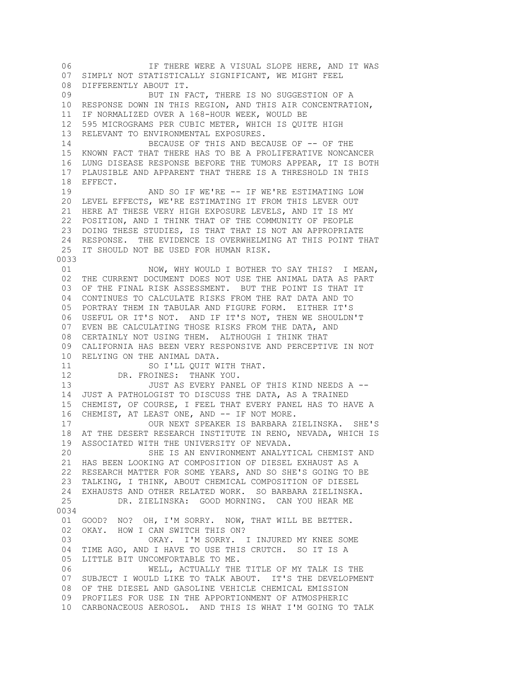06 IF THERE WERE A VISUAL SLOPE HERE, AND IT WAS 07 SIMPLY NOT STATISTICALLY SIGNIFICANT, WE MIGHT FEEL 08 DIFFERENTLY ABOUT IT. 09 BUT IN FACT, THERE IS NO SUGGESTION OF A 10 RESPONSE DOWN IN THIS REGION, AND THIS AIR CONCENTRATION, 11 IF NORMALIZED OVER A 168-HOUR WEEK, WOULD BE 12 595 MICROGRAMS PER CUBIC METER, WHICH IS QUITE HIGH 13 RELEVANT TO ENVIRONMENTAL EXPOSURES. 14 BECAUSE OF THIS AND BECAUSE OF -- OF THE 15 KNOWN FACT THAT THERE HAS TO BE A PROLIFERATIVE NONCANCER 16 LUNG DISEASE RESPONSE BEFORE THE TUMORS APPEAR, IT IS BOTH 17 PLAUSIBLE AND APPARENT THAT THERE IS A THRESHOLD IN THIS 18 EFFECT. 19 AND SO IF WE'RE -- IF WE'RE ESTIMATING LOW 20 LEVEL EFFECTS, WE'RE ESTIMATING IT FROM THIS LEVER OUT 21 HERE AT THESE VERY HIGH EXPOSURE LEVELS, AND IT IS MY 22 POSITION, AND I THINK THAT OF THE COMMUNITY OF PEOPLE 23 DOING THESE STUDIES, IS THAT THAT IS NOT AN APPROPRIATE 24 RESPONSE. THE EVIDENCE IS OVERWHELMING AT THIS POINT THAT 25 IT SHOULD NOT BE USED FOR HUMAN RISK. 0033 01 NOW, WHY WOULD I BOTHER TO SAY THIS? I MEAN, 02 THE CURRENT DOCUMENT DOES NOT USE THE ANIMAL DATA AS PART 03 OF THE FINAL RISK ASSESSMENT. BUT THE POINT IS THAT IT 04 CONTINUES TO CALCULATE RISKS FROM THE RAT DATA AND TO 05 PORTRAY THEM IN TABULAR AND FIGURE FORM. EITHER IT'S 06 USEFUL OR IT'S NOT. AND IF IT'S NOT, THEN WE SHOULDN'T 07 EVEN BE CALCULATING THOSE RISKS FROM THE DATA, AND 08 CERTAINLY NOT USING THEM. ALTHOUGH I THINK THAT 09 CALIFORNIA HAS BEEN VERY RESPONSIVE AND PERCEPTIVE IN NOT 10 RELYING ON THE ANIMAL DATA.<br>11 SO I'LL OUIT W SO I'LL QUIT WITH THAT. 12 DR. FROINES: THANK YOU. 13 JUST AS EVERY PANEL OF THIS KIND NEEDS A -- 14 JUST A PATHOLOGIST TO DISCUSS THE DATA, AS A TRAINED 15 CHEMIST, OF COURSE, I FEEL THAT EVERY PANEL HAS TO HAVE A 16 CHEMIST, AT LEAST ONE, AND -- IF NOT MORE. 17 OUR NEXT SPEAKER IS BARBARA ZIELINSKA. SHE'S 18 AT THE DESERT RESEARCH INSTITUTE IN RENO, NEVADA, WHICH IS 19 ASSOCIATED WITH THE UNIVERSITY OF NEVADA. 20 SHE IS AN ENVIRONMENT ANALYTICAL CHEMIST AND 21 HAS BEEN LOOKING AT COMPOSITION OF DIESEL EXHAUST AS A 22 RESEARCH MATTER FOR SOME YEARS, AND SO SHE'S GOING TO BE 23 TALKING, I THINK, ABOUT CHEMICAL COMPOSITION OF DIESEL 24 EXHAUSTS AND OTHER RELATED WORK. SO BARBARA ZIELINSKA. 25 DR. ZIELINSKA: GOOD MORNING. CAN YOU HEAR ME 0034 01 GOOD? NO? OH, I'M SORRY. NOW, THAT WILL BE BETTER. 02 OKAY. HOW I CAN SWITCH THIS ON? 03 OKAY. I'M SORRY. I INJURED MY KNEE SOME 04 TIME AGO, AND I HAVE TO USE THIS CRUTCH. SO IT IS A 05 LITTLE BIT UNCOMFORTABLE TO ME. 06 WELL, ACTUALLY THE TITLE OF MY TALK IS THE 07 SUBJECT I WOULD LIKE TO TALK ABOUT. IT'S THE DEVELOPMENT 08 OF THE DIESEL AND GASOLINE VEHICLE CHEMICAL EMISSION 09 PROFILES FOR USE IN THE APPORTIONMENT OF ATMOSPHERIC 10 CARBONACEOUS AEROSOL. AND THIS IS WHAT I'M GOING TO TALK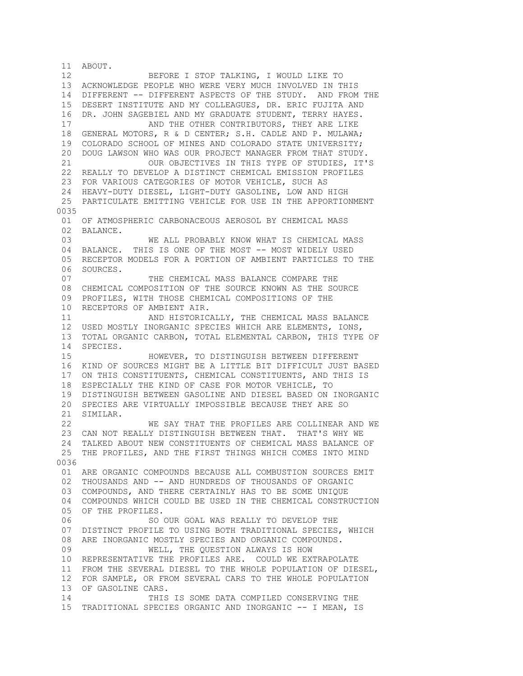11 ABOUT. 12 BEFORE I STOP TALKING, I WOULD LIKE TO 13 ACKNOWLEDGE PEOPLE WHO WERE VERY MUCH INVOLVED IN THIS 14 DIFFERENT -- DIFFERENT ASPECTS OF THE STUDY. AND FROM THE 15 DESERT INSTITUTE AND MY COLLEAGUES, DR. ERIC FUJITA AND 16 DR. JOHN SAGEBIEL AND MY GRADUATE STUDENT, TERRY HAYES. 17 **AND THE OTHER CONTRIBUTORS, THEY ARE LIKE**  18 GENERAL MOTORS, R & D CENTER; S.H. CADLE AND P. MULAWA; 19 COLORADO SCHOOL OF MINES AND COLORADO STATE UNIVERSITY; 20 DOUG LAWSON WHO WAS OUR PROJECT MANAGER FROM THAT STUDY. 21 OUR OBJECTIVES IN THIS TYPE OF STUDIES, IT'S 22 REALLY TO DEVELOP A DISTINCT CHEMICAL EMISSION PROFILES 23 FOR VARIOUS CATEGORIES OF MOTOR VEHICLE, SUCH AS 24 HEAVY-DUTY DIESEL, LIGHT-DUTY GASOLINE, LOW AND HIGH 25 PARTICULATE EMITTING VEHICLE FOR USE IN THE APPORTIONMENT 0035 01 OF ATMOSPHERIC CARBONACEOUS AEROSOL BY CHEMICAL MASS 02 BALANCE.<br>03 WE ALL PROBABLY KNOW WHAT IS CHEMICAL MASS 04 BALANCE. THIS IS ONE OF THE MOST -- MOST WIDELY USED 05 RECEPTOR MODELS FOR A PORTION OF AMBIENT PARTICLES TO THE 06 SOURCES. 07 THE CHEMICAL MASS BALANCE COMPARE THE 08 CHEMICAL COMPOSITION OF THE SOURCE KNOWN AS THE SOURCE 09 PROFILES, WITH THOSE CHEMICAL COMPOSITIONS OF THE 10 RECEPTORS OF AMBIENT AIR. 11 AND HISTORICALLY, THE CHEMICAL MASS BALANCE 12 USED MOSTLY INORGANIC SPECIES WHICH ARE ELEMENTS, IONS, 13 TOTAL ORGANIC CARBON, TOTAL ELEMENTAL CARBON, THIS TYPE OF 14 SPECIES. 15 HOWEVER, TO DISTINGUISH BETWEEN DIFFERENT 16 KIND OF SOURCES MIGHT BE A LITTLE BIT DIFFICULT JUST BASED 17 ON THIS CONSTITUENTS, CHEMICAL CONSTITUENTS, AND THIS IS 18 ESPECIALLY THE KIND OF CASE FOR MOTOR VEHICLE, TO 19 DISTINGUISH BETWEEN GASOLINE AND DIESEL BASED ON INORGANIC 20 SPECIES ARE VIRTUALLY IMPOSSIBLE BECAUSE THEY ARE SO 21 SIMILAR. 22 WE SAY THAT THE PROFILES ARE COLLINEAR AND WE 23 CAN NOT REALLY DISTINGUISH BETWEEN THAT. THAT'S WHY WE 24 TALKED ABOUT NEW CONSTITUENTS OF CHEMICAL MASS BALANCE OF 25 THE PROFILES, AND THE FIRST THINGS WHICH COMES INTO MIND 0036 01 ARE ORGANIC COMPOUNDS BECAUSE ALL COMBUSTION SOURCES EMIT 02 THOUSANDS AND -- AND HUNDREDS OF THOUSANDS OF ORGANIC 03 COMPOUNDS, AND THERE CERTAINLY HAS TO BE SOME UNIQUE 04 COMPOUNDS WHICH COULD BE USED IN THE CHEMICAL CONSTRUCTION 05 OF THE PROFILES. 06 SO OUR GOAL WAS REALLY TO DEVELOP THE 07 DISTINCT PROFILE TO USING BOTH TRADITIONAL SPECIES, WHICH 08 ARE INORGANIC MOSTLY SPECIES AND ORGANIC COMPOUNDS. 09 WELL, THE QUESTION ALWAYS IS HOW 10 REPRESENTATIVE THE PROFILES ARE. COULD WE EXTRAPOLATE 11 FROM THE SEVERAL DIESEL TO THE WHOLE POPULATION OF DIESEL, 12 FOR SAMPLE, OR FROM SEVERAL CARS TO THE WHOLE POPULATION 13 OF GASOLINE CARS. 14 THIS IS SOME DATA COMPILED CONSERVING THE 15 TRADITIONAL SPECIES ORGANIC AND INORGANIC -- I MEAN, IS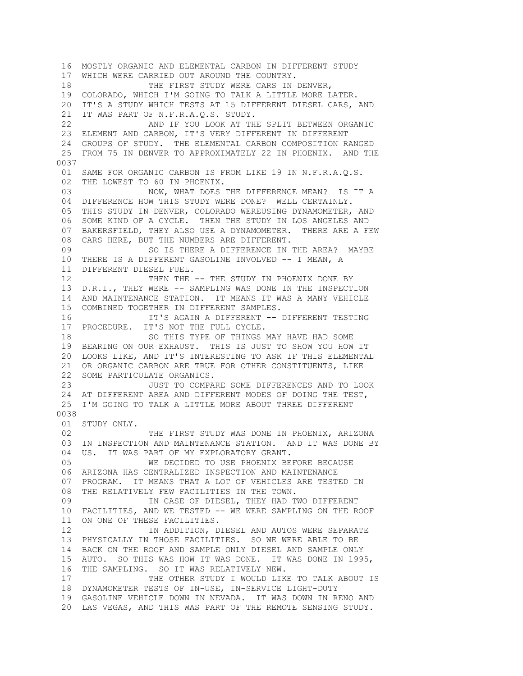16 MOSTLY ORGANIC AND ELEMENTAL CARBON IN DIFFERENT STUDY 17 WHICH WERE CARRIED OUT AROUND THE COUNTRY. 18 THE FIRST STUDY WERE CARS IN DENVER, 19 COLORADO, WHICH I'M GOING TO TALK A LITTLE MORE LATER. 20 IT'S A STUDY WHICH TESTS AT 15 DIFFERENT DIESEL CARS, AND 21 IT WAS PART OF N.F.R.A.Q.S. STUDY. 22 AND IF YOU LOOK AT THE SPLIT BETWEEN ORGANIC 23 ELEMENT AND CARBON, IT'S VERY DIFFERENT IN DIFFERENT 24 GROUPS OF STUDY. THE ELEMENTAL CARBON COMPOSITION RANGED 25 FROM 75 IN DENVER TO APPROXIMATELY 22 IN PHOENIX. AND THE 0037 01 SAME FOR ORGANIC CARBON IS FROM LIKE 19 IN N.F.R.A.Q.S. 02 THE LOWEST TO 60 IN PHOENIX. 03 NOW, WHAT DOES THE DIFFERENCE MEAN? IS IT A 04 DIFFERENCE HOW THIS STUDY WERE DONE? WELL CERTAINLY. 05 THIS STUDY IN DENVER, COLORADO WEREUSING DYNAMOMETER, AND 06 SOME KIND OF A CYCLE. THEN THE STUDY IN LOS ANGELES AND 07 BAKERSFIELD, THEY ALSO USE A DYNAMOMETER. THERE ARE A FEW 08 CARS HERE, BUT THE NUMBERS ARE DIFFERENT. 09 69 SO IS THERE A DIFFERENCE IN THE AREA? MAYBE 10 THERE IS A DIFFERENT GASOLINE INVOLVED -- I MEAN, A 11 DIFFERENT DIESEL FUEL. 12 THEN THE -- THE STUDY IN PHOENIX DONE BY 13 D.R.I., THEY WERE -- SAMPLING WAS DONE IN THE INSPECTION 14 AND MAINTENANCE STATION. IT MEANS IT WAS A MANY VEHICLE 15 COMBINED TOGETHER IN DIFFERENT SAMPLES. 16 IT'S AGAIN A DIFFERENT -- DIFFERENT TESTING 17 PROCEDURE. IT'S NOT THE FULL CYCLE. 18 SO THIS TYPE OF THINGS MAY HAVE HAD SOME 19 BEARING ON OUR EXHAUST. THIS IS JUST TO SHOW YOU HOW IT 20 LOOKS LIKE, AND IT'S INTERESTING TO ASK IF THIS ELEMENTAL 21 OR ORGANIC CARBON ARE TRUE FOR OTHER CONSTITUENTS, LIKE 22 SOME PARTICULATE ORGANICS. 23 JUST TO COMPARE SOME DIFFERENCES AND TO LOOK 24 AT DIFFERENT AREA AND DIFFERENT MODES OF DOING THE TEST, 25 I'M GOING TO TALK A LITTLE MORE ABOUT THREE DIFFERENT 0038 01 STUDY ONLY. 02 THE FIRST STUDY WAS DONE IN PHOENIX, ARIZONA 03 IN INSPECTION AND MAINTENANCE STATION. AND IT WAS DONE BY 04 US. IT WAS PART OF MY EXPLORATORY GRANT. 05 WE DECIDED TO USE PHOENIX BEFORE BECAUSE 06 ARIZONA HAS CENTRALIZED INSPECTION AND MAINTENANCE 07 PROGRAM. IT MEANS THAT A LOT OF VEHICLES ARE TESTED IN 08 THE RELATIVELY FEW FACILITIES IN THE TOWN. 09 **IN CASE OF DIESEL, THEY HAD TWO DIFFERENT**  10 FACILITIES, AND WE TESTED -- WE WERE SAMPLING ON THE ROOF 11 ON ONE OF THESE FACILITIES. 12 IN ADDITION, DIESEL AND AUTOS WERE SEPARATE 13 PHYSICALLY IN THOSE FACILITIES. SO WE WERE ABLE TO BE 14 BACK ON THE ROOF AND SAMPLE ONLY DIESEL AND SAMPLE ONLY 15 AUTO. SO THIS WAS HOW IT WAS DONE. IT WAS DONE IN 1995, 16 THE SAMPLING. SO IT WAS RELATIVELY NEW. 17 THE OTHER STUDY I WOULD LIKE TO TALK ABOUT IS 18 DYNAMOMETER TESTS OF IN-USE, IN-SERVICE LIGHT-DUTY 19 GASOLINE VEHICLE DOWN IN NEVADA. IT WAS DOWN IN RENO AND 20 LAS VEGAS, AND THIS WAS PART OF THE REMOTE SENSING STUDY.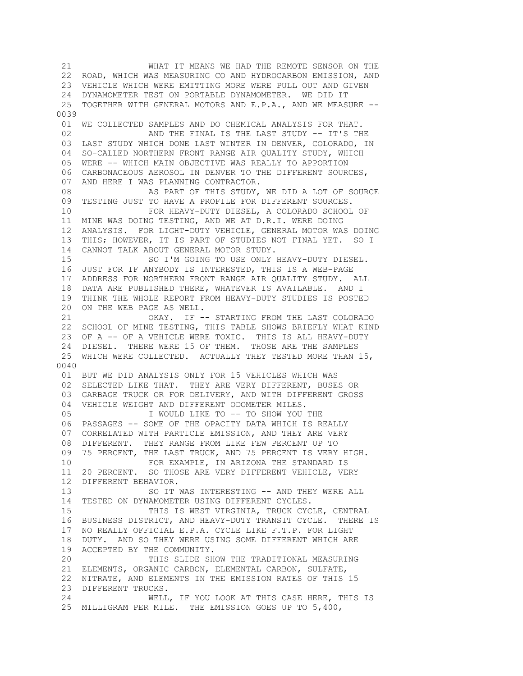21 WHAT IT MEANS WE HAD THE REMOTE SENSOR ON THE 22 ROAD, WHICH WAS MEASURING CO AND HYDROCARBON EMISSION, AND 23 VEHICLE WHICH WERE EMITTING MORE WERE PULL OUT AND GIVEN 24 DYNAMOMETER TEST ON PORTABLE DYNAMOMETER. WE DID IT 25 TOGETHER WITH GENERAL MOTORS AND E.P.A., AND WE MEASURE -- 0039 01 WE COLLECTED SAMPLES AND DO CHEMICAL ANALYSIS FOR THAT. 02 AND THE FINAL IS THE LAST STUDY -- IT'S THE 03 LAST STUDY WHICH DONE LAST WINTER IN DENVER, COLORADO, IN 04 SO-CALLED NORTHERN FRONT RANGE AIR QUALITY STUDY, WHICH 05 WERE -- WHICH MAIN OBJECTIVE WAS REALLY TO APPORTION 06 CARBONACEOUS AEROSOL IN DENVER TO THE DIFFERENT SOURCES, 07 AND HERE I WAS PLANNING CONTRACTOR. 08 AS PART OF THIS STUDY, WE DID A LOT OF SOURCE 09 TESTING JUST TO HAVE A PROFILE FOR DIFFERENT SOURCES. 10 FOR HEAVY-DUTY DIESEL, A COLORADO SCHOOL OF 11 MINE WAS DOING TESTING, AND WE AT D.R.I. WERE DOING 12 ANALYSIS. FOR LIGHT-DUTY VEHICLE, GENERAL MOTOR WAS DOING 13 THIS; HOWEVER, IT IS PART OF STUDIES NOT FINAL YET. SO I 14 CANNOT TALK ABOUT GENERAL MOTOR STUDY. 15 SO I'M GOING TO USE ONLY HEAVY-DUTY DIESEL. 16 JUST FOR IF ANYBODY IS INTERESTED, THIS IS A WEB-PAGE 17 ADDRESS FOR NORTHERN FRONT RANGE AIR QUALITY STUDY. ALL 18 DATA ARE PUBLISHED THERE, WHATEVER IS AVAILABLE. AND I 19 THINK THE WHOLE REPORT FROM HEAVY-DUTY STUDIES IS POSTED 20 ON THE WEB PAGE AS WELL. 21 OKAY. IF -- STARTING FROM THE LAST COLORADO 22 SCHOOL OF MINE TESTING, THIS TABLE SHOWS BRIEFLY WHAT KIND 23 OF A -- OF A VEHICLE WERE TOXIC. THIS IS ALL HEAVY-DUTY 24 DIESEL. THERE WERE 15 OF THEM. THOSE ARE THE SAMPLES 25 WHICH WERE COLLECTED. ACTUALLY THEY TESTED MORE THAN 15, 0040 01 BUT WE DID ANALYSIS ONLY FOR 15 VEHICLES WHICH WAS 02 SELECTED LIKE THAT. THEY ARE VERY DIFFERENT, BUSES OR 03 GARBAGE TRUCK OR FOR DELIVERY, AND WITH DIFFERENT GROSS 04 VEHICLE WEIGHT AND DIFFERENT ODOMETER MILES. 05 I WOULD LIKE TO -- TO SHOW YOU THE 06 PASSAGES -- SOME OF THE OPACITY DATA WHICH IS REALLY 07 CORRELATED WITH PARTICLE EMISSION, AND THEY ARE VERY 08 DIFFERENT. THEY RANGE FROM LIKE FEW PERCENT UP TO 09 75 PERCENT, THE LAST TRUCK, AND 75 PERCENT IS VERY HIGH. 10 FOR EXAMPLE, IN ARIZONA THE STANDARD IS 11 20 PERCENT. SO THOSE ARE VERY DIFFERENT VEHICLE, VERY 12 DIFFERENT BEHAVIOR. 13 SO IT WAS INTERESTING -- AND THEY WERE ALL 14 TESTED ON DYNAMOMETER USING DIFFERENT CYCLES. 15 THIS IS WEST VIRGINIA, TRUCK CYCLE, CENTRAL 16 BUSINESS DISTRICT, AND HEAVY-DUTY TRANSIT CYCLE. THERE IS 17 NO REALLY OFFICIAL E.P.A. CYCLE LIKE F.T.P. FOR LIGHT 18 DUTY. AND SO THEY WERE USING SOME DIFFERENT WHICH ARE 19 ACCEPTED BY THE COMMUNITY. 20 THIS SLIDE SHOW THE TRADITIONAL MEASURING 21 ELEMENTS, ORGANIC CARBON, ELEMENTAL CARBON, SULFATE, 22 NITRATE, AND ELEMENTS IN THE EMISSION RATES OF THIS 15 23 DIFFERENT TRUCKS. 24 WELL, IF YOU LOOK AT THIS CASE HERE, THIS IS 25 MILLIGRAM PER MILE. THE EMISSION GOES UP TO 5,400,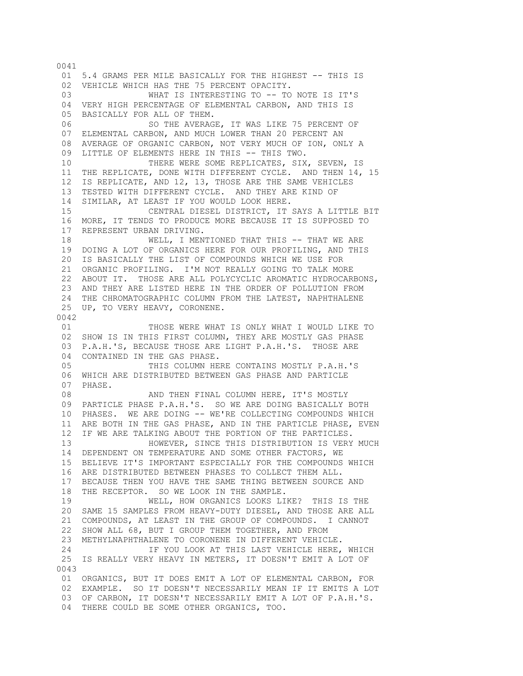0041 01 5.4 GRAMS PER MILE BASICALLY FOR THE HIGHEST -- THIS IS 02 VEHICLE WHICH HAS THE 75 PERCENT OPACITY. 03 WHAT IS INTERESTING TO -- TO NOTE IS IT'S 04 VERY HIGH PERCENTAGE OF ELEMENTAL CARBON, AND THIS IS 05 BASICALLY FOR ALL OF THEM. 06 6 SO THE AVERAGE, IT WAS LIKE 75 PERCENT OF 07 ELEMENTAL CARBON, AND MUCH LOWER THAN 20 PERCENT AN 08 AVERAGE OF ORGANIC CARBON, NOT VERY MUCH OF ION, ONLY A 09 LITTLE OF ELEMENTS HERE IN THIS -- THIS TWO. 10 THERE WERE SOME REPLICATES, SIX, SEVEN, IS 11 THE REPLICATE, DONE WITH DIFFERENT CYCLE. AND THEN 14, 15 12 IS REPLICATE, AND 12, 13, THOSE ARE THE SAME VEHICLES 13 TESTED WITH DIFFERENT CYCLE. AND THEY ARE KIND OF 14 SIMILAR, AT LEAST IF YOU WOULD LOOK HERE. 15 CENTRAL DIESEL DISTRICT, IT SAYS A LITTLE BIT 16 MORE, IT TENDS TO PRODUCE MORE BECAUSE IT IS SUPPOSED TO 17 REPRESENT URBAN DRIVING. 18 WELL, I MENTIONED THAT THIS -- THAT WE ARE 19 DOING A LOT OF ORGANICS HERE FOR OUR PROFILING, AND THIS 20 IS BASICALLY THE LIST OF COMPOUNDS WHICH WE USE FOR 21 ORGANIC PROFILING. I'M NOT REALLY GOING TO TALK MORE 22 ABOUT IT. THOSE ARE ALL POLYCYCLIC AROMATIC HYDROCARBONS, 23 AND THEY ARE LISTED HERE IN THE ORDER OF POLLUTION FROM 24 THE CHROMATOGRAPHIC COLUMN FROM THE LATEST, NAPHTHALENE 25 UP, TO VERY HEAVY, CORONENE. 0042 01 THOSE WERE WHAT IS ONLY WHAT I WOULD LIKE TO 02 SHOW IS IN THIS FIRST COLUMN, THEY ARE MOSTLY GAS PHASE 03 P.A.H.'S, BECAUSE THOSE ARE LIGHT P.A.H.'S. THOSE ARE 04 CONTAINED IN THE GAS PHASE.<br>05 THIS COLUMN HE THIS COLUMN HERE CONTAINS MOSTLY P.A.H.'S 06 WHICH ARE DISTRIBUTED BETWEEN GAS PHASE AND PARTICLE 07 PHASE. 08 AND THEN FINAL COLUMN HERE, IT'S MOSTLY 09 PARTICLE PHASE P.A.H.'S. SO WE ARE DOING BASICALLY BOTH 10 PHASES. WE ARE DOING -- WE'RE COLLECTING COMPOUNDS WHICH 11 ARE BOTH IN THE GAS PHASE, AND IN THE PARTICLE PHASE, EVEN 12 IF WE ARE TALKING ABOUT THE PORTION OF THE PARTICLES. 13 HOWEVER, SINCE THIS DISTRIBUTION IS VERY MUCH 14 DEPENDENT ON TEMPERATURE AND SOME OTHER FACTORS, WE 15 BELIEVE IT'S IMPORTANT ESPECIALLY FOR THE COMPOUNDS WHICH 16 ARE DISTRIBUTED BETWEEN PHASES TO COLLECT THEM ALL. 17 BECAUSE THEN YOU HAVE THE SAME THING BETWEEN SOURCE AND 18 THE RECEPTOR. SO WE LOOK IN THE SAMPLE. 19 WELL, HOW ORGANICS LOOKS LIKE? THIS IS THE 20 SAME 15 SAMPLES FROM HEAVY-DUTY DIESEL, AND THOSE ARE ALL 21 COMPOUNDS, AT LEAST IN THE GROUP OF COMPOUNDS. I CANNOT 22 SHOW ALL 68, BUT I GROUP THEM TOGETHER, AND FROM 23 METHYLNAPHTHALENE TO CORONENE IN DIFFERENT VEHICLE. 24 IF YOU LOOK AT THIS LAST VEHICLE HERE, WHICH 25 IS REALLY VERY HEAVY IN METERS, IT DOESN'T EMIT A LOT OF 0043 01 ORGANICS, BUT IT DOES EMIT A LOT OF ELEMENTAL CARBON, FOR 02 EXAMPLE. SO IT DOESN'T NECESSARILY MEAN IF IT EMITS A LOT 03 OF CARBON, IT DOESN'T NECESSARILY EMIT A LOT OF P.A.H.'S. 04 THERE COULD BE SOME OTHER ORGANICS, TOO.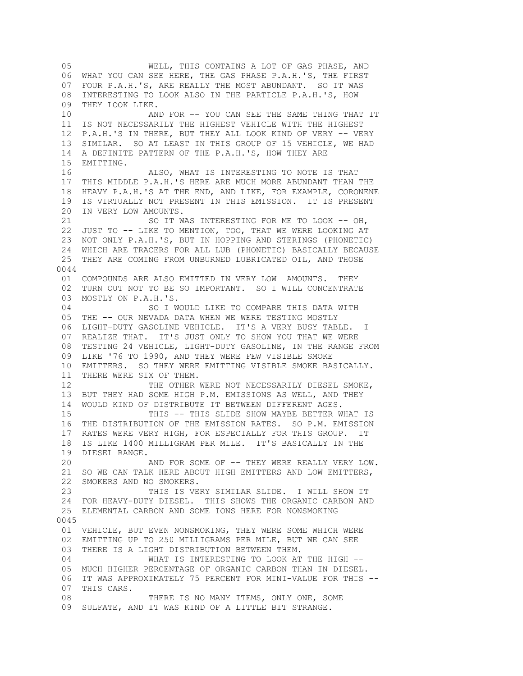05 WELL, THIS CONTAINS A LOT OF GAS PHASE, AND 06 WHAT YOU CAN SEE HERE, THE GAS PHASE P.A.H.'S, THE FIRST 07 FOUR P.A.H.'S, ARE REALLY THE MOST ABUNDANT. SO IT WAS 08 INTERESTING TO LOOK ALSO IN THE PARTICLE P.A.H.'S, HOW 09 THEY LOOK LIKE. 10 AND FOR -- YOU CAN SEE THE SAME THING THAT IT 11 IS NOT NECESSARILY THE HIGHEST VEHICLE WITH THE HIGHEST 12 P.A.H.'S IN THERE, BUT THEY ALL LOOK KIND OF VERY -- VERY 13 SIMILAR. SO AT LEAST IN THIS GROUP OF 15 VEHICLE, WE HAD 14 A DEFINITE PATTERN OF THE P.A.H.'S, HOW THEY ARE 15 EMITTING. 16 ALSO, WHAT IS INTERESTING TO NOTE IS THAT 17 THIS MIDDLE P.A.H.'S HERE ARE MUCH MORE ABUNDANT THAN THE 18 HEAVY P.A.H.'S AT THE END, AND LIKE, FOR EXAMPLE, CORONENE 19 IS VIRTUALLY NOT PRESENT IN THIS EMISSION. IT IS PRESENT 20 IN VERY LOW AMOUNTS. 21 SO IT WAS INTERESTING FOR ME TO LOOK -- OH, 22 JUST TO -- LIKE TO MENTION, TOO, THAT WE WERE LOOKING AT 23 NOT ONLY P.A.H.'S, BUT IN HOPPING AND STERINGS (PHONETIC) 24 WHICH ARE TRACERS FOR ALL LUB (PHONETIC) BASICALLY BECAUSE 25 THEY ARE COMING FROM UNBURNED LUBRICATED OIL, AND THOSE 0044 01 COMPOUNDS ARE ALSO EMITTED IN VERY LOW AMOUNTS. THEY 02 TURN OUT NOT TO BE SO IMPORTANT. SO I WILL CONCENTRATE 03 MOSTLY ON P.A.H.'S. 04 SO I WOULD LIKE TO COMPARE THIS DATA WITH 05 THE -- OUR NEVADA DATA WHEN WE WERE TESTING MOSTLY 06 LIGHT-DUTY GASOLINE VEHICLE. IT'S A VERY BUSY TABLE. I 07 REALIZE THAT. IT'S JUST ONLY TO SHOW YOU THAT WE WERE 08 TESTING 24 VEHICLE, LIGHT-DUTY GASOLINE, IN THE RANGE FROM 09 LIKE '76 TO 1990, AND THEY WERE FEW VISIBLE SMOKE 10 EMITTERS. SO THEY WERE EMITTING VISIBLE SMOKE BASICALLY. 11 THERE WERE SIX OF THEM. 12 THE OTHER WERE NOT NECESSARILY DIESEL SMOKE, 13 BUT THEY HAD SOME HIGH P.M. EMISSIONS AS WELL, AND THEY 14 WOULD KIND OF DISTRIBUTE IT BETWEEN DIFFERENT AGES. 15 THIS -- THIS SLIDE SHOW MAYBE BETTER WHAT IS 16 THE DISTRIBUTION OF THE EMISSION RATES. SO P.M. EMISSION 17 RATES WERE VERY HIGH, FOR ESPECIALLY FOR THIS GROUP. IT 18 IS LIKE 1400 MILLIGRAM PER MILE. IT'S BASICALLY IN THE 19 DIESEL RANGE. 20 AND FOR SOME OF -- THEY WERE REALLY VERY LOW. 21 SO WE CAN TALK HERE ABOUT HIGH EMITTERS AND LOW EMITTERS, 22 SMOKERS AND NO SMOKERS. 23 THIS IS VERY SIMILAR SLIDE. I WILL SHOW IT 24 FOR HEAVY-DUTY DIESEL. THIS SHOWS THE ORGANIC CARBON AND 25 ELEMENTAL CARBON AND SOME IONS HERE FOR NONSMOKING 0045 01 VEHICLE, BUT EVEN NONSMOKING, THEY WERE SOME WHICH WERE 02 EMITTING UP TO 250 MILLIGRAMS PER MILE, BUT WE CAN SEE 03 THERE IS A LIGHT DISTRIBUTION BETWEEN THEM. 04 WHAT IS INTERESTING TO LOOK AT THE HIGH -- 05 MUCH HIGHER PERCENTAGE OF ORGANIC CARBON THAN IN DIESEL. 06 IT WAS APPROXIMATELY 75 PERCENT FOR MINI-VALUE FOR THIS -- 07 THIS CARS. 08 THERE IS NO MANY ITEMS, ONLY ONE, SOME 09 SULFATE, AND IT WAS KIND OF A LITTLE BIT STRANGE.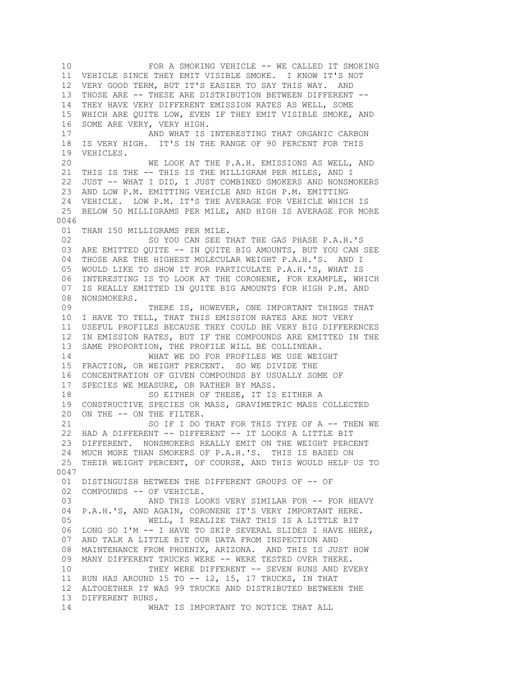10 FOR A SMOKING VEHICLE -- WE CALLED IT SMOKING 11 VEHICLE SINCE THEY EMIT VISIBLE SMOKE. I KNOW IT'S NOT 12 VERY GOOD TERM, BUT IT'S EASIER TO SAY THIS WAY. AND 13 THOSE ARE -- THESE ARE DISTRIBUTION BETWEEN DIFFERENT -- 14 THEY HAVE VERY DIFFERENT EMISSION RATES AS WELL, SOME 15 WHICH ARE QUITE LOW, EVEN IF THEY EMIT VISIBLE SMOKE, AND 16 SOME ARE VERY, VERY HIGH. 17 AND WHAT IS INTERESTING THAT ORGANIC CARBON 18 IS VERY HIGH. IT'S IN THE RANGE OF 90 PERCENT FOR THIS 19 VEHICLES. 20 WE LOOK AT THE P.A.H. EMISSIONS AS WELL, AND 21 THIS IS THE -- THIS IS THE MILLIGRAM PER MILES, AND I 22 JUST -- WHAT I DID, I JUST COMBINED SMOKERS AND NONSMOKERS 23 AND LOW P.M. EMITTING VEHICLE AND HIGH P.M. EMITTING 24 VEHICLE. LOW P.M. IT'S THE AVERAGE FOR VEHICLE WHICH IS 25 BELOW 50 MILLIGRAMS PER MILE, AND HIGH IS AVERAGE FOR MORE 0046 01 THAN 150 MILLIGRAMS PER MILE. 02 SO YOU CAN SEE THAT THE GAS PHASE P.A.H.'S 03 ARE EMITTED QUITE -- IN QUITE BIG AMOUNTS, BUT YOU CAN SEE 04 THOSE ARE THE HIGHEST MOLECULAR WEIGHT P.A.H.'S. AND I 05 WOULD LIKE TO SHOW IT FOR PARTICULATE P.A.H.'S, WHAT IS 06 INTERESTING IS TO LOOK AT THE CORONENE, FOR EXAMPLE, WHICH 07 IS REALLY EMITTED IN QUITE BIG AMOUNTS FOR HIGH P.M. AND 08 NONSMOKERS. 09 THERE IS, HOWEVER, ONE IMPORTANT THINGS THAT 10 I HAVE TO TELL, THAT THIS EMISSION RATES ARE NOT VERY 11 USEFUL PROFILES BECAUSE THEY COULD BE VERY BIG DIFFERENCES 12 IN EMISSION RATES, BUT IF THE COMPOUNDS ARE EMITTED IN THE 13 SAME PROPORTION, THE PROFILE WILL BE COLLINEAR. 14 WHAT WE DO FOR PROFILES WE USE WEIGHT 15 FRACTION, OR WEIGHT PERCENT. SO WE DIVIDE THE 16 CONCENTRATION OF GIVEN COMPOUNDS BY USUALLY SOME OF 17 SPECIES WE MEASURE, OR RATHER BY MASS. 18 SO EITHER OF THESE, IT IS EITHER A 19 CONSTRUCTIVE SPECIES OR MASS, GRAVIMETRIC MASS COLLECTED 20 ON THE -- ON THE FILTER. 21 SO IF I DO THAT FOR THIS TYPE OF A -- THEN WE 22 HAD A DIFFERENT -- DIFFERENT -- IT LOOKS A LITTLE BIT 23 DIFFERENT. NONSMOKERS REALLY EMIT ON THE WEIGHT PERCENT 24 MUCH MORE THAN SMOKERS OF P.A.H.'S. THIS IS BASED ON 25 THEIR WEIGHT PERCENT, OF COURSE, AND THIS WOULD HELP US TO 0047 01 DISTINGUISH BETWEEN THE DIFFERENT GROUPS OF -- OF 02 COMPOUNDS -- OF VEHICLE. 03 AND THIS LOOKS VERY SIMILAR FOR -- FOR HEAVY 04 P.A.H.'S, AND AGAIN, CORONENE IT'S VERY IMPORTANT HERE. 05 WELL, I REALIZE THAT THIS IS A LITTLE BIT 06 LONG SO I'M -- I HAVE TO SKIP SEVERAL SLIDES I HAVE HERE, 07 AND TALK A LITTLE BIT OUR DATA FROM INSPECTION AND 08 MAINTENANCE FROM PHOENIX, ARIZONA. AND THIS IS JUST HOW 09 MANY DIFFERENT TRUCKS WERE -- WERE TESTED OVER THERE. 10 THEY WERE DIFFERENT -- SEVEN RUNS AND EVERY 11 RUN HAS AROUND 15 TO -- 12, 15, 17 TRUCKS, IN THAT 12 ALTOGETHER IT WAS 99 TRUCKS AND DISTRIBUTED BETWEEN THE 13 DIFFERENT RUNS. 14 WHAT IS IMPORTANT TO NOTICE THAT ALL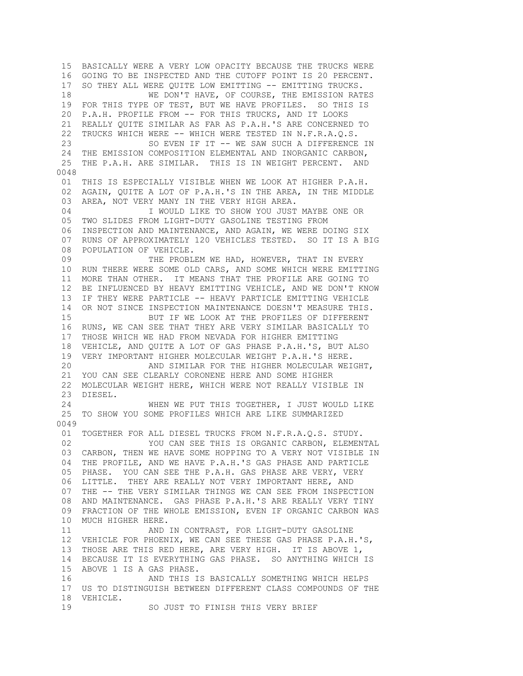15 BASICALLY WERE A VERY LOW OPACITY BECAUSE THE TRUCKS WERE 16 GOING TO BE INSPECTED AND THE CUTOFF POINT IS 20 PERCENT. 17 SO THEY ALL WERE QUITE LOW EMITTING -- EMITTING TRUCKS. 18 WE DON'T HAVE, OF COURSE, THE EMISSION RATES 19 FOR THIS TYPE OF TEST, BUT WE HAVE PROFILES. SO THIS IS 20 P.A.H. PROFILE FROM -- FOR THIS TRUCKS, AND IT LOOKS 21 REALLY QUITE SIMILAR AS FAR AS P.A.H.'S ARE CONCERNED TO 22 TRUCKS WHICH WERE -- WHICH WERE TESTED IN N.F.R.A.Q.S. 23 SO EVEN IF IT -- WE SAW SUCH A DIFFERENCE IN 24 THE EMISSION COMPOSITION ELEMENTAL AND INORGANIC CARBON, 25 THE P.A.H. ARE SIMILAR. THIS IS IN WEIGHT PERCENT. AND 0048 01 THIS IS ESPECIALLY VISIBLE WHEN WE LOOK AT HIGHER P.A.H. 02 AGAIN, QUITE A LOT OF P.A.H.'S IN THE AREA, IN THE MIDDLE 03 AREA, NOT VERY MANY IN THE VERY HIGH AREA. 04 **I WOULD LIKE TO SHOW YOU JUST MAYBE ONE OR**  05 TWO SLIDES FROM LIGHT-DUTY GASOLINE TESTING FROM 06 INSPECTION AND MAINTENANCE, AND AGAIN, WE WERE DOING SIX 07 RUNS OF APPROXIMATELY 120 VEHICLES TESTED. SO IT IS A BIG 08 POPULATION OF VEHICLE. 09 THE PROBLEM WE HAD, HOWEVER, THAT IN EVERY 10 RUN THERE WERE SOME OLD CARS, AND SOME WHICH WERE EMITTING 11 MORE THAN OTHER. IT MEANS THAT THE PROFILE ARE GOING TO 12 BE INFLUENCED BY HEAVY EMITTING VEHICLE, AND WE DON'T KNOW 13 IF THEY WERE PARTICLE -- HEAVY PARTICLE EMITTING VEHICLE 14 OR NOT SINCE INSPECTION MAINTENANCE DOESN'T MEASURE THIS. 15 BUT IF WE LOOK AT THE PROFILES OF DIFFERENT 16 RUNS, WE CAN SEE THAT THEY ARE VERY SIMILAR BASICALLY TO 17 THOSE WHICH WE HAD FROM NEVADA FOR HIGHER EMITTING 18 VEHICLE, AND QUITE A LOT OF GAS PHASE P.A.H.'S, BUT ALSO 19 VERY IMPORTANT HIGHER MOLECULAR WEIGHT P.A.H.'S HERE.<br>20 AND SIMILAR FOR THE HIGHER MOLECULAR WEI AND SIMILAR FOR THE HIGHER MOLECULAR WEIGHT, 21 YOU CAN SEE CLEARLY CORONENE HERE AND SOME HIGHER 22 MOLECULAR WEIGHT HERE, WHICH WERE NOT REALLY VISIBLE IN 23 DIESEL. 24 WHEN WE PUT THIS TOGETHER, I JUST WOULD LIKE 25 TO SHOW YOU SOME PROFILES WHICH ARE LIKE SUMMARIZED 0049 01 TOGETHER FOR ALL DIESEL TRUCKS FROM N.F.R.A.Q.S. STUDY. 02 TOU CAN SEE THIS IS ORGANIC CARBON, ELEMENTAL 03 CARBON, THEN WE HAVE SOME HOPPING TO A VERY NOT VISIBLE IN 04 THE PROFILE, AND WE HAVE P.A.H.'S GAS PHASE AND PARTICLE 05 PHASE. YOU CAN SEE THE P.A.H. GAS PHASE ARE VERY, VERY 06 LITTLE. THEY ARE REALLY NOT VERY IMPORTANT HERE, AND 07 THE -- THE VERY SIMILAR THINGS WE CAN SEE FROM INSPECTION 08 AND MAINTENANCE. GAS PHASE P.A.H.'S ARE REALLY VERY TINY 09 FRACTION OF THE WHOLE EMISSION, EVEN IF ORGANIC CARBON WAS 10 MUCH HIGHER HERE. 11 AND IN CONTRAST, FOR LIGHT-DUTY GASOLINE 12 VEHICLE FOR PHOENIX, WE CAN SEE THESE GAS PHASE P.A.H.'S, 13 THOSE ARE THIS RED HERE, ARE VERY HIGH. IT IS ABOVE 1, 14 BECAUSE IT IS EVERYTHING GAS PHASE. SO ANYTHING WHICH IS 15 ABOVE 1 IS A GAS PHASE. 16 AND THIS IS BASICALLY SOMETHING WHICH HELPS 17 US TO DISTINGUISH BETWEEN DIFFERENT CLASS COMPOUNDS OF THE 18 VEHICLE. 19 SO JUST TO FINISH THIS VERY BRIEF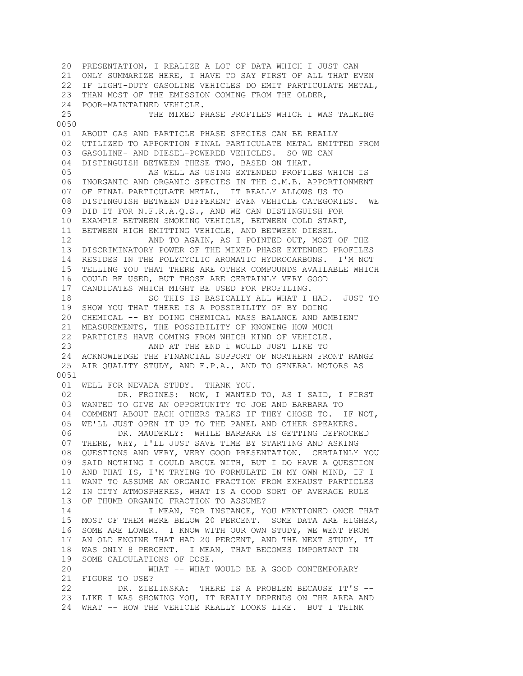20 PRESENTATION, I REALIZE A LOT OF DATA WHICH I JUST CAN 21 ONLY SUMMARIZE HERE, I HAVE TO SAY FIRST OF ALL THAT EVEN 22 IF LIGHT-DUTY GASOLINE VEHICLES DO EMIT PARTICULATE METAL, 23 THAN MOST OF THE EMISSION COMING FROM THE OLDER, 24 POOR-MAINTAINED VEHICLE. 25 THE MIXED PHASE PROFILES WHICH I WAS TALKING 0050 01 ABOUT GAS AND PARTICLE PHASE SPECIES CAN BE REALLY 02 UTILIZED TO APPORTION FINAL PARTICULATE METAL EMITTED FROM 03 GASOLINE- AND DIESEL-POWERED VEHICLES. SO WE CAN 04 DISTINGUISH BETWEEN THESE TWO, BASED ON THAT. 05 AS WELL AS USING EXTENDED PROFILES WHICH IS 06 INORGANIC AND ORGANIC SPECIES IN THE C.M.B. APPORTIONMENT 07 OF FINAL PARTICULATE METAL. IT REALLY ALLOWS US TO 08 DISTINGUISH BETWEEN DIFFERENT EVEN VEHICLE CATEGORIES. WE 09 DID IT FOR N.F.R.A.Q.S., AND WE CAN DISTINGUISH FOR 10 EXAMPLE BETWEEN SMOKING VEHICLE, BETWEEN COLD START, 11 BETWEEN HIGH EMITTING VEHICLE, AND BETWEEN DIESEL. 12 AND TO AGAIN, AS I POINTED OUT, MOST OF THE 13 DISCRIMINATORY POWER OF THE MIXED PHASE EXTENDED PROFILES 14 RESIDES IN THE POLYCYCLIC AROMATIC HYDROCARBONS. I'M NOT 15 TELLING YOU THAT THERE ARE OTHER COMPOUNDS AVAILABLE WHICH 16 COULD BE USED, BUT THOSE ARE CERTAINLY VERY GOOD 17 CANDIDATES WHICH MIGHT BE USED FOR PROFILING. 18 SO THIS IS BASICALLY ALL WHAT I HAD. JUST TO 19 SHOW YOU THAT THERE IS A POSSIBILITY OF BY DOING 20 CHEMICAL -- BY DOING CHEMICAL MASS BALANCE AND AMBIENT 21 MEASUREMENTS, THE POSSIBILITY OF KNOWING HOW MUCH 22 PARTICLES HAVE COMING FROM WHICH KIND OF VEHICLE. 23 AND AT THE END I WOULD JUST LIKE TO 24 ACKNOWLEDGE THE FINANCIAL SUPPORT OF NORTHERN FRONT RANGE 25 AIR QUALITY STUDY, AND E.P.A., AND TO GENERAL MOTORS AS 0051 01 WELL FOR NEVADA STUDY. THANK YOU. 02 DR. FROINES: NOW, I WANTED TO, AS I SAID, I FIRST 03 WANTED TO GIVE AN OPPORTUNITY TO JOE AND BARBARA TO 04 COMMENT ABOUT EACH OTHERS TALKS IF THEY CHOSE TO. IF NOT, 05 WE'LL JUST OPEN IT UP TO THE PANEL AND OTHER SPEAKERS. 06 DR. MAUDERLY: WHILE BARBARA IS GETTING DEFROCKED 07 THERE, WHY, I'LL JUST SAVE TIME BY STARTING AND ASKING 08 QUESTIONS AND VERY, VERY GOOD PRESENTATION. CERTAINLY YOU 09 SAID NOTHING I COULD ARGUE WITH, BUT I DO HAVE A QUESTION 10 AND THAT IS, I'M TRYING TO FORMULATE IN MY OWN MIND, IF I 11 WANT TO ASSUME AN ORGANIC FRACTION FROM EXHAUST PARTICLES 12 IN CITY ATMOSPHERES, WHAT IS A GOOD SORT OF AVERAGE RULE 13 OF THUMB ORGANIC FRACTION TO ASSUME? 14 **I MEAN, FOR INSTANCE, YOU MENTIONED ONCE THAT**  15 MOST OF THEM WERE BELOW 20 PERCENT. SOME DATA ARE HIGHER, 16 SOME ARE LOWER. I KNOW WITH OUR OWN STUDY, WE WENT FROM 17 AN OLD ENGINE THAT HAD 20 PERCENT, AND THE NEXT STUDY, IT 18 WAS ONLY 8 PERCENT. I MEAN, THAT BECOMES IMPORTANT IN 19 SOME CALCULATIONS OF DOSE. 20 WHAT -- WHAT WOULD BE A GOOD CONTEMPORARY 21 FIGURE TO USE? 22 DR. ZIELINSKA: THERE IS A PROBLEM BECAUSE IT'S -- 23 LIKE I WAS SHOWING YOU, IT REALLY DEPENDS ON THE AREA AND 24 WHAT -- HOW THE VEHICLE REALLY LOOKS LIKE. BUT I THINK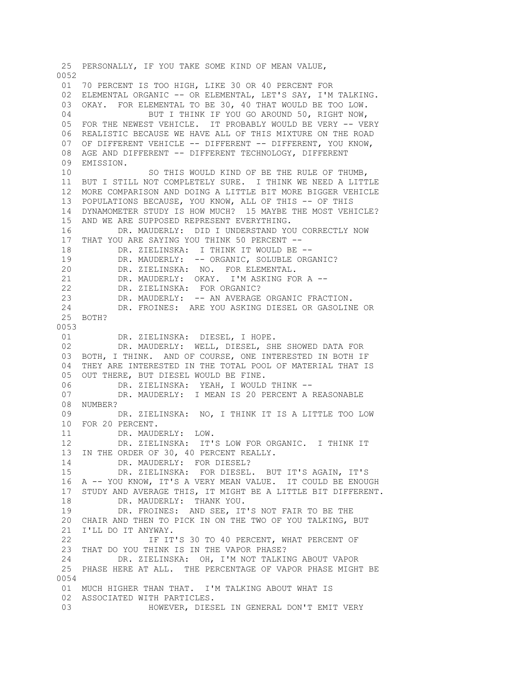25 PERSONALLY, IF YOU TAKE SOME KIND OF MEAN VALUE, 0052 01 70 PERCENT IS TOO HIGH, LIKE 30 OR 40 PERCENT FOR 02 ELEMENTAL ORGANIC -- OR ELEMENTAL, LET'S SAY, I'M TALKING. 03 OKAY. FOR ELEMENTAL TO BE 30, 40 THAT WOULD BE TOO LOW. 04 BUT I THINK IF YOU GO AROUND 50, RIGHT NOW, 05 FOR THE NEWEST VEHICLE. IT PROBABLY WOULD BE VERY -- VERY 06 REALISTIC BECAUSE WE HAVE ALL OF THIS MIXTURE ON THE ROAD 07 OF DIFFERENT VEHICLE -- DIFFERENT -- DIFFERENT, YOU KNOW, 08 AGE AND DIFFERENT -- DIFFERENT TECHNOLOGY, DIFFERENT 09 EMISSION. 10 SO THIS WOULD KIND OF BE THE RULE OF THUMB, 11 BUT I STILL NOT COMPLETELY SURE. I THINK WE NEED A LITTLE 12 MORE COMPARISON AND DOING A LITTLE BIT MORE BIGGER VEHICLE 13 POPULATIONS BECAUSE, YOU KNOW, ALL OF THIS -- OF THIS 14 DYNAMOMETER STUDY IS HOW MUCH? 15 MAYBE THE MOST VEHICLE? 15 AND WE ARE SUPPOSED REPRESENT EVERYTHING. 16 DR. MAUDERLY: DID I UNDERSTAND YOU CORRECTLY NOW 17 THAT YOU ARE SAYING YOU THINK 50 PERCENT -- 18 DR. ZIELINSKA: I THINK IT WOULD BE -- 19 DR. MAUDERLY: -- ORGANIC, SOLUBLE ORGANIC? 20 DR. ZIELINSKA: NO. FOR ELEMENTAL. 21 DR. MAUDERLY: OKAY. I'M ASKING FOR A -- 22 DR. ZIELINSKA: FOR ORGANIC? 23 DR. MAUDERLY: -- AN AVERAGE ORGANIC FRACTION. 24 DR. FROINES: ARE YOU ASKING DIESEL OR GASOLINE OR 25 BOTH? 0053 01 DR. ZIELINSKA: DIESEL, I HOPE. 02 DR. MAUDERLY: WELL, DIESEL, SHE SHOWED DATA FOR 03 BOTH, I THINK. AND OF COURSE, ONE INTERESTED IN BOTH IF 04 THEY ARE INTERESTED IN THE TOTAL POOL OF MATERIAL THAT IS 05 OUT THERE, BUT DIESEL WOULD BE FINE. 06 DR. ZIELINSKA: YEAH, I WOULD THINK -- 07 DR. MAUDERLY: I MEAN IS 20 PERCENT A REASONABLE 08 NUMBER? 09 DR. ZIELINSKA: NO, I THINK IT IS A LITTLE TOO LOW 10 FOR 20 PERCENT.<br>11 DR. MAUD DR. MAUDERLY: LOW. 12 DR. ZIELINSKA: IT'S LOW FOR ORGANIC. I THINK IT 13 IN THE ORDER OF 30, 40 PERCENT REALLY. 14 DR. MAUDERLY: FOR DIESEL? 15 DR. ZIELINSKA: FOR DIESEL. BUT IT'S AGAIN, IT'S 16 A -- YOU KNOW, IT'S A VERY MEAN VALUE. IT COULD BE ENOUGH 17 STUDY AND AVERAGE THIS, IT MIGHT BE A LITTLE BIT DIFFERENT. 18 DR. MAUDERLY: THANK YOU. 19 DR. FROINES: AND SEE, IT'S NOT FAIR TO BE THE 20 CHAIR AND THEN TO PICK IN ON THE TWO OF YOU TALKING, BUT 21 I'LL DO IT ANYWAY. 22 **IF IT'S 30 TO 40 PERCENT, WHAT PERCENT OF**  23 THAT DO YOU THINK IS IN THE VAPOR PHASE? 24 DR. ZIELINSKA: OH, I'M NOT TALKING ABOUT VAPOR 25 PHASE HERE AT ALL. THE PERCENTAGE OF VAPOR PHASE MIGHT BE 0054 01 MUCH HIGHER THAN THAT. I'M TALKING ABOUT WHAT IS 02 ASSOCIATED WITH PARTICLES. 03 HOWEVER, DIESEL IN GENERAL DON'T EMIT VERY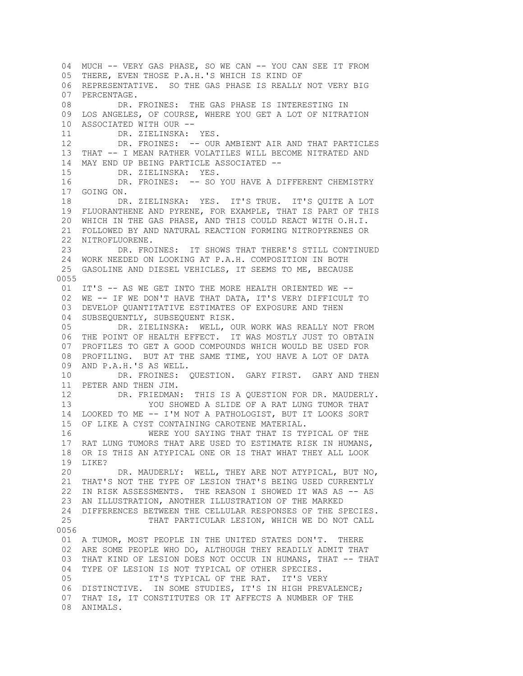04 MUCH -- VERY GAS PHASE, SO WE CAN -- YOU CAN SEE IT FROM 05 THERE, EVEN THOSE P.A.H.'S WHICH IS KIND OF 06 REPRESENTATIVE. SO THE GAS PHASE IS REALLY NOT VERY BIG 07 PERCENTAGE. 08 DR. FROINES: THE GAS PHASE IS INTERESTING IN 09 LOS ANGELES, OF COURSE, WHERE YOU GET A LOT OF NITRATION 10 ASSOCIATED WITH OUR -- 11 DR. ZIELINSKA: YES. 12 DR. FROINES: -- OUR AMBIENT AIR AND THAT PARTICLES 13 THAT -- I MEAN RATHER VOLATILES WILL BECOME NITRATED AND 14 MAY END UP BEING PARTICLE ASSOCIATED -- 15 DR. ZIELINSKA: YES. 16 DR. FROINES: -- SO YOU HAVE A DIFFERENT CHEMISTRY 17 GOING ON. 18 DR. ZIELINSKA: YES. IT'S TRUE. IT'S QUITE A LOT 19 FLUORANTHENE AND PYRENE, FOR EXAMPLE, THAT IS PART OF THIS 20 WHICH IN THE GAS PHASE, AND THIS COULD REACT WITH O.H.I. 21 FOLLOWED BY AND NATURAL REACTION FORMING NITROPYRENES OR 22 NITROFLUORENE. 23 DR. FROINES: IT SHOWS THAT THERE'S STILL CONTINUED 24 WORK NEEDED ON LOOKING AT P.A.H. COMPOSITION IN BOTH 25 GASOLINE AND DIESEL VEHICLES, IT SEEMS TO ME, BECAUSE 0055 01 IT'S -- AS WE GET INTO THE MORE HEALTH ORIENTED WE -- 02 WE -- IF WE DON'T HAVE THAT DATA, IT'S VERY DIFFICULT TO 03 DEVELOP QUANTITATIVE ESTIMATES OF EXPOSURE AND THEN 04 SUBSEQUENTLY, SUBSEQUENT RISK. 05 DR. ZIELINSKA: WELL, OUR WORK WAS REALLY NOT FROM 06 THE POINT OF HEALTH EFFECT. IT WAS MOSTLY JUST TO OBTAIN 07 PROFILES TO GET A GOOD COMPOUNDS WHICH WOULD BE USED FOR 08 PROFILING. BUT AT THE SAME TIME, YOU HAVE A LOT OF DATA 09 AND P.A.H.'S AS WELL. 10 DR. FROINES: QUESTION. GARY FIRST. GARY AND THEN 11 PETER AND THEN JIM. 12 DR. FRIEDMAN: THIS IS A QUESTION FOR DR. MAUDERLY. 13 YOU SHOWED A SLIDE OF A RAT LUNG TUMOR THAT 14 LOOKED TO ME -- I'M NOT A PATHOLOGIST, BUT IT LOOKS SORT 15 OF LIKE A CYST CONTAINING CAROTENE MATERIAL. 16 WERE YOU SAYING THAT THAT IS TYPICAL OF THE 17 RAT LUNG TUMORS THAT ARE USED TO ESTIMATE RISK IN HUMANS, 18 OR IS THIS AN ATYPICAL ONE OR IS THAT WHAT THEY ALL LOOK 19 LIKE? 20 DR. MAUDERLY: WELL, THEY ARE NOT ATYPICAL, BUT NO, 21 THAT'S NOT THE TYPE OF LESION THAT'S BEING USED CURRENTLY 22 IN RISK ASSESSMENTS. THE REASON I SHOWED IT WAS AS -- AS 23 AN ILLUSTRATION, ANOTHER ILLUSTRATION OF THE MARKED 24 DIFFERENCES BETWEEN THE CELLULAR RESPONSES OF THE SPECIES. 25 THAT PARTICULAR LESION, WHICH WE DO NOT CALL 0056 01 A TUMOR, MOST PEOPLE IN THE UNITED STATES DON'T. THERE 02 ARE SOME PEOPLE WHO DO, ALTHOUGH THEY READILY ADMIT THAT 03 THAT KIND OF LESION DOES NOT OCCUR IN HUMANS, THAT -- THAT 04 TYPE OF LESION IS NOT TYPICAL OF OTHER SPECIES. 05 **IT'S TYPICAL OF THE RAT. IT'S VERY**  06 DISTINCTIVE. IN SOME STUDIES, IT'S IN HIGH PREVALENCE; 07 THAT IS, IT CONSTITUTES OR IT AFFECTS A NUMBER OF THE 08 ANIMALS.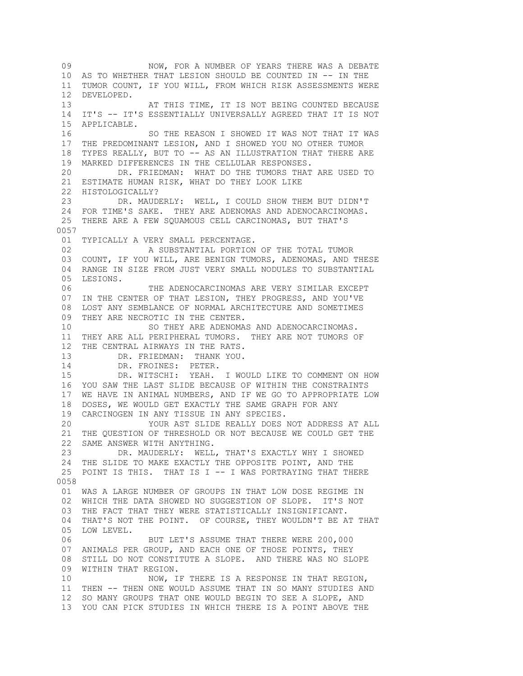09 NOW, FOR A NUMBER OF YEARS THERE WAS A DEBATE 10 AS TO WHETHER THAT LESION SHOULD BE COUNTED IN -- IN THE 11 TUMOR COUNT, IF YOU WILL, FROM WHICH RISK ASSESSMENTS WERE 12 DEVELOPED. 13 AT THIS TIME, IT IS NOT BEING COUNTED BECAUSE 14 IT'S -- IT'S ESSENTIALLY UNIVERSALLY AGREED THAT IT IS NOT 15 APPLICABLE. 16 SO THE REASON I SHOWED IT WAS NOT THAT IT WAS 17 THE PREDOMINANT LESION, AND I SHOWED YOU NO OTHER TUMOR 18 TYPES REALLY, BUT TO -- AS AN ILLUSTRATION THAT THERE ARE 19 MARKED DIFFERENCES IN THE CELLULAR RESPONSES. 20 DR. FRIEDMAN: WHAT DO THE TUMORS THAT ARE USED TO 21 ESTIMATE HUMAN RISK, WHAT DO THEY LOOK LIKE 22 HISTOLOGICALLY? 23 DR. MAUDERLY: WELL, I COULD SHOW THEM BUT DIDN'T 24 FOR TIME'S SAKE. THEY ARE ADENOMAS AND ADENOCARCINOMAS. 25 THERE ARE A FEW SQUAMOUS CELL CARCINOMAS, BUT THAT'S 0057 01 TYPICALLY A VERY SMALL PERCENTAGE. 02 A SUBSTANTIAL PORTION OF THE TOTAL TUMOR 03 COUNT, IF YOU WILL, ARE BENIGN TUMORS, ADENOMAS, AND THESE 04 RANGE IN SIZE FROM JUST VERY SMALL NODULES TO SUBSTANTIAL 05 LESIONS. 06 THE ADENOCARCINOMAS ARE VERY SIMILAR EXCEPT 07 IN THE CENTER OF THAT LESION, THEY PROGRESS, AND YOU'VE 08 LOST ANY SEMBLANCE OF NORMAL ARCHITECTURE AND SOMETIMES 09 THEY ARE NECROTIC IN THE CENTER. 10 SO THEY ARE ADENOMAS AND ADENOCARCINOMAS. 11 THEY ARE ALL PERIPHERAL TUMORS. THEY ARE NOT TUMORS OF 12 THE CENTRAL AIRWAYS IN THE RATS. 13 DR. FRIEDMAN: THANK YOU.<br>14 DR. FROINES: PETER. DR. FROINES: PETER. 15 DR. WITSCHI: YEAH. I WOULD LIKE TO COMMENT ON HOW 16 YOU SAW THE LAST SLIDE BECAUSE OF WITHIN THE CONSTRAINTS 17 WE HAVE IN ANIMAL NUMBERS, AND IF WE GO TO APPROPRIATE LOW 18 DOSES, WE WOULD GET EXACTLY THE SAME GRAPH FOR ANY 19 CARCINOGEN IN ANY TISSUE IN ANY SPECIES. 20 YOUR AST SLIDE REALLY DOES NOT ADDRESS AT ALL 21 THE QUESTION OF THRESHOLD OR NOT BECAUSE WE COULD GET THE 22 SAME ANSWER WITH ANYTHING. 23 DR. MAUDERLY: WELL, THAT'S EXACTLY WHY I SHOWED 24 THE SLIDE TO MAKE EXACTLY THE OPPOSITE POINT, AND THE 25 POINT IS THIS. THAT IS I -- I WAS PORTRAYING THAT THERE 0058 01 WAS A LARGE NUMBER OF GROUPS IN THAT LOW DOSE REGIME IN 02 WHICH THE DATA SHOWED NO SUGGESTION OF SLOPE. IT'S NOT 03 THE FACT THAT THEY WERE STATISTICALLY INSIGNIFICANT. 04 THAT'S NOT THE POINT. OF COURSE, THEY WOULDN'T BE AT THAT 05 LOW LEVEL. 06 BUT LET'S ASSUME THAT THERE WERE 200,000 07 ANIMALS PER GROUP, AND EACH ONE OF THOSE POINTS, THEY 08 STILL DO NOT CONSTITUTE A SLOPE. AND THERE WAS NO SLOPE 09 WITHIN THAT REGION. 10 NOW, IF THERE IS A RESPONSE IN THAT REGION, 11 THEN -- THEN ONE WOULD ASSUME THAT IN SO MANY STUDIES AND 12 SO MANY GROUPS THAT ONE WOULD BEGIN TO SEE A SLOPE, AND 13 YOU CAN PICK STUDIES IN WHICH THERE IS A POINT ABOVE THE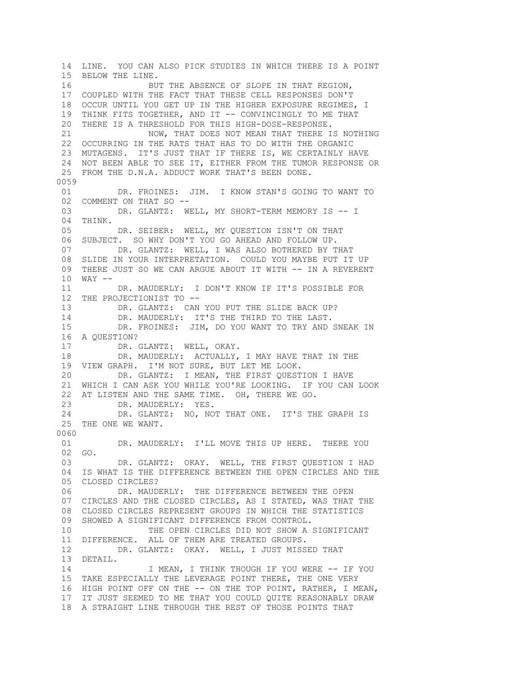14 LINE. YOU CAN ALSO PICK STUDIES IN WHICH THERE IS A POINT 15 BELOW THE LINE. 16 BUT THE ABSENCE OF SLOPE IN THAT REGION, 17 COUPLED WITH THE FACT THAT THESE CELL RESPONSES DON'T 18 OCCUR UNTIL YOU GET UP IN THE HIGHER EXPOSURE REGIMES, I 19 THINK FITS TOGETHER, AND IT -- CONVINCINGLY TO ME THAT 20 THERE IS A THRESHOLD FOR THIS HIGH-DOSE-RESPONSE. 21 NOW, THAT DOES NOT MEAN THAT THERE IS NOTHING 22 OCCURRING IN THE RATS THAT HAS TO DO WITH THE ORGANIC 23 MUTAGENS. IT'S JUST THAT IF THERE IS, WE CERTAINLY HAVE 24 NOT BEEN ABLE TO SEE IT, EITHER FROM THE TUMOR RESPONSE OR 25 FROM THE D.N.A. ADDUCT WORK THAT'S BEEN DONE. 0059 01 DR. FROINES: JIM. I KNOW STAN'S GOING TO WANT TO 02 COMMENT ON THAT SO --03 DR. GLANTZ: WELL, MY SHORT-TERM MEMORY IS -- I 04 THINK. 05 DR. SEIBER: WELL, MY QUESTION ISN'T ON THAT 06 SUBJECT. SO WHY DON'T YOU GO AHEAD AND FOLLOW UP. 07 DR. GLANTZ: WELL, I WAS ALSO BOTHERED BY THAT 08 SLIDE IN YOUR INTERPRETATION. COULD YOU MAYBE PUT IT UP 09 THERE JUST SO WE CAN ARGUE ABOUT IT WITH -- IN A REVERENT 10 WAY -- 11 DR. MAUDERLY: I DON'T KNOW IF IT'S POSSIBLE FOR 12 THE PROJECTIONIST TO -- 13 DR. GLANTZ: CAN YOU PUT THE SLIDE BACK UP? 14 DR. MAUDERLY: IT'S THE THIRD TO THE LAST. 15 DR. FROINES: JIM, DO YOU WANT TO TRY AND SNEAK IN 16 A QUESTION? 17 DR. GLANTZ: WELL, OKAY. 18 DR. MAUDERLY: ACTUALLY, I MAY HAVE THAT IN THE 19 VIEW GRAPH. I'M NOT SURE, BUT LET ME LOOK. 20 DR. GLANTZ: I MEAN, THE FIRST QUESTION I HAVE 21 WHICH I CAN ASK YOU WHILE YOU'RE LOOKING. IF YOU CAN LOOK 22 AT LISTEN AND THE SAME TIME. OH, THERE WE GO. 23 DR. MAUDERLY: YES. 24 DR. GLANTZ: NO, NOT THAT ONE. IT'S THE GRAPH IS 25 THE ONE WE WANT. 0060 01 DR. MAUDERLY: I'LL MOVE THIS UP HERE. THERE YOU 02 GO. 03 DR. GLANTZ: OKAY. WELL, THE FIRST QUESTION I HAD 04 IS WHAT IS THE DIFFERENCE BETWEEN THE OPEN CIRCLES AND THE 05 CLOSED CIRCLES? 06 DR. MAUDERLY: THE DIFFERENCE BETWEEN THE OPEN 07 CIRCLES AND THE CLOSED CIRCLES, AS I STATED, WAS THAT THE 08 CLOSED CIRCLES REPRESENT GROUPS IN WHICH THE STATISTICS 09 SHOWED A SIGNIFICANT DIFFERENCE FROM CONTROL. 10 THE OPEN CIRCLES DID NOT SHOW A SIGNIFICANT 11 DIFFERENCE. ALL OF THEM ARE TREATED GROUPS. 12 DR. GLANTZ: OKAY. WELL, I JUST MISSED THAT 13 DETAIL. 14 14 I MEAN, I THINK THOUGH IF YOU WERE -- IF YOU 15 TAKE ESPECIALLY THE LEVERAGE POINT THERE, THE ONE VERY 16 HIGH POINT OFF ON THE -- ON THE TOP POINT, RATHER, I MEAN, 17 IT JUST SEEMED TO ME THAT YOU COULD QUITE REASONABLY DRAW 18 A STRAIGHT LINE THROUGH THE REST OF THOSE POINTS THAT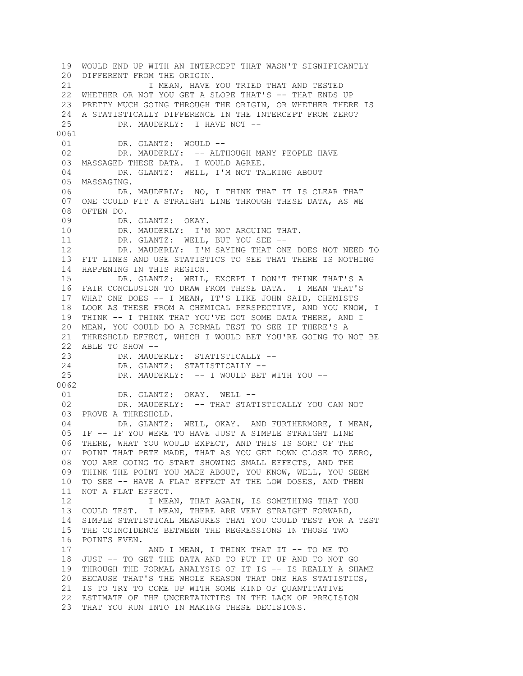19 WOULD END UP WITH AN INTERCEPT THAT WASN'T SIGNIFICANTLY 20 DIFFERENT FROM THE ORIGIN. 21 I MEAN, HAVE YOU TRIED THAT AND TESTED 22 WHETHER OR NOT YOU GET A SLOPE THAT'S -- THAT ENDS UP 23 PRETTY MUCH GOING THROUGH THE ORIGIN, OR WHETHER THERE IS 24 A STATISTICALLY DIFFERENCE IN THE INTERCEPT FROM ZERO? 25 DR. MAUDERLY: I HAVE NOT -- 0061<br>01 DR. GLANTZ: WOULD --02 DR. MAUDERLY: -- ALTHOUGH MANY PEOPLE HAVE 03 MASSAGED THESE DATA. I WOULD AGREE. 04 DR. GLANTZ: WELL, I'M NOT TALKING ABOUT 05 MASSAGING. 06 DR. MAUDERLY: NO, I THINK THAT IT IS CLEAR THAT 07 ONE COULD FIT A STRAIGHT LINE THROUGH THESE DATA, AS WE 08 OFTEN DO. 09 DR. GLANTZ: OKAY. 10 DR. MAUDERLY: I'M NOT ARGUING THAT.<br>11 DR. GLANTZ: WELL, BUT YOU SEE --DR. GLANTZ: WELL, BUT YOU SEE -- 12 DR. MAUDERLY: I'M SAYING THAT ONE DOES NOT NEED TO 13 FIT LINES AND USE STATISTICS TO SEE THAT THERE IS NOTHING 14 HAPPENING IN THIS REGION. 15 DR. GLANTZ: WELL, EXCEPT I DON'T THINK THAT'S A 16 FAIR CONCLUSION TO DRAW FROM THESE DATA. I MEAN THAT'S 17 WHAT ONE DOES -- I MEAN, IT'S LIKE JOHN SAID, CHEMISTS 18 LOOK AS THESE FROM A CHEMICAL PERSPECTIVE, AND YOU KNOW, I 19 THINK -- I THINK THAT YOU'VE GOT SOME DATA THERE, AND I 20 MEAN, YOU COULD DO A FORMAL TEST TO SEE IF THERE'S A 21 THRESHOLD EFFECT, WHICH I WOULD BET YOU'RE GOING TO NOT BE 22 ABLE TO SHOW -- 23 DR. MAUDERLY: STATISTICALLY -- 24 DR. GLANTZ: STATISTICALLY -- 25 DR. MAUDERLY: -- I WOULD BET WITH YOU --0062 01 DR. GLANTZ: OKAY. WELL -- 02 DR. MAUDERLY: -- THAT STATISTICALLY YOU CAN NOT 03 PROVE A THRESHOLD. 04 DR. GLANTZ: WELL, OKAY. AND FURTHERMORE, I MEAN, 05 IF -- IF YOU WERE TO HAVE JUST A SIMPLE STRAIGHT LINE 06 THERE, WHAT YOU WOULD EXPECT, AND THIS IS SORT OF THE 07 POINT THAT PETE MADE, THAT AS YOU GET DOWN CLOSE TO ZERO, 08 YOU ARE GOING TO START SHOWING SMALL EFFECTS, AND THE 09 THINK THE POINT YOU MADE ABOUT, YOU KNOW, WELL, YOU SEEM 10 TO SEE -- HAVE A FLAT EFFECT AT THE LOW DOSES, AND THEN 11 NOT A FLAT EFFECT. 12 I MEAN, THAT AGAIN, IS SOMETHING THAT YOU 13 COULD TEST. I MEAN, THERE ARE VERY STRAIGHT FORWARD, 14 SIMPLE STATISTICAL MEASURES THAT YOU COULD TEST FOR A TEST 15 THE COINCIDENCE BETWEEN THE REGRESSIONS IN THOSE TWO 16 POINTS EVEN. 17 AND I MEAN, I THINK THAT IT -- TO ME TO 18 JUST -- TO GET THE DATA AND TO PUT IT UP AND TO NOT GO 19 THROUGH THE FORMAL ANALYSIS OF IT IS -- IS REALLY A SHAME 20 BECAUSE THAT'S THE WHOLE REASON THAT ONE HAS STATISTICS, 21 IS TO TRY TO COME UP WITH SOME KIND OF QUANTITATIVE 22 ESTIMATE OF THE UNCERTAINTIES IN THE LACK OF PRECISION 23 THAT YOU RUN INTO IN MAKING THESE DECISIONS.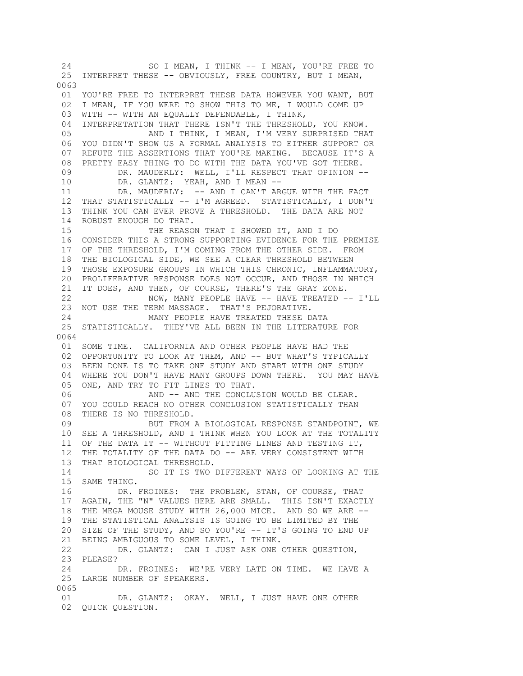24 SO I MEAN, I THINK -- I MEAN, YOU'RE FREE TO 25 INTERPRET THESE -- OBVIOUSLY, FREE COUNTRY, BUT I MEAN, 0063 01 YOU'RE FREE TO INTERPRET THESE DATA HOWEVER YOU WANT, BUT 02 I MEAN, IF YOU WERE TO SHOW THIS TO ME, I WOULD COME UP 03 WITH -- WITH AN EQUALLY DEFENDABLE, I THINK, 04 INTERPRETATION THAT THERE ISN'T THE THRESHOLD, YOU KNOW. 05 AND I THINK, I MEAN, I'M VERY SURPRISED THAT 06 YOU DIDN'T SHOW US A FORMAL ANALYSIS TO EITHER SUPPORT OR 07 REFUTE THE ASSERTIONS THAT YOU'RE MAKING. BECAUSE IT'S A 08 PRETTY EASY THING TO DO WITH THE DATA YOU'VE GOT THERE. 09 DR. MAUDERLY: WELL, I'LL RESPECT THAT OPINION -- 10 DR. GLANTZ: YEAH, AND I MEAN -- 11 DR. MAUDERLY: -- AND I CAN'T ARGUE WITH THE FACT 12 THAT STATISTICALLY -- I'M AGREED. STATISTICALLY, I DON'T 13 THINK YOU CAN EVER PROVE A THRESHOLD. THE DATA ARE NOT 14 ROBUST ENOUGH DO THAT. 15 THE REASON THAT I SHOWED IT, AND I DO 16 CONSIDER THIS A STRONG SUPPORTING EVIDENCE FOR THE PREMISE 17 OF THE THRESHOLD, I'M COMING FROM THE OTHER SIDE. FROM 18 THE BIOLOGICAL SIDE, WE SEE A CLEAR THRESHOLD BETWEEN 19 THOSE EXPOSURE GROUPS IN WHICH THIS CHRONIC, INFLAMMATORY, 20 PROLIFERATIVE RESPONSE DOES NOT OCCUR, AND THOSE IN WHICH 21 IT DOES, AND THEN, OF COURSE, THERE'S THE GRAY ZONE. 22 NOW, MANY PEOPLE HAVE -- HAVE TREATED -- I'LL 23 NOT USE THE TERM MASSAGE. THAT'S PEJORATIVE. 24 MANY PEOPLE HAVE TREATED THESE DATA 25 STATISTICALLY. THEY'VE ALL BEEN IN THE LITERATURE FOR 0064 01 SOME TIME. CALIFORNIA AND OTHER PEOPLE HAVE HAD THE 02 OPPORTUNITY TO LOOK AT THEM, AND -- BUT WHAT'S TYPICALLY 03 BEEN DONE IS TO TAKE ONE STUDY AND START WITH ONE STUDY 04 WHERE YOU DON'T HAVE MANY GROUPS DOWN THERE. YOU MAY HAVE 05 ONE, AND TRY TO FIT LINES TO THAT. 06 AND  $--$  AND THE CONCLUSION WOULD BE CLEAR. 07 YOU COULD REACH NO OTHER CONCLUSION STATISTICALLY THAN 08 THERE IS NO THRESHOLD. 09 BUT FROM A BIOLOGICAL RESPONSE STANDPOINT, WE 10 SEE A THRESHOLD, AND I THINK WHEN YOU LOOK AT THE TOTALITY 11 OF THE DATA IT -- WITHOUT FITTING LINES AND TESTING IT, 12 THE TOTALITY OF THE DATA DO -- ARE VERY CONSISTENT WITH 13 THAT BIOLOGICAL THRESHOLD. 14 SO IT IS TWO DIFFERENT WAYS OF LOOKING AT THE 15 SAME THING. 16 DR. FROINES: THE PROBLEM, STAN, OF COURSE, THAT 17 AGAIN, THE "N" VALUES HERE ARE SMALL. THIS ISN'T EXACTLY 18 THE MEGA MOUSE STUDY WITH 26,000 MICE. AND SO WE ARE -- 19 THE STATISTICAL ANALYSIS IS GOING TO BE LIMITED BY THE 20 SIZE OF THE STUDY, AND SO YOU'RE -- IT'S GOING TO END UP 21 BEING AMBIGUOUS TO SOME LEVEL, I THINK. 22 DR. GLANTZ: CAN I JUST ASK ONE OTHER QUESTION, 23 PLEASE? 24 DR. FROINES: WE'RE VERY LATE ON TIME. WE HAVE A 25 LARGE NUMBER OF SPEAKERS. 0065 01 DR. GLANTZ: OKAY. WELL, I JUST HAVE ONE OTHER 02 QUICK QUESTION.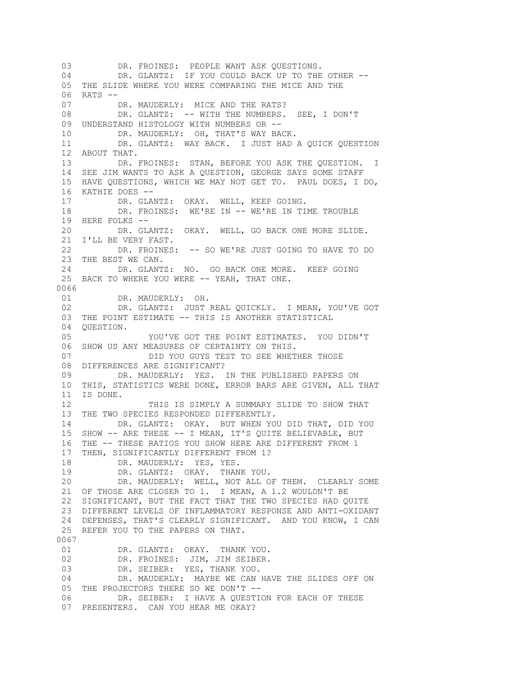03 DR. FROINES: PEOPLE WANT ASK OUESTIONS. 04 DR. GLANTZ: IF YOU COULD BACK UP TO THE OTHER -- 05 THE SLIDE WHERE YOU WERE COMPARING THE MICE AND THE 06 RATS --<br>07 1 DR. MAUDERLY: MICE AND THE RATS? 08 DR. GLANTZ: -- WITH THE NUMBERS. SEE, I DON'T 09 UNDERSTAND HISTOLOGY WITH NUMBERS OR -- 10 DR. MAUDERLY: OH, THAT'S WAY BACK. 11 DR. GLANTZ: WAY BACK. I JUST HAD A QUICK QUESTION 12 ABOUT THAT. 13 DR. FROINES: STAN, BEFORE YOU ASK THE QUESTION. I 14 SEE JIM WANTS TO ASK A QUESTION, GEORGE SAYS SOME STAFF 15 HAVE QUESTIONS, WHICH WE MAY NOT GET TO. PAUL DOES, I DO, 16 KATHIE DOES -- 17 DR. GLANTZ: OKAY. WELL, KEEP GOING. 18 DR. FROINES: WE'RE IN -- WE'RE IN TIME TROUBLE 19 HERE FOLKS -- 20 DR. GLANTZ: OKAY. WELL, GO BACK ONE MORE SLIDE. 21 I'LL BE VERY FAST. 22 DR. FROINES: -- SO WE'RE JUST GOING TO HAVE TO DO 23 THE BEST WE CAN. 24 DR. GLANTZ: NO. GO BACK ONE MORE. KEEP GOING 25 BACK TO WHERE YOU WERE -- YEAH, THAT ONE. 0066 01 DR. MAUDERLY: OH. 02 DR. GLANTZ: JUST REAL QUICKLY. I MEAN, YOU'VE GOT 03 THE POINT ESTIMATE -- THIS IS ANOTHER STATISTICAL 04 QUESTION. 05 YOU'VE GOT THE POINT ESTIMATES. YOU DIDN'T 06 SHOW US ANY MEASURES OF CERTAINTY ON THIS. 07 DID YOU GUYS TEST TO SEE WHETHER THOSE 08 DIFFERENCES ARE SIGNIFICANT? 09 DR. MAUDERLY: YES. IN THE PUBLISHED PAPERS ON 10 THIS, STATISTICS WERE DONE, ERROR BARS ARE GIVEN, ALL THAT 11 IS DONE. 12 THIS IS SIMPLY A SUMMARY SLIDE TO SHOW THAT 13 THE TWO SPECIES RESPONDED DIFFERENTLY. 14 DR. GLANTZ: OKAY. BUT WHEN YOU DID THAT, DID YOU 15 SHOW -- ARE THESE -- I MEAN, IT'S QUITE BELIEVABLE, BUT 16 THE -- THESE RATIOS YOU SHOW HERE ARE DIFFERENT FROM 1 17 THEN, SIGNIFICANTLY DIFFERENT FROM 1? 18 DR. MAUDERLY: YES, YES. 19 DR. GLANTZ: OKAY. THANK YOU. 20 DR. MAUDERLY: WELL, NOT ALL OF THEM. CLEARLY SOME 21 OF THOSE ARE CLOSER TO 1. I MEAN, A 1.2 WOULDN'T BE 22 SIGNIFICANT, BUT THE FACT THAT THE TWO SPECIES HAD QUITE 23 DIFFERENT LEVELS OF INFLAMMATORY RESPONSE AND ANTI-OXIDANT 24 DEFENSES, THAT'S CLEARLY SIGNIFICANT. AND YOU KNOW, I CAN 25 REFER YOU TO THE PAPERS ON THAT. 0067 01 DR. GLANTZ: OKAY. THANK YOU. 02 DR. FROINES: JIM, JIM SEIBER. 03 DR. SEIBER: YES, THANK YOU. 04 DR. MAUDERLY: MAYBE WE CAN HAVE THE SLIDES OFF ON 05 THE PROJECTORS THERE SO WE DON'T -- 06 DR. SEIBER: I HAVE A QUESTION FOR EACH OF THESE 07 PRESENTERS. CAN YOU HEAR ME OKAY?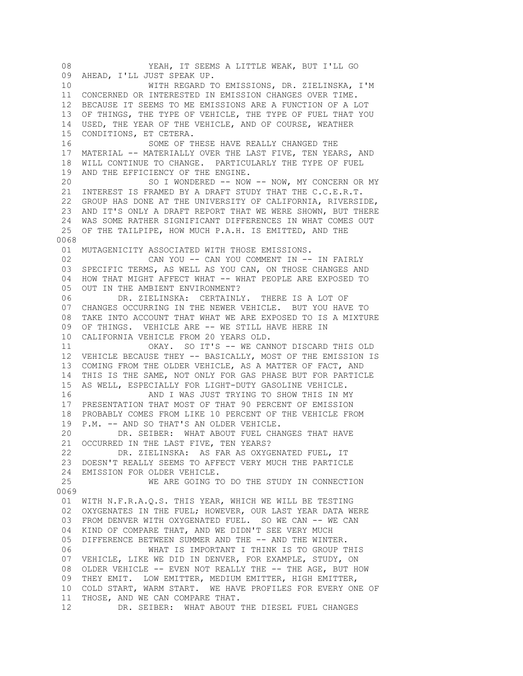08 YEAH, IT SEEMS A LITTLE WEAK, BUT I'LL GO 09 AHEAD, I'LL JUST SPEAK UP. 10 WITH REGARD TO EMISSIONS, DR. ZIELINSKA, I'M 11 CONCERNED OR INTERESTED IN EMISSION CHANGES OVER TIME. 12 BECAUSE IT SEEMS TO ME EMISSIONS ARE A FUNCTION OF A LOT 13 OF THINGS, THE TYPE OF VEHICLE, THE TYPE OF FUEL THAT YOU 14 USED, THE YEAR OF THE VEHICLE, AND OF COURSE, WEATHER 15 CONDITIONS, ET CETERA. 16 SOME OF THESE HAVE REALLY CHANGED THE 17 MATERIAL -- MATERIALLY OVER THE LAST FIVE, TEN YEARS, AND 18 WILL CONTINUE TO CHANGE. PARTICULARLY THE TYPE OF FUEL 19 AND THE EFFICIENCY OF THE ENGINE. 20 SO I WONDERED -- NOW -- NOW, MY CONCERN OR MY 21 INTEREST IS FRAMED BY A DRAFT STUDY THAT THE C.C.E.R.T. 22 GROUP HAS DONE AT THE UNIVERSITY OF CALIFORNIA, RIVERSIDE, 23 AND IT'S ONLY A DRAFT REPORT THAT WE WERE SHOWN, BUT THERE 24 WAS SOME RATHER SIGNIFICANT DIFFERENCES IN WHAT COMES OUT 25 OF THE TAILPIPE, HOW MUCH P.A.H. IS EMITTED, AND THE 0068 01 MUTAGENICITY ASSOCIATED WITH THOSE EMISSIONS. 02 CAN YOU -- CAN YOU COMMENT IN -- IN FAIRLY 03 SPECIFIC TERMS, AS WELL AS YOU CAN, ON THOSE CHANGES AND 04 HOW THAT MIGHT AFFECT WHAT -- WHAT PEOPLE ARE EXPOSED TO 05 OUT IN THE AMBIENT ENVIRONMENT? 06 DR. ZIELINSKA: CERTAINLY. THERE IS A LOT OF 07 CHANGES OCCURRING IN THE NEWER VEHICLE. BUT YOU HAVE TO 08 TAKE INTO ACCOUNT THAT WHAT WE ARE EXPOSED TO IS A MIXTURE 09 OF THINGS. VEHICLE ARE -- WE STILL HAVE HERE IN 10 CALIFORNIA VEHICLE FROM 20 YEARS OLD. 11 OKAY. SO IT'S -- WE CANNOT DISCARD THIS OLD 12 VEHICLE BECAUSE THEY -- BASICALLY, MOST OF THE EMISSION IS 13 COMING FROM THE OLDER VEHICLE, AS A MATTER OF FACT, AND 14 THIS IS THE SAME, NOT ONLY FOR GAS PHASE BUT FOR PARTICLE 15 AS WELL, ESPECIALLY FOR LIGHT-DUTY GASOLINE VEHICLE. 16 AND I WAS JUST TRYING TO SHOW THIS IN MY 17 PRESENTATION THAT MOST OF THAT 90 PERCENT OF EMISSION 18 PROBABLY COMES FROM LIKE 10 PERCENT OF THE VEHICLE FROM 19 P.M. -- AND SO THAT'S AN OLDER VEHICLE. 20 DR. SEIBER: WHAT ABOUT FUEL CHANGES THAT HAVE 21 OCCURRED IN THE LAST FIVE, TEN YEARS? 22 DR. ZIELINSKA: AS FAR AS OXYGENATED FUEL, IT 23 DOESN'T REALLY SEEMS TO AFFECT VERY MUCH THE PARTICLE 24 EMISSION FOR OLDER VEHICLE. 25 WE ARE GOING TO DO THE STUDY IN CONNECTION 0069 01 WITH N.F.R.A.Q.S. THIS YEAR, WHICH WE WILL BE TESTING 02 OXYGENATES IN THE FUEL; HOWEVER, OUR LAST YEAR DATA WERE 03 FROM DENVER WITH OXYGENATED FUEL. SO WE CAN -- WE CAN 04 KIND OF COMPARE THAT, AND WE DIDN'T SEE VERY MUCH 05 DIFFERENCE BETWEEN SUMMER AND THE -- AND THE WINTER. 06 WHAT IS IMPORTANT I THINK IS TO GROUP THIS 07 VEHICLE, LIKE WE DID IN DENVER, FOR EXAMPLE, STUDY, ON 08 OLDER VEHICLE -- EVEN NOT REALLY THE -- THE AGE, BUT HOW 09 THEY EMIT. LOW EMITTER, MEDIUM EMITTER, HIGH EMITTER, 10 COLD START, WARM START. WE HAVE PROFILES FOR EVERY ONE OF 11 THOSE, AND WE CAN COMPARE THAT. 12 DR. SEIBER: WHAT ABOUT THE DIESEL FUEL CHANGES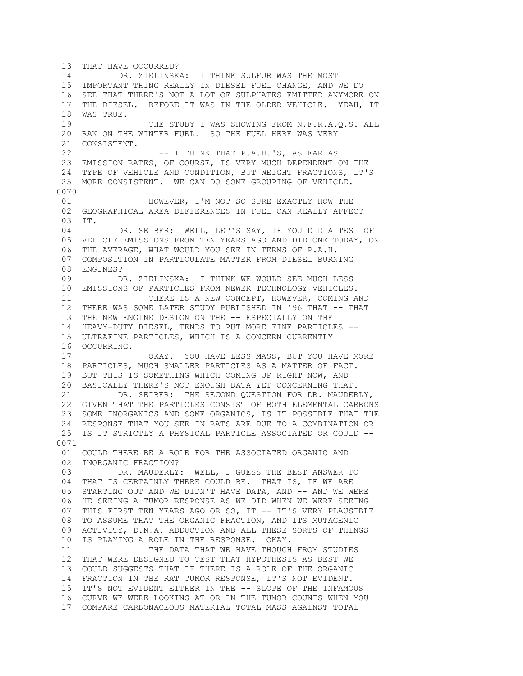13 THAT HAVE OCCURRED? 14 DR. ZIELINSKA: I THINK SULFUR WAS THE MOST 15 IMPORTANT THING REALLY IN DIESEL FUEL CHANGE, AND WE DO 16 SEE THAT THERE'S NOT A LOT OF SULPHATES EMITTED ANYMORE ON 17 THE DIESEL. BEFORE IT WAS IN THE OLDER VEHICLE. YEAH, IT 18 WAS TRUE. 19 THE STUDY I WAS SHOWING FROM N.F.R.A.Q.S. ALL 20 RAN ON THE WINTER FUEL. SO THE FUEL HERE WAS VERY 21 CONSISTENT. 22 **I -- I THINK THAT P.A.H.'S, AS FAR AS**  23 EMISSION RATES, OF COURSE, IS VERY MUCH DEPENDENT ON THE 24 TYPE OF VEHICLE AND CONDITION, BUT WEIGHT FRACTIONS, IT'S 25 MORE CONSISTENT. WE CAN DO SOME GROUPING OF VEHICLE. 0070<br>01 HOWEVER, I'M NOT SO SURE EXACTLY HOW THE 02 GEOGRAPHICAL AREA DIFFERENCES IN FUEL CAN REALLY AFFECT 03 IT. 04 DR. SEIBER: WELL, LET'S SAY, IF YOU DID A TEST OF 05 VEHICLE EMISSIONS FROM TEN YEARS AGO AND DID ONE TODAY, ON 06 THE AVERAGE, WHAT WOULD YOU SEE IN TERMS OF P.A.H. 07 COMPOSITION IN PARTICULATE MATTER FROM DIESEL BURNING 08 ENGINES? 09 DR. ZIELINSKA: I THINK WE WOULD SEE MUCH LESS 10 EMISSIONS OF PARTICLES FROM NEWER TECHNOLOGY VEHICLES. 11 THERE IS A NEW CONCEPT, HOWEVER, COMING AND 12 THERE WAS SOME LATER STUDY PUBLISHED IN '96 THAT -- THAT 13 THE NEW ENGINE DESIGN ON THE -- ESPECIALLY ON THE 14 HEAVY-DUTY DIESEL, TENDS TO PUT MORE FINE PARTICLES -- 15 ULTRAFINE PARTICLES, WHICH IS A CONCERN CURRENTLY 16 OCCURRING. 17 OKAY. YOU HAVE LESS MASS, BUT YOU HAVE MORE 18 PARTICLES, MUCH SMALLER PARTICLES AS A MATTER OF FACT. 19 BUT THIS IS SOMETHING WHICH COMING UP RIGHT NOW, AND 20 BASICALLY THERE'S NOT ENOUGH DATA YET CONCERNING THAT. 21 DR. SEIBER: THE SECOND QUESTION FOR DR. MAUDERLY, 22 GIVEN THAT THE PARTICLES CONSIST OF BOTH ELEMENTAL CARBONS 23 SOME INORGANICS AND SOME ORGANICS, IS IT POSSIBLE THAT THE 24 RESPONSE THAT YOU SEE IN RATS ARE DUE TO A COMBINATION OR 25 IS IT STRICTLY A PHYSICAL PARTICLE ASSOCIATED OR COULD -- 0071 01 COULD THERE BE A ROLE FOR THE ASSOCIATED ORGANIC AND 02 INORGANIC FRACTION? 03 DR. MAUDERLY: WELL, I GUESS THE BEST ANSWER TO 04 THAT IS CERTAINLY THERE COULD BE. THAT IS, IF WE ARE 05 STARTING OUT AND WE DIDN'T HAVE DATA, AND -- AND WE WERE 06 HE SEEING A TUMOR RESPONSE AS WE DID WHEN WE WERE SEEING 07 THIS FIRST TEN YEARS AGO OR SO, IT -- IT'S VERY PLAUSIBLE 08 TO ASSUME THAT THE ORGANIC FRACTION, AND ITS MUTAGENIC 09 ACTIVITY, D.N.A. ADDUCTION AND ALL THESE SORTS OF THINGS 10 IS PLAYING A ROLE IN THE RESPONSE. OKAY. 11 THE DATA THAT WE HAVE THOUGH FROM STUDIES 12 THAT WERE DESIGNED TO TEST THAT HYPOTHESIS AS BEST WE 13 COULD SUGGESTS THAT IF THERE IS A ROLE OF THE ORGANIC 14 FRACTION IN THE RAT TUMOR RESPONSE, IT'S NOT EVIDENT. 15 IT'S NOT EVIDENT EITHER IN THE -- SLOPE OF THE INFAMOUS 16 CURVE WE WERE LOOKING AT OR IN THE TUMOR COUNTS WHEN YOU 17 COMPARE CARBONACEOUS MATERIAL TOTAL MASS AGAINST TOTAL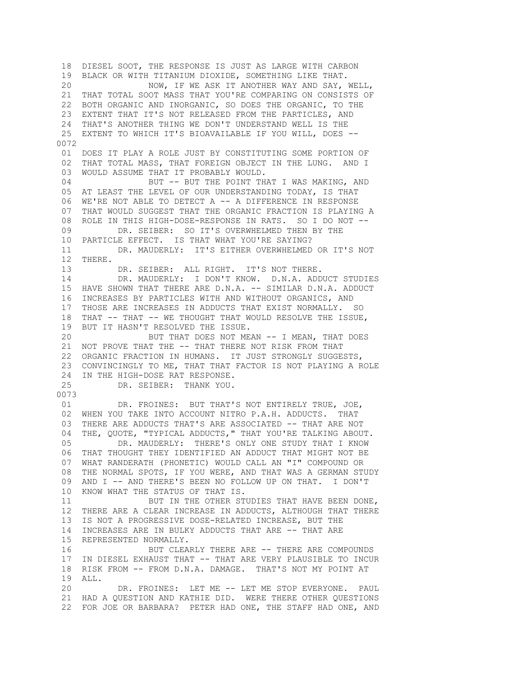18 DIESEL SOOT, THE RESPONSE IS JUST AS LARGE WITH CARBON 19 BLACK OR WITH TITANIUM DIOXIDE, SOMETHING LIKE THAT. 20 NOW, IF WE ASK IT ANOTHER WAY AND SAY, WELL, 21 THAT TOTAL SOOT MASS THAT YOU'RE COMPARING ON CONSISTS OF 22 BOTH ORGANIC AND INORGANIC, SO DOES THE ORGANIC, TO THE 23 EXTENT THAT IT'S NOT RELEASED FROM THE PARTICLES, AND 24 THAT'S ANOTHER THING WE DON'T UNDERSTAND WELL IS THE 25 EXTENT TO WHICH IT'S BIOAVAILABLE IF YOU WILL, DOES -- 0072 01 DOES IT PLAY A ROLE JUST BY CONSTITUTING SOME PORTION OF 02 THAT TOTAL MASS, THAT FOREIGN OBJECT IN THE LUNG. AND I 03 WOULD ASSUME THAT IT PROBABLY WOULD. 04 BUT -- BUT THE POINT THAT I WAS MAKING, AND 05 AT LEAST THE LEVEL OF OUR UNDERSTANDING TODAY, IS THAT 06 WE'RE NOT ABLE TO DETECT A -- A DIFFERENCE IN RESPONSE 07 THAT WOULD SUGGEST THAT THE ORGANIC FRACTION IS PLAYING A 08 ROLE IN THIS HIGH-DOSE-RESPONSE IN RATS. SO I DO NOT -- 09 DR. SEIBER: SO IT'S OVERWHELMED THEN BY THE 10 PARTICLE EFFECT. IS THAT WHAT YOU'RE SAYING? 11 DR. MAUDERLY: IT'S EITHER OVERWHELMED OR IT'S NOT 12 THERE. 13 DR. SEIBER: ALL RIGHT. IT'S NOT THERE. 14 DR. MAUDERLY: I DON'T KNOW. D.N.A. ADDUCT STUDIES 15 HAVE SHOWN THAT THERE ARE D.N.A. -- SIMILAR D.N.A. ADDUCT 16 INCREASES BY PARTICLES WITH AND WITHOUT ORGANICS, AND 17 THOSE ARE INCREASES IN ADDUCTS THAT EXIST NORMALLY. SO 18 THAT -- THAT -- WE THOUGHT THAT WOULD RESOLVE THE ISSUE, 19 BUT IT HASN'T RESOLVED THE ISSUE. 20 BUT THAT DOES NOT MEAN -- I MEAN, THAT DOES 21 NOT PROVE THAT THE -- THAT THERE NOT RISK FROM THAT 22 ORGANIC FRACTION IN HUMANS. IT JUST STRONGLY SUGGESTS, 23 CONVINCINGLY TO ME, THAT THAT FACTOR IS NOT PLAYING A ROLE 24 IN THE HIGH-DOSE RAT RESPONSE. 25 DR. SEIBER: THANK YOU. 0073 01 DR. FROINES: BUT THAT'S NOT ENTIRELY TRUE, JOE, 02 WHEN YOU TAKE INTO ACCOUNT NITRO P.A.H. ADDUCTS. THAT 03 THERE ARE ADDUCTS THAT'S ARE ASSOCIATED -- THAT ARE NOT 04 THE, QUOTE, "TYPICAL ADDUCTS," THAT YOU'RE TALKING ABOUT. 05 DR. MAUDERLY: THERE'S ONLY ONE STUDY THAT I KNOW 06 THAT THOUGHT THEY IDENTIFIED AN ADDUCT THAT MIGHT NOT BE 07 WHAT RANDERATH (PHONETIC) WOULD CALL AN "I" COMPOUND OR 08 THE NORMAL SPOTS, IF YOU WERE, AND THAT WAS A GERMAN STUDY 09 AND I -- AND THERE'S BEEN NO FOLLOW UP ON THAT. I DON'T 10 KNOW WHAT THE STATUS OF THAT IS. 11 BUT IN THE OTHER STUDIES THAT HAVE BEEN DONE, 12 THERE ARE A CLEAR INCREASE IN ADDUCTS, ALTHOUGH THAT THERE 13 IS NOT A PROGRESSIVE DOSE-RELATED INCREASE, BUT THE 14 INCREASES ARE IN BULKY ADDUCTS THAT ARE -- THAT ARE 15 REPRESENTED NORMALLY. 16 BUT CLEARLY THERE ARE -- THERE ARE COMPOUNDS 17 IN DIESEL EXHAUST THAT -- THAT ARE VERY PLAUSIBLE TO INCUR 18 RISK FROM -- FROM D.N.A. DAMAGE. THAT'S NOT MY POINT AT 19 ALL. 20 DR. FROINES: LET ME -- LET ME STOP EVERYONE. PAUL 21 HAD A QUESTION AND KATHIE DID. WERE THERE OTHER QUESTIONS 22 FOR JOE OR BARBARA? PETER HAD ONE, THE STAFF HAD ONE, AND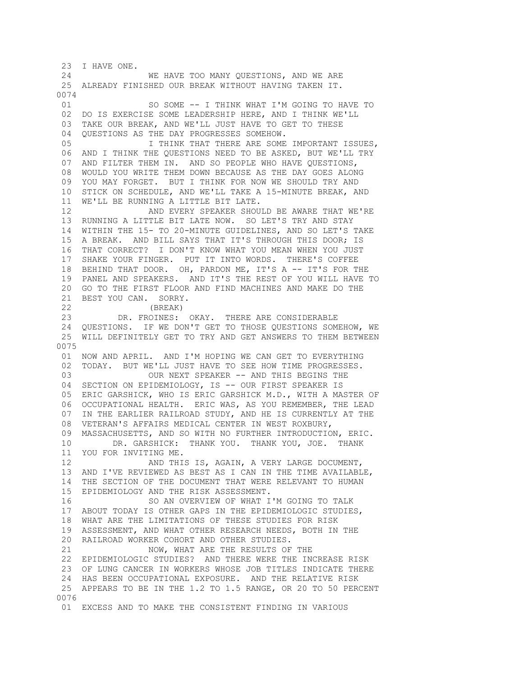23 I HAVE ONE. 24 WE HAVE TOO MANY QUESTIONS, AND WE ARE 25 ALREADY FINISHED OUR BREAK WITHOUT HAVING TAKEN IT. 0074 01 SO SOME -- I THINK WHAT I'M GOING TO HAVE TO 02 DO IS EXERCISE SOME LEADERSHIP HERE, AND I THINK WE'LL 03 TAKE OUR BREAK, AND WE'LL JUST HAVE TO GET TO THESE 04 QUESTIONS AS THE DAY PROGRESSES SOMEHOW. 05 **I THINK THAT THERE ARE SOME IMPORTANT ISSUES,**  06 AND I THINK THE QUESTIONS NEED TO BE ASKED, BUT WE'LL TRY 07 AND FILTER THEM IN. AND SO PEOPLE WHO HAVE QUESTIONS, 08 WOULD YOU WRITE THEM DOWN BECAUSE AS THE DAY GOES ALONG 09 YOU MAY FORGET. BUT I THINK FOR NOW WE SHOULD TRY AND 10 STICK ON SCHEDULE, AND WE'LL TAKE A 15-MINUTE BREAK, AND 11 WE'LL BE RUNNING A LITTLE BIT LATE. 12 AND EVERY SPEAKER SHOULD BE AWARE THAT WE'RE 13 RUNNING A LITTLE BIT LATE NOW. SO LET'S TRY AND STAY 14 WITHIN THE 15- TO 20-MINUTE GUIDELINES, AND SO LET'S TAKE 15 A BREAK. AND BILL SAYS THAT IT'S THROUGH THIS DOOR; IS 16 THAT CORRECT? I DON'T KNOW WHAT YOU MEAN WHEN YOU JUST 17 SHAKE YOUR FINGER. PUT IT INTO WORDS. THERE'S COFFEE 18 BEHIND THAT DOOR. OH, PARDON ME, IT'S A -- IT'S FOR THE 19 PANEL AND SPEAKERS. AND IT'S THE REST OF YOU WILL HAVE TO 20 GO TO THE FIRST FLOOR AND FIND MACHINES AND MAKE DO THE 21 BEST YOU CAN. SORRY. 22 (BREAK) 23 DR. FROINES: OKAY. THERE ARE CONSIDERABLE 24 QUESTIONS. IF WE DON'T GET TO THOSE QUESTIONS SOMEHOW, WE 25 WILL DEFINITELY GET TO TRY AND GET ANSWERS TO THEM BETWEEN 0075 01 NOW AND APRIL. AND I'M HOPING WE CAN GET TO EVERYTHING 02 TODAY. BUT WE'LL JUST HAVE TO SEE HOW TIME PROGRESSES. 03 OUR NEXT SPEAKER -- AND THIS BEGINS THE 04 SECTION ON EPIDEMIOLOGY, IS -- OUR FIRST SPEAKER IS 05 ERIC GARSHICK, WHO IS ERIC GARSHICK M.D., WITH A MASTER OF 06 OCCUPATIONAL HEALTH. ERIC WAS, AS YOU REMEMBER, THE LEAD 07 IN THE EARLIER RAILROAD STUDY, AND HE IS CURRENTLY AT THE 08 VETERAN'S AFFAIRS MEDICAL CENTER IN WEST ROXBURY, 09 MASSACHUSETTS, AND SO WITH NO FURTHER INTRODUCTION, ERIC. 10 DR. GARSHICK: THANK YOU. THANK YOU, JOE. THANK 11 YOU FOR INVITING ME. 12 AND THIS IS, AGAIN, A VERY LARGE DOCUMENT, 13 AND I'VE REVIEWED AS BEST AS I CAN IN THE TIME AVAILABLE, 14 THE SECTION OF THE DOCUMENT THAT WERE RELEVANT TO HUMAN 15 EPIDEMIOLOGY AND THE RISK ASSESSMENT. 16 SO AN OVERVIEW OF WHAT I'M GOING TO TALK 17 ABOUT TODAY IS OTHER GAPS IN THE EPIDEMIOLOGIC STUDIES, 18 WHAT ARE THE LIMITATIONS OF THESE STUDIES FOR RISK 19 ASSESSMENT, AND WHAT OTHER RESEARCH NEEDS, BOTH IN THE 20 RAILROAD WORKER COHORT AND OTHER STUDIES. 21 NOW, WHAT ARE THE RESULTS OF THE 22 EPIDEMIOLOGIC STUDIES? AND THERE WERE THE INCREASE RISK 23 OF LUNG CANCER IN WORKERS WHOSE JOB TITLES INDICATE THERE 24 HAS BEEN OCCUPATIONAL EXPOSURE. AND THE RELATIVE RISK 25 APPEARS TO BE IN THE 1.2 TO 1.5 RANGE, OR 20 TO 50 PERCENT 0076 01 EXCESS AND TO MAKE THE CONSISTENT FINDING IN VARIOUS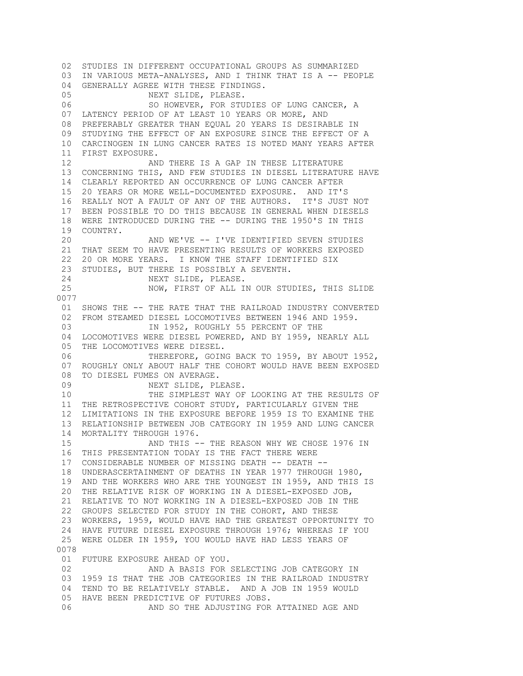02 STUDIES IN DIFFERENT OCCUPATIONAL GROUPS AS SUMMARIZED 03 IN VARIOUS META-ANALYSES, AND I THINK THAT IS A -- PEOPLE 04 GENERALLY AGREE WITH THESE FINDINGS. 05 NEXT SLIDE, PLEASE. 06 SO HOWEVER, FOR STUDIES OF LUNG CANCER, A 07 LATENCY PERIOD OF AT LEAST 10 YEARS OR MORE, AND 08 PREFERABLY GREATER THAN EQUAL 20 YEARS IS DESIRABLE IN 09 STUDYING THE EFFECT OF AN EXPOSURE SINCE THE EFFECT OF A 10 CARCINOGEN IN LUNG CANCER RATES IS NOTED MANY YEARS AFTER 11 FIRST EXPOSURE. 12 AND THERE IS A GAP IN THESE LITERATURE 13 CONCERNING THIS, AND FEW STUDIES IN DIESEL LITERATURE HAVE 14 CLEARLY REPORTED AN OCCURRENCE OF LUNG CANCER AFTER 15 20 YEARS OR MORE WELL-DOCUMENTED EXPOSURE. AND IT'S 16 REALLY NOT A FAULT OF ANY OF THE AUTHORS. IT'S JUST NOT 17 BEEN POSSIBLE TO DO THIS BECAUSE IN GENERAL WHEN DIESELS 18 WERE INTRODUCED DURING THE -- DURING THE 1950'S IN THIS 19 COUNTRY. 20 AND WE'VE -- I'VE IDENTIFIED SEVEN STUDIES 21 THAT SEEM TO HAVE PRESENTING RESULTS OF WORKERS EXPOSED 22 20 OR MORE YEARS. I KNOW THE STAFF IDENTIFIED SIX 23 STUDIES, BUT THERE IS POSSIBLY A SEVENTH. 24 NEXT SLIDE, PLEASE. 25 NOW, FIRST OF ALL IN OUR STUDIES, THIS SLIDE 0077 01 SHOWS THE -- THE RATE THAT THE RAILROAD INDUSTRY CONVERTED 02 FROM STEAMED DIESEL LOCOMOTIVES BETWEEN 1946 AND 1959. 03 **IN 1952, ROUGHLY 55 PERCENT OF THE**  04 LOCOMOTIVES WERE DIESEL POWERED, AND BY 1959, NEARLY ALL 05 THE LOCOMOTIVES WERE DIESEL. 06 THEREFORE, GOING BACK TO 1959, BY ABOUT 1952, 07 ROUGHLY ONLY ABOUT HALF THE COHORT WOULD HAVE BEEN EXPOSED 08 TO DIESEL FUMES ON AVERAGE. 09 NEXT SLIDE, PLEASE. 10 THE SIMPLEST WAY OF LOOKING AT THE RESULTS OF 11 THE RETROSPECTIVE COHORT STUDY, PARTICULARLY GIVEN THE 12 LIMITATIONS IN THE EXPOSURE BEFORE 1959 IS TO EXAMINE THE 13 RELATIONSHIP BETWEEN JOB CATEGORY IN 1959 AND LUNG CANCER 14 MORTALITY THROUGH 1976. 15 AND THIS -- THE REASON WHY WE CHOSE 1976 IN 16 THIS PRESENTATION TODAY IS THE FACT THERE WERE 17 CONSIDERABLE NUMBER OF MISSING DEATH -- DEATH -- 18 UNDERASCERTAINMENT OF DEATHS IN YEAR 1977 THROUGH 1980, 19 AND THE WORKERS WHO ARE THE YOUNGEST IN 1959, AND THIS IS 20 THE RELATIVE RISK OF WORKING IN A DIESEL-EXPOSED JOB, 21 RELATIVE TO NOT WORKING IN A DIESEL-EXPOSED JOB IN THE 22 GROUPS SELECTED FOR STUDY IN THE COHORT, AND THESE 23 WORKERS, 1959, WOULD HAVE HAD THE GREATEST OPPORTUNITY TO 24 HAVE FUTURE DIESEL EXPOSURE THROUGH 1976; WHEREAS IF YOU 25 WERE OLDER IN 1959, YOU WOULD HAVE HAD LESS YEARS OF 0078 01 FUTURE EXPOSURE AHEAD OF YOU. 02 AND A BASIS FOR SELECTING JOB CATEGORY IN 03 1959 IS THAT THE JOB CATEGORIES IN THE RAILROAD INDUSTRY 04 TEND TO BE RELATIVELY STABLE. AND A JOB IN 1959 WOULD 05 HAVE BEEN PREDICTIVE OF FUTURES JOBS. 06 AND SO THE ADJUSTING FOR ATTAINED AGE AND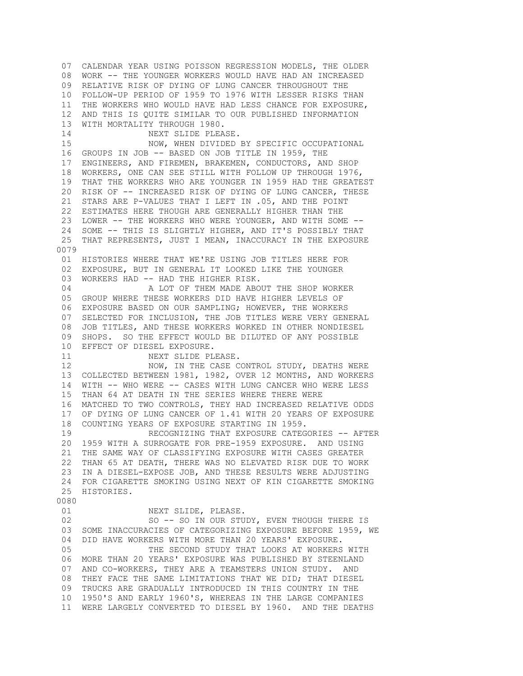07 CALENDAR YEAR USING POISSON REGRESSION MODELS, THE OLDER 08 WORK -- THE YOUNGER WORKERS WOULD HAVE HAD AN INCREASED 09 RELATIVE RISK OF DYING OF LUNG CANCER THROUGHOUT THE 10 FOLLOW-UP PERIOD OF 1959 TO 1976 WITH LESSER RISKS THAN 11 THE WORKERS WHO WOULD HAVE HAD LESS CHANCE FOR EXPOSURE, 12 AND THIS IS QUITE SIMILAR TO OUR PUBLISHED INFORMATION 13 WITH MORTALITY THROUGH 1980. 14 NEXT SLIDE PLEASE. 15 NOW, WHEN DIVIDED BY SPECIFIC OCCUPATIONAL 16 GROUPS IN JOB -- BASED ON JOB TITLE IN 1959, THE 17 ENGINEERS, AND FIREMEN, BRAKEMEN, CONDUCTORS, AND SHOP 18 WORKERS, ONE CAN SEE STILL WITH FOLLOW UP THROUGH 1976, 19 THAT THE WORKERS WHO ARE YOUNGER IN 1959 HAD THE GREATEST 20 RISK OF -- INCREASED RISK OF DYING OF LUNG CANCER, THESE 21 STARS ARE P-VALUES THAT I LEFT IN .05, AND THE POINT 22 ESTIMATES HERE THOUGH ARE GENERALLY HIGHER THAN THE 23 LOWER -- THE WORKERS WHO WERE YOUNGER, AND WITH SOME -- 24 SOME -- THIS IS SLIGHTLY HIGHER, AND IT'S POSSIBLY THAT 25 THAT REPRESENTS, JUST I MEAN, INACCURACY IN THE EXPOSURE 0079 01 HISTORIES WHERE THAT WE'RE USING JOB TITLES HERE FOR 02 EXPOSURE, BUT IN GENERAL IT LOOKED LIKE THE YOUNGER 03 WORKERS HAD -- HAD THE HIGHER RISK. 04 A LOT OF THEM MADE ABOUT THE SHOP WORKER 05 GROUP WHERE THESE WORKERS DID HAVE HIGHER LEVELS OF 06 EXPOSURE BASED ON OUR SAMPLING; HOWEVER, THE WORKERS 07 SELECTED FOR INCLUSION, THE JOB TITLES WERE VERY GENERAL 08 JOB TITLES, AND THESE WORKERS WORKED IN OTHER NONDIESEL 09 SHOPS. SO THE EFFECT WOULD BE DILUTED OF ANY POSSIBLE 10 EFFECT OF DIESEL EXPOSURE. 11 NEXT SLIDE PLEASE.<br>12 NOW, IN THE CASE C NOW, IN THE CASE CONTROL STUDY, DEATHS WERE 13 COLLECTED BETWEEN 1981, 1982, OVER 12 MONTHS, AND WORKERS 14 WITH -- WHO WERE -- CASES WITH LUNG CANCER WHO WERE LESS 15 THAN 64 AT DEATH IN THE SERIES WHERE THERE WERE 16 MATCHED TO TWO CONTROLS, THEY HAD INCREASED RELATIVE ODDS 17 OF DYING OF LUNG CANCER OF 1.41 WITH 20 YEARS OF EXPOSURE 18 COUNTING YEARS OF EXPOSURE STARTING IN 1959. 19 RECOGNIZING THAT EXPOSURE CATEGORIES -- AFTER 20 1959 WITH A SURROGATE FOR PRE-1959 EXPOSURE. AND USING 21 THE SAME WAY OF CLASSIFYING EXPOSURE WITH CASES GREATER 22 THAN 65 AT DEATH, THERE WAS NO ELEVATED RISK DUE TO WORK 23 IN A DIESEL-EXPOSE JOB, AND THESE RESULTS WERE ADJUSTING 24 FOR CIGARETTE SMOKING USING NEXT OF KIN CIGARETTE SMOKING 25 HISTORIES. 0080 01 NEXT SLIDE, PLEASE. 02 SO -- SO IN OUR STUDY, EVEN THOUGH THERE IS 03 SOME INACCURACIES OF CATEGORIZING EXPOSURE BEFORE 1959, WE 04 DID HAVE WORKERS WITH MORE THAN 20 YEARS' EXPOSURE. 05 THE SECOND STUDY THAT LOOKS AT WORKERS WITH 06 MORE THAN 20 YEARS' EXPOSURE WAS PUBLISHED BY STEENLAND 07 AND CO-WORKERS, THEY ARE A TEAMSTERS UNION STUDY. AND 08 THEY FACE THE SAME LIMITATIONS THAT WE DID; THAT DIESEL 09 TRUCKS ARE GRADUALLY INTRODUCED IN THIS COUNTRY IN THE 10 1950'S AND EARLY 1960'S, WHEREAS IN THE LARGE COMPANIES 11 WERE LARGELY CONVERTED TO DIESEL BY 1960. AND THE DEATHS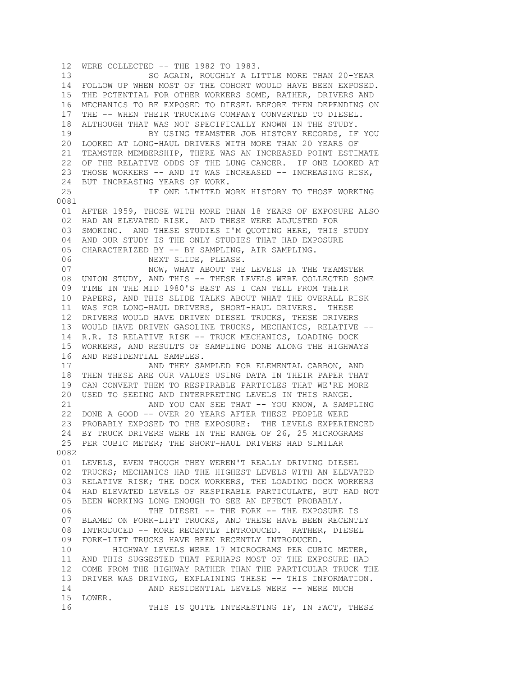12 WERE COLLECTED -- THE 1982 TO 1983. 13 SO AGAIN, ROUGHLY A LITTLE MORE THAN 20-YEAR 14 FOLLOW UP WHEN MOST OF THE COHORT WOULD HAVE BEEN EXPOSED. 15 THE POTENTIAL FOR OTHER WORKERS SOME, RATHER, DRIVERS AND 16 MECHANICS TO BE EXPOSED TO DIESEL BEFORE THEN DEPENDING ON 17 THE -- WHEN THEIR TRUCKING COMPANY CONVERTED TO DIESEL. 18 ALTHOUGH THAT WAS NOT SPECIFICALLY KNOWN IN THE STUDY. 19 BY USING TEAMSTER JOB HISTORY RECORDS, IF YOU 20 LOOKED AT LONG-HAUL DRIVERS WITH MORE THAN 20 YEARS OF 21 TEAMSTER MEMBERSHIP, THERE WAS AN INCREASED POINT ESTIMATE 22 OF THE RELATIVE ODDS OF THE LUNG CANCER. IF ONE LOOKED AT 23 THOSE WORKERS -- AND IT WAS INCREASED -- INCREASING RISK, 24 BUT INCREASING YEARS OF WORK. 25 IF ONE LIMITED WORK HISTORY TO THOSE WORKING 0081 01 AFTER 1959, THOSE WITH MORE THAN 18 YEARS OF EXPOSURE ALSO 02 HAD AN ELEVATED RISK. AND THESE WERE ADJUSTED FOR 03 SMOKING. AND THESE STUDIES I'M QUOTING HERE, THIS STUDY 04 AND OUR STUDY IS THE ONLY STUDIES THAT HAD EXPOSURE 05 CHARACTERIZED BY -- BY SAMPLING, AIR SAMPLING. 06 NEXT SLIDE, PLEASE. 07 NOW, WHAT ABOUT THE LEVELS IN THE TEAMSTER 08 UNION STUDY, AND THIS -- THESE LEVELS WERE COLLECTED SOME 09 TIME IN THE MID 1980'S BEST AS I CAN TELL FROM THEIR 10 PAPERS, AND THIS SLIDE TALKS ABOUT WHAT THE OVERALL RISK 11 WAS FOR LONG-HAUL DRIVERS, SHORT-HAUL DRIVERS. THESE 12 DRIVERS WOULD HAVE DRIVEN DIESEL TRUCKS, THESE DRIVERS 13 WOULD HAVE DRIVEN GASOLINE TRUCKS, MECHANICS, RELATIVE -- 14 R.R. IS RELATIVE RISK -- TRUCK MECHANICS, LOADING DOCK 15 WORKERS, AND RESULTS OF SAMPLING DONE ALONG THE HIGHWAYS 16 AND RESIDENTIAL SAMPLES.<br>17 AND THEY SA AND THEY SAMPLED FOR ELEMENTAL CARBON, AND 18 THEN THESE ARE OUR VALUES USING DATA IN THEIR PAPER THAT 19 CAN CONVERT THEM TO RESPIRABLE PARTICLES THAT WE'RE MORE 20 USED TO SEEING AND INTERPRETING LEVELS IN THIS RANGE. 21 AND YOU CAN SEE THAT -- YOU KNOW, A SAMPLING 22 DONE A GOOD -- OVER 20 YEARS AFTER THESE PEOPLE WERE 23 PROBABLY EXPOSED TO THE EXPOSURE: THE LEVELS EXPERIENCED 24 BY TRUCK DRIVERS WERE IN THE RANGE OF 26, 25 MICROGRAMS 25 PER CUBIC METER; THE SHORT-HAUL DRIVERS HAD SIMILAR 0082 01 LEVELS, EVEN THOUGH THEY WEREN'T REALLY DRIVING DIESEL 02 TRUCKS; MECHANICS HAD THE HIGHEST LEVELS WITH AN ELEVATED 03 RELATIVE RISK; THE DOCK WORKERS, THE LOADING DOCK WORKERS 04 HAD ELEVATED LEVELS OF RESPIRABLE PARTICULATE, BUT HAD NOT 05 BEEN WORKING LONG ENOUGH TO SEE AN EFFECT PROBABLY. 06 THE DIESEL -- THE FORK -- THE EXPOSURE IS 07 BLAMED ON FORK-LIFT TRUCKS, AND THESE HAVE BEEN RECENTLY 08 INTRODUCED -- MORE RECENTLY INTRODUCED. RATHER, DIESEL 09 FORK-LIFT TRUCKS HAVE BEEN RECENTLY INTRODUCED. 10 HIGHWAY LEVELS WERE 17 MICROGRAMS PER CUBIC METER, 11 AND THIS SUGGESTED THAT PERHAPS MOST OF THE EXPOSURE HAD 12 COME FROM THE HIGHWAY RATHER THAN THE PARTICULAR TRUCK THE 13 DRIVER WAS DRIVING, EXPLAINING THESE -- THIS INFORMATION. 14 **AND RESIDENTIAL LEVELS WERE -- WERE MUCH**  15 LOWER. 16 THIS IS QUITE INTERESTING IF, IN FACT, THESE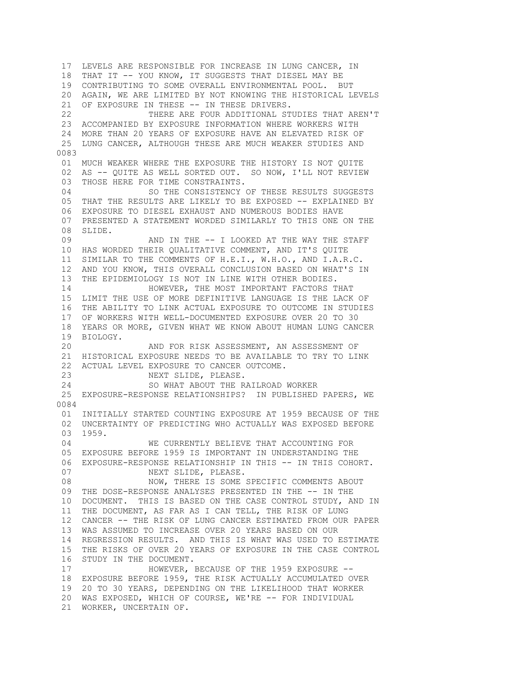17 LEVELS ARE RESPONSIBLE FOR INCREASE IN LUNG CANCER, IN 18 THAT IT -- YOU KNOW, IT SUGGESTS THAT DIESEL MAY BE 19 CONTRIBUTING TO SOME OVERALL ENVIRONMENTAL POOL. BUT 20 AGAIN, WE ARE LIMITED BY NOT KNOWING THE HISTORICAL LEVELS 21 OF EXPOSURE IN THESE -- IN THESE DRIVERS. 22 THERE ARE FOUR ADDITIONAL STUDIES THAT AREN'T 23 ACCOMPANIED BY EXPOSURE INFORMATION WHERE WORKERS WITH 24 MORE THAN 20 YEARS OF EXPOSURE HAVE AN ELEVATED RISK OF 25 LUNG CANCER, ALTHOUGH THESE ARE MUCH WEAKER STUDIES AND 0083 01 MUCH WEAKER WHERE THE EXPOSURE THE HISTORY IS NOT QUITE 02 AS -- QUITE AS WELL SORTED OUT. SO NOW, I'LL NOT REVIEW 03 THOSE HERE FOR TIME CONSTRAINTS. 04 SO THE CONSISTENCY OF THESE RESULTS SUGGESTS 05 THAT THE RESULTS ARE LIKELY TO BE EXPOSED -- EXPLAINED BY 06 EXPOSURE TO DIESEL EXHAUST AND NUMEROUS BODIES HAVE 07 PRESENTED A STATEMENT WORDED SIMILARLY TO THIS ONE ON THE 08 SLIDE.<br>09 AND IN THE -- I LOOKED AT THE WAY THE STAFF 10 HAS WORDED THEIR QUALITATIVE COMMENT, AND IT'S QUITE 11 SIMILAR TO THE COMMENTS OF H.E.I., W.H.O., AND I.A.R.C. 12 AND YOU KNOW, THIS OVERALL CONCLUSION BASED ON WHAT'S IN 13 THE EPIDEMIOLOGY IS NOT IN LINE WITH OTHER BODIES. 14 **HOWEVER, THE MOST IMPORTANT FACTORS THAT**  15 LIMIT THE USE OF MORE DEFINITIVE LANGUAGE IS THE LACK OF 16 THE ABILITY TO LINK ACTUAL EXPOSURE TO OUTCOME IN STUDIES 17 OF WORKERS WITH WELL-DOCUMENTED EXPOSURE OVER 20 TO 30 18 YEARS OR MORE, GIVEN WHAT WE KNOW ABOUT HUMAN LUNG CANCER 19 BIOLOGY. 20 AND FOR RISK ASSESSMENT, AN ASSESSMENT OF 21 HISTORICAL EXPOSURE NEEDS TO BE AVAILABLE TO TRY TO LINK 22 ACTUAL LEVEL EXPOSURE TO CANCER OUTCOME. 23 NEXT SLIDE, PLEASE. 24 SO WHAT ABOUT THE RAILROAD WORKER 25 EXPOSURE-RESPONSE RELATIONSHIPS? IN PUBLISHED PAPERS, WE 0084 01 INITIALLY STARTED COUNTING EXPOSURE AT 1959 BECAUSE OF THE 02 UNCERTAINTY OF PREDICTING WHO ACTUALLY WAS EXPOSED BEFORE 03 1959. 04 WE CURRENTLY BELIEVE THAT ACCOUNTING FOR 05 EXPOSURE BEFORE 1959 IS IMPORTANT IN UNDERSTANDING THE 06 EXPOSURE-RESPONSE RELATIONSHIP IN THIS -- IN THIS COHORT. 07 NEXT SLIDE, PLEASE. 08 NOW, THERE IS SOME SPECIFIC COMMENTS ABOUT 09 THE DOSE-RESPONSE ANALYSES PRESENTED IN THE -- IN THE 10 DOCUMENT. THIS IS BASED ON THE CASE CONTROL STUDY, AND IN 11 THE DOCUMENT, AS FAR AS I CAN TELL, THE RISK OF LUNG 12 CANCER -- THE RISK OF LUNG CANCER ESTIMATED FROM OUR PAPER 13 WAS ASSUMED TO INCREASE OVER 20 YEARS BASED ON OUR 14 REGRESSION RESULTS. AND THIS IS WHAT WAS USED TO ESTIMATE 15 THE RISKS OF OVER 20 YEARS OF EXPOSURE IN THE CASE CONTROL 16 STUDY IN THE DOCUMENT. 17 HOWEVER, BECAUSE OF THE 1959 EXPOSURE -- 18 EXPOSURE BEFORE 1959, THE RISK ACTUALLY ACCUMULATED OVER 19 20 TO 30 YEARS, DEPENDING ON THE LIKELIHOOD THAT WORKER 20 WAS EXPOSED, WHICH OF COURSE, WE'RE -- FOR INDIVIDUAL 21 WORKER, UNCERTAIN OF.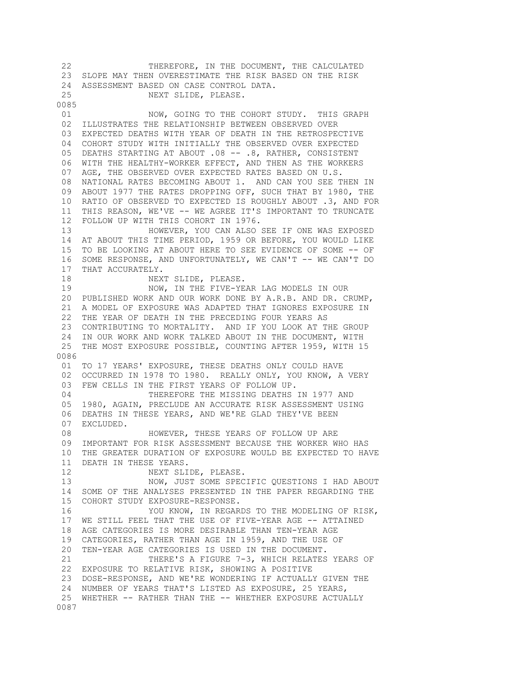22 THEREFORE, IN THE DOCUMENT, THE CALCULATED 23 SLOPE MAY THEN OVERESTIMATE THE RISK BASED ON THE RISK 24 ASSESSMENT BASED ON CASE CONTROL DATA. 25 NEXT SLIDE, PLEASE. 0085 01 NOW, GOING TO THE COHORT STUDY. THIS GRAPH 02 ILLUSTRATES THE RELATIONSHIP BETWEEN OBSERVED OVER 03 EXPECTED DEATHS WITH YEAR OF DEATH IN THE RETROSPECTIVE 04 COHORT STUDY WITH INITIALLY THE OBSERVED OVER EXPECTED 05 DEATHS STARTING AT ABOUT .08 -- .8, RATHER, CONSISTENT 06 WITH THE HEALTHY-WORKER EFFECT, AND THEN AS THE WORKERS 07 AGE, THE OBSERVED OVER EXPECTED RATES BASED ON U.S. 08 NATIONAL RATES BECOMING ABOUT 1. AND CAN YOU SEE THEN IN 09 ABOUT 1977 THE RATES DROPPING OFF, SUCH THAT BY 1980, THE 10 RATIO OF OBSERVED TO EXPECTED IS ROUGHLY ABOUT .3, AND FOR 11 THIS REASON, WE'VE -- WE AGREE IT'S IMPORTANT TO TRUNCATE 12 FOLLOW UP WITH THIS COHORT IN 1976. 13 HOWEVER, YOU CAN ALSO SEE IF ONE WAS EXPOSED 14 AT ABOUT THIS TIME PERIOD, 1959 OR BEFORE, YOU WOULD LIKE 15 TO BE LOOKING AT ABOUT HERE TO SEE EVIDENCE OF SOME -- OF 16 SOME RESPONSE, AND UNFORTUNATELY, WE CAN'T -- WE CAN'T DO 17 THAT ACCURATELY. 18 NEXT SLIDE, PLEASE. 19 NOW, IN THE FIVE-YEAR LAG MODELS IN OUR 20 PUBLISHED WORK AND OUR WORK DONE BY A.R.B. AND DR. CRUMP, 21 A MODEL OF EXPOSURE WAS ADAPTED THAT IGNORES EXPOSURE IN 22 THE YEAR OF DEATH IN THE PRECEDING FOUR YEARS AS 23 CONTRIBUTING TO MORTALITY. AND IF YOU LOOK AT THE GROUP 24 IN OUR WORK AND WORK TALKED ABOUT IN THE DOCUMENT, WITH 25 THE MOST EXPOSURE POSSIBLE, COUNTING AFTER 1959, WITH 15 0086 01 TO 17 YEARS' EXPOSURE, THESE DEATHS ONLY COULD HAVE 02 OCCURRED IN 1978 TO 1980. REALLY ONLY, YOU KNOW, A VERY 03 FEW CELLS IN THE FIRST YEARS OF FOLLOW UP. 04 THEREFORE THE MISSING DEATHS IN 1977 AND 05 1980, AGAIN, PRECLUDE AN ACCURATE RISK ASSESSMENT USING 06 DEATHS IN THESE YEARS, AND WE'RE GLAD THEY'VE BEEN 07 EXCLUDED. 08 HOWEVER, THESE YEARS OF FOLLOW UP ARE 09 IMPORTANT FOR RISK ASSESSMENT BECAUSE THE WORKER WHO HAS 10 THE GREATER DURATION OF EXPOSURE WOULD BE EXPECTED TO HAVE 11 DEATH IN THESE YEARS. 12 NEXT SLIDE, PLEASE. 13 NOW, JUST SOME SPECIFIC QUESTIONS I HAD ABOUT 14 SOME OF THE ANALYSES PRESENTED IN THE PAPER REGARDING THE 15 COHORT STUDY EXPOSURE-RESPONSE. 16 YOU KNOW, IN REGARDS TO THE MODELING OF RISK, 17 WE STILL FEEL THAT THE USE OF FIVE-YEAR AGE -- ATTAINED 18 AGE CATEGORIES IS MORE DESIRABLE THAN TEN-YEAR AGE 19 CATEGORIES, RATHER THAN AGE IN 1959, AND THE USE OF 20 TEN-YEAR AGE CATEGORIES IS USED IN THE DOCUMENT. 21 THERE'S A FIGURE 7-3, WHICH RELATES YEARS OF 22 EXPOSURE TO RELATIVE RISK, SHOWING A POSITIVE 23 DOSE-RESPONSE, AND WE'RE WONDERING IF ACTUALLY GIVEN THE 24 NUMBER OF YEARS THAT'S LISTED AS EXPOSURE, 25 YEARS, 25 WHETHER -- RATHER THAN THE -- WHETHER EXPOSURE ACTUALLY 0087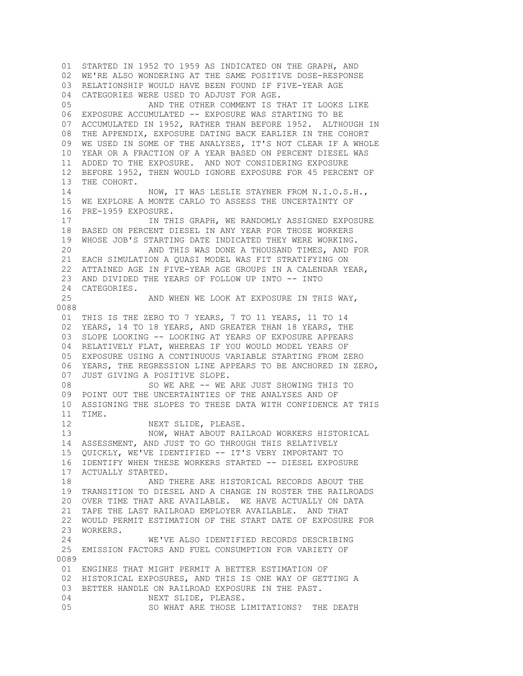01 STARTED IN 1952 TO 1959 AS INDICATED ON THE GRAPH, AND 02 WE'RE ALSO WONDERING AT THE SAME POSITIVE DOSE-RESPONSE 03 RELATIONSHIP WOULD HAVE BEEN FOUND IF FIVE-YEAR AGE 04 CATEGORIES WERE USED TO ADJUST FOR AGE. 05 AND THE OTHER COMMENT IS THAT IT LOOKS LIKE 06 EXPOSURE ACCUMULATED -- EXPOSURE WAS STARTING TO BE 07 ACCUMULATED IN 1952, RATHER THAN BEFORE 1952. ALTHOUGH IN 08 THE APPENDIX, EXPOSURE DATING BACK EARLIER IN THE COHORT 09 WE USED IN SOME OF THE ANALYSES, IT'S NOT CLEAR IF A WHOLE 10 YEAR OR A FRACTION OF A YEAR BASED ON PERCENT DIESEL WAS 11 ADDED TO THE EXPOSURE. AND NOT CONSIDERING EXPOSURE 12 BEFORE 1952, THEN WOULD IGNORE EXPOSURE FOR 45 PERCENT OF 13 THE COHORT. 14 NOW, IT WAS LESLIE STAYNER FROM N.I.O.S.H., 15 WE EXPLORE A MONTE CARLO TO ASSESS THE UNCERTAINTY OF 16 PRE-1959 EXPOSURE. 17 **IN THIS GRAPH, WE RANDOMLY ASSIGNED EXPOSURE**  18 BASED ON PERCENT DIESEL IN ANY YEAR FOR THOSE WORKERS 19 WHOSE JOB'S STARTING DATE INDICATED THEY WERE WORKING. 20 AND THIS WAS DONE A THOUSAND TIMES, AND FOR 21 EACH SIMULATION A QUASI MODEL WAS FIT STRATIFYING ON 22 ATTAINED AGE IN FIVE-YEAR AGE GROUPS IN A CALENDAR YEAR, 23 AND DIVIDED THE YEARS OF FOLLOW UP INTO -- INTO 24 CATEGORIES. 25 AND WHEN WE LOOK AT EXPOSURE IN THIS WAY, 0088 01 THIS IS THE ZERO TO 7 YEARS, 7 TO 11 YEARS, 11 TO 14 02 YEARS, 14 TO 18 YEARS, AND GREATER THAN 18 YEARS, THE 03 SLOPE LOOKING -- LOOKING AT YEARS OF EXPOSURE APPEARS 04 RELATIVELY FLAT, WHEREAS IF YOU WOULD MODEL YEARS OF 05 EXPOSURE USING A CONTINUOUS VARIABLE STARTING FROM ZERO 06 YEARS, THE REGRESSION LINE APPEARS TO BE ANCHORED IN ZERO, 07 JUST GIVING A POSITIVE SLOPE. 08 SO WE ARE -- WE ARE JUST SHOWING THIS TO 09 POINT OUT THE UNCERTAINTIES OF THE ANALYSES AND OF 10 ASSIGNING THE SLOPES TO THESE DATA WITH CONFIDENCE AT THIS 11 TIME. 12 NEXT SLIDE, PLEASE. 13 NOW, WHAT ABOUT RAILROAD WORKERS HISTORICAL 14 ASSESSMENT, AND JUST TO GO THROUGH THIS RELATIVELY 15 QUICKLY, WE'VE IDENTIFIED -- IT'S VERY IMPORTANT TO 16 IDENTIFY WHEN THESE WORKERS STARTED -- DIESEL EXPOSURE 17 ACTUALLY STARTED. 18 AND THERE ARE HISTORICAL RECORDS ABOUT THE 19 TRANSITION TO DIESEL AND A CHANGE IN ROSTER THE RAILROADS 20 OVER TIME THAT ARE AVAILABLE. WE HAVE ACTUALLY ON DATA 21 TAPE THE LAST RAILROAD EMPLOYER AVAILABLE. AND THAT 22 WOULD PERMIT ESTIMATION OF THE START DATE OF EXPOSURE FOR 23 WORKERS. 24 WE'VE ALSO IDENTIFIED RECORDS DESCRIBING 25 EMISSION FACTORS AND FUEL CONSUMPTION FOR VARIETY OF 0089 01 ENGINES THAT MIGHT PERMIT A BETTER ESTIMATION OF 02 HISTORICAL EXPOSURES, AND THIS IS ONE WAY OF GETTING A 03 BETTER HANDLE ON RAILROAD EXPOSURE IN THE PAST. 04 NEXT SLIDE, PLEASE. 05 SO WHAT ARE THOSE LIMITATIONS? THE DEATH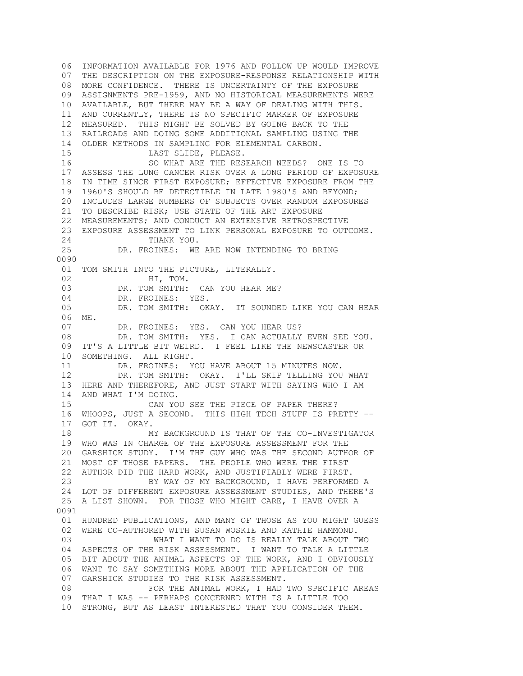06 INFORMATION AVAILABLE FOR 1976 AND FOLLOW UP WOULD IMPROVE 07 THE DESCRIPTION ON THE EXPOSURE-RESPONSE RELATIONSHIP WITH 08 MORE CONFIDENCE. THERE IS UNCERTAINTY OF THE EXPOSURE 09 ASSIGNMENTS PRE-1959, AND NO HISTORICAL MEASUREMENTS WERE 10 AVAILABLE, BUT THERE MAY BE A WAY OF DEALING WITH THIS. 11 AND CURRENTLY, THERE IS NO SPECIFIC MARKER OF EXPOSURE 12 MEASURED. THIS MIGHT BE SOLVED BY GOING BACK TO THE 13 RAILROADS AND DOING SOME ADDITIONAL SAMPLING USING THE 14 OLDER METHODS IN SAMPLING FOR ELEMENTAL CARBON. 15 LAST SLIDE, PLEASE. 16 SO WHAT ARE THE RESEARCH NEEDS? ONE IS TO 17 ASSESS THE LUNG CANCER RISK OVER A LONG PERIOD OF EXPOSURE 18 IN TIME SINCE FIRST EXPOSURE; EFFECTIVE EXPOSURE FROM THE 19 1960'S SHOULD BE DETECTIBLE IN LATE 1980'S AND BEYOND; 20 INCLUDES LARGE NUMBERS OF SUBJECTS OVER RANDOM EXPOSURES 21 TO DESCRIBE RISK; USE STATE OF THE ART EXPOSURE 22 MEASUREMENTS; AND CONDUCT AN EXTENSIVE RETROSPECTIVE 23 EXPOSURE ASSESSMENT TO LINK PERSONAL EXPOSURE TO OUTCOME. 24 THANK YOU. 25 DR. FROINES: WE ARE NOW INTENDING TO BRING 0090 01 TOM SMITH INTO THE PICTURE, LITERALLY. 02 HI, TOM. 03 DR. TOM SMITH: CAN YOU HEAR ME? 04 DR. FROINES: YES. 05 DR. TOM SMITH: OKAY. IT SOUNDED LIKE YOU CAN HEAR 06 ME. 07 DR. FROINES: YES. CAN YOU HEAR US? 08 DR. TOM SMITH: YES. I CAN ACTUALLY EVEN SEE YOU. 09 IT'S A LITTLE BIT WEIRD. I FEEL LIKE THE NEWSCASTER OR 10 SOMETHING. ALL RIGHT.<br>11 DR. FROINES: Y DR. FROINES: YOU HAVE ABOUT 15 MINUTES NOW. 12 DR. TOM SMITH: OKAY. I'LL SKIP TELLING YOU WHAT 13 HERE AND THEREFORE, AND JUST START WITH SAYING WHO I AM 14 AND WHAT I'M DOING. 15 CAN YOU SEE THE PIECE OF PAPER THERE? 16 WHOOPS, JUST A SECOND. THIS HIGH TECH STUFF IS PRETTY -- 17 GOT IT. OKAY. 18 MY BACKGROUND IS THAT OF THE CO-INVESTIGATOR 19 WHO WAS IN CHARGE OF THE EXPOSURE ASSESSMENT FOR THE 20 GARSHICK STUDY. I'M THE GUY WHO WAS THE SECOND AUTHOR OF 21 MOST OF THOSE PAPERS. THE PEOPLE WHO WERE THE FIRST 22 AUTHOR DID THE HARD WORK, AND JUSTIFIABLY WERE FIRST. 23 BY WAY OF MY BACKGROUND, I HAVE PERFORMED A 24 LOT OF DIFFERENT EXPOSURE ASSESSMENT STUDIES, AND THERE'S 25 A LIST SHOWN. FOR THOSE WHO MIGHT CARE, I HAVE OVER A 0091 01 HUNDRED PUBLICATIONS, AND MANY OF THOSE AS YOU MIGHT GUESS 02 WERE CO-AUTHORED WITH SUSAN WOSKIE AND KATHIE HAMMOND. 03 WHAT I WANT TO DO IS REALLY TALK ABOUT TWO 04 ASPECTS OF THE RISK ASSESSMENT. I WANT TO TALK A LITTLE 05 BIT ABOUT THE ANIMAL ASPECTS OF THE WORK, AND I OBVIOUSLY 06 WANT TO SAY SOMETHING MORE ABOUT THE APPLICATION OF THE 07 GARSHICK STUDIES TO THE RISK ASSESSMENT. 08 **FOR THE ANIMAL WORK, I HAD TWO SPECIFIC AREAS**  09 THAT I WAS -- PERHAPS CONCERNED WITH IS A LITTLE TOO 10 STRONG, BUT AS LEAST INTERESTED THAT YOU CONSIDER THEM.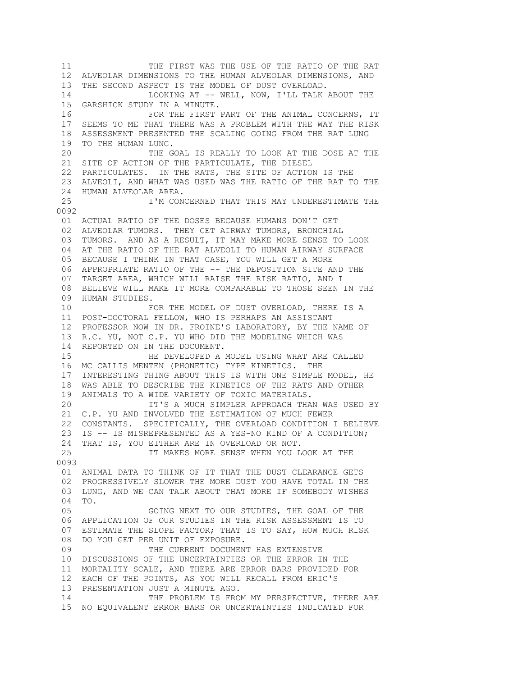11 THE FIRST WAS THE USE OF THE RATIO OF THE RAT 12 ALVEOLAR DIMENSIONS TO THE HUMAN ALVEOLAR DIMENSIONS, AND 13 THE SECOND ASPECT IS THE MODEL OF DUST OVERLOAD. 14 LOOKING AT -- WELL, NOW, I'LL TALK ABOUT THE 15 GARSHICK STUDY IN A MINUTE. 16 FOR THE FIRST PART OF THE ANIMAL CONCERNS, IT 17 SEEMS TO ME THAT THERE WAS A PROBLEM WITH THE WAY THE RISK 18 ASSESSMENT PRESENTED THE SCALING GOING FROM THE RAT LUNG 19 TO THE HUMAN LUNG. 20 THE GOAL IS REALLY TO LOOK AT THE DOSE AT THE 21 SITE OF ACTION OF THE PARTICULATE, THE DIESEL 22 PARTICULATES. IN THE RATS, THE SITE OF ACTION IS THE 23 ALVEOLI, AND WHAT WAS USED WAS THE RATIO OF THE RAT TO THE 24 HUMAN ALVEOLAR AREA.<br>25 T'M CON I'M CONCERNED THAT THIS MAY UNDERESTIMATE THE 0092 01 ACTUAL RATIO OF THE DOSES BECAUSE HUMANS DON'T GET 02 ALVEOLAR TUMORS. THEY GET AIRWAY TUMORS, BRONCHIAL 03 TUMORS. AND AS A RESULT, IT MAY MAKE MORE SENSE TO LOOK 04 AT THE RATIO OF THE RAT ALVEOLI TO HUMAN AIRWAY SURFACE 05 BECAUSE I THINK IN THAT CASE, YOU WILL GET A MORE 06 APPROPRIATE RATIO OF THE -- THE DEPOSITION SITE AND THE 07 TARGET AREA, WHICH WILL RAISE THE RISK RATIO, AND I 08 BELIEVE WILL MAKE IT MORE COMPARABLE TO THOSE SEEN IN THE 09 HUMAN STUDIES. 10 **FOR THE MODEL OF DUST OVERLOAD, THERE IS A**  11 POST-DOCTORAL FELLOW, WHO IS PERHAPS AN ASSISTANT 12 PROFESSOR NOW IN DR. FROINE'S LABORATORY, BY THE NAME OF 13 R.C. YU, NOT C.P. YU WHO DID THE MODELING WHICH WAS 14 REPORTED ON IN THE DOCUMENT. 15 HE DEVELOPED A MODEL USING WHAT ARE CALLED 16 MC CALLIS MENTEN (PHONETIC) TYPE KINETICS. THE 17 INTERESTING THING ABOUT THIS IS WITH ONE SIMPLE MODEL, HE 18 WAS ABLE TO DESCRIBE THE KINETICS OF THE RATS AND OTHER 19 ANIMALS TO A WIDE VARIETY OF TOXIC MATERIALS. 20 IT'S A MUCH SIMPLER APPROACH THAN WAS USED BY 21 C.P. YU AND INVOLVED THE ESTIMATION OF MUCH FEWER 22 CONSTANTS. SPECIFICALLY, THE OVERLOAD CONDITION I BELIEVE 23 IS -- IS MISREPRESENTED AS A YES-NO KIND OF A CONDITION; 24 THAT IS, YOU EITHER ARE IN OVERLOAD OR NOT. 25 IT MAKES MORE SENSE WHEN YOU LOOK AT THE 0093 01 ANIMAL DATA TO THINK OF IT THAT THE DUST CLEARANCE GETS 02 PROGRESSIVELY SLOWER THE MORE DUST YOU HAVE TOTAL IN THE 03 LUNG, AND WE CAN TALK ABOUT THAT MORE IF SOMEBODY WISHES 04 TO. 05 GOING NEXT TO OUR STUDIES, THE GOAL OF THE 06 APPLICATION OF OUR STUDIES IN THE RISK ASSESSMENT IS TO 07 ESTIMATE THE SLOPE FACTOR; THAT IS TO SAY, HOW MUCH RISK 08 DO YOU GET PER UNIT OF EXPOSURE. 09 THE CURRENT DOCUMENT HAS EXTENSIVE 10 DISCUSSIONS OF THE UNCERTAINTIES OR THE ERROR IN THE 11 MORTALITY SCALE, AND THERE ARE ERROR BARS PROVIDED FOR 12 EACH OF THE POINTS, AS YOU WILL RECALL FROM ERIC'S 13 PRESENTATION JUST A MINUTE AGO. 14 THE PROBLEM IS FROM MY PERSPECTIVE, THERE ARE 15 NO EQUIVALENT ERROR BARS OR UNCERTAINTIES INDICATED FOR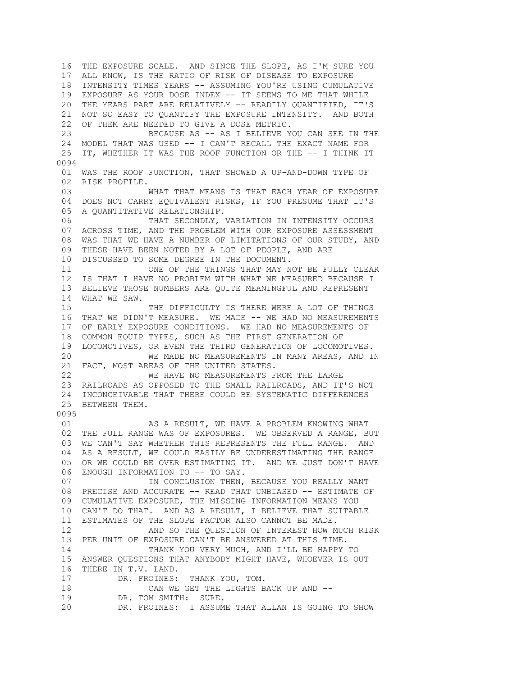16 THE EXPOSURE SCALE. AND SINCE THE SLOPE, AS I'M SURE YOU 17 ALL KNOW, IS THE RATIO OF RISK OF DISEASE TO EXPOSURE 18 INTENSITY TIMES YEARS -- ASSUMING YOU'RE USING CUMULATIVE 19 EXPOSURE AS YOUR DOSE INDEX -- IT SEEMS TO ME THAT WHILE 20 THE YEARS PART ARE RELATIVELY -- READILY QUANTIFIED, IT'S 21 NOT SO EASY TO QUANTIFY THE EXPOSURE INTENSITY. AND BOTH 22 OF THEM ARE NEEDED TO GIVE A DOSE METRIC. 23 BECAUSE AS -- AS I BELIEVE YOU CAN SEE IN THE 24 MODEL THAT WAS USED -- I CAN'T RECALL THE EXACT NAME FOR 25 IT, WHETHER IT WAS THE ROOF FUNCTION OR THE -- I THINK IT 0094 01 WAS THE ROOF FUNCTION, THAT SHOWED A UP-AND-DOWN TYPE OF 02 RISK PROFILE. 03 WHAT THAT MEANS IS THAT EACH YEAR OF EXPOSURE 04 DOES NOT CARRY EQUIVALENT RISKS, IF YOU PRESUME THAT IT'S 05 A QUANTITATIVE RELATIONSHIP. 06 THAT SECONDLY, VARIATION IN INTENSITY OCCURS 07 ACROSS TIME, AND THE PROBLEM WITH OUR EXPOSURE ASSESSMENT 08 WAS THAT WE HAVE A NUMBER OF LIMITATIONS OF OUR STUDY, AND 09 THESE HAVE BEEN NOTED BY A LOT OF PEOPLE, AND ARE 10 DISCUSSED TO SOME DEGREE IN THE DOCUMENT. 11 ONE OF THE THINGS THAT MAY NOT BE FULLY CLEAR 12 IS THAT I HAVE NO PROBLEM WITH WHAT WE MEASURED BECAUSE I 13 BELIEVE THOSE NUMBERS ARE QUITE MEANINGFUL AND REPRESENT 14 WHAT WE SAW. 15 THE DIFFICULTY IS THERE WERE A LOT OF THINGS 16 THAT WE DIDN'T MEASURE. WE MADE -- WE HAD NO MEASUREMENTS 17 OF EARLY EXPOSURE CONDITIONS. WE HAD NO MEASUREMENTS OF 18 COMMON EQUIP TYPES, SUCH AS THE FIRST GENERATION OF 19 LOCOMOTIVES, OR EVEN THE THIRD GENERATION OF LOCOMOTIVES. 20 WE MADE NO MEASUREMENTS IN MANY AREAS, AND IN 21 FACT, MOST AREAS OF THE UNITED STATES. 22 WE HAVE NO MEASUREMENTS FROM THE LARGE 23 RAILROADS AS OPPOSED TO THE SMALL RAILROADS, AND IT'S NOT 24 INCONCEIVABLE THAT THERE COULD BE SYSTEMATIC DIFFERENCES 25 BETWEEN THEM. 0095 01 AS A RESULT, WE HAVE A PROBLEM KNOWING WHAT 02 THE FULL RANGE WAS OF EXPOSURES. WE OBSERVED A RANGE, BUT 03 WE CAN'T SAY WHETHER THIS REPRESENTS THE FULL RANGE. AND 04 AS A RESULT, WE COULD EASILY BE UNDERESTIMATING THE RANGE 05 OR WE COULD BE OVER ESTIMATING IT. AND WE JUST DON'T HAVE 06 ENOUGH INFORMATION TO -- TO SAY. 07 **IN CONCLUSION THEN, BECAUSE YOU REALLY WANT**  08 PRECISE AND ACCURATE -- READ THAT UNBIASED -- ESTIMATE OF 09 CUMULATIVE EXPOSURE, THE MISSING INFORMATION MEANS YOU 10 CAN'T DO THAT. AND AS A RESULT, I BELIEVE THAT SUITABLE 11 ESTIMATES OF THE SLOPE FACTOR ALSO CANNOT BE MADE. 12 AND SO THE QUESTION OF INTEREST HOW MUCH RISK 13 PER UNIT OF EXPOSURE CAN'T BE ANSWERED AT THIS TIME. 14 THANK YOU VERY MUCH, AND I'LL BE HAPPY TO 15 ANSWER QUESTIONS THAT ANYBODY MIGHT HAVE, WHOEVER IS OUT 16 THERE IN T.V. LAND. 17 DR. FROINES: THANK YOU, TOM. 18 CAN WE GET THE LIGHTS BACK UP AND -- 19 DR. TOM SMITH: SURE. 20 DR. FROINES: I ASSUME THAT ALLAN IS GOING TO SHOW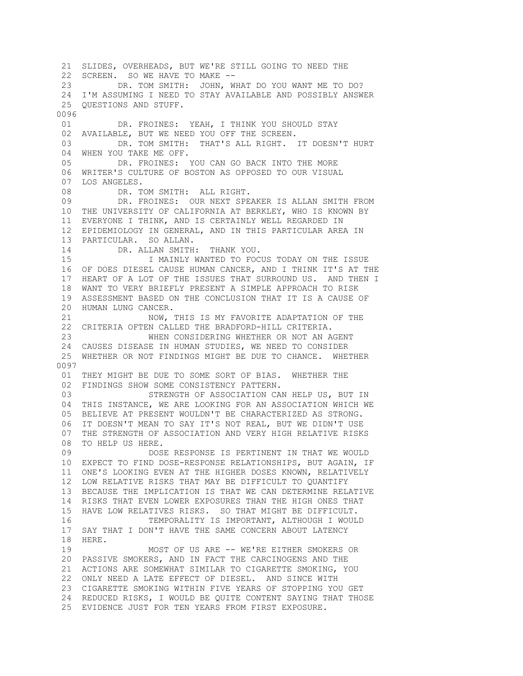21 SLIDES, OVERHEADS, BUT WE'RE STILL GOING TO NEED THE 22 SCREEN. SO WE HAVE TO MAKE -- 23 DR. TOM SMITH: JOHN, WHAT DO YOU WANT ME TO DO? 24 I'M ASSUMING I NEED TO STAY AVAILABLE AND POSSIBLY ANSWER 25 QUESTIONS AND STUFF. 0096 01 DR. FROINES: YEAH, I THINK YOU SHOULD STAY 02 AVAILABLE, BUT WE NEED YOU OFF THE SCREEN. 03 DR. TOM SMITH: THAT'S ALL RIGHT. IT DOESN'T HURT 04 WHEN YOU TAKE ME OFF. 05 DR. FROINES: YOU CAN GO BACK INTO THE MORE 06 WRITER'S CULTURE OF BOSTON AS OPPOSED TO OUR VISUAL 07 LOS ANGELES. 08 DR. TOM SMITH: ALL RIGHT. 09 DR. FROINES: OUR NEXT SPEAKER IS ALLAN SMITH FROM 10 THE UNIVERSITY OF CALIFORNIA AT BERKLEY, WHO IS KNOWN BY 11 EVERYONE I THINK, AND IS CERTAINLY WELL REGARDED IN 12 EPIDEMIOLOGY IN GENERAL, AND IN THIS PARTICULAR AREA IN 13 PARTICULAR. SO ALLAN. 14 DR. ALLAN SMITH: THANK YOU. 15 I MAINLY WANTED TO FOCUS TODAY ON THE ISSUE 16 OF DOES DIESEL CAUSE HUMAN CANCER, AND I THINK IT'S AT THE 17 HEART OF A LOT OF THE ISSUES THAT SURROUND US. AND THEN I 18 WANT TO VERY BRIEFLY PRESENT A SIMPLE APPROACH TO RISK 19 ASSESSMENT BASED ON THE CONCLUSION THAT IT IS A CAUSE OF 20 HUMAN LUNG CANCER. 21 NOW, THIS IS MY FAVORITE ADAPTATION OF THE 22 CRITERIA OFTEN CALLED THE BRADFORD-HILL CRITERIA. 23 WHEN CONSIDERING WHETHER OR NOT AN AGENT 24 CAUSES DISEASE IN HUMAN STUDIES, WE NEED TO CONSIDER 25 WHETHER OR NOT FINDINGS MIGHT BE DUE TO CHANCE. WHETHER 0097 01 THEY MIGHT BE DUE TO SOME SORT OF BIAS. WHETHER THE 02 FINDINGS SHOW SOME CONSISTENCY PATTERN. 03 STRENGTH OF ASSOCIATION CAN HELP US, BUT IN 04 THIS INSTANCE, WE ARE LOOKING FOR AN ASSOCIATION WHICH WE 05 BELIEVE AT PRESENT WOULDN'T BE CHARACTERIZED AS STRONG. 06 IT DOESN'T MEAN TO SAY IT'S NOT REAL, BUT WE DIDN'T USE 07 THE STRENGTH OF ASSOCIATION AND VERY HIGH RELATIVE RISKS 08 TO HELP US HERE. 09 DOSE RESPONSE IS PERTINENT IN THAT WE WOULD 10 EXPECT TO FIND DOSE-RESPONSE RELATIONSHIPS, BUT AGAIN, IF 11 ONE'S LOOKING EVEN AT THE HIGHER DOSES KNOWN, RELATIVELY 12 LOW RELATIVE RISKS THAT MAY BE DIFFICULT TO QUANTIFY 13 BECAUSE THE IMPLICATION IS THAT WE CAN DETERMINE RELATIVE 14 RISKS THAT EVEN LOWER EXPOSURES THAN THE HIGH ONES THAT 15 HAVE LOW RELATIVES RISKS. SO THAT MIGHT BE DIFFICULT. 16 TEMPORALITY IS IMPORTANT, ALTHOUGH I WOULD 17 SAY THAT I DON'T HAVE THE SAME CONCERN ABOUT LATENCY 18 HERE. 19 MOST OF US ARE -- WE'RE EITHER SMOKERS OR 20 PASSIVE SMOKERS, AND IN FACT THE CARCINOGENS AND THE 21 ACTIONS ARE SOMEWHAT SIMILAR TO CIGARETTE SMOKING, YOU 22 ONLY NEED A LATE EFFECT OF DIESEL. AND SINCE WITH 23 CIGARETTE SMOKING WITHIN FIVE YEARS OF STOPPING YOU GET 24 REDUCED RISKS, I WOULD BE QUITE CONTENT SAYING THAT THOSE 25 EVIDENCE JUST FOR TEN YEARS FROM FIRST EXPOSURE.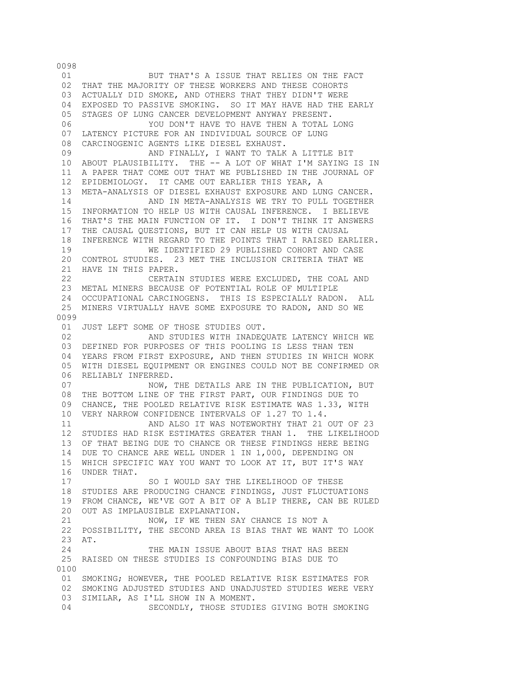01 BUT THAT'S A ISSUE THAT RELIES ON THE FACT 02 THAT THE MAJORITY OF THESE WORKERS AND THESE COHORTS 03 ACTUALLY DID SMOKE, AND OTHERS THAT THEY DIDN'T WERE 04 EXPOSED TO PASSIVE SMOKING. SO IT MAY HAVE HAD THE EARLY 05 STAGES OF LUNG CANCER DEVELOPMENT ANYWAY PRESENT. 06 YOU DON'T HAVE TO HAVE THEN A TOTAL LONG 07 LATENCY PICTURE FOR AN INDIVIDUAL SOURCE OF LUNG 08 CARCINOGENIC AGENTS LIKE DIESEL EXHAUST. 09 AND FINALLY, I WANT TO TALK A LITTLE BIT 10 ABOUT PLAUSIBILITY. THE -- A LOT OF WHAT I'M SAYING IS IN 11 A PAPER THAT COME OUT THAT WE PUBLISHED IN THE JOURNAL OF 12 EPIDEMIOLOGY. IT CAME OUT EARLIER THIS YEAR, A 13 META-ANALYSIS OF DIESEL EXHAUST EXPOSURE AND LUNG CANCER. 14 AND IN META-ANALYSIS WE TRY TO PULL TOGETHER 15 INFORMATION TO HELP US WITH CAUSAL INFERENCE. I BELIEVE 16 THAT'S THE MAIN FUNCTION OF IT. I DON'T THINK IT ANSWERS 17 THE CAUSAL QUESTIONS, BUT IT CAN HELP US WITH CAUSAL 18 INFERENCE WITH REGARD TO THE POINTS THAT I RAISED EARLIER. 19 WE IDENTIFIED 29 PUBLISHED COHORT AND CASE 20 CONTROL STUDIES. 23 MET THE INCLUSION CRITERIA THAT WE 21 HAVE IN THIS PAPER. 22 CERTAIN STUDIES WERE EXCLUDED, THE COAL AND 23 METAL MINERS BECAUSE OF POTENTIAL ROLE OF MULTIPLE 24 OCCUPATIONAL CARCINOGENS. THIS IS ESPECIALLY RADON. ALL 25 MINERS VIRTUALLY HAVE SOME EXPOSURE TO RADON, AND SO WE 0099 01 JUST LEFT SOME OF THOSE STUDIES OUT. 02 **AND STUDIES WITH INADEQUATE LATENCY WHICH WE**  03 DEFINED FOR PURPOSES OF THIS POOLING IS LESS THAN TEN 04 YEARS FROM FIRST EXPOSURE, AND THEN STUDIES IN WHICH WORK 05 WITH DIESEL EQUIPMENT OR ENGINES COULD NOT BE CONFIRMED OR 06 RELIABLY INFERRED. 07 NOW, THE DETAILS ARE IN THE PUBLICATION, BUT 08 THE BOTTOM LINE OF THE FIRST PART, OUR FINDINGS DUE TO 09 CHANCE, THE POOLED RELATIVE RISK ESTIMATE WAS 1.33, WITH 10 VERY NARROW CONFIDENCE INTERVALS OF 1.27 TO 1.4. 11 AND ALSO IT WAS NOTEWORTHY THAT 21 OUT OF 23 12 STUDIES HAD RISK ESTIMATES GREATER THAN 1. THE LIKELIHOOD 13 OF THAT BEING DUE TO CHANCE OR THESE FINDINGS HERE BEING 14 DUE TO CHANCE ARE WELL UNDER 1 IN 1,000, DEPENDING ON 15 WHICH SPECIFIC WAY YOU WANT TO LOOK AT IT, BUT IT'S WAY 16 UNDER THAT. 17 SO I WOULD SAY THE LIKELIHOOD OF THESE 18 STUDIES ARE PRODUCING CHANCE FINDINGS, JUST FLUCTUATIONS 19 FROM CHANCE, WE'VE GOT A BIT OF A BLIP THERE, CAN BE RULED 20 OUT AS IMPLAUSIBLE EXPLANATION. 21 NOW, IF WE THEN SAY CHANCE IS NOT A 22 POSSIBILITY, THE SECOND AREA IS BIAS THAT WE WANT TO LOOK 23 AT. 24 THE MAIN ISSUE ABOUT BIAS THAT HAS BEEN 25 RAISED ON THESE STUDIES IS CONFOUNDING BIAS DUE TO 0100 01 SMOKING; HOWEVER, THE POOLED RELATIVE RISK ESTIMATES FOR 02 SMOKING ADJUSTED STUDIES AND UNADJUSTED STUDIES WERE VERY 03 SIMILAR, AS I'LL SHOW IN A MOMENT. 04 SECONDLY, THOSE STUDIES GIVING BOTH SMOKING

0098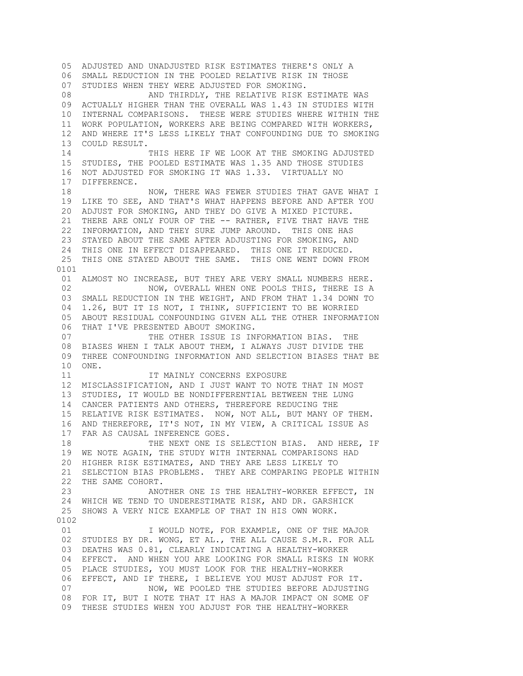05 ADJUSTED AND UNADJUSTED RISK ESTIMATES THERE'S ONLY A 06 SMALL REDUCTION IN THE POOLED RELATIVE RISK IN THOSE 07 STUDIES WHEN THEY WERE ADJUSTED FOR SMOKING. 08 AND THIRDLY, THE RELATIVE RISK ESTIMATE WAS 09 ACTUALLY HIGHER THAN THE OVERALL WAS 1.43 IN STUDIES WITH 10 INTERNAL COMPARISONS. THESE WERE STUDIES WHERE WITHIN THE 11 WORK POPULATION, WORKERS ARE BEING COMPARED WITH WORKERS, 12 AND WHERE IT'S LESS LIKELY THAT CONFOUNDING DUE TO SMOKING 13 COULD RESULT. 14 THIS HERE IF WE LOOK AT THE SMOKING ADJUSTED 15 STUDIES, THE POOLED ESTIMATE WAS 1.35 AND THOSE STUDIES 16 NOT ADJUSTED FOR SMOKING IT WAS 1.33. VIRTUALLY NO 17 DIFFERENCE. 18 NOW, THERE WAS FEWER STUDIES THAT GAVE WHAT I 19 LIKE TO SEE, AND THAT'S WHAT HAPPENS BEFORE AND AFTER YOU 20 ADJUST FOR SMOKING, AND THEY DO GIVE A MIXED PICTURE. 21 THERE ARE ONLY FOUR OF THE -- RATHER, FIVE THAT HAVE THE 22 INFORMATION, AND THEY SURE JUMP AROUND. THIS ONE HAS 23 STAYED ABOUT THE SAME AFTER ADJUSTING FOR SMOKING, AND 24 THIS ONE IN EFFECT DISAPPEARED. THIS ONE IT REDUCED. 25 THIS ONE STAYED ABOUT THE SAME. THIS ONE WENT DOWN FROM 0101 01 ALMOST NO INCREASE, BUT THEY ARE VERY SMALL NUMBERS HERE. 02 NOW, OVERALL WHEN ONE POOLS THIS, THERE IS A 03 SMALL REDUCTION IN THE WEIGHT, AND FROM THAT 1.34 DOWN TO 04 1.26, BUT IT IS NOT, I THINK, SUFFICIENT TO BE WORRIED 05 ABOUT RESIDUAL CONFOUNDING GIVEN ALL THE OTHER INFORMATION 06 THAT I'VE PRESENTED ABOUT SMOKING. 07 THE OTHER ISSUE IS INFORMATION BIAS. THE 08 BIASES WHEN I TALK ABOUT THEM, I ALWAYS JUST DIVIDE THE 09 THREE CONFOUNDING INFORMATION AND SELECTION BIASES THAT BE 10 ONE. 11 **IT MAINLY CONCERNS EXPOSURE**  12 MISCLASSIFICATION, AND I JUST WANT TO NOTE THAT IN MOST 13 STUDIES, IT WOULD BE NONDIFFERENTIAL BETWEEN THE LUNG 14 CANCER PATIENTS AND OTHERS, THEREFORE REDUCING THE 15 RELATIVE RISK ESTIMATES. NOW, NOT ALL, BUT MANY OF THEM. 16 AND THEREFORE, IT'S NOT, IN MY VIEW, A CRITICAL ISSUE AS 17 FAR AS CAUSAL INFERENCE GOES. 18 THE NEXT ONE IS SELECTION BIAS. AND HERE, IF 19 WE NOTE AGAIN, THE STUDY WITH INTERNAL COMPARISONS HAD 20 HIGHER RISK ESTIMATES, AND THEY ARE LESS LIKELY TO 21 SELECTION BIAS PROBLEMS. THEY ARE COMPARING PEOPLE WITHIN 22 THE SAME COHORT. 23 ANOTHER ONE IS THE HEALTHY-WORKER EFFECT, IN 24 WHICH WE TEND TO UNDERESTIMATE RISK, AND DR. GARSHICK 25 SHOWS A VERY NICE EXAMPLE OF THAT IN HIS OWN WORK. 0102 01 **I WOULD NOTE, FOR EXAMPLE, ONE OF THE MAJOR** 02 STUDIES BY DR. WONG, ET AL., THE ALL CAUSE S.M.R. FOR ALL 03 DEATHS WAS 0.81, CLEARLY INDICATING A HEALTHY-WORKER 04 EFFECT. AND WHEN YOU ARE LOOKING FOR SMALL RISKS IN WORK 05 PLACE STUDIES, YOU MUST LOOK FOR THE HEALTHY-WORKER 06 EFFECT, AND IF THERE, I BELIEVE YOU MUST ADJUST FOR IT. 07 NOW, WE POOLED THE STUDIES BEFORE ADJUSTING 08 FOR IT, BUT I NOTE THAT IT HAS A MAJOR IMPACT ON SOME OF 09 THESE STUDIES WHEN YOU ADJUST FOR THE HEALTHY-WORKER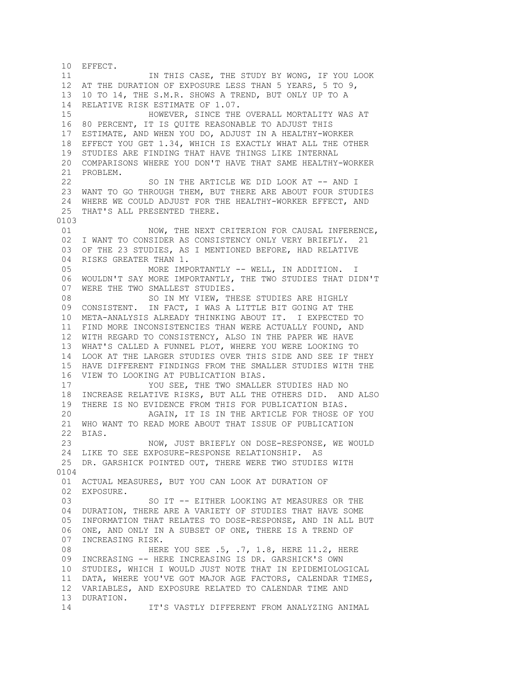10 EFFECT. 11 IN THIS CASE, THE STUDY BY WONG, IF YOU LOOK 12 AT THE DURATION OF EXPOSURE LESS THAN 5 YEARS, 5 TO 9, 13 10 TO 14, THE S.M.R. SHOWS A TREND, BUT ONLY UP TO A 14 RELATIVE RISK ESTIMATE OF 1.07. 15 HOWEVER, SINCE THE OVERALL MORTALITY WAS AT 16 80 PERCENT, IT IS QUITE REASONABLE TO ADJUST THIS 17 ESTIMATE, AND WHEN YOU DO, ADJUST IN A HEALTHY-WORKER 18 EFFECT YOU GET 1.34, WHICH IS EXACTLY WHAT ALL THE OTHER 19 STUDIES ARE FINDING THAT HAVE THINGS LIKE INTERNAL 20 COMPARISONS WHERE YOU DON'T HAVE THAT SAME HEALTHY-WORKER 21 PROBLEM. 22 SO IN THE ARTICLE WE DID LOOK AT -- AND I 23 WANT TO GO THROUGH THEM, BUT THERE ARE ABOUT FOUR STUDIES 24 WHERE WE COULD ADJUST FOR THE HEALTHY-WORKER EFFECT, AND 25 THAT'S ALL PRESENTED THERE. 0103 01 NOW, THE NEXT CRITERION FOR CAUSAL INFERENCE. 02 I WANT TO CONSIDER AS CONSISTENCY ONLY VERY BRIEFLY. 21 03 OF THE 23 STUDIES, AS I MENTIONED BEFORE, HAD RELATIVE 04 RISKS GREATER THAN 1. 05 MORE IMPORTANTLY -- WELL, IN ADDITION. I 06 WOULDN'T SAY MORE IMPORTANTLY, THE TWO STUDIES THAT DIDN'T 07 WERE THE TWO SMALLEST STUDIES. 08 SO IN MY VIEW, THESE STUDIES ARE HIGHLY 09 CONSISTENT. IN FACT, I WAS A LITTLE BIT GOING AT THE 10 META-ANALYSIS ALREADY THINKING ABOUT IT. I EXPECTED TO 11 FIND MORE INCONSISTENCIES THAN WERE ACTUALLY FOUND, AND 12 WITH REGARD TO CONSISTENCY, ALSO IN THE PAPER WE HAVE 13 WHAT'S CALLED A FUNNEL PLOT, WHERE YOU WERE LOOKING TO 14 LOOK AT THE LARGER STUDIES OVER THIS SIDE AND SEE IF THEY 15 HAVE DIFFERENT FINDINGS FROM THE SMALLER STUDIES WITH THE 16 VIEW TO LOOKING AT PUBLICATION BIAS. 17 YOU SEE, THE TWO SMALLER STUDIES HAD NO 18 INCREASE RELATIVE RISKS, BUT ALL THE OTHERS DID. AND ALSO 19 THERE IS NO EVIDENCE FROM THIS FOR PUBLICATION BIAS. 20 AGAIN, IT IS IN THE ARTICLE FOR THOSE OF YOU 21 WHO WANT TO READ MORE ABOUT THAT ISSUE OF PUBLICATION 22 BIAS. 23 NOW, JUST BRIEFLY ON DOSE-RESPONSE, WE WOULD 24 LIKE TO SEE EXPOSURE-RESPONSE RELATIONSHIP. AS 25 DR. GARSHICK POINTED OUT, THERE WERE TWO STUDIES WITH 0104 01 ACTUAL MEASURES, BUT YOU CAN LOOK AT DURATION OF 02 EXPOSURE. 03 SO IT -- EITHER LOOKING AT MEASURES OR THE 04 DURATION, THERE ARE A VARIETY OF STUDIES THAT HAVE SOME 05 INFORMATION THAT RELATES TO DOSE-RESPONSE, AND IN ALL BUT 06 ONE, AND ONLY IN A SUBSET OF ONE, THERE IS A TREND OF 07 INCREASING RISK. 08 HERE YOU SEE .5, .7, 1.8, HERE 11.2, HERE 09 INCREASING -- HERE INCREASING IS DR. GARSHICK'S OWN 10 STUDIES, WHICH I WOULD JUST NOTE THAT IN EPIDEMIOLOGICAL 11 DATA, WHERE YOU'VE GOT MAJOR AGE FACTORS, CALENDAR TIMES, 12 VARIABLES, AND EXPOSURE RELATED TO CALENDAR TIME AND 13 DURATION. 14 IT'S VASTLY DIFFERENT FROM ANALYZING ANIMAL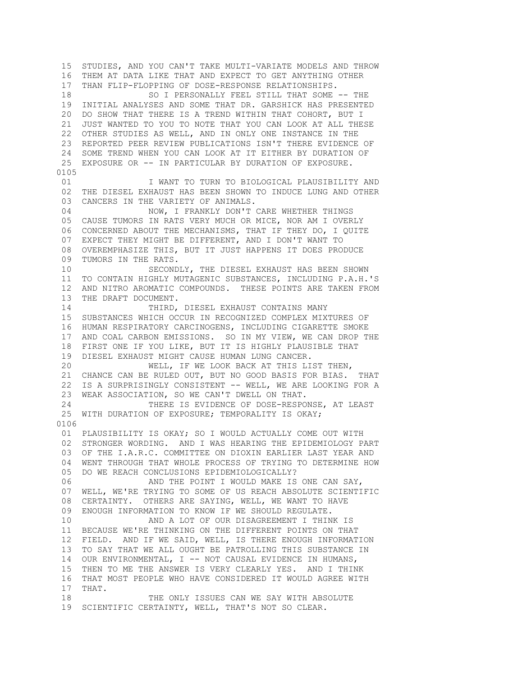15 STUDIES, AND YOU CAN'T TAKE MULTI-VARIATE MODELS AND THROW 16 THEM AT DATA LIKE THAT AND EXPECT TO GET ANYTHING OTHER 17 THAN FLIP-FLOPPING OF DOSE-RESPONSE RELATIONSHIPS. 18 SO I PERSONALLY FEEL STILL THAT SOME -- THE 19 INITIAL ANALYSES AND SOME THAT DR. GARSHICK HAS PRESENTED 20 DO SHOW THAT THERE IS A TREND WITHIN THAT COHORT, BUT I 21 JUST WANTED TO YOU TO NOTE THAT YOU CAN LOOK AT ALL THESE 22 OTHER STUDIES AS WELL, AND IN ONLY ONE INSTANCE IN THE 23 REPORTED PEER REVIEW PUBLICATIONS ISN'T THERE EVIDENCE OF 24 SOME TREND WHEN YOU CAN LOOK AT IT EITHER BY DURATION OF 25 EXPOSURE OR -- IN PARTICULAR BY DURATION OF EXPOSURE. 0105 01 **I WANT TO TURN TO BIOLOGICAL PLAUSIBILITY AND**  02 THE DIESEL EXHAUST HAS BEEN SHOWN TO INDUCE LUNG AND OTHER 03 CANCERS IN THE VARIETY OF ANIMALS. 04 NOW, I FRANKLY DON'T CARE WHETHER THINGS 05 CAUSE TUMORS IN RATS VERY MUCH OR MICE, NOR AM I OVERLY 06 CONCERNED ABOUT THE MECHANISMS, THAT IF THEY DO, I QUITE 07 EXPECT THEY MIGHT BE DIFFERENT, AND I DON'T WANT TO 08 OVEREMPHASIZE THIS, BUT IT JUST HAPPENS IT DOES PRODUCE 09 TUMORS IN THE RATS. 10 SECONDLY, THE DIESEL EXHAUST HAS BEEN SHOWN 11 TO CONTAIN HIGHLY MUTAGENIC SUBSTANCES, INCLUDING P.A.H.'S 12 AND NITRO AROMATIC COMPOUNDS. THESE POINTS ARE TAKEN FROM 13 THE DRAFT DOCUMENT. 14 THIRD, DIESEL EXHAUST CONTAINS MANY 15 SUBSTANCES WHICH OCCUR IN RECOGNIZED COMPLEX MIXTURES OF 16 HUMAN RESPIRATORY CARCINOGENS, INCLUDING CIGARETTE SMOKE 17 AND COAL CARBON EMISSIONS. SO IN MY VIEW, WE CAN DROP THE 18 FIRST ONE IF YOU LIKE, BUT IT IS HIGHLY PLAUSIBLE THAT 19 DIESEL EXHAUST MIGHT CAUSE HUMAN LUNG CANCER.<br>20 00 WELL, IF WE LOOK BACK AT THIS LI WELL, IF WE LOOK BACK AT THIS LIST THEN, 21 CHANCE CAN BE RULED OUT, BUT NO GOOD BASIS FOR BIAS. THAT 22 IS A SURPRISINGLY CONSISTENT -- WELL, WE ARE LOOKING FOR A 23 WEAK ASSOCIATION, SO WE CAN'T DWELL ON THAT. 24 THERE IS EVIDENCE OF DOSE-RESPONSE, AT LEAST 25 WITH DURATION OF EXPOSURE; TEMPORALITY IS OKAY; 0106 01 PLAUSIBILITY IS OKAY; SO I WOULD ACTUALLY COME OUT WITH 02 STRONGER WORDING. AND I WAS HEARING THE EPIDEMIOLOGY PART 03 OF THE I.A.R.C. COMMITTEE ON DIOXIN EARLIER LAST YEAR AND 04 WENT THROUGH THAT WHOLE PROCESS OF TRYING TO DETERMINE HOW 05 DO WE REACH CONCLUSIONS EPIDEMIOLOGICALLY? 06 AND THE POINT I WOULD MAKE IS ONE CAN SAY, 07 WELL, WE'RE TRYING TO SOME OF US REACH ABSOLUTE SCIENTIFIC 08 CERTAINTY. OTHERS ARE SAYING, WELL, WE WANT TO HAVE 09 ENOUGH INFORMATION TO KNOW IF WE SHOULD REGULATE. 10 AND A LOT OF OUR DISAGREEMENT I THINK IS 11 BECAUSE WE'RE THINKING ON THE DIFFERENT POINTS ON THAT 12 FIELD. AND IF WE SAID, WELL, IS THERE ENOUGH INFORMATION 13 TO SAY THAT WE ALL OUGHT BE PATROLLING THIS SUBSTANCE IN 14 OUR ENVIRONMENTAL, I -- NOT CAUSAL EVIDENCE IN HUMANS, 15 THEN TO ME THE ANSWER IS VERY CLEARLY YES. AND I THINK 16 THAT MOST PEOPLE WHO HAVE CONSIDERED IT WOULD AGREE WITH 17 THAT. 18 THE ONLY ISSUES CAN WE SAY WITH ABSOLUTE 19 SCIENTIFIC CERTAINTY, WELL, THAT'S NOT SO CLEAR.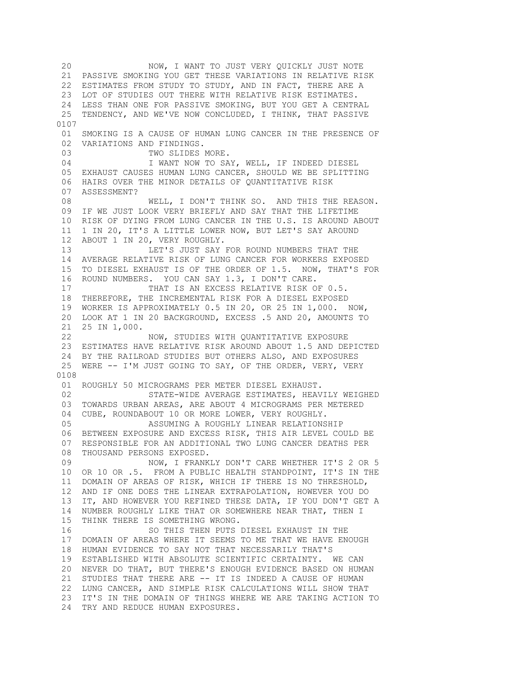20 NOW, I WANT TO JUST VERY QUICKLY JUST NOTE 21 PASSIVE SMOKING YOU GET THESE VARIATIONS IN RELATIVE RISK 22 ESTIMATES FROM STUDY TO STUDY, AND IN FACT, THERE ARE A 23 LOT OF STUDIES OUT THERE WITH RELATIVE RISK ESTIMATES. 24 LESS THAN ONE FOR PASSIVE SMOKING, BUT YOU GET A CENTRAL 25 TENDENCY, AND WE'VE NOW CONCLUDED, I THINK, THAT PASSIVE 0107 01 SMOKING IS A CAUSE OF HUMAN LUNG CANCER IN THE PRESENCE OF 02 VARIATIONS AND FINDINGS. 03 TWO SLIDES MORE. 04 I WANT NOW TO SAY, WELL, IF INDEED DIESEL 05 EXHAUST CAUSES HUMAN LUNG CANCER, SHOULD WE BE SPLITTING 06 HAIRS OVER THE MINOR DETAILS OF QUANTITATIVE RISK 07 ASSESSMENT? 08 WELL, I DON'T THINK SO. AND THIS THE REASON. 09 IF WE JUST LOOK VERY BRIEFLY AND SAY THAT THE LIFETIME 10 RISK OF DYING FROM LUNG CANCER IN THE U.S. IS AROUND ABOUT 11 1 IN 20, IT'S A LITTLE LOWER NOW, BUT LET'S SAY AROUND 12 ABOUT 1 IN 20, VERY ROUGHLY. 13 LET'S JUST SAY FOR ROUND NUMBERS THAT THE 14 AVERAGE RELATIVE RISK OF LUNG CANCER FOR WORKERS EXPOSED 15 TO DIESEL EXHAUST IS OF THE ORDER OF 1.5. NOW, THAT'S FOR 16 ROUND NUMBERS. YOU CAN SAY 1.3, I DON'T CARE. 17 THAT IS AN EXCESS RELATIVE RISK OF 0.5. 18 THEREFORE, THE INCREMENTAL RISK FOR A DIESEL EXPOSED 19 WORKER IS APPROXIMATELY 0.5 IN 20, OR 25 IN 1,000. NOW, 20 LOOK AT 1 IN 20 BACKGROUND, EXCESS .5 AND 20, AMOUNTS TO 21 25 IN 1,000. 22 NOW, STUDIES WITH QUANTITATIVE EXPOSURE 23 ESTIMATES HAVE RELATIVE RISK AROUND ABOUT 1.5 AND DEPICTED 24 BY THE RAILROAD STUDIES BUT OTHERS ALSO, AND EXPOSURES 25 WERE -- I'M JUST GOING TO SAY, OF THE ORDER, VERY, VERY 0108 01 ROUGHLY 50 MICROGRAMS PER METER DIESEL EXHAUST. 02 STATE-WIDE AVERAGE ESTIMATES, HEAVILY WEIGHED 03 TOWARDS URBAN AREAS, ARE ABOUT 4 MICROGRAMS PER METERED 04 CUBE, ROUNDABOUT 10 OR MORE LOWER, VERY ROUGHLY. 05 ASSUMING A ROUGHLY LINEAR RELATIONSHIP 06 BETWEEN EXPOSURE AND EXCESS RISK, THIS AIR LEVEL COULD BE 07 RESPONSIBLE FOR AN ADDITIONAL TWO LUNG CANCER DEATHS PER 08 THOUSAND PERSONS EXPOSED. 09 NOW, I FRANKLY DON'T CARE WHETHER IT'S 2 OR 5 10 OR 10 OR .5. FROM A PUBLIC HEALTH STANDPOINT, IT'S IN THE 11 DOMAIN OF AREAS OF RISK, WHICH IF THERE IS NO THRESHOLD, 12 AND IF ONE DOES THE LINEAR EXTRAPOLATION, HOWEVER YOU DO 13 IT, AND HOWEVER YOU REFINED THESE DATA, IF YOU DON'T GET A 14 NUMBER ROUGHLY LIKE THAT OR SOMEWHERE NEAR THAT, THEN I 15 THINK THERE IS SOMETHING WRONG. 16 SO THIS THEN PUTS DIESEL EXHAUST IN THE 17 DOMAIN OF AREAS WHERE IT SEEMS TO ME THAT WE HAVE ENOUGH 18 HUMAN EVIDENCE TO SAY NOT THAT NECESSARILY THAT'S 19 ESTABLISHED WITH ABSOLUTE SCIENTIFIC CERTAINTY. WE CAN 20 NEVER DO THAT, BUT THERE'S ENOUGH EVIDENCE BASED ON HUMAN 21 STUDIES THAT THERE ARE -- IT IS INDEED A CAUSE OF HUMAN 22 LUNG CANCER, AND SIMPLE RISK CALCULATIONS WILL SHOW THAT 23 IT'S IN THE DOMAIN OF THINGS WHERE WE ARE TAKING ACTION TO 24 TRY AND REDUCE HUMAN EXPOSURES.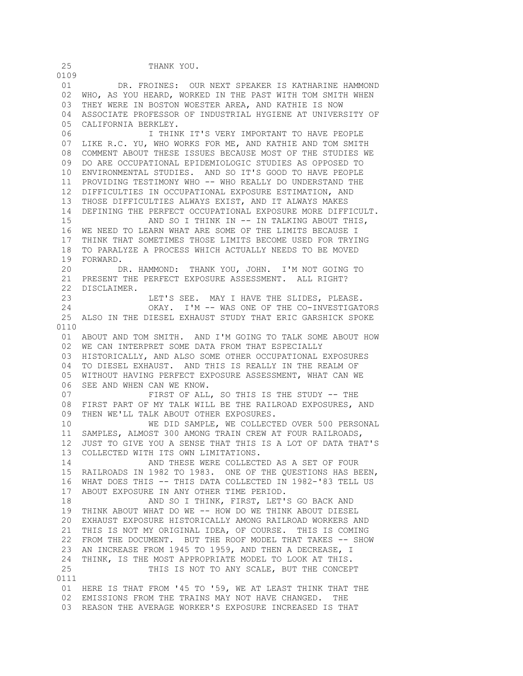0109 01 DR. FROINES: OUR NEXT SPEAKER IS KATHARINE HAMMOND 02 WHO, AS YOU HEARD, WORKED IN THE PAST WITH TOM SMITH WHEN 03 THEY WERE IN BOSTON WOESTER AREA, AND KATHIE IS NOW 04 ASSOCIATE PROFESSOR OF INDUSTRIAL HYGIENE AT UNIVERSITY OF 05 CALIFORNIA BERKLEY. 06 I THINK IT'S VERY IMPORTANT TO HAVE PEOPLE 07 LIKE R.C. YU, WHO WORKS FOR ME, AND KATHIE AND TOM SMITH 08 COMMENT ABOUT THESE ISSUES BECAUSE MOST OF THE STUDIES WE 09 DO ARE OCCUPATIONAL EPIDEMIOLOGIC STUDIES AS OPPOSED TO 10 ENVIRONMENTAL STUDIES. AND SO IT'S GOOD TO HAVE PEOPLE 11 PROVIDING TESTIMONY WHO -- WHO REALLY DO UNDERSTAND THE 12 DIFFICULTIES IN OCCUPATIONAL EXPOSURE ESTIMATION, AND 13 THOSE DIFFICULTIES ALWAYS EXIST, AND IT ALWAYS MAKES 14 DEFINING THE PERFECT OCCUPATIONAL EXPOSURE MORE DIFFICULT. 15 AND SO I THINK IN -- IN TALKING ABOUT THIS, 16 WE NEED TO LEARN WHAT ARE SOME OF THE LIMITS BECAUSE I 17 THINK THAT SOMETIMES THOSE LIMITS BECOME USED FOR TRYING 18 TO PARALYZE A PROCESS WHICH ACTUALLY NEEDS TO BE MOVED 19 FORWARD. 20 DR. HAMMOND: THANK YOU, JOHN. I'M NOT GOING TO 21 PRESENT THE PERFECT EXPOSURE ASSESSMENT. ALL RIGHT? 22 DISCLAIMER. 23 LET'S SEE. MAY I HAVE THE SLIDES, PLEASE. 24 OKAY. I'M -- WAS ONE OF THE CO-INVESTIGATORS 25 ALSO IN THE DIESEL EXHAUST STUDY THAT ERIC GARSHICK SPOKE 0110 01 ABOUT AND TOM SMITH. AND I'M GOING TO TALK SOME ABOUT HOW 02 WE CAN INTERPRET SOME DATA FROM THAT ESPECIALLY 03 HISTORICALLY, AND ALSO SOME OTHER OCCUPATIONAL EXPOSURES 04 TO DIESEL EXHAUST. AND THIS IS REALLY IN THE REALM OF 05 WITHOUT HAVING PERFECT EXPOSURE ASSESSMENT, WHAT CAN WE 06 SEE AND WHEN CAN WE KNOW. 07 FIRST OF ALL, SO THIS IS THE STUDY -- THE 08 FIRST PART OF MY TALK WILL BE THE RAILROAD EXPOSURES, AND 09 THEN WE'LL TALK ABOUT OTHER EXPOSURES. 10 WE DID SAMPLE, WE COLLECTED OVER 500 PERSONAL 11 SAMPLES, ALMOST 300 AMONG TRAIN CREW AT FOUR RAILROADS, 12 JUST TO GIVE YOU A SENSE THAT THIS IS A LOT OF DATA THAT'S 13 COLLECTED WITH ITS OWN LIMITATIONS. 14 AND THESE WERE COLLECTED AS A SET OF FOUR 15 RAILROADS IN 1982 TO 1983. ONE OF THE QUESTIONS HAS BEEN, 16 WHAT DOES THIS -- THIS DATA COLLECTED IN 1982-'83 TELL US 17 ABOUT EXPOSURE IN ANY OTHER TIME PERIOD. 18 AND SO I THINK, FIRST, LET'S GO BACK AND 19 THINK ABOUT WHAT DO WE -- HOW DO WE THINK ABOUT DIESEL 20 EXHAUST EXPOSURE HISTORICALLY AMONG RAILROAD WORKERS AND 21 THIS IS NOT MY ORIGINAL IDEA, OF COURSE. THIS IS COMING 22 FROM THE DOCUMENT. BUT THE ROOF MODEL THAT TAKES -- SHOW 23 AN INCREASE FROM 1945 TO 1959, AND THEN A DECREASE, I 24 THINK, IS THE MOST APPROPRIATE MODEL TO LOOK AT THIS. 25 THIS IS NOT TO ANY SCALE, BUT THE CONCEPT 0111 01 HERE IS THAT FROM '45 TO '59, WE AT LEAST THINK THAT THE 02 EMISSIONS FROM THE TRAINS MAY NOT HAVE CHANGED. THE 03 REASON THE AVERAGE WORKER'S EXPOSURE INCREASED IS THAT

25 THANK YOU.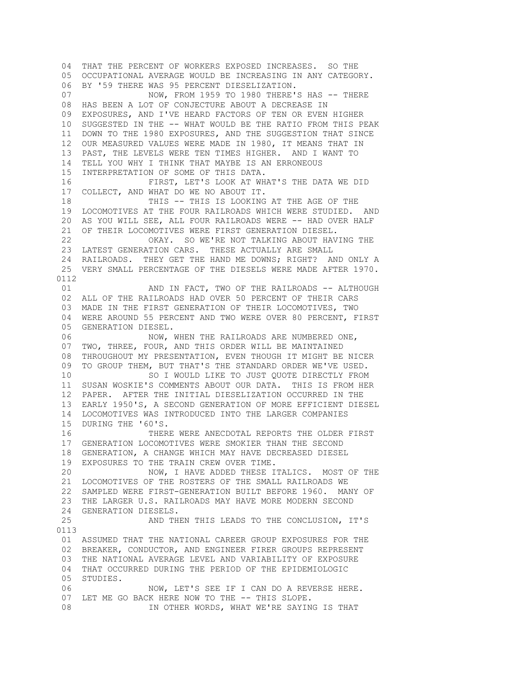04 THAT THE PERCENT OF WORKERS EXPOSED INCREASES. SO THE 05 OCCUPATIONAL AVERAGE WOULD BE INCREASING IN ANY CATEGORY. 06 BY '59 THERE WAS 95 PERCENT DIESELIZATION. 07 NOW, FROM 1959 TO 1980 THERE'S HAS -- THERE 08 HAS BEEN A LOT OF CONJECTURE ABOUT A DECREASE IN 09 EXPOSURES, AND I'VE HEARD FACTORS OF TEN OR EVEN HIGHER 10 SUGGESTED IN THE -- WHAT WOULD BE THE RATIO FROM THIS PEAK 11 DOWN TO THE 1980 EXPOSURES, AND THE SUGGESTION THAT SINCE 12 OUR MEASURED VALUES WERE MADE IN 1980, IT MEANS THAT IN 13 PAST, THE LEVELS WERE TEN TIMES HIGHER. AND I WANT TO 14 TELL YOU WHY I THINK THAT MAYBE IS AN ERRONEOUS 15 INTERPRETATION OF SOME OF THIS DATA. 16 FIRST, LET'S LOOK AT WHAT'S THE DATA WE DID 17 COLLECT, AND WHAT DO WE NO ABOUT IT. 18 THIS -- THIS IS LOOKING AT THE AGE OF THE 19 LOCOMOTIVES AT THE FOUR RAILROADS WHICH WERE STUDIED. AND 20 AS YOU WILL SEE, ALL FOUR RAILROADS WERE -- HAD OVER HALF 21 OF THEIR LOCOMOTIVES WERE FIRST GENERATION DIESEL. 22 OKAY. SO WE'RE NOT TALKING ABOUT HAVING THE 23 LATEST GENERATION CARS. THESE ACTUALLY ARE SMALL 24 RAILROADS. THEY GET THE HAND ME DOWNS; RIGHT? AND ONLY A 25 VERY SMALL PERCENTAGE OF THE DIESELS WERE MADE AFTER 1970. 0112 01 AND IN FACT, TWO OF THE RAILROADS -- ALTHOUGH 02 ALL OF THE RAILROADS HAD OVER 50 PERCENT OF THEIR CARS 03 MADE IN THE FIRST GENERATION OF THEIR LOCOMOTIVES, TWO 04 WERE AROUND 55 PERCENT AND TWO WERE OVER 80 PERCENT, FIRST 05 GENERATION DIESEL. 06 NOW, WHEN THE RAILROADS ARE NUMBERED ONE, 07 TWO, THREE, FOUR, AND THIS ORDER WILL BE MAINTAINED 08 THROUGHOUT MY PRESENTATION, EVEN THOUGH IT MIGHT BE NICER 09 TO GROUP THEM, BUT THAT'S THE STANDARD ORDER WE'VE USED. 10 SO I WOULD LIKE TO JUST QUOTE DIRECTLY FROM 11 SUSAN WOSKIE'S COMMENTS ABOUT OUR DATA. THIS IS FROM HER 12 PAPER. AFTER THE INITIAL DIESELIZATION OCCURRED IN THE 13 EARLY 1950'S, A SECOND GENERATION OF MORE EFFICIENT DIESEL 14 LOCOMOTIVES WAS INTRODUCED INTO THE LARGER COMPANIES 15 DURING THE '60'S. 16 THERE WERE ANECDOTAL REPORTS THE OLDER FIRST 17 GENERATION LOCOMOTIVES WERE SMOKIER THAN THE SECOND 18 GENERATION, A CHANGE WHICH MAY HAVE DECREASED DIESEL 19 EXPOSURES TO THE TRAIN CREW OVER TIME. 20 NOW, I HAVE ADDED THESE ITALICS. MOST OF THE 21 LOCOMOTIVES OF THE ROSTERS OF THE SMALL RAILROADS WE 22 SAMPLED WERE FIRST-GENERATION BUILT BEFORE 1960. MANY OF 23 THE LARGER U.S. RAILROADS MAY HAVE MORE MODERN SECOND 24 GENERATION DIESELS. 25 AND THEN THIS LEADS TO THE CONCLUSION, IT'S 0113 01 ASSUMED THAT THE NATIONAL CAREER GROUP EXPOSURES FOR THE 02 BREAKER, CONDUCTOR, AND ENGINEER FIRER GROUPS REPRESENT 03 THE NATIONAL AVERAGE LEVEL AND VARIABILITY OF EXPOSURE 04 THAT OCCURRED DURING THE PERIOD OF THE EPIDEMIOLOGIC 05 STUDIES. 06 NOW, LET'S SEE IF I CAN DO A REVERSE HERE. 07 LET ME GO BACK HERE NOW TO THE -- THIS SLOPE. 08 IN OTHER WORDS, WHAT WE'RE SAYING IS THAT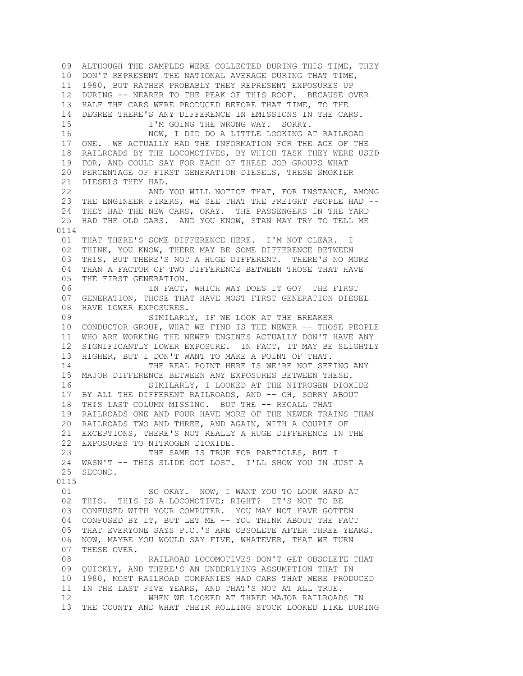09 ALTHOUGH THE SAMPLES WERE COLLECTED DURING THIS TIME, THEY 10 DON'T REPRESENT THE NATIONAL AVERAGE DURING THAT TIME, 11 1980, BUT RATHER PROBABLY THEY REPRESENT EXPOSURES UP 12 DURING -- NEARER TO THE PEAK OF THIS ROOF. BECAUSE OVER 13 HALF THE CARS WERE PRODUCED BEFORE THAT TIME, TO THE 14 DEGREE THERE'S ANY DIFFERENCE IN EMISSIONS IN THE CARS. 15 I'M GOING THE WRONG WAY. SORRY. 16 NOW, I DID DO A LITTLE LOOKING AT RAILROAD 17 ONE. WE ACTUALLY HAD THE INFORMATION FOR THE AGE OF THE 18 RAILROADS BY THE LOCOMOTIVES, BY WHICH TASK THEY WERE USED 19 FOR, AND COULD SAY FOR EACH OF THESE JOB GROUPS WHAT 20 PERCENTAGE OF FIRST GENERATION DIESELS, THESE SMOKIER 21 DIESELS THEY HAD. 22 AND YOU WILL NOTICE THAT, FOR INSTANCE, AMONG 23 THE ENGINEER FIRERS, WE SEE THAT THE FREIGHT PEOPLE HAD -- 24 THEY HAD THE NEW CARS, OKAY. THE PASSENGERS IN THE YARD 25 HAD THE OLD CARS. AND YOU KNOW, STAN MAY TRY TO TELL ME 0114 01 THAT THERE'S SOME DIFFERENCE HERE. I'M NOT CLEAR. I 02 THINK, YOU KNOW, THERE MAY BE SOME DIFFERENCE BETWEEN 03 THIS, BUT THERE'S NOT A HUGE DIFFERENT. THERE'S NO MORE 04 THAN A FACTOR OF TWO DIFFERENCE BETWEEN THOSE THAT HAVE 05 THE FIRST GENERATION. 06 IN FACT, WHICH WAY DOES IT GO? THE FIRST 07 GENERATION, THOSE THAT HAVE MOST FIRST GENERATION DIESEL 08 HAVE LOWER EXPOSURES. 09 SIMILARLY, IF WE LOOK AT THE BREAKER 10 CONDUCTOR GROUP, WHAT WE FIND IS THE NEWER -- THOSE PEOPLE 11 WHO ARE WORKING THE NEWER ENGINES ACTUALLY DON'T HAVE ANY 12 SIGNIFICANTLY LOWER EXPOSURE. IN FACT, IT MAY BE SLIGHTLY 13 HIGHER, BUT I DON'T WANT TO MAKE A POINT OF THAT. 14 THE REAL POINT HERE IS WE'RE NOT SEEING ANY 15 MAJOR DIFFERENCE BETWEEN ANY EXPOSURES BETWEEN THESE. 16 SIMILARLY, I LOOKED AT THE NITROGEN DIOXIDE 17 BY ALL THE DIFFERENT RAILROADS, AND -- OH, SORRY ABOUT 18 THIS LAST COLUMN MISSING. BUT THE -- RECALL THAT 19 RAILROADS ONE AND FOUR HAVE MORE OF THE NEWER TRAINS THAN 20 RAILROADS TWO AND THREE, AND AGAIN, WITH A COUPLE OF 21 EXCEPTIONS, THERE'S NOT REALLY A HUGE DIFFERENCE IN THE 22 EXPOSURES TO NITROGEN DIOXIDE. 23 THE SAME IS TRUE FOR PARTICLES, BUT I 24 WASN'T -- THIS SLIDE GOT LOST. I'LL SHOW YOU IN JUST A 25 SECOND. 0115 01 SO OKAY. NOW, I WANT YOU TO LOOK HARD AT 02 THIS. THIS IS A LOCOMOTIVE; RIGHT? IT'S NOT TO BE 03 CONFUSED WITH YOUR COMPUTER. YOU MAY NOT HAVE GOTTEN 04 CONFUSED BY IT, BUT LET ME -- YOU THINK ABOUT THE FACT 05 THAT EVERYONE SAYS P.C.'S ARE OBSOLETE AFTER THREE YEARS. 06 NOW, MAYBE YOU WOULD SAY FIVE, WHATEVER, THAT WE TURN 07 THESE OVER. 08 RAILROAD LOCOMOTIVES DON'T GET OBSOLETE THAT 09 QUICKLY, AND THERE'S AN UNDERLYING ASSUMPTION THAT IN 10 1980, MOST RAILROAD COMPANIES HAD CARS THAT WERE PRODUCED 11 IN THE LAST FIVE YEARS, AND THAT'S NOT AT ALL TRUE. 12 WHEN WE LOOKED AT THREE MAJOR RAILROADS IN 13 THE COUNTY AND WHAT THEIR ROLLING STOCK LOOKED LIKE DURING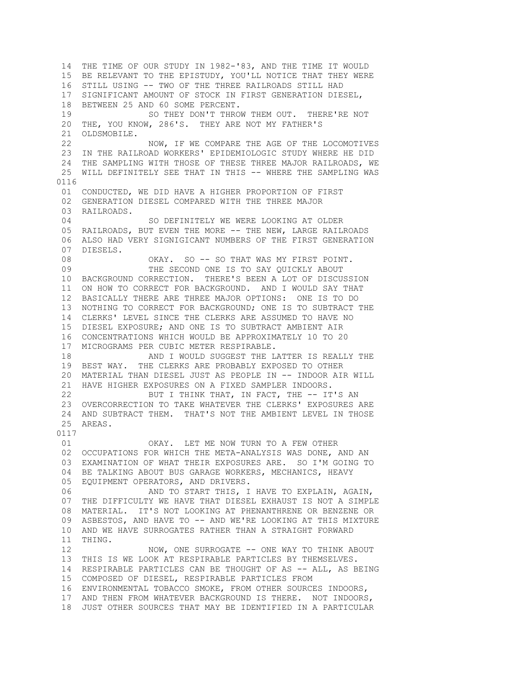14 THE TIME OF OUR STUDY IN 1982-'83, AND THE TIME IT WOULD 15 BE RELEVANT TO THE EPISTUDY, YOU'LL NOTICE THAT THEY WERE 16 STILL USING -- TWO OF THE THREE RAILROADS STILL HAD 17 SIGNIFICANT AMOUNT OF STOCK IN FIRST GENERATION DIESEL, 18 BETWEEN 25 AND 60 SOME PERCENT. 19 SO THEY DON'T THROW THEM OUT. THERE'RE NOT 20 THE, YOU KNOW, 286'S. THEY ARE NOT MY FATHER'S 21 OLDSMOBILE. 22 NOW, IF WE COMPARE THE AGE OF THE LOCOMOTIVES 23 IN THE RAILROAD WORKERS' EPIDEMIOLOGIC STUDY WHERE HE DID 24 THE SAMPLING WITH THOSE OF THESE THREE MAJOR RAILROADS, WE 25 WILL DEFINITELY SEE THAT IN THIS -- WHERE THE SAMPLING WAS 0116 01 CONDUCTED, WE DID HAVE A HIGHER PROPORTION OF FIRST 02 GENERATION DIESEL COMPARED WITH THE THREE MAJOR 03 RAILROADS. 04 SO DEFINITELY WE WERE LOOKING AT OLDER 05 RAILROADS, BUT EVEN THE MORE -- THE NEW, LARGE RAILROADS 06 ALSO HAD VERY SIGNIGICANT NUMBERS OF THE FIRST GENERATION 07 DIESELS. 08 OKAY. SO -- SO THAT WAS MY FIRST POINT. 09 THE SECOND ONE IS TO SAY QUICKLY ABOUT 10 BACKGROUND CORRECTION. THERE'S BEEN A LOT OF DISCUSSION 11 ON HOW TO CORRECT FOR BACKGROUND. AND I WOULD SAY THAT 12 BASICALLY THERE ARE THREE MAJOR OPTIONS: ONE IS TO DO 13 NOTHING TO CORRECT FOR BACKGROUND; ONE IS TO SUBTRACT THE 14 CLERKS' LEVEL SINCE THE CLERKS ARE ASSUMED TO HAVE NO 15 DIESEL EXPOSURE; AND ONE IS TO SUBTRACT AMBIENT AIR 16 CONCENTRATIONS WHICH WOULD BE APPROXIMATELY 10 TO 20 17 MICROGRAMS PER CUBIC METER RESPIRABLE. 18 AND I WOULD SUGGEST THE LATTER IS REALLY THE 19 BEST WAY. THE CLERKS ARE PROBABLY EXPOSED TO OTHER 20 MATERIAL THAN DIESEL JUST AS PEOPLE IN -- INDOOR AIR WILL 21 HAVE HIGHER EXPOSURES ON A FIXED SAMPLER INDOORS. 22 BUT I THINK THAT, IN FACT, THE -- IT'S AN 23 OVERCORRECTION TO TAKE WHATEVER THE CLERKS' EXPOSURES ARE 24 AND SUBTRACT THEM. THAT'S NOT THE AMBIENT LEVEL IN THOSE 25 AREAS. 0117 01 OKAY. LET ME NOW TURN TO A FEW OTHER 02 OCCUPATIONS FOR WHICH THE META-ANALYSIS WAS DONE, AND AN 03 EXAMINATION OF WHAT THEIR EXPOSURES ARE. SO I'M GOING TO 04 BE TALKING ABOUT BUS GARAGE WORKERS, MECHANICS, HEAVY 05 EQUIPMENT OPERATORS, AND DRIVERS. 06 AND TO START THIS, I HAVE TO EXPLAIN, AGAIN, 07 THE DIFFICULTY WE HAVE THAT DIESEL EXHAUST IS NOT A SIMPLE 08 MATERIAL. IT'S NOT LOOKING AT PHENANTHRENE OR BENZENE OR 09 ASBESTOS, AND HAVE TO -- AND WE'RE LOOKING AT THIS MIXTURE 10 AND WE HAVE SURROGATES RATHER THAN A STRAIGHT FORWARD 11 THING. 12 NOW, ONE SURROGATE -- ONE WAY TO THINK ABOUT 13 THIS IS WE LOOK AT RESPIRABLE PARTICLES BY THEMSELVES. 14 RESPIRABLE PARTICLES CAN BE THOUGHT OF AS -- ALL, AS BEING 15 COMPOSED OF DIESEL, RESPIRABLE PARTICLES FROM 16 ENVIRONMENTAL TOBACCO SMOKE, FROM OTHER SOURCES INDOORS, 17 AND THEN FROM WHATEVER BACKGROUND IS THERE. NOT INDOORS, 18 JUST OTHER SOURCES THAT MAY BE IDENTIFIED IN A PARTICULAR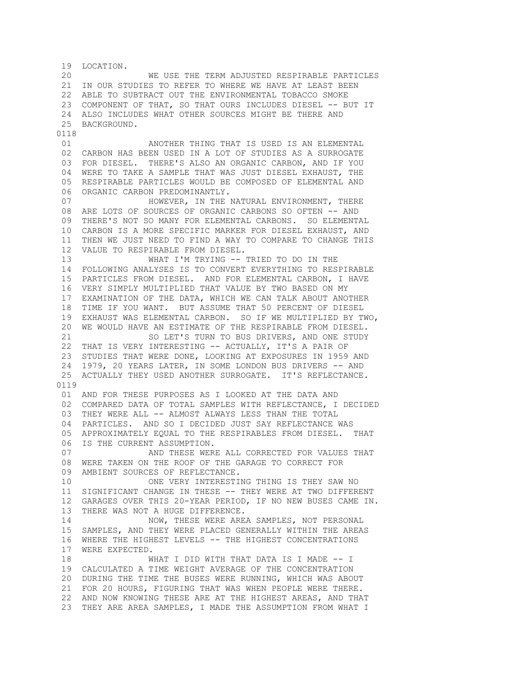19 LOCATION. 20 WE USE THE TERM ADJUSTED RESPIRABLE PARTICLES 21 IN OUR STUDIES TO REFER TO WHERE WE HAVE AT LEAST BEEN 22 ABLE TO SUBTRACT OUT THE ENVIRONMENTAL TOBACCO SMOKE 23 COMPONENT OF THAT, SO THAT OURS INCLUDES DIESEL -- BUT IT 24 ALSO INCLUDES WHAT OTHER SOURCES MIGHT BE THERE AND 25 BACKGROUND. 0118 01 **ANOTHER THING THAT IS USED IS AN ELEMENTAL**  02 CARBON HAS BEEN USED IN A LOT OF STUDIES AS A SURROGATE 03 FOR DIESEL. THERE'S ALSO AN ORGANIC CARBON, AND IF YOU 04 WERE TO TAKE A SAMPLE THAT WAS JUST DIESEL EXHAUST, THE 05 RESPIRABLE PARTICLES WOULD BE COMPOSED OF ELEMENTAL AND 06 ORGANIC CARBON PREDOMINANTLY. 07 HOWEVER, IN THE NATURAL ENVIRONMENT, THERE 08 ARE LOTS OF SOURCES OF ORGANIC CARBONS SO OFTEN -- AND 09 THERE'S NOT SO MANY FOR ELEMENTAL CARBONS. SO ELEMENTAL 10 CARBON IS A MORE SPECIFIC MARKER FOR DIESEL EXHAUST, AND 11 THEN WE JUST NEED TO FIND A WAY TO COMPARE TO CHANGE THIS 12 VALUE TO RESPIRABLE FROM DIESEL. 13 WHAT I'M TRYING -- TRIED TO DO IN THE 14 FOLLOWING ANALYSES IS TO CONVERT EVERYTHING TO RESPIRABLE 15 PARTICLES FROM DIESEL. AND FOR ELEMENTAL CARBON, I HAVE 16 VERY SIMPLY MULTIPLIED THAT VALUE BY TWO BASED ON MY 17 EXAMINATION OF THE DATA, WHICH WE CAN TALK ABOUT ANOTHER 18 TIME IF YOU WANT. BUT ASSUME THAT 50 PERCENT OF DIESEL 19 EXHAUST WAS ELEMENTAL CARBON. SO IF WE MULTIPLIED BY TWO, 20 WE WOULD HAVE AN ESTIMATE OF THE RESPIRABLE FROM DIESEL. 21 SO LET'S TURN TO BUS DRIVERS, AND ONE STUDY 22 THAT IS VERY INTERESTING -- ACTUALLY, IT'S A PAIR OF 23 STUDIES THAT WERE DONE, LOOKING AT EXPOSURES IN 1959 AND 24 1979, 20 YEARS LATER, IN SOME LONDON BUS DRIVERS -- AND 25 ACTUALLY THEY USED ANOTHER SURROGATE. IT'S REFLECTANCE. 0119 01 AND FOR THESE PURPOSES AS I LOOKED AT THE DATA AND 02 COMPARED DATA OF TOTAL SAMPLES WITH REFLECTANCE, I DECIDED 03 THEY WERE ALL -- ALMOST ALWAYS LESS THAN THE TOTAL 04 PARTICLES. AND SO I DECIDED JUST SAY REFLECTANCE WAS 05 APPROXIMATELY EQUAL TO THE RESPIRABLES FROM DIESEL. THAT 06 IS THE CURRENT ASSUMPTION. 07 AND THESE WERE ALL CORRECTED FOR VALUES THAT 08 WERE TAKEN ON THE ROOF OF THE GARAGE TO CORRECT FOR 09 AMBIENT SOURCES OF REFLECTANCE. 10 ONE VERY INTERESTING THING IS THEY SAW NO 11 SIGNIFICANT CHANGE IN THESE -- THEY WERE AT TWO DIFFERENT 12 GARAGES OVER THIS 20-YEAR PERIOD, IF NO NEW BUSES CAME IN. 13 THERE WAS NOT A HUGE DIFFERENCE. 14 NOW, THESE WERE AREA SAMPLES, NOT PERSONAL 15 SAMPLES, AND THEY WERE PLACED GENERALLY WITHIN THE AREAS 16 WHERE THE HIGHEST LEVELS -- THE HIGHEST CONCENTRATIONS 17 WERE EXPECTED. 18 WHAT I DID WITH THAT DATA IS I MADE -- I 19 CALCULATED A TIME WEIGHT AVERAGE OF THE CONCENTRATION 20 DURING THE TIME THE BUSES WERE RUNNING, WHICH WAS ABOUT 21 FOR 20 HOURS, FIGURING THAT WAS WHEN PEOPLE WERE THERE. 22 AND NOW KNOWING THESE ARE AT THE HIGHEST AREAS, AND THAT 23 THEY ARE AREA SAMPLES, I MADE THE ASSUMPTION FROM WHAT I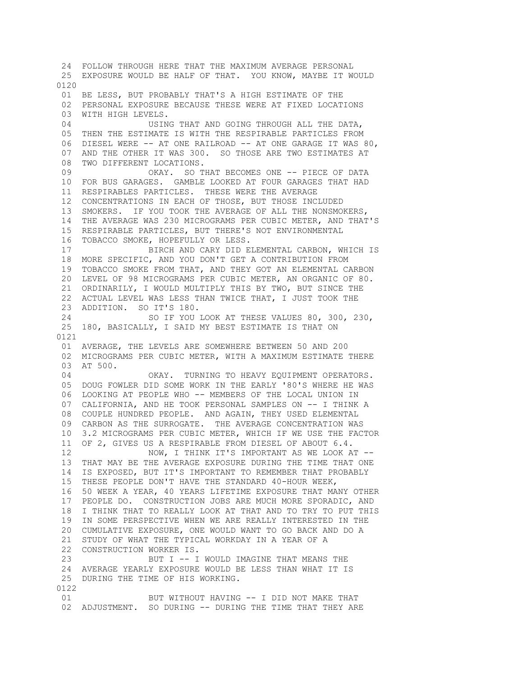24 FOLLOW THROUGH HERE THAT THE MAXIMUM AVERAGE PERSONAL 25 EXPOSURE WOULD BE HALF OF THAT. YOU KNOW, MAYBE IT WOULD 0120 01 BE LESS, BUT PROBABLY THAT'S A HIGH ESTIMATE OF THE 02 PERSONAL EXPOSURE BECAUSE THESE WERE AT FIXED LOCATIONS 03 WITH HIGH LEVELS. 04 USING THAT AND GOING THROUGH ALL THE DATA. 05 THEN THE ESTIMATE IS WITH THE RESPIRABLE PARTICLES FROM 06 DIESEL WERE -- AT ONE RAILROAD -- AT ONE GARAGE IT WAS 80, 07 AND THE OTHER IT WAS 300. SO THOSE ARE TWO ESTIMATES AT 08 TWO DIFFERENT LOCATIONS. 09 OKAY. SO THAT BECOMES ONE -- PIECE OF DATA 10 FOR BUS GARAGES. GAMBLE LOOKED AT FOUR GARAGES THAT HAD 11 RESPIRABLES PARTICLES. THESE WERE THE AVERAGE 12 CONCENTRATIONS IN EACH OF THOSE, BUT THOSE INCLUDED 13 SMOKERS. IF YOU TOOK THE AVERAGE OF ALL THE NONSMOKERS, 14 THE AVERAGE WAS 230 MICROGRAMS PER CUBIC METER, AND THAT'S 15 RESPIRABLE PARTICLES, BUT THERE'S NOT ENVIRONMENTAL 16 TOBACCO SMOKE, HOPEFULLY OR LESS. 17 BIRCH AND CARY DID ELEMENTAL CARBON, WHICH IS 18 MORE SPECIFIC, AND YOU DON'T GET A CONTRIBUTION FROM 19 TOBACCO SMOKE FROM THAT, AND THEY GOT AN ELEMENTAL CARBON 20 LEVEL OF 98 MICROGRAMS PER CUBIC METER, AN ORGANIC OF 80. 21 ORDINARILY, I WOULD MULTIPLY THIS BY TWO, BUT SINCE THE 22 ACTUAL LEVEL WAS LESS THAN TWICE THAT, I JUST TOOK THE 23 ADDITION. SO IT'S 180. 24 SO IF YOU LOOK AT THESE VALUES 80, 300, 230, 25 180, BASICALLY, I SAID MY BEST ESTIMATE IS THAT ON 0121 01 AVERAGE, THE LEVELS ARE SOMEWHERE BETWEEN 50 AND 200 02 MICROGRAMS PER CUBIC METER, WITH A MAXIMUM ESTIMATE THERE 03 AT 500. 04 OKAY. TURNING TO HEAVY EQUIPMENT OPERATORS. 05 DOUG FOWLER DID SOME WORK IN THE EARLY '80'S WHERE HE WAS 06 LOOKING AT PEOPLE WHO -- MEMBERS OF THE LOCAL UNION IN 07 CALIFORNIA, AND HE TOOK PERSONAL SAMPLES ON -- I THINK A 08 COUPLE HUNDRED PEOPLE. AND AGAIN, THEY USED ELEMENTAL 09 CARBON AS THE SURROGATE. THE AVERAGE CONCENTRATION WAS 10 3.2 MICROGRAMS PER CUBIC METER, WHICH IF WE USE THE FACTOR 11 OF 2, GIVES US A RESPIRABLE FROM DIESEL OF ABOUT 6.4. 12 NOW, I THINK IT'S IMPORTANT AS WE LOOK AT -- 13 THAT MAY BE THE AVERAGE EXPOSURE DURING THE TIME THAT ONE 14 IS EXPOSED, BUT IT'S IMPORTANT TO REMEMBER THAT PROBABLY 15 THESE PEOPLE DON'T HAVE THE STANDARD 40-HOUR WEEK, 16 50 WEEK A YEAR, 40 YEARS LIFETIME EXPOSURE THAT MANY OTHER 17 PEOPLE DO. CONSTRUCTION JOBS ARE MUCH MORE SPORADIC, AND 18 I THINK THAT TO REALLY LOOK AT THAT AND TO TRY TO PUT THIS 19 IN SOME PERSPECTIVE WHEN WE ARE REALLY INTERESTED IN THE 20 CUMULATIVE EXPOSURE, ONE WOULD WANT TO GO BACK AND DO A 21 STUDY OF WHAT THE TYPICAL WORKDAY IN A YEAR OF A 22 CONSTRUCTION WORKER IS. 23 BUT I -- I WOULD IMAGINE THAT MEANS THE 24 AVERAGE YEARLY EXPOSURE WOULD BE LESS THAN WHAT IT IS 25 DURING THE TIME OF HIS WORKING. 0122 01 BUT WITHOUT HAVING -- I DID NOT MAKE THAT 02 ADJUSTMENT. SO DURING -- DURING THE TIME THAT THEY ARE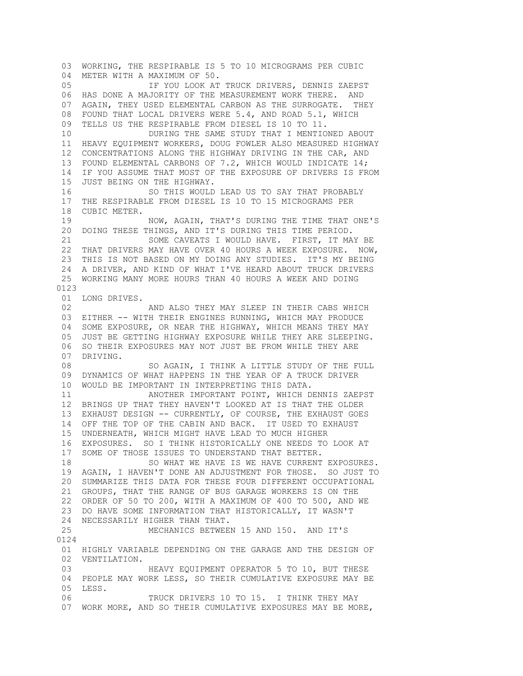03 WORKING, THE RESPIRABLE IS 5 TO 10 MICROGRAMS PER CUBIC 04 METER WITH A MAXIMUM OF 50. 05 IF YOU LOOK AT TRUCK DRIVERS, DENNIS ZAEPST 06 HAS DONE A MAJORITY OF THE MEASUREMENT WORK THERE. AND 07 AGAIN, THEY USED ELEMENTAL CARBON AS THE SURROGATE. THEY 08 FOUND THAT LOCAL DRIVERS WERE 5.4, AND ROAD 5.1, WHICH 09 TELLS US THE RESPIRABLE FROM DIESEL IS 10 TO 11. 10 DURING THE SAME STUDY THAT I MENTIONED ABOUT 11 HEAVY EQUIPMENT WORKERS, DOUG FOWLER ALSO MEASURED HIGHWAY 12 CONCENTRATIONS ALONG THE HIGHWAY DRIVING IN THE CAR, AND 13 FOUND ELEMENTAL CARBONS OF 7.2, WHICH WOULD INDICATE 14; 14 IF YOU ASSUME THAT MOST OF THE EXPOSURE OF DRIVERS IS FROM 15 JUST BEING ON THE HIGHWAY. 16 SO THIS WOULD LEAD US TO SAY THAT PROBABLY 17 THE RESPIRABLE FROM DIESEL IS 10 TO 15 MICROGRAMS PER 18 CUBIC METER. 19 NOW, AGAIN, THAT'S DURING THE TIME THAT ONE'S 20 DOING THESE THINGS, AND IT'S DURING THIS TIME PERIOD. 21 SOME CAVEATS I WOULD HAVE. FIRST, IT MAY BE 22 THAT DRIVERS MAY HAVE OVER 40 HOURS A WEEK EXPOSURE. NOW, 23 THIS IS NOT BASED ON MY DOING ANY STUDIES. IT'S MY BEING 24 A DRIVER, AND KIND OF WHAT I'VE HEARD ABOUT TRUCK DRIVERS 25 WORKING MANY MORE HOURS THAN 40 HOURS A WEEK AND DOING 0123 01 LONG DRIVES. 02 **AND ALSO THEY MAY SLEEP IN THEIR CABS WHICH**  03 EITHER -- WITH THEIR ENGINES RUNNING, WHICH MAY PRODUCE 04 SOME EXPOSURE, OR NEAR THE HIGHWAY, WHICH MEANS THEY MAY 05 JUST BE GETTING HIGHWAY EXPOSURE WHILE THEY ARE SLEEPING. 06 SO THEIR EXPOSURES MAY NOT JUST BE FROM WHILE THEY ARE 07 DRIVING.<br>08 SO AGAIN, I THINK A LITTLE STUDY OF THE FULL 09 DYNAMICS OF WHAT HAPPENS IN THE YEAR OF A TRUCK DRIVER 10 WOULD BE IMPORTANT IN INTERPRETING THIS DATA. 11 ANOTHER IMPORTANT POINT, WHICH DENNIS ZAEPST 12 BRINGS UP THAT THEY HAVEN'T LOOKED AT IS THAT THE OLDER 13 EXHAUST DESIGN -- CURRENTLY, OF COURSE, THE EXHAUST GOES 14 OFF THE TOP OF THE CABIN AND BACK. IT USED TO EXHAUST 15 UNDERNEATH, WHICH MIGHT HAVE LEAD TO MUCH HIGHER 16 EXPOSURES. SO I THINK HISTORICALLY ONE NEEDS TO LOOK AT 17 SOME OF THOSE ISSUES TO UNDERSTAND THAT BETTER. 18 SO WHAT WE HAVE IS WE HAVE CURRENT EXPOSURES. 19 AGAIN, I HAVEN'T DONE AN ADJUSTMENT FOR THOSE. SO JUST TO 20 SUMMARIZE THIS DATA FOR THESE FOUR DIFFERENT OCCUPATIONAL 21 GROUPS, THAT THE RANGE OF BUS GARAGE WORKERS IS ON THE 22 ORDER OF 50 TO 200, WITH A MAXIMUM OF 400 TO 500, AND WE 23 DO HAVE SOME INFORMATION THAT HISTORICALLY, IT WASN'T 24 NECESSARILY HIGHER THAN THAT. 25 MECHANICS BETWEEN 15 AND 150. AND IT'S 0124 01 HIGHLY VARIABLE DEPENDING ON THE GARAGE AND THE DESIGN OF 02 VENTILATION. 03 HEAVY EQUIPMENT OPERATOR 5 TO 10, BUT THESE 04 PEOPLE MAY WORK LESS, SO THEIR CUMULATIVE EXPOSURE MAY BE 05 LESS. 06 TRUCK DRIVERS 10 TO 15. I THINK THEY MAY 07 WORK MORE, AND SO THEIR CUMULATIVE EXPOSURES MAY BE MORE,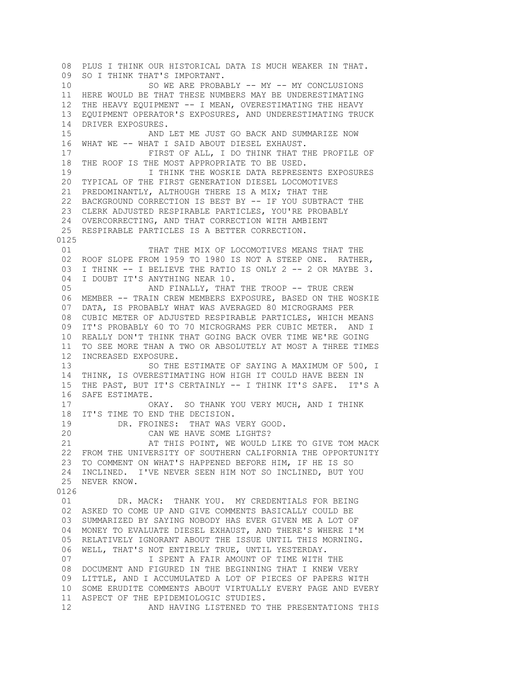08 PLUS I THINK OUR HISTORICAL DATA IS MUCH WEAKER IN THAT. 09 SO I THINK THAT'S IMPORTANT. 10 SO WE ARE PROBABLY -- MY -- MY CONCLUSIONS 11 HERE WOULD BE THAT THESE NUMBERS MAY BE UNDERESTIMATING 12 THE HEAVY EQUIPMENT -- I MEAN, OVERESTIMATING THE HEAVY 13 EQUIPMENT OPERATOR'S EXPOSURES, AND UNDERESTIMATING TRUCK 14 DRIVER EXPOSURES. 15 AND LET ME JUST GO BACK AND SUMMARIZE NOW 16 WHAT WE -- WHAT I SAID ABOUT DIESEL EXHAUST. 17 FIRST OF ALL, I DO THINK THAT THE PROFILE OF 18 THE ROOF IS THE MOST APPROPRIATE TO BE USED. 19 I THINK THE WOSKIE DATA REPRESENTS EXPOSURES 20 TYPICAL OF THE FIRST GENERATION DIESEL LOCOMOTIVES 21 PREDOMINANTLY, ALTHOUGH THERE IS A MIX; THAT THE 22 BACKGROUND CORRECTION IS BEST BY -- IF YOU SUBTRACT THE 23 CLERK ADJUSTED RESPIRABLE PARTICLES, YOU'RE PROBABLY 24 OVERCORRECTING, AND THAT CORRECTION WITH AMBIENT 25 RESPIRABLE PARTICLES IS A BETTER CORRECTION. 0125 01 THAT THE MIX OF LOCOMOTIVES MEANS THAT THE 02 ROOF SLOPE FROM 1959 TO 1980 IS NOT A STEEP ONE. RATHER, 03 I THINK -- I BELIEVE THE RATIO IS ONLY 2 -- 2 OR MAYBE 3. 04 I DOUBT IT'S ANYTHING NEAR 10. 05 AND FINALLY, THAT THE TROOP -- TRUE CREW 06 MEMBER -- TRAIN CREW MEMBERS EXPOSURE, BASED ON THE WOSKIE 07 DATA, IS PROBABLY WHAT WAS AVERAGED 80 MICROGRAMS PER 08 CUBIC METER OF ADJUSTED RESPIRABLE PARTICLES, WHICH MEANS 09 IT'S PROBABLY 60 TO 70 MICROGRAMS PER CUBIC METER. AND I 10 REALLY DON'T THINK THAT GOING BACK OVER TIME WE'RE GOING 11 TO SEE MORE THAN A TWO OR ABSOLUTELY AT MOST A THREE TIMES 12 INCREASED EXPOSURE.<br>13 SO THE SO THE ESTIMATE OF SAYING A MAXIMUM OF 500, I 14 THINK, IS OVERESTIMATING HOW HIGH IT COULD HAVE BEEN IN 15 THE PAST, BUT IT'S CERTAINLY -- I THINK IT'S SAFE. IT'S A 16 SAFE ESTIMATE. 17 OKAY. SO THANK YOU VERY MUCH, AND I THINK 18 IT'S TIME TO END THE DECISION. 19 DR. FROINES: THAT WAS VERY GOOD. 20 CAN WE HAVE SOME LIGHTS? 21 AT THIS POINT, WE WOULD LIKE TO GIVE TOM MACK 22 FROM THE UNIVERSITY OF SOUTHERN CALIFORNIA THE OPPORTUNITY 23 TO COMMENT ON WHAT'S HAPPENED BEFORE HIM, IF HE IS SO 24 INCLINED. I'VE NEVER SEEN HIM NOT SO INCLINED, BUT YOU 25 NEVER KNOW. 0126 01 DR. MACK: THANK YOU. MY CREDENTIALS FOR BEING 02 ASKED TO COME UP AND GIVE COMMENTS BASICALLY COULD BE 03 SUMMARIZED BY SAYING NOBODY HAS EVER GIVEN ME A LOT OF 04 MONEY TO EVALUATE DIESEL EXHAUST, AND THERE'S WHERE I'M 05 RELATIVELY IGNORANT ABOUT THE ISSUE UNTIL THIS MORNING. 06 WELL, THAT'S NOT ENTIRELY TRUE, UNTIL YESTERDAY. 07 **I SPENT A FAIR AMOUNT OF TIME WITH THE**  08 DOCUMENT AND FIGURED IN THE BEGINNING THAT I KNEW VERY 09 LITTLE, AND I ACCUMULATED A LOT OF PIECES OF PAPERS WITH 10 SOME ERUDITE COMMENTS ABOUT VIRTUALLY EVERY PAGE AND EVERY 11 ASPECT OF THE EPIDEMIOLOGIC STUDIES. 12 **AND HAVING LISTENED TO THE PRESENTATIONS THIS**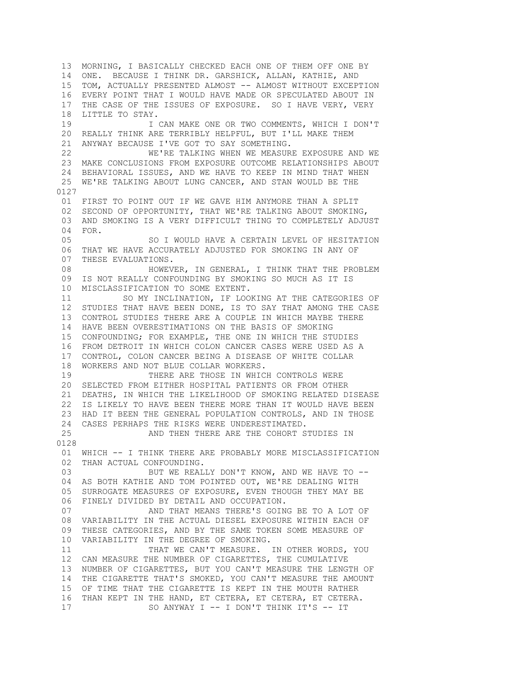13 MORNING, I BASICALLY CHECKED EACH ONE OF THEM OFF ONE BY 14 ONE. BECAUSE I THINK DR. GARSHICK, ALLAN, KATHIE, AND 15 TOM, ACTUALLY PRESENTED ALMOST -- ALMOST WITHOUT EXCEPTION 16 EVERY POINT THAT I WOULD HAVE MADE OR SPECULATED ABOUT IN 17 THE CASE OF THE ISSUES OF EXPOSURE. SO I HAVE VERY, VERY 18 LITTLE TO STAY. 19 I CAN MAKE ONE OR TWO COMMENTS, WHICH I DON'T 20 REALLY THINK ARE TERRIBLY HELPFUL, BUT I'LL MAKE THEM 21 ANYWAY BECAUSE I'VE GOT TO SAY SOMETHING. 22 WE'RE TALKING WHEN WE MEASURE EXPOSURE AND WE 23 MAKE CONCLUSIONS FROM EXPOSURE OUTCOME RELATIONSHIPS ABOUT 24 BEHAVIORAL ISSUES, AND WE HAVE TO KEEP IN MIND THAT WHEN 25 WE'RE TALKING ABOUT LUNG CANCER, AND STAN WOULD BE THE 0127 01 FIRST TO POINT OUT IF WE GAVE HIM ANYMORE THAN A SPLIT 02 SECOND OF OPPORTUNITY, THAT WE'RE TALKING ABOUT SMOKING, 03 AND SMOKING IS A VERY DIFFICULT THING TO COMPLETELY ADJUST 04 FOR.<br>05 SO I WOULD HAVE A CERTAIN LEVEL OF HESITATION 06 THAT WE HAVE ACCURATELY ADJUSTED FOR SMOKING IN ANY OF 07 THESE EVALUATIONS. 08 **HOWEVER, IN GENERAL, I THINK THAT THE PROBLEM**  09 IS NOT REALLY CONFOUNDING BY SMOKING SO MUCH AS IT IS 10 MISCLASSIFICATION TO SOME EXTENT. 11 SO MY INCLINATION, IF LOOKING AT THE CATEGORIES OF 12 STUDIES THAT HAVE BEEN DONE, IS TO SAY THAT AMONG THE CASE 13 CONTROL STUDIES THERE ARE A COUPLE IN WHICH MAYBE THERE 14 HAVE BEEN OVERESTIMATIONS ON THE BASIS OF SMOKING 15 CONFOUNDING; FOR EXAMPLE, THE ONE IN WHICH THE STUDIES 16 FROM DETROIT IN WHICH COLON CANCER CASES WERE USED AS A 17 CONTROL, COLON CANCER BEING A DISEASE OF WHITE COLLAR 18 WORKERS AND NOT BLUE COLLAR WORKERS. 19 THERE ARE THOSE IN WHICH CONTROLS WERE 20 SELECTED FROM EITHER HOSPITAL PATIENTS OR FROM OTHER 21 DEATHS, IN WHICH THE LIKELIHOOD OF SMOKING RELATED DISEASE 22 IS LIKELY TO HAVE BEEN THERE MORE THAN IT WOULD HAVE BEEN 23 HAD IT BEEN THE GENERAL POPULATION CONTROLS, AND IN THOSE 24 CASES PERHAPS THE RISKS WERE UNDERESTIMATED. 25 AND THEN THERE ARE THE COHORT STUDIES IN 0128 01 WHICH -- I THINK THERE ARE PROBABLY MORE MISCLASSIFICATION 02 THAN ACTUAL CONFOUNDING. 03 BUT WE REALLY DON'T KNOW, AND WE HAVE TO -- 04 AS BOTH KATHIE AND TOM POINTED OUT, WE'RE DEALING WITH 05 SURROGATE MEASURES OF EXPOSURE, EVEN THOUGH THEY MAY BE 06 FINELY DIVIDED BY DETAIL AND OCCUPATION. 07 AND THAT MEANS THERE'S GOING BE TO A LOT OF 08 VARIABILITY IN THE ACTUAL DIESEL EXPOSURE WITHIN EACH OF 09 THESE CATEGORIES, AND BY THE SAME TOKEN SOME MEASURE OF 10 VARIABILITY IN THE DEGREE OF SMOKING. 11 THAT WE CAN'T MEASURE. IN OTHER WORDS, YOU 12 CAN MEASURE THE NUMBER OF CIGARETTES, THE CUMULATIVE 13 NUMBER OF CIGARETTES, BUT YOU CAN'T MEASURE THE LENGTH OF 14 THE CIGARETTE THAT'S SMOKED, YOU CAN'T MEASURE THE AMOUNT 15 OF TIME THAT THE CIGARETTE IS KEPT IN THE MOUTH RATHER 16 THAN KEPT IN THE HAND, ET CETERA, ET CETERA, ET CETERA. 17 SO ANYWAY I -- I DON'T THINK IT'S -- IT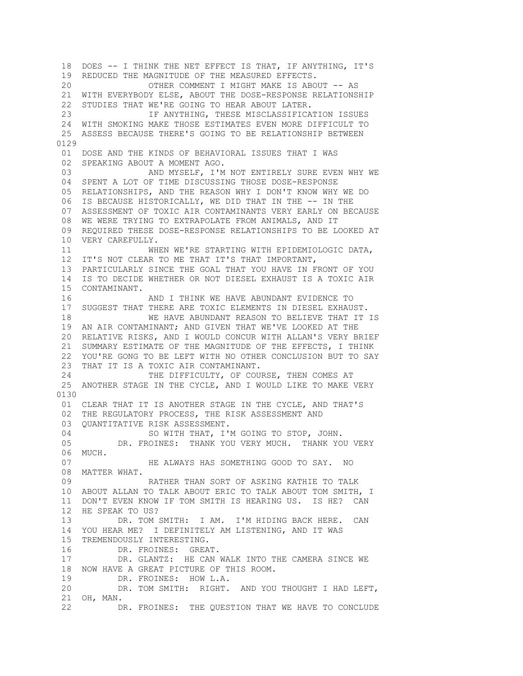18 DOES -- I THINK THE NET EFFECT IS THAT, IF ANYTHING, IT'S 19 REDUCED THE MAGNITUDE OF THE MEASURED EFFECTS. 20 OTHER COMMENT I MIGHT MAKE IS ABOUT -- AS 21 WITH EVERYBODY ELSE, ABOUT THE DOSE-RESPONSE RELATIONSHIP 22 STUDIES THAT WE'RE GOING TO HEAR ABOUT LATER. 23 IF ANYTHING, THESE MISCLASSIFICATION ISSUES 24 WITH SMOKING MAKE THOSE ESTIMATES EVEN MORE DIFFICULT TO 25 ASSESS BECAUSE THERE'S GOING TO BE RELATIONSHIP BETWEEN 0129 01 DOSE AND THE KINDS OF BEHAVIORAL ISSUES THAT I WAS 02 SPEAKING ABOUT A MOMENT AGO. 03 AND MYSELF, I'M NOT ENTIRELY SURE EVEN WHY WE 04 SPENT A LOT OF TIME DISCUSSING THOSE DOSE-RESPONSE 05 RELATIONSHIPS, AND THE REASON WHY I DON'T KNOW WHY WE DO 06 IS BECAUSE HISTORICALLY, WE DID THAT IN THE -- IN THE 07 ASSESSMENT OF TOXIC AIR CONTAMINANTS VERY EARLY ON BECAUSE 08 WE WERE TRYING TO EXTRAPOLATE FROM ANIMALS, AND IT 09 REQUIRED THESE DOSE-RESPONSE RELATIONSHIPS TO BE LOOKED AT 10 VERY CAREFULLY. 11 WHEN WE'RE STARTING WITH EPIDEMIOLOGIC DATA, 12 IT'S NOT CLEAR TO ME THAT IT'S THAT IMPORTANT, 13 PARTICULARLY SINCE THE GOAL THAT YOU HAVE IN FRONT OF YOU 14 IS TO DECIDE WHETHER OR NOT DIESEL EXHAUST IS A TOXIC AIR 15 CONTAMINANT. 16 AND I THINK WE HAVE ABUNDANT EVIDENCE TO 17 SUGGEST THAT THERE ARE TOXIC ELEMENTS IN DIESEL EXHAUST. 18 WE HAVE ABUNDANT REASON TO BELIEVE THAT IT IS 19 AN AIR CONTAMINANT; AND GIVEN THAT WE'VE LOOKED AT THE 20 RELATIVE RISKS, AND I WOULD CONCUR WITH ALLAN'S VERY BRIEF 21 SUMMARY ESTIMATE OF THE MAGNITUDE OF THE EFFECTS, I THINK 22 YOU'RE GONG TO BE LEFT WITH NO OTHER CONCLUSION BUT TO SAY 23 THAT IT IS A TOXIC AIR CONTAMINANT. 24 THE DIFFICULTY, OF COURSE, THEN COMES AT 25 ANOTHER STAGE IN THE CYCLE, AND I WOULD LIKE TO MAKE VERY 0130 01 CLEAR THAT IT IS ANOTHER STAGE IN THE CYCLE, AND THAT'S 02 THE REGULATORY PROCESS, THE RISK ASSESSMENT AND 03 QUANTITATIVE RISK ASSESSMENT. 04 SO WITH THAT, I'M GOING TO STOP, JOHN. 05 DR. FROINES: THANK YOU VERY MUCH. THANK YOU VERY 06 MUCH. 07 **HE ALWAYS HAS SOMETHING GOOD TO SAY.** NO 08 MATTER WHAT. 09 RATHER THAN SORT OF ASKING KATHIE TO TALK 10 ABOUT ALLAN TO TALK ABOUT ERIC TO TALK ABOUT TOM SMITH, I 11 DON'T EVEN KNOW IF TOM SMITH IS HEARING US. IS HE? CAN 12 HE SPEAK TO US? 13 DR. TOM SMITH: I AM. I'M HIDING BACK HERE. CAN 14 YOU HEAR ME? I DEFINITELY AM LISTENING, AND IT WAS 15 TREMENDOUSLY INTERESTING. 16 DR. FROINES: GREAT. 17 DR. GLANTZ: HE CAN WALK INTO THE CAMERA SINCE WE 18 NOW HAVE A GREAT PICTURE OF THIS ROOM. 19 DR. FROINES: HOW L.A. 20 DR. TOM SMITH: RIGHT. AND YOU THOUGHT I HAD LEFT, 21 OH, MAN. 22 DR. FROINES: THE QUESTION THAT WE HAVE TO CONCLUDE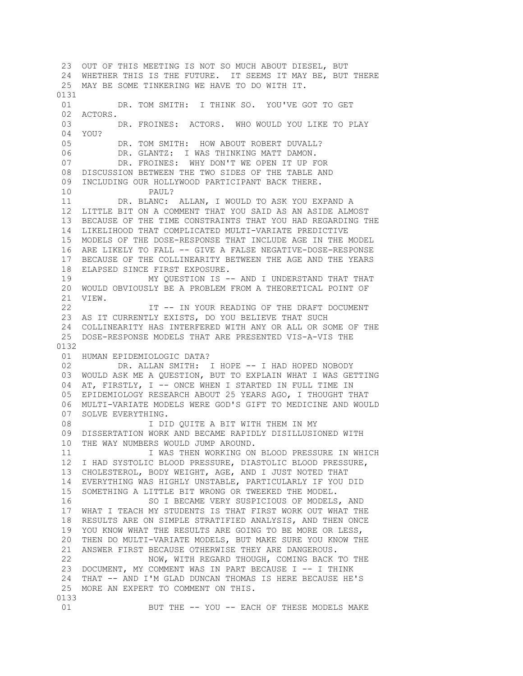23 OUT OF THIS MEETING IS NOT SO MUCH ABOUT DIESEL, BUT 24 WHETHER THIS IS THE FUTURE. IT SEEMS IT MAY BE, BUT THERE 25 MAY BE SOME TINKERING WE HAVE TO DO WITH IT. 0131 01 DR. TOM SMITH: I THINK SO. YOU'VE GOT TO GET 02 ACTORS. 03 DR. FROINES: ACTORS. WHO WOULD YOU LIKE TO PLAY  $04$  YOU? 05 DR. TOM SMITH: HOW ABOUT ROBERT DUVALL? 06 DR. GLANTZ: I WAS THINKING MATT DAMON. 07 DR. FROINES: WHY DON'T WE OPEN IT UP FOR 08 DISCUSSION BETWEEN THE TWO SIDES OF THE TABLE AND 09 INCLUDING OUR HOLLYWOOD PARTICIPANT BACK THERE. 10 PAUL? 11 DR. BLANC: ALLAN, I WOULD TO ASK YOU EXPAND A 12 LITTLE BIT ON A COMMENT THAT YOU SAID AS AN ASIDE ALMOST 13 BECAUSE OF THE TIME CONSTRAINTS THAT YOU HAD REGARDING THE 14 LIKELIHOOD THAT COMPLICATED MULTI-VARIATE PREDICTIVE 15 MODELS OF THE DOSE-RESPONSE THAT INCLUDE AGE IN THE MODEL 16 ARE LIKELY TO FALL -- GIVE A FALSE NEGATIVE-DOSE-RESPONSE 17 BECAUSE OF THE COLLINEARITY BETWEEN THE AGE AND THE YEARS 18 ELAPSED SINCE FIRST EXPOSURE. 19 MY QUESTION IS -- AND I UNDERSTAND THAT THAT 20 WOULD OBVIOUSLY BE A PROBLEM FROM A THEORETICAL POINT OF 21 VIEW. 22 **IT -- IN YOUR READING OF THE DRAFT DOCUMENT**  23 AS IT CURRENTLY EXISTS, DO YOU BELIEVE THAT SUCH 24 COLLINEARITY HAS INTERFERED WITH ANY OR ALL OR SOME OF THE 25 DOSE-RESPONSE MODELS THAT ARE PRESENTED VIS-A-VIS THE 0132 01 HUMAN EPIDEMIOLOGIC DATA? 02 DR. ALLAN SMITH: I HOPE -- I HAD HOPED NOBODY 03 WOULD ASK ME A QUESTION, BUT TO EXPLAIN WHAT I WAS GETTING 04 AT, FIRSTLY, I -- ONCE WHEN I STARTED IN FULL TIME IN 05 EPIDEMIOLOGY RESEARCH ABOUT 25 YEARS AGO, I THOUGHT THAT 06 MULTI-VARIATE MODELS WERE GOD'S GIFT TO MEDICINE AND WOULD 07 SOLVE EVERYTHING. 08 I DID QUITE A BIT WITH THEM IN MY 09 DISSERTATION WORK AND BECAME RAPIDLY DISILLUSIONED WITH 10 THE WAY NUMBERS WOULD JUMP AROUND. 11 **I WAS THEN WORKING ON BLOOD PRESSURE IN WHICH**  12 I HAD SYSTOLIC BLOOD PRESSURE, DIASTOLIC BLOOD PRESSURE, 13 CHOLESTEROL, BODY WEIGHT, AGE, AND I JUST NOTED THAT 14 EVERYTHING WAS HIGHLY UNSTABLE, PARTICULARLY IF YOU DID 15 SOMETHING A LITTLE BIT WRONG OR TWEEKED THE MODEL. 16 SO I BECAME VERY SUSPICIOUS OF MODELS, AND 17 WHAT I TEACH MY STUDENTS IS THAT FIRST WORK OUT WHAT THE 18 RESULTS ARE ON SIMPLE STRATIFIED ANALYSIS, AND THEN ONCE 19 YOU KNOW WHAT THE RESULTS ARE GOING TO BE MORE OR LESS, 20 THEN DO MULTI-VARIATE MODELS, BUT MAKE SURE YOU KNOW THE 21 ANSWER FIRST BECAUSE OTHERWISE THEY ARE DANGEROUS. 22 NOW, WITH REGARD THOUGH, COMING BACK TO THE 23 DOCUMENT, MY COMMENT WAS IN PART BECAUSE I -- I THINK 24 THAT -- AND I'M GLAD DUNCAN THOMAS IS HERE BECAUSE HE'S 25 MORE AN EXPERT TO COMMENT ON THIS. 0133 01 BUT THE -- YOU -- EACH OF THESE MODELS MAKE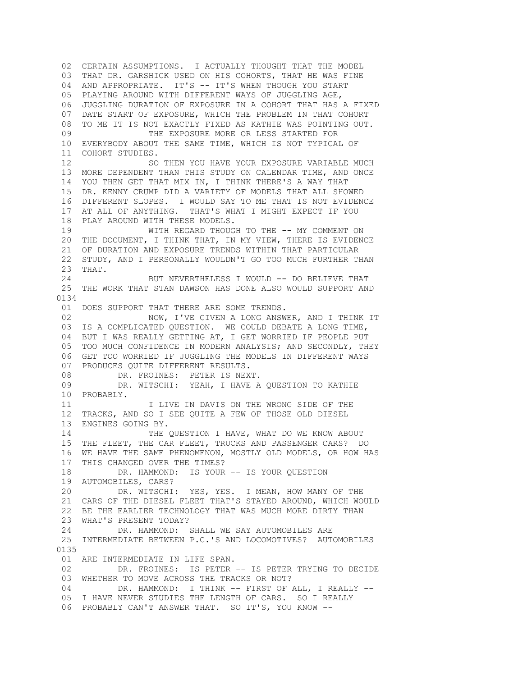02 CERTAIN ASSUMPTIONS. I ACTUALLY THOUGHT THAT THE MODEL 03 THAT DR. GARSHICK USED ON HIS COHORTS, THAT HE WAS FINE 04 AND APPROPRIATE. IT'S -- IT'S WHEN THOUGH YOU START 05 PLAYING AROUND WITH DIFFERENT WAYS OF JUGGLING AGE, 06 JUGGLING DURATION OF EXPOSURE IN A COHORT THAT HAS A FIXED 07 DATE START OF EXPOSURE, WHICH THE PROBLEM IN THAT COHORT 08 TO ME IT IS NOT EXACTLY FIXED AS KATHIE WAS POINTING OUT. 09 THE EXPOSURE MORE OR LESS STARTED FOR 10 EVERYBODY ABOUT THE SAME TIME, WHICH IS NOT TYPICAL OF 11 COHORT STUDIES. 12 SO THEN YOU HAVE YOUR EXPOSURE VARIABLE MUCH 13 MORE DEPENDENT THAN THIS STUDY ON CALENDAR TIME, AND ONCE 14 YOU THEN GET THAT MIX IN, I THINK THERE'S A WAY THAT 15 DR. KENNY CRUMP DID A VARIETY OF MODELS THAT ALL SHOWED 16 DIFFERENT SLOPES. I WOULD SAY TO ME THAT IS NOT EVIDENCE 17 AT ALL OF ANYTHING. THAT'S WHAT I MIGHT EXPECT IF YOU 18 PLAY AROUND WITH THESE MODELS. 19 WITH REGARD THOUGH TO THE -- MY COMMENT ON 20 THE DOCUMENT, I THINK THAT, IN MY VIEW, THERE IS EVIDENCE 21 OF DURATION AND EXPOSURE TRENDS WITHIN THAT PARTICULAR 22 STUDY, AND I PERSONALLY WOULDN'T GO TOO MUCH FURTHER THAN 23 THAT. 24 BUT NEVERTHELESS I WOULD -- DO BELIEVE THAT 25 THE WORK THAT STAN DAWSON HAS DONE ALSO WOULD SUPPORT AND 0134 01 DOES SUPPORT THAT THERE ARE SOME TRENDS. 02 NOW, I'VE GIVEN A LONG ANSWER, AND I THINK IT 03 IS A COMPLICATED QUESTION. WE COULD DEBATE A LONG TIME, 04 BUT I WAS REALLY GETTING AT, I GET WORRIED IF PEOPLE PUT 05 TOO MUCH CONFIDENCE IN MODERN ANALYSIS; AND SECONDLY, THEY 06 GET TOO WORRIED IF JUGGLING THE MODELS IN DIFFERENT WAYS 07 PRODUCES QUITE DIFFERENT RESULTS. 08 DR. FROINES: PETER IS NEXT. 09 DR. WITSCHI: YEAH, I HAVE A QUESTION TO KATHIE 10 PROBABLY. 11 I LIVE IN DAVIS ON THE WRONG SIDE OF THE 12 TRACKS, AND SO I SEE QUITE A FEW OF THOSE OLD DIESEL 13 ENGINES GOING BY. 14 THE QUESTION I HAVE, WHAT DO WE KNOW ABOUT 15 THE FLEET, THE CAR FLEET, TRUCKS AND PASSENGER CARS? DO 16 WE HAVE THE SAME PHENOMENON, MOSTLY OLD MODELS, OR HOW HAS 17 THIS CHANGED OVER THE TIMES? 18 DR. HAMMOND: IS YOUR -- IS YOUR QUESTION 19 AUTOMOBILES, CARS? 20 DR. WITSCHI: YES, YES. I MEAN, HOW MANY OF THE 21 CARS OF THE DIESEL FLEET THAT'S STAYED AROUND, WHICH WOULD 22 BE THE EARLIER TECHNOLOGY THAT WAS MUCH MORE DIRTY THAN 23 WHAT'S PRESENT TODAY? 24 DR. HAMMOND: SHALL WE SAY AUTOMOBILES ARE 25 INTERMEDIATE BETWEEN P.C.'S AND LOCOMOTIVES? AUTOMOBILES 0135 01 ARE INTERMEDIATE IN LIFE SPAN. 02 DR. FROINES: IS PETER -- IS PETER TRYING TO DECIDE 03 WHETHER TO MOVE ACROSS THE TRACKS OR NOT? 04 DR. HAMMOND: I THINK -- FIRST OF ALL, I REALLY -- 05 I HAVE NEVER STUDIES THE LENGTH OF CARS. SO I REALLY 06 PROBABLY CAN'T ANSWER THAT. SO IT'S, YOU KNOW --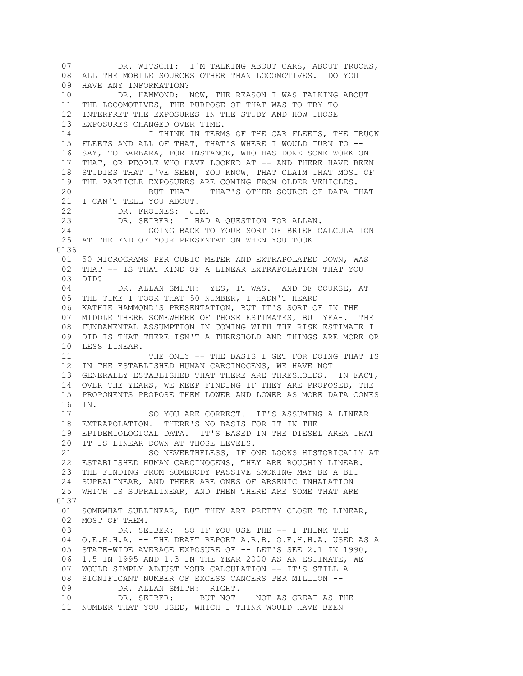07 DR. WITSCHI: I'M TALKING ABOUT CARS, ABOUT TRUCKS, 08 ALL THE MOBILE SOURCES OTHER THAN LOCOMOTIVES. DO YOU 09 HAVE ANY INFORMATION? 10 DR. HAMMOND: NOW, THE REASON I WAS TALKING ABOUT 11 THE LOCOMOTIVES, THE PURPOSE OF THAT WAS TO TRY TO 12 INTERPRET THE EXPOSURES IN THE STUDY AND HOW THOSE 13 EXPOSURES CHANGED OVER TIME. 14 **I THINK IN TERMS OF THE CAR FLEETS, THE TRUCK**  15 FLEETS AND ALL OF THAT, THAT'S WHERE I WOULD TURN TO -- 16 SAY, TO BARBARA, FOR INSTANCE, WHO HAS DONE SOME WORK ON 17 THAT, OR PEOPLE WHO HAVE LOOKED AT -- AND THERE HAVE BEEN 18 STUDIES THAT I'VE SEEN, YOU KNOW, THAT CLAIM THAT MOST OF 19 THE PARTICLE EXPOSURES ARE COMING FROM OLDER VEHICLES. 20 BUT THAT -- THAT'S OTHER SOURCE OF DATA THAT 21 I CAN'T TELL YOU ABOUT. 22 DR. FROINES: JIM. 23 DR. SEIBER: I HAD A QUESTION FOR ALLAN. 24 GOING BACK TO YOUR SORT OF BRIEF CALCULATION 25 AT THE END OF YOUR PRESENTATION WHEN YOU TOOK 0136 01 50 MICROGRAMS PER CUBIC METER AND EXTRAPOLATED DOWN, WAS 02 THAT -- IS THAT KIND OF A LINEAR EXTRAPOLATION THAT YOU 03 DID? 04 DR. ALLAN SMITH: YES, IT WAS. AND OF COURSE, AT 05 THE TIME I TOOK THAT 50 NUMBER, I HADN'T HEARD 06 KATHIE HAMMOND'S PRESENTATION, BUT IT'S SORT OF IN THE 07 MIDDLE THERE SOMEWHERE OF THOSE ESTIMATES, BUT YEAH. THE 08 FUNDAMENTAL ASSUMPTION IN COMING WITH THE RISK ESTIMATE I 09 DID IS THAT THERE ISN'T A THRESHOLD AND THINGS ARE MORE OR 10 LESS LINEAR. 11 THE ONLY -- THE BASIS I GET FOR DOING THAT IS 12 IN THE ESTABLISHED HUMAN CARCINOGENS, WE HAVE NOT 13 GENERALLY ESTABLISHED THAT THERE ARE THRESHOLDS. IN FACT, 14 OVER THE YEARS, WE KEEP FINDING IF THEY ARE PROPOSED, THE 15 PROPONENTS PROPOSE THEM LOWER AND LOWER AS MORE DATA COMES 16 IN. 17 SO YOU ARE CORRECT. IT'S ASSUMING A LINEAR 18 EXTRAPOLATION. THERE'S NO BASIS FOR IT IN THE 19 EPIDEMIOLOGICAL DATA. IT'S BASED IN THE DIESEL AREA THAT 20 IT IS LINEAR DOWN AT THOSE LEVELS. 21 SO NEVERTHELESS, IF ONE LOOKS HISTORICALLY AT 22 ESTABLISHED HUMAN CARCINOGENS, THEY ARE ROUGHLY LINEAR. 23 THE FINDING FROM SOMEBODY PASSIVE SMOKING MAY BE A BIT 24 SUPRALINEAR, AND THERE ARE ONES OF ARSENIC INHALATION 25 WHICH IS SUPRALINEAR, AND THEN THERE ARE SOME THAT ARE 0137 01 SOMEWHAT SUBLINEAR, BUT THEY ARE PRETTY CLOSE TO LINEAR, 02 MOST OF THEM. 03 DR. SEIBER: SO IF YOU USE THE -- I THINK THE 04 O.E.H.H.A. -- THE DRAFT REPORT A.R.B. O.E.H.H.A. USED AS A 05 STATE-WIDE AVERAGE EXPOSURE OF -- LET'S SEE 2.1 IN 1990, 06 1.5 IN 1995 AND 1.3 IN THE YEAR 2000 AS AN ESTIMATE, WE 07 WOULD SIMPLY ADJUST YOUR CALCULATION -- IT'S STILL A 08 SIGNIFICANT NUMBER OF EXCESS CANCERS PER MILLION -- 09 DR. ALLAN SMITH: RIGHT. 10 DR. SEIBER: -- BUT NOT -- NOT AS GREAT AS THE 11 NUMBER THAT YOU USED, WHICH I THINK WOULD HAVE BEEN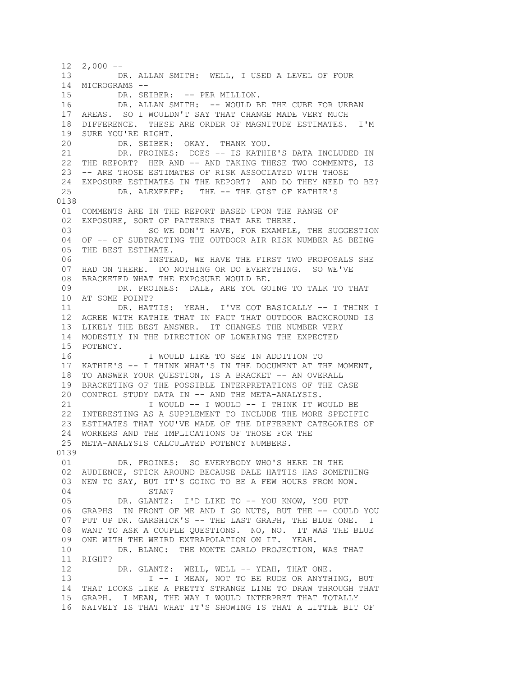$12 \quad 2,000 \quad --$  13 DR. ALLAN SMITH: WELL, I USED A LEVEL OF FOUR 14 MICROGRAMS -- 15 DR. SEIBER: -- PER MILLION. 16 DR. ALLAN SMITH: -- WOULD BE THE CUBE FOR URBAN 17 AREAS. SO I WOULDN'T SAY THAT CHANGE MADE VERY MUCH 18 DIFFERENCE. THESE ARE ORDER OF MAGNITUDE ESTIMATES. I'M 19 SURE YOU'RE RIGHT. 20 DR. SEIBER: OKAY. THANK YOU. 21 DR. FROINES: DOES -- IS KATHIE'S DATA INCLUDED IN 22 THE REPORT? HER AND -- AND TAKING THESE TWO COMMENTS, IS 23 -- ARE THOSE ESTIMATES OF RISK ASSOCIATED WITH THOSE 24 EXPOSURE ESTIMATES IN THE REPORT? AND DO THEY NEED TO BE? 25 DR. ALEXEEFF: THE -- THE GIST OF KATHIE'S 0138 01 COMMENTS ARE IN THE REPORT BASED UPON THE RANGE OF 02 EXPOSURE, SORT OF PATTERNS THAT ARE THERE. 03 SO WE DON'T HAVE, FOR EXAMPLE, THE SUGGESTION 04 OF -- OF SUBTRACTING THE OUTDOOR AIR RISK NUMBER AS BEING 05 THE BEST ESTIMATE. 06 INSTEAD, WE HAVE THE FIRST TWO PROPOSALS SHE 07 HAD ON THERE. DO NOTHING OR DO EVERYTHING. SO WE'VE 08 BRACKETED WHAT THE EXPOSURE WOULD BE. 09 DR. FROINES: DALE, ARE YOU GOING TO TALK TO THAT 10 AT SOME POINT? 11 DR. HATTIS: YEAH. I'VE GOT BASICALLY -- I THINK I 12 AGREE WITH KATHIE THAT IN FACT THAT OUTDOOR BACKGROUND IS 13 LIKELY THE BEST ANSWER. IT CHANGES THE NUMBER VERY 14 MODESTLY IN THE DIRECTION OF LOWERING THE EXPECTED 15 POTENCY. 16 I WOULD LIKE TO SEE IN ADDITION TO 17 KATHIE'S -- I THINK WHAT'S IN THE DOCUMENT AT THE MOMENT, 18 TO ANSWER YOUR QUESTION, IS A BRACKET -- AN OVERALL 19 BRACKETING OF THE POSSIBLE INTERPRETATIONS OF THE CASE 20 CONTROL STUDY DATA IN -- AND THE META-ANALYSIS. 21 I WOULD -- I WOULD -- I THINK IT WOULD BE 22 INTERESTING AS A SUPPLEMENT TO INCLUDE THE MORE SPECIFIC 23 ESTIMATES THAT YOU'VE MADE OF THE DIFFERENT CATEGORIES OF 24 WORKERS AND THE IMPLICATIONS OF THOSE FOR THE 25 META-ANALYSIS CALCULATED POTENCY NUMBERS. 0139 01 DR. FROINES: SO EVERYBODY WHO'S HERE IN THE 02 AUDIENCE, STICK AROUND BECAUSE DALE HATTIS HAS SOMETHING 03 NEW TO SAY, BUT IT'S GOING TO BE A FEW HOURS FROM NOW. 04 STAN? 05 DR. GLANTZ: I'D LIKE TO -- YOU KNOW, YOU PUT 06 GRAPHS IN FRONT OF ME AND I GO NUTS, BUT THE -- COULD YOU 07 PUT UP DR. GARSHICK'S -- THE LAST GRAPH, THE BLUE ONE. I 08 WANT TO ASK A COUPLE QUESTIONS. NO, NO. IT WAS THE BLUE 09 ONE WITH THE WEIRD EXTRAPOLATION ON IT. YEAH. 10 DR. BLANC: THE MONTE CARLO PROJECTION, WAS THAT 11 RIGHT? 12 DR. GLANTZ: WELL, WELL -- YEAH, THAT ONE. 13 I -- I MEAN, NOT TO BE RUDE OR ANYTHING, BUT 14 THAT LOOKS LIKE A PRETTY STRANGE LINE TO DRAW THROUGH THAT 15 GRAPH. I MEAN, THE WAY I WOULD INTERPRET THAT TOTALLY 16 NAIVELY IS THAT WHAT IT'S SHOWING IS THAT A LITTLE BIT OF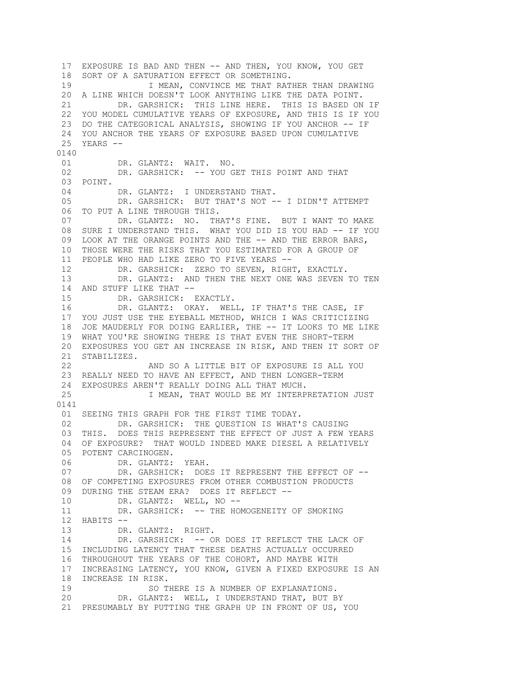17 EXPOSURE IS BAD AND THEN -- AND THEN, YOU KNOW, YOU GET 18 SORT OF A SATURATION EFFECT OR SOMETHING. 19 19 I MEAN, CONVINCE ME THAT RATHER THAN DRAWING 20 A LINE WHICH DOESN'T LOOK ANYTHING LIKE THE DATA POINT. 21 DR. GARSHICK: THIS LINE HERE. THIS IS BASED ON IF 22 YOU MODEL CUMULATIVE YEARS OF EXPOSURE, AND THIS IS IF YOU 23 DO THE CATEGORICAL ANALYSIS, SHOWING IF YOU ANCHOR -- IF 24 YOU ANCHOR THE YEARS OF EXPOSURE BASED UPON CUMULATIVE 25 YEARS -- 0140 01 DR. GLANTZ: WAIT. NO. 02 DR. GARSHICK: -- YOU GET THIS POINT AND THAT 03 POINT. 04 DR. GLANTZ: I UNDERSTAND THAT. 05 DR. GARSHICK: BUT THAT'S NOT -- I DIDN'T ATTEMPT 06 TO PUT A LINE THROUGH THIS. 07 DR. GLANTZ: NO. THAT'S FINE. BUT I WANT TO MAKE 08 SURE I UNDERSTAND THIS. WHAT YOU DID IS YOU HAD -- IF YOU 09 LOOK AT THE ORANGE POINTS AND THE -- AND THE ERROR BARS, 10 THOSE WERE THE RISKS THAT YOU ESTIMATED FOR A GROUP OF 11 PEOPLE WHO HAD LIKE ZERO TO FIVE YEARS -- 12 DR. GARSHICK: ZERO TO SEVEN, RIGHT, EXACTLY. 13 DR. GLANTZ: AND THEN THE NEXT ONE WAS SEVEN TO TEN 14 AND STUFF LIKE THAT -- 15 DR. GARSHICK: EXACTLY. 16 DR. GLANTZ: OKAY. WELL, IF THAT'S THE CASE, IF 17 YOU JUST USE THE EYEBALL METHOD, WHICH I WAS CRITICIZING 18 JOE MAUDERLY FOR DOING EARLIER, THE -- IT LOOKS TO ME LIKE 19 WHAT YOU'RE SHOWING THERE IS THAT EVEN THE SHORT-TERM 20 EXPOSURES YOU GET AN INCREASE IN RISK, AND THEN IT SORT OF 21 STABILIZES.<br>22 AND SO A LITTLE BIT OF EXPOSURE IS ALL YOU 23 REALLY NEED TO HAVE AN EFFECT, AND THEN LONGER-TERM 24 EXPOSURES AREN'T REALLY DOING ALL THAT MUCH. 25 I MEAN, THAT WOULD BE MY INTERPRETATION JUST 0141 01 SEEING THIS GRAPH FOR THE FIRST TIME TODAY. 02 DR. GARSHICK: THE QUESTION IS WHAT'S CAUSING 03 THIS. DOES THIS REPRESENT THE EFFECT OF JUST A FEW YEARS 04 OF EXPOSURE? THAT WOULD INDEED MAKE DIESEL A RELATIVELY 05 POTENT CARCINOGEN. 06 DR. GLANTZ: YEAH. 07 DR. GARSHICK: DOES IT REPRESENT THE EFFECT OF -- 08 OF COMPETING EXPOSURES FROM OTHER COMBUSTION PRODUCTS 09 DURING THE STEAM ERA? DOES IT REFLECT --<br>10 DR. GLANTZ: WELL, NO --DR. GLANTZ: WELL, NO --11 DR. GARSHICK: -- THE HOMOGENEITY OF SMOKING 12 HABITS -- 13 DR. GLANTZ: RIGHT. 14 DR. GARSHICK: -- OR DOES IT REFLECT THE LACK OF 15 INCLUDING LATENCY THAT THESE DEATHS ACTUALLY OCCURRED 16 THROUGHOUT THE YEARS OF THE COHORT, AND MAYBE WITH 17 INCREASING LATENCY, YOU KNOW, GIVEN A FIXED EXPOSURE IS AN 18 INCREASE IN RISK. 19 SO THERE IS A NUMBER OF EXPLANATIONS. 20 DR. GLANTZ: WELL, I UNDERSTAND THAT, BUT BY 21 PRESUMABLY BY PUTTING THE GRAPH UP IN FRONT OF US, YOU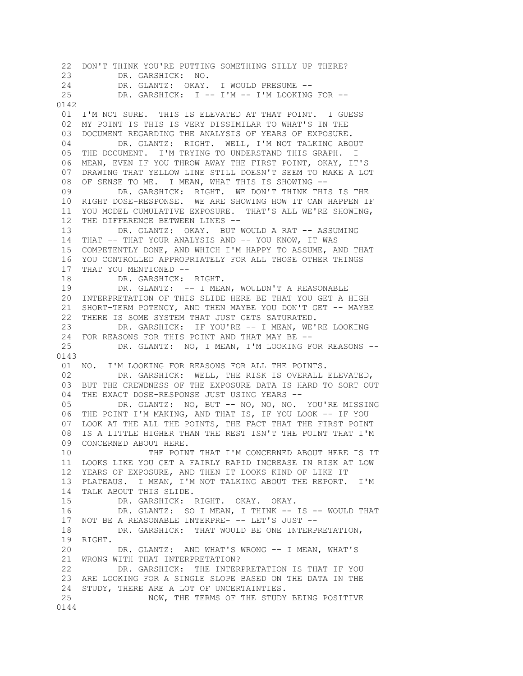22 DON'T THINK YOU'RE PUTTING SOMETHING SILLY UP THERE? 23 DR. GARSHICK: NO. 24 DR. GLANTZ: OKAY. I WOULD PRESUME -- 25 DR. GARSHICK: I -- I'M -- I'M LOOKING FOR -- 0142 01 I'M NOT SURE. THIS IS ELEVATED AT THAT POINT. I GUESS 02 MY POINT IS THIS IS VERY DISSIMILAR TO WHAT'S IN THE 03 DOCUMENT REGARDING THE ANALYSIS OF YEARS OF EXPOSURE. 04 DR. GLANTZ: RIGHT. WELL, I'M NOT TALKING ABOUT 05 THE DOCUMENT. I'M TRYING TO UNDERSTAND THIS GRAPH. I 06 MEAN, EVEN IF YOU THROW AWAY THE FIRST POINT, OKAY, IT'S 07 DRAWING THAT YELLOW LINE STILL DOESN'T SEEM TO MAKE A LOT 08 OF SENSE TO ME. I MEAN, WHAT THIS IS SHOWING -- 09 DR. GARSHICK: RIGHT. WE DON'T THINK THIS IS THE 10 RIGHT DOSE-RESPONSE. WE ARE SHOWING HOW IT CAN HAPPEN IF 11 YOU MODEL CUMULATIVE EXPOSURE. THAT'S ALL WE'RE SHOWING, 12 THE DIFFERENCE BETWEEN LINES -- 13 DR. GLANTZ: OKAY. BUT WOULD A RAT -- ASSUMING 14 THAT -- THAT YOUR ANALYSIS AND -- YOU KNOW, IT WAS 15 COMPETENTLY DONE, AND WHICH I'M HAPPY TO ASSUME, AND THAT 16 YOU CONTROLLED APPROPRIATELY FOR ALL THOSE OTHER THINGS 17 THAT YOU MENTIONED -- 18 DR. GARSHICK: RIGHT. 19 DR. GLANTZ: -- I MEAN, WOULDN'T A REASONABLE 20 INTERPRETATION OF THIS SLIDE HERE BE THAT YOU GET A HIGH 21 SHORT-TERM POTENCY, AND THEN MAYBE YOU DON'T GET -- MAYBE 22 THERE IS SOME SYSTEM THAT JUST GETS SATURATED. 23 DR. GARSHICK: IF YOU'RE -- I MEAN, WE'RE LOOKING 24 FOR REASONS FOR THIS POINT AND THAT MAY BE --<br>25 DR. GLANTZ: NO, I MEAN, I'M LOOKING FO DR. GLANTZ: NO, I MEAN, I'M LOOKING FOR REASONS --0143 01 NO. I'M LOOKING FOR REASONS FOR ALL THE POINTS. 02 DR. GARSHICK: WELL, THE RISK IS OVERALL ELEVATED, 03 BUT THE CREWDNESS OF THE EXPOSURE DATA IS HARD TO SORT OUT 04 THE EXACT DOSE-RESPONSE JUST USING YEARS -- 05 DR. GLANTZ: NO, BUT -- NO, NO, NO. YOU'RE MISSING 06 THE POINT I'M MAKING, AND THAT IS, IF YOU LOOK -- IF YOU 07 LOOK AT THE ALL THE POINTS, THE FACT THAT THE FIRST POINT 08 IS A LITTLE HIGHER THAN THE REST ISN'T THE POINT THAT I'M 09 CONCERNED ABOUT HERE. 10 THE POINT THAT I'M CONCERNED ABOUT HERE IS IT 11 LOOKS LIKE YOU GET A FAIRLY RAPID INCREASE IN RISK AT LOW 12 YEARS OF EXPOSURE, AND THEN IT LOOKS KIND OF LIKE IT 13 PLATEAUS. I MEAN, I'M NOT TALKING ABOUT THE REPORT. I'M 14 TALK ABOUT THIS SLIDE. 15 DR. GARSHICK: RIGHT. OKAY. OKAY. 16 DR. GLANTZ: SO I MEAN, I THINK -- IS -- WOULD THAT 17 NOT BE A REASONABLE INTERPRE- -- LET'S JUST --18 DR. GARSHICK: THAT WOULD BE ONE INTERPRETATION. 19 RIGHT. 20 DR. GLANTZ: AND WHAT'S WRONG -- I MEAN, WHAT'S 21 WRONG WITH THAT INTERPRETATION? 22 DR. GARSHICK: THE INTERPRETATION IS THAT IF YOU 23 ARE LOOKING FOR A SINGLE SLOPE BASED ON THE DATA IN THE 24 STUDY, THERE ARE A LOT OF UNCERTAINTIES. 25 NOW, THE TERMS OF THE STUDY BEING POSITIVE 0144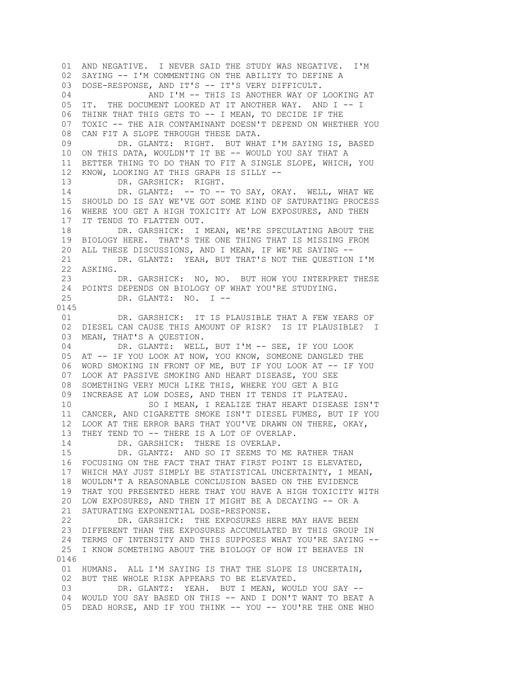01 AND NEGATIVE. I NEVER SAID THE STUDY WAS NEGATIVE. I'M 02 SAYING -- I'M COMMENTING ON THE ABILITY TO DEFINE A 03 DOSE-RESPONSE, AND IT'S -- IT'S VERY DIFFICULT. 04 AND I'M -- THIS IS ANOTHER WAY OF LOOKING AT 05 IT. THE DOCUMENT LOOKED AT IT ANOTHER WAY. AND I -- I 06 THINK THAT THIS GETS TO -- I MEAN, TO DECIDE IF THE 07 TOXIC -- THE AIR CONTAMINANT DOESN'T DEPEND ON WHETHER YOU 08 CAN FIT A SLOPE THROUGH THESE DATA. 09 DR. GLANTZ: RIGHT. BUT WHAT I'M SAYING IS, BASED 10 ON THIS DATA, WOULDN'T IT BE -- WOULD YOU SAY THAT A 11 BETTER THING TO DO THAN TO FIT A SINGLE SLOPE, WHICH, YOU 12 KNOW, LOOKING AT THIS GRAPH IS SILLY -- 13 DR. GARSHICK: RIGHT. 14 DR. GLANTZ: -- TO -- TO SAY, OKAY. WELL, WHAT WE 15 SHOULD DO IS SAY WE'VE GOT SOME KIND OF SATURATING PROCESS 16 WHERE YOU GET A HIGH TOXICITY AT LOW EXPOSURES, AND THEN 17 IT TENDS TO FLATTEN OUT. 18 DR. GARSHICK: I MEAN, WE'RE SPECULATING ABOUT THE 19 BIOLOGY HERE. THAT'S THE ONE THING THAT IS MISSING FROM 20 ALL THESE DISCUSSIONS, AND I MEAN, IF WE'RE SAYING -- 21 DR. GLANTZ: YEAH, BUT THAT'S NOT THE QUESTION I'M 22 ASKING. 23 DR. GARSHICK: NO, NO. BUT HOW YOU INTERPRET THESE 24 POINTS DEPENDS ON BIOLOGY OF WHAT YOU'RE STUDYING. 25 DR. GLANTZ: NO. I -- 0145 01 DR. GARSHICK: IT IS PLAUSIBLE THAT A FEW YEARS OF 02 DIESEL CAN CAUSE THIS AMOUNT OF RISK? IS IT PLAUSIBLE? I 03 MEAN, THAT'S A QUESTION. 04 DR. GLANTZ: WELL, BUT I'M -- SEE, IF YOU LOOK 05 AT -- IF YOU LOOK AT NOW, YOU KNOW, SOMEONE DANGLED THE 06 WORD SMOKING IN FRONT OF ME, BUT IF YOU LOOK AT -- IF YOU 07 LOOK AT PASSIVE SMOKING AND HEART DISEASE, YOU SEE 08 SOMETHING VERY MUCH LIKE THIS, WHERE YOU GET A BIG 09 INCREASE AT LOW DOSES, AND THEN IT TENDS IT PLATEAU. 10 SO I MEAN, I REALIZE THAT HEART DISEASE ISN'T 11 CANCER, AND CIGARETTE SMOKE ISN'T DIESEL FUMES, BUT IF YOU 12 LOOK AT THE ERROR BARS THAT YOU'VE DRAWN ON THERE, OKAY, 13 THEY TEND TO -- THERE IS A LOT OF OVERLAP. 14 DR. GARSHICK: THERE IS OVERLAP. 15 DR. GLANTZ: AND SO IT SEEMS TO ME RATHER THAN 16 FOCUSING ON THE FACT THAT THAT FIRST POINT IS ELEVATED, 17 WHICH MAY JUST SIMPLY BE STATISTICAL UNCERTAINTY, I MEAN, 18 WOULDN'T A REASONABLE CONCLUSION BASED ON THE EVIDENCE 19 THAT YOU PRESENTED HERE THAT YOU HAVE A HIGH TOXICITY WITH 20 LOW EXPOSURES, AND THEN IT MIGHT BE A DECAYING -- OR A 21 SATURATING EXPONENTIAL DOSE-RESPONSE. 22 DR. GARSHICK: THE EXPOSURES HERE MAY HAVE BEEN 23 DIFFERENT THAN THE EXPOSURES ACCUMULATED BY THIS GROUP IN 24 TERMS OF INTENSITY AND THIS SUPPOSES WHAT YOU'RE SAYING -- 25 I KNOW SOMETHING ABOUT THE BIOLOGY OF HOW IT BEHAVES IN 0146 01 HUMANS. ALL I'M SAYING IS THAT THE SLOPE IS UNCERTAIN, 02 BUT THE WHOLE RISK APPEARS TO BE ELEVATED. 03 DR. GLANTZ: YEAH. BUT I MEAN, WOULD YOU SAY -- 04 WOULD YOU SAY BASED ON THIS -- AND I DON'T WANT TO BEAT A 05 DEAD HORSE, AND IF YOU THINK -- YOU -- YOU'RE THE ONE WHO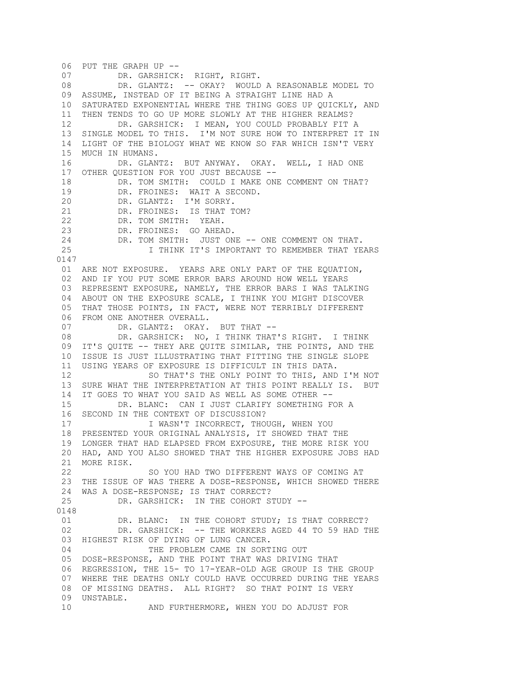06 PUT THE GRAPH UP -- 07 DR. GARSHICK: RIGHT, RIGHT. 08 DR. GLANTZ: -- OKAY? WOULD A REASONABLE MODEL TO 09 ASSUME, INSTEAD OF IT BEING A STRAIGHT LINE HAD A 10 SATURATED EXPONENTIAL WHERE THE THING GOES UP QUICKLY, AND 11 THEN TENDS TO GO UP MORE SLOWLY AT THE HIGHER REALMS? 12 DR. GARSHICK: I MEAN, YOU COULD PROBABLY FIT A 13 SINGLE MODEL TO THIS. I'M NOT SURE HOW TO INTERPRET IT IN 14 LIGHT OF THE BIOLOGY WHAT WE KNOW SO FAR WHICH ISN'T VERY 15 MUCH IN HUMANS. 16 DR. GLANTZ: BUT ANYWAY. OKAY. WELL, I HAD ONE 17 OTHER QUESTION FOR YOU JUST BECAUSE -- 18 DR. TOM SMITH: COULD I MAKE ONE COMMENT ON THAT? 19 DR. FROINES: WAIT A SECOND. 20 DR. GLANTZ: I'M SORRY. 21 DR. FROINES: IS THAT TOM? 22 DR. TOM SMITH: YEAH. 23 DR. FROINES: GO AHEAD. 24 DR. TOM SMITH: JUST ONE -- ONE COMMENT ON THAT. 25 I THINK IT'S IMPORTANT TO REMEMBER THAT YEARS 0147 01 ARE NOT EXPOSURE. YEARS ARE ONLY PART OF THE EQUATION, 02 AND IF YOU PUT SOME ERROR BARS AROUND HOW WELL YEARS 03 REPRESENT EXPOSURE, NAMELY, THE ERROR BARS I WAS TALKING 04 ABOUT ON THE EXPOSURE SCALE, I THINK YOU MIGHT DISCOVER 05 THAT THOSE POINTS, IN FACT, WERE NOT TERRIBLY DIFFERENT 06 FROM ONE ANOTHER OVERALL. 07 DR. GLANTZ: OKAY. BUT THAT -- 08 DR. GARSHICK: NO, I THINK THAT'S RIGHT. I THINK 09 IT'S QUITE -- THEY ARE QUITE SIMILAR, THE POINTS, AND THE 10 ISSUE IS JUST ILLUSTRATING THAT FITTING THE SINGLE SLOPE 11 USING YEARS OF EXPOSURE IS DIFFICULT IN THIS DATA. 12 SO THAT'S THE ONLY POINT TO THIS, AND I'M NOT 13 SURE WHAT THE INTERPRETATION AT THIS POINT REALLY IS. BUT 14 IT GOES TO WHAT YOU SAID AS WELL AS SOME OTHER -- 15 DR. BLANC: CAN I JUST CLARIFY SOMETHING FOR A 16 SECOND IN THE CONTEXT OF DISCUSSION? 17 I WASN'T INCORRECT, THOUGH, WHEN YOU 18 PRESENTED YOUR ORIGINAL ANALYSIS, IT SHOWED THAT THE 19 LONGER THAT HAD ELAPSED FROM EXPOSURE, THE MORE RISK YOU 20 HAD, AND YOU ALSO SHOWED THAT THE HIGHER EXPOSURE JOBS HAD 21 MORE RISK. 22 SO YOU HAD TWO DIFFERENT WAYS OF COMING AT 23 THE ISSUE OF WAS THERE A DOSE-RESPONSE, WHICH SHOWED THERE 24 WAS A DOSE-RESPONSE; IS THAT CORRECT?<br>25 DR. GARSHICK: IN THE COHORT S DR. GARSHICK: IN THE COHORT STUDY --0148 01 DR. BLANC: IN THE COHORT STUDY; IS THAT CORRECT? 02 DR. GARSHICK: -- THE WORKERS AGED 44 TO 59 HAD THE 03 HIGHEST RISK OF DYING OF LUNG CANCER. 04 THE PROBLEM CAME IN SORTING OUT 05 DOSE-RESPONSE, AND THE POINT THAT WAS DRIVING THAT 06 REGRESSION, THE 15- TO 17-YEAR-OLD AGE GROUP IS THE GROUP 07 WHERE THE DEATHS ONLY COULD HAVE OCCURRED DURING THE YEARS 08 OF MISSING DEATHS. ALL RIGHT? SO THAT POINT IS VERY 09 UNSTABLE. 10 AND FURTHERMORE, WHEN YOU DO ADJUST FOR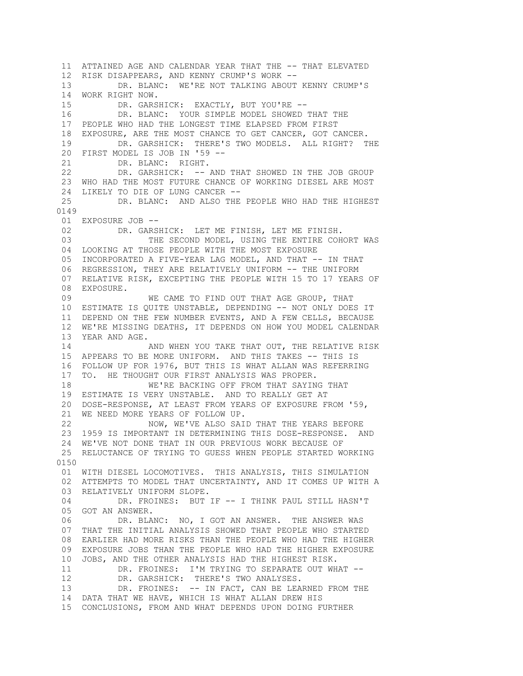11 ATTAINED AGE AND CALENDAR YEAR THAT THE -- THAT ELEVATED 12 RISK DISAPPEARS, AND KENNY CRUMP'S WORK -- 13 DR. BLANC: WE'RE NOT TALKING ABOUT KENNY CRUMP'S 14 WORK RIGHT NOW. 15 DR. GARSHICK: EXACTLY, BUT YOU'RE -- 16 DR. BLANC: YOUR SIMPLE MODEL SHOWED THAT THE 17 PEOPLE WHO HAD THE LONGEST TIME ELAPSED FROM FIRST 18 EXPOSURE, ARE THE MOST CHANCE TO GET CANCER, GOT CANCER. 19 DR. GARSHICK: THERE'S TWO MODELS. ALL RIGHT? THE 20 FIRST MODEL IS JOB IN '59 -- 21 DR. BLANC: RIGHT. 22 DR. GARSHICK: -- AND THAT SHOWED IN THE JOB GROUP 23 WHO HAD THE MOST FUTURE CHANCE OF WORKING DIESEL ARE MOST 24 LIKELY TO DIE OF LUNG CANCER --<br>25 DR. BLANC: AND ALSO THE DR. BLANC: AND ALSO THE PEOPLE WHO HAD THE HIGHEST 0149 01 EXPOSURE JOB -- 02 DR. GARSHICK: LET ME FINISH, LET ME FINISH.<br>03 THE SECOND MODEL, USING THE ENTIRE COH THE SECOND MODEL, USING THE ENTIRE COHORT WAS 04 LOOKING AT THOSE PEOPLE WITH THE MOST EXPOSURE 05 INCORPORATED A FIVE-YEAR LAG MODEL, AND THAT -- IN THAT 06 REGRESSION, THEY ARE RELATIVELY UNIFORM -- THE UNIFORM 07 RELATIVE RISK, EXCEPTING THE PEOPLE WITH 15 TO 17 YEARS OF 08 EXPOSURE. 09 WE CAME TO FIND OUT THAT AGE GROUP, THAT 10 ESTIMATE IS QUITE UNSTABLE, DEPENDING -- NOT ONLY DOES IT 11 DEPEND ON THE FEW NUMBER EVENTS, AND A FEW CELLS, BECAUSE 12 WE'RE MISSING DEATHS, IT DEPENDS ON HOW YOU MODEL CALENDAR 13 YEAR AND AGE. 14 AND WHEN YOU TAKE THAT OUT, THE RELATIVE RISK 15 APPEARS TO BE MORE UNIFORM. AND THIS TAKES -- THIS IS 16 FOLLOW UP FOR 1976, BUT THIS IS WHAT ALLAN WAS REFERRING 17 TO. HE THOUGHT OUR FIRST ANALYSIS WAS PROPER. 18 WE'RE BACKING OFF FROM THAT SAYING THAT 19 ESTIMATE IS VERY UNSTABLE. AND TO REALLY GET AT 20 DOSE-RESPONSE, AT LEAST FROM YEARS OF EXPOSURE FROM '59, 21 WE NEED MORE YEARS OF FOLLOW UP. 22 NOW, WE'VE ALSO SAID THAT THE YEARS BEFORE 23 1959 IS IMPORTANT IN DETERMINING THIS DOSE-RESPONSE. AND 24 WE'VE NOT DONE THAT IN OUR PREVIOUS WORK BECAUSE OF 25 RELUCTANCE OF TRYING TO GUESS WHEN PEOPLE STARTED WORKING 0150 01 WITH DIESEL LOCOMOTIVES. THIS ANALYSIS, THIS SIMULATION 02 ATTEMPTS TO MODEL THAT UNCERTAINTY, AND IT COMES UP WITH A 03 RELATIVELY UNIFORM SLOPE. 04 DR. FROINES: BUT IF -- I THINK PAUL STILL HASN'T 05 GOT AN ANSWER. 06 DR. BLANC: NO, I GOT AN ANSWER. THE ANSWER WAS 07 THAT THE INITIAL ANALYSIS SHOWED THAT PEOPLE WHO STARTED 08 EARLIER HAD MORE RISKS THAN THE PEOPLE WHO HAD THE HIGHER 09 EXPOSURE JOBS THAN THE PEOPLE WHO HAD THE HIGHER EXPOSURE 10 JOBS, AND THE OTHER ANALYSIS HAD THE HIGHEST RISK. 11 DR. FROINES: I'M TRYING TO SEPARATE OUT WHAT -- 12 DR. GARSHICK: THERE'S TWO ANALYSES. 13 DR. FROINES: -- IN FACT, CAN BE LEARNED FROM THE 14 DATA THAT WE HAVE, WHICH IS WHAT ALLAN DREW HIS 15 CONCLUSIONS, FROM AND WHAT DEPENDS UPON DOING FURTHER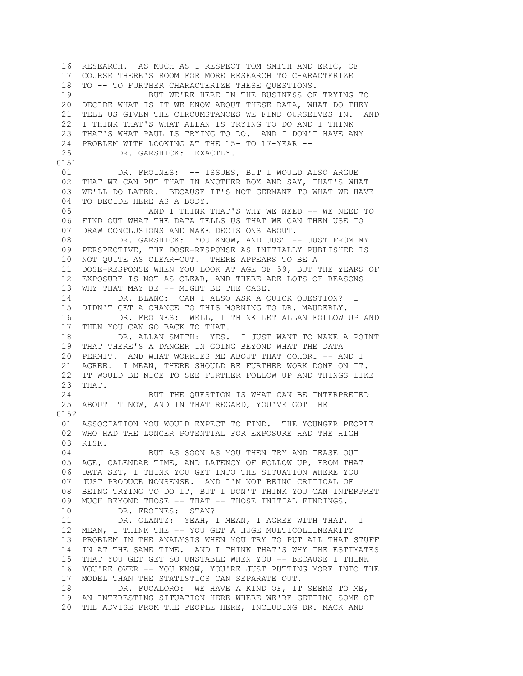16 RESEARCH. AS MUCH AS I RESPECT TOM SMITH AND ERIC, OF 17 COURSE THERE'S ROOM FOR MORE RESEARCH TO CHARACTERIZE 18 TO -- TO FURTHER CHARACTERIZE THESE QUESTIONS. 19 BUT WE'RE HERE IN THE BUSINESS OF TRYING TO 20 DECIDE WHAT IS IT WE KNOW ABOUT THESE DATA, WHAT DO THEY 21 TELL US GIVEN THE CIRCUMSTANCES WE FIND OURSELVES IN. AND 22 I THINK THAT'S WHAT ALLAN IS TRYING TO DO AND I THINK 23 THAT'S WHAT PAUL IS TRYING TO DO. AND I DON'T HAVE ANY 24 PROBLEM WITH LOOKING AT THE 15- TO 17-YEAR -- 25 DR. GARSHICK: EXACTLY. 0151 01 DR. FROINES: -- ISSUES, BUT I WOULD ALSO ARGUE 02 THAT WE CAN PUT THAT IN ANOTHER BOX AND SAY, THAT'S WHAT 03 WE'LL DO LATER. BECAUSE IT'S NOT GERMANE TO WHAT WE HAVE 04 TO DECIDE HERE AS A BODY. 05 AND I THINK THAT'S WHY WE NEED -- WE NEED TO 06 FIND OUT WHAT THE DATA TELLS US THAT WE CAN THEN USE TO 07 DRAW CONCLUSIONS AND MAKE DECISIONS ABOUT. 08 DR. GARSHICK: YOU KNOW, AND JUST -- JUST FROM MY 09 PERSPECTIVE, THE DOSE-RESPONSE AS INITIALLY PUBLISHED IS 10 NOT QUITE AS CLEAR-CUT. THERE APPEARS TO BE A 11 DOSE-RESPONSE WHEN YOU LOOK AT AGE OF 59, BUT THE YEARS OF 12 EXPOSURE IS NOT AS CLEAR, AND THERE ARE LOTS OF REASONS 13 WHY THAT MAY BE -- MIGHT BE THE CASE. 14 DR. BLANC: CAN I ALSO ASK A QUICK QUESTION? I 15 DIDN'T GET A CHANCE TO THIS MORNING TO DR. MAUDERLY. 16 DR. FROINES: WELL, I THINK LET ALLAN FOLLOW UP AND 17 THEN YOU CAN GO BACK TO THAT. 18 DR. ALLAN SMITH: YES. I JUST WANT TO MAKE A POINT 19 THAT THERE'S A DANGER IN GOING BEYOND WHAT THE DATA 20 PERMIT. AND WHAT WORRIES ME ABOUT THAT COHORT -- AND I 21 AGREE. I MEAN, THERE SHOULD BE FURTHER WORK DONE ON IT. 22 IT WOULD BE NICE TO SEE FURTHER FOLLOW UP AND THINGS LIKE 23 THAT. 24 BUT THE QUESTION IS WHAT CAN BE INTERPRETED 25 ABOUT IT NOW, AND IN THAT REGARD, YOU'VE GOT THE 0152 01 ASSOCIATION YOU WOULD EXPECT TO FIND. THE YOUNGER PEOPLE 02 WHO HAD THE LONGER POTENTIAL FOR EXPOSURE HAD THE HIGH 03 RISK. 04 BUT AS SOON AS YOU THEN TRY AND TEASE OUT 05 AGE, CALENDAR TIME, AND LATENCY OF FOLLOW UP, FROM THAT 06 DATA SET, I THINK YOU GET INTO THE SITUATION WHERE YOU 07 JUST PRODUCE NONSENSE. AND I'M NOT BEING CRITICAL OF 08 BEING TRYING TO DO IT, BUT I DON'T THINK YOU CAN INTERPRET 09 MUCH BEYOND THOSE -- THAT -- THOSE INITIAL FINDINGS. 10 DR. FROINES: STAN? 11 DR. GLANTZ: YEAH, I MEAN, I AGREE WITH THAT. I 12 MEAN, I THINK THE -- YOU GET A HUGE MULTICOLLINEARITY 13 PROBLEM IN THE ANALYSIS WHEN YOU TRY TO PUT ALL THAT STUFF 14 IN AT THE SAME TIME. AND I THINK THAT'S WHY THE ESTIMATES 15 THAT YOU GET GET SO UNSTABLE WHEN YOU -- BECAUSE I THINK 16 YOU'RE OVER -- YOU KNOW, YOU'RE JUST PUTTING MORE INTO THE 17 MODEL THAN THE STATISTICS CAN SEPARATE OUT. 18 DR. FUCALORO: WE HAVE A KIND OF, IT SEEMS TO ME, 19 AN INTERESTING SITUATION HERE WHERE WE'RE GETTING SOME OF 20 THE ADVISE FROM THE PEOPLE HERE, INCLUDING DR. MACK AND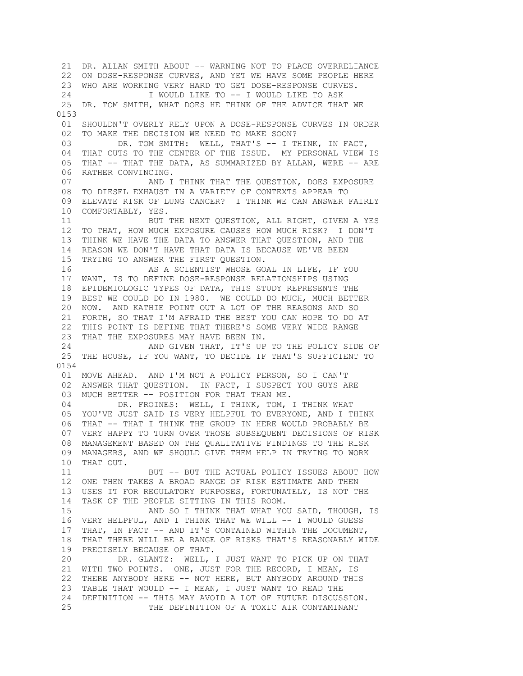21 DR. ALLAN SMITH ABOUT -- WARNING NOT TO PLACE OVERRELIANCE 22 ON DOSE-RESPONSE CURVES, AND YET WE HAVE SOME PEOPLE HERE 23 WHO ARE WORKING VERY HARD TO GET DOSE-RESPONSE CURVES. 24 I WOULD LIKE TO -- I WOULD LIKE TO ASK 25 DR. TOM SMITH, WHAT DOES HE THINK OF THE ADVICE THAT WE 0153 01 SHOULDN'T OVERLY RELY UPON A DOSE-RESPONSE CURVES IN ORDER 02 TO MAKE THE DECISION WE NEED TO MAKE SOON? 03 DR. TOM SMITH: WELL, THAT'S -- I THINK, IN FACT, 04 THAT CUTS TO THE CENTER OF THE ISSUE. MY PERSONAL VIEW IS 05 THAT -- THAT THE DATA, AS SUMMARIZED BY ALLAN, WERE -- ARE 06 RATHER CONVINCING. 07 AND I THINK THAT THE QUESTION, DOES EXPOSURE 08 TO DIESEL EXHAUST IN A VARIETY OF CONTEXTS APPEAR TO 09 ELEVATE RISK OF LUNG CANCER? I THINK WE CAN ANSWER FAIRLY 10 COMFORTABLY, YES. 11 BUT THE NEXT QUESTION, ALL RIGHT, GIVEN A YES 12 TO THAT, HOW MUCH EXPOSURE CAUSES HOW MUCH RISK? I DON'T 13 THINK WE HAVE THE DATA TO ANSWER THAT QUESTION, AND THE 14 REASON WE DON'T HAVE THAT DATA IS BECAUSE WE'VE BEEN 15 TRYING TO ANSWER THE FIRST QUESTION. 16 AS A SCIENTIST WHOSE GOAL IN LIFE, IF YOU 17 WANT, IS TO DEFINE DOSE-RESPONSE RELATIONSHIPS USING 18 EPIDEMIOLOGIC TYPES OF DATA, THIS STUDY REPRESENTS THE 19 BEST WE COULD DO IN 1980. WE COULD DO MUCH, MUCH BETTER 20 NOW. AND KATHIE POINT OUT A LOT OF THE REASONS AND SO 21 FORTH, SO THAT I'M AFRAID THE BEST YOU CAN HOPE TO DO AT 22 THIS POINT IS DEFINE THAT THERE'S SOME VERY WIDE RANGE 23 THAT THE EXPOSURES MAY HAVE BEEN IN. 24 AND GIVEN THAT, IT'S UP TO THE POLICY SIDE OF 25 THE HOUSE, IF YOU WANT, TO DECIDE IF THAT'S SUFFICIENT TO 0154 01 MOVE AHEAD. AND I'M NOT A POLICY PERSON, SO I CAN'T 02 ANSWER THAT QUESTION. IN FACT, I SUSPECT YOU GUYS ARE 03 MUCH BETTER -- POSITION FOR THAT THAN ME. 04 DR. FROINES: WELL, I THINK, TOM, I THINK WHAT 05 YOU'VE JUST SAID IS VERY HELPFUL TO EVERYONE, AND I THINK 06 THAT -- THAT I THINK THE GROUP IN HERE WOULD PROBABLY BE 07 VERY HAPPY TO TURN OVER THOSE SUBSEQUENT DECISIONS OF RISK 08 MANAGEMENT BASED ON THE QUALITATIVE FINDINGS TO THE RISK 09 MANAGERS, AND WE SHOULD GIVE THEM HELP IN TRYING TO WORK 10 THAT OUT. 11 BUT -- BUT THE ACTUAL POLICY ISSUES ABOUT HOW 12 ONE THEN TAKES A BROAD RANGE OF RISK ESTIMATE AND THEN 13 USES IT FOR REGULATORY PURPOSES, FORTUNATELY, IS NOT THE 14 TASK OF THE PEOPLE SITTING IN THIS ROOM. 15 AND SO I THINK THAT WHAT YOU SAID, THOUGH, IS 16 VERY HELPFUL, AND I THINK THAT WE WILL -- I WOULD GUESS 17 THAT, IN FACT -- AND IT'S CONTAINED WITHIN THE DOCUMENT, 18 THAT THERE WILL BE A RANGE OF RISKS THAT'S REASONABLY WIDE 19 PRECISELY BECAUSE OF THAT. 20 DR. GLANTZ: WELL, I JUST WANT TO PICK UP ON THAT 21 WITH TWO POINTS. ONE, JUST FOR THE RECORD, I MEAN, IS 22 THERE ANYBODY HERE -- NOT HERE, BUT ANYBODY AROUND THIS 23 TABLE THAT WOULD -- I MEAN, I JUST WANT TO READ THE 24 DEFINITION -- THIS MAY AVOID A LOT OF FUTURE DISCUSSION. 25 THE DEFINITION OF A TOXIC AIR CONTAMINANT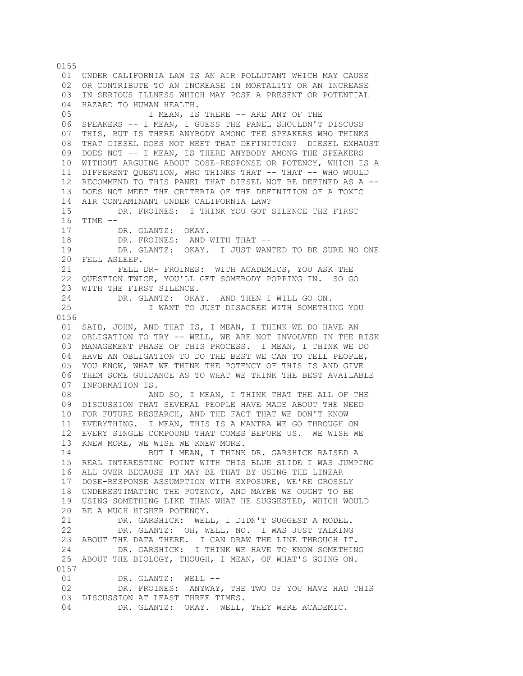01 UNDER CALIFORNIA LAW IS AN AIR POLLUTANT WHICH MAY CAUSE 02 OR CONTRIBUTE TO AN INCREASE IN MORTALITY OR AN INCREASE 03 IN SERIOUS ILLNESS WHICH MAY POSE A PRESENT OR POTENTIAL 04 HAZARD TO HUMAN HEALTH. 05 1 MEAN, IS THERE -- ARE ANY OF THE 06 SPEAKERS -- I MEAN, I GUESS THE PANEL SHOULDN'T DISCUSS 07 THIS, BUT IS THERE ANYBODY AMONG THE SPEAKERS WHO THINKS 08 THAT DIESEL DOES NOT MEET THAT DEFINITION? DIESEL EXHAUST 09 DOES NOT -- I MEAN, IS THERE ANYBODY AMONG THE SPEAKERS 10 WITHOUT ARGUING ABOUT DOSE-RESPONSE OR POTENCY, WHICH IS A 11 DIFFERENT QUESTION, WHO THINKS THAT -- THAT -- WHO WOULD 12 RECOMMEND TO THIS PANEL THAT DIESEL NOT BE DEFINED AS A -- 13 DOES NOT MEET THE CRITERIA OF THE DEFINITION OF A TOXIC 14 AIR CONTAMINANT UNDER CALIFORNIA LAW? 15 DR. FROINES: I THINK YOU GOT SILENCE THE FIRST 16 TIME -- 17 DR. GLANTZ: OKAY. 18 DR. FROINES: AND WITH THAT -- 19 DR. GLANTZ: OKAY. I JUST WANTED TO BE SURE NO ONE 20 FELL ASLEEP. 21 FELL DR- FROINES: WITH ACADEMICS, YOU ASK THE 22 QUESTION TWICE, YOU'LL GET SOMEBODY POPPING IN. SO GO 23 WITH THE FIRST SILENCE. 24 DR. GLANTZ: OKAY. AND THEN I WILL GO ON. 25 I WANT TO JUST DISAGREE WITH SOMETHING YOU 0156 01 SAID, JOHN, AND THAT IS, I MEAN, I THINK WE DO HAVE AN 02 OBLIGATION TO TRY -- WELL, WE ARE NOT INVOLVED IN THE RISK 03 MANAGEMENT PHASE OF THIS PROCESS. I MEAN, I THINK WE DO 04 HAVE AN OBLIGATION TO DO THE BEST WE CAN TO TELL PEOPLE, 05 YOU KNOW, WHAT WE THINK THE POTENCY OF THIS IS AND GIVE 06 THEM SOME GUIDANCE AS TO WHAT WE THINK THE BEST AVAILABLE 07 INFORMATION IS. 08 AND SO, I MEAN, I THINK THAT THE ALL OF THE 09 DISCUSSION THAT SEVERAL PEOPLE HAVE MADE ABOUT THE NEED 10 FOR FUTURE RESEARCH, AND THE FACT THAT WE DON'T KNOW 11 EVERYTHING. I MEAN, THIS IS A MANTRA WE GO THROUGH ON 12 EVERY SINGLE COMPOUND THAT COMES BEFORE US. WE WISH WE 13 KNEW MORE, WE WISH WE KNEW MORE. 14 BUT I MEAN, I THINK DR. GARSHICK RAISED A 15 REAL INTERESTING POINT WITH THIS BLUE SLIDE I WAS JUMPING 16 ALL OVER BECAUSE IT MAY BE THAT BY USING THE LINEAR 17 DOSE-RESPONSE ASSUMPTION WITH EXPOSURE, WE'RE GROSSLY 18 UNDERESTIMATING THE POTENCY, AND MAYBE WE OUGHT TO BE 19 USING SOMETHING LIKE THAN WHAT HE SUGGESTED, WHICH WOULD 20 BE A MUCH HIGHER POTENCY. 21 DR. GARSHICK: WELL, I DIDN'T SUGGEST A MODEL. 22 DR. GLANTZ: OH, WELL, NO. I WAS JUST TALKING 23 ABOUT THE DATA THERE. I CAN DRAW THE LINE THROUGH IT. 24 DR. GARSHICK: I THINK WE HAVE TO KNOW SOMETHING 25 ABOUT THE BIOLOGY, THOUGH, I MEAN, OF WHAT'S GOING ON. 0157 01 DR. GLANTZ: WELL -- 02 DR. FROINES: ANYWAY, THE TWO OF YOU HAVE HAD THIS 03 DISCUSSION AT LEAST THREE TIMES. 04 DR. GLANTZ: OKAY. WELL, THEY WERE ACADEMIC.

0155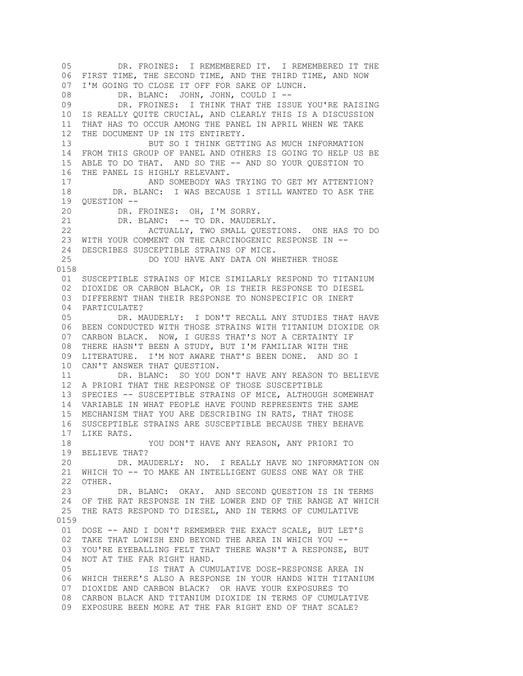05 DR. FROINES: I REMEMBERED IT. I REMEMBERED IT THE 06 FIRST TIME, THE SECOND TIME, AND THE THIRD TIME, AND NOW 07 I'M GOING TO CLOSE IT OFF FOR SAKE OF LUNCH. 08 DR. BLANC: JOHN, JOHN, COULD I --<br>09 DR. FROINES: I THINK THAT THE ISS DR. FROINES: I THINK THAT THE ISSUE YOU'RE RAISING 10 IS REALLY QUITE CRUCIAL, AND CLEARLY THIS IS A DISCUSSION 11 THAT HAS TO OCCUR AMONG THE PANEL IN APRIL WHEN WE TAKE 12 THE DOCUMENT UP IN ITS ENTIRETY. 13 BUT SO I THINK GETTING AS MUCH INFORMATION 14 FROM THIS GROUP OF PANEL AND OTHERS IS GOING TO HELP US BE 15 ABLE TO DO THAT. AND SO THE -- AND SO YOUR QUESTION TO 16 THE PANEL IS HIGHLY RELEVANT. 17 AND SOMEBODY WAS TRYING TO GET MY ATTENTION? 18 DR. BLANC: I WAS BECAUSE I STILL WANTED TO ASK THE 19 QUESTION -- 20 DR. FROINES: OH, I'M SORRY. 21 DR. BLANC: -- TO DR. MAUDERLY. 22 ACTUALLY, TWO SMALL QUESTIONS. ONE HAS TO DO 23 WITH YOUR COMMENT ON THE CARCINOGENIC RESPONSE IN -- 24 DESCRIBES SUSCEPTIBLE STRAINS OF MICE. 25 DO YOU HAVE ANY DATA ON WHETHER THOSE 0158 01 SUSCEPTIBLE STRAINS OF MICE SIMILARLY RESPOND TO TITANIUM 02 DIOXIDE OR CARBON BLACK, OR IS THEIR RESPONSE TO DIESEL 03 DIFFERENT THAN THEIR RESPONSE TO NONSPECIFIC OR INERT 04 PARTICULATE? 05 DR. MAUDERLY: I DON'T RECALL ANY STUDIES THAT HAVE 06 BEEN CONDUCTED WITH THOSE STRAINS WITH TITANIUM DIOXIDE OR 07 CARBON BLACK. NOW, I GUESS THAT'S NOT A CERTAINTY IF 08 THERE HASN'T BEEN A STUDY, BUT I'M FAMILIAR WITH THE 09 LITERATURE. I'M NOT AWARE THAT'S BEEN DONE. AND SO I 10 CAN'T ANSWER THAT QUESTION. 11 DR. BLANC: SO YOU DON'T HAVE ANY REASON TO BELIEVE 12 A PRIORI THAT THE RESPONSE OF THOSE SUSCEPTIBLE 13 SPECIES -- SUSCEPTIBLE STRAINS OF MICE, ALTHOUGH SOMEWHAT 14 VARIABLE IN WHAT PEOPLE HAVE FOUND REPRESENTS THE SAME 15 MECHANISM THAT YOU ARE DESCRIBING IN RATS, THAT THOSE 16 SUSCEPTIBLE STRAINS ARE SUSCEPTIBLE BECAUSE THEY BEHAVE 17 LIKE RATS. 18 YOU DON'T HAVE ANY REASON, ANY PRIORI TO 19 BELIEVE THAT? 20 DR. MAUDERLY: NO. I REALLY HAVE NO INFORMATION ON 21 WHICH TO -- TO MAKE AN INTELLIGENT GUESS ONE WAY OR THE 22 OTHER. 23 DR. BLANC: OKAY. AND SECOND QUESTION IS IN TERMS 24 OF THE RAT RESPONSE IN THE LOWER END OF THE RANGE AT WHICH 25 THE RATS RESPOND TO DIESEL, AND IN TERMS OF CUMULATIVE 0159 01 DOSE -- AND I DON'T REMEMBER THE EXACT SCALE, BUT LET'S 02 TAKE THAT LOWISH END BEYOND THE AREA IN WHICH YOU -- 03 YOU'RE EYEBALLING FELT THAT THERE WASN'T A RESPONSE, BUT 04 NOT AT THE FAR RIGHT HAND. 05 IS THAT A CUMULATIVE DOSE-RESPONSE AREA IN 06 WHICH THERE'S ALSO A RESPONSE IN YOUR HANDS WITH TITANIUM 07 DIOXIDE AND CARBON BLACK? OR HAVE YOUR EXPOSURES TO 08 CARBON BLACK AND TITANIUM DIOXIDE IN TERMS OF CUMULATIVE 09 EXPOSURE BEEN MORE AT THE FAR RIGHT END OF THAT SCALE?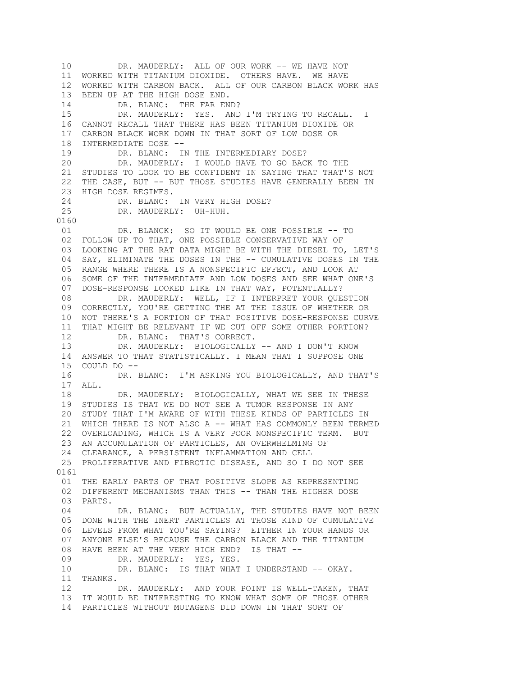10 DR. MAUDERLY: ALL OF OUR WORK -- WE HAVE NOT 11 WORKED WITH TITANIUM DIOXIDE. OTHERS HAVE. WE HAVE 12 WORKED WITH CARBON BACK. ALL OF OUR CARBON BLACK WORK HAS 13 BEEN UP AT THE HIGH DOSE END. 14 DR. BLANC: THE FAR END? 15 DR. MAUDERLY: YES. AND I'M TRYING TO RECALL. I 16 CANNOT RECALL THAT THERE HAS BEEN TITANIUM DIOXIDE OR 17 CARBON BLACK WORK DOWN IN THAT SORT OF LOW DOSE OR 18 INTERMEDIATE DOSE -- 19 DR. BLANC: IN THE INTERMEDIARY DOSE? 20 DR. MAUDERLY: I WOULD HAVE TO GO BACK TO THE 21 STUDIES TO LOOK TO BE CONFIDENT IN SAYING THAT THAT'S NOT 22 THE CASE, BUT -- BUT THOSE STUDIES HAVE GENERALLY BEEN IN 23 HIGH DOSE REGIMES. 24 DR. BLANC: IN VERY HIGH DOSE?<br>25 DR. MAUDERLY: UH-HUH. DR. MAUDERLY: UH-HUH. 0160 01 DR. BLANCK: SO IT WOULD BE ONE POSSIBLE -- TO 02 FOLLOW UP TO THAT, ONE POSSIBLE CONSERVATIVE WAY OF 03 LOOKING AT THE RAT DATA MIGHT BE WITH THE DIESEL TO, LET'S 04 SAY, ELIMINATE THE DOSES IN THE -- CUMULATIVE DOSES IN THE 05 RANGE WHERE THERE IS A NONSPECIFIC EFFECT, AND LOOK AT 06 SOME OF THE INTERMEDIATE AND LOW DOSES AND SEE WHAT ONE'S 07 DOSE-RESPONSE LOOKED LIKE IN THAT WAY, POTENTIALLY? 08 DR. MAUDERLY: WELL, IF I INTERPRET YOUR QUESTION 09 CORRECTLY, YOU'RE GETTING THE AT THE ISSUE OF WHETHER OR 10 NOT THERE'S A PORTION OF THAT POSITIVE DOSE-RESPONSE CURVE 11 THAT MIGHT BE RELEVANT IF WE CUT OFF SOME OTHER PORTION? 12 DR. BLANC: THAT'S CORRECT. 13 DR. MAUDERLY: BIOLOGICALLY -- AND I DON'T KNOW 14 ANSWER TO THAT STATISTICALLY. I MEAN THAT I SUPPOSE ONE 15 COULD DO -- 16 DR. BLANC: I'M ASKING YOU BIOLOGICALLY, AND THAT'S 17 ALL. 18 DR. MAUDERLY: BIOLOGICALLY, WHAT WE SEE IN THESE 19 STUDIES IS THAT WE DO NOT SEE A TUMOR RESPONSE IN ANY 20 STUDY THAT I'M AWARE OF WITH THESE KINDS OF PARTICLES IN 21 WHICH THERE IS NOT ALSO A -- WHAT HAS COMMONLY BEEN TERMED 22 OVERLOADING, WHICH IS A VERY POOR NONSPECIFIC TERM. BUT 23 AN ACCUMULATION OF PARTICLES, AN OVERWHELMING OF 24 CLEARANCE, A PERSISTENT INFLAMMATION AND CELL 25 PROLIFERATIVE AND FIBROTIC DISEASE, AND SO I DO NOT SEE 0161 01 THE EARLY PARTS OF THAT POSITIVE SLOPE AS REPRESENTING 02 DIFFERENT MECHANISMS THAN THIS -- THAN THE HIGHER DOSE 03 PARTS. 04 DR. BLANC: BUT ACTUALLY, THE STUDIES HAVE NOT BEEN 05 DONE WITH THE INERT PARTICLES AT THOSE KIND OF CUMULATIVE 06 LEVELS FROM WHAT YOU'RE SAYING? EITHER IN YOUR HANDS OR 07 ANYONE ELSE'S BECAUSE THE CARBON BLACK AND THE TITANIUM 08 HAVE BEEN AT THE VERY HIGH END? IS THAT -- 09 DR. MAUDERLY: YES, YES. 10 DR. BLANC: IS THAT WHAT I UNDERSTAND -- OKAY. 11 THANKS. 12 DR. MAUDERLY: AND YOUR POINT IS WELL-TAKEN, THAT 13 IT WOULD BE INTERESTING TO KNOW WHAT SOME OF THOSE OTHER 14 PARTICLES WITHOUT MUTAGENS DID DOWN IN THAT SORT OF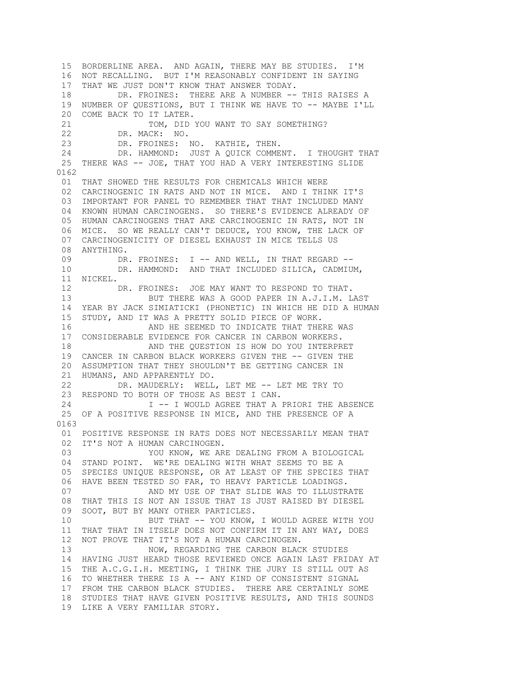15 BORDERLINE AREA. AND AGAIN, THERE MAY BE STUDIES. I'M 16 NOT RECALLING. BUT I'M REASONABLY CONFIDENT IN SAYING 17 THAT WE JUST DON'T KNOW THAT ANSWER TODAY. 18 DR. FROINES: THERE ARE A NUMBER -- THIS RAISES A 19 NUMBER OF QUESTIONS, BUT I THINK WE HAVE TO -- MAYBE I'LL 20 COME BACK TO IT LATER. 21 TOM, DID YOU WANT TO SAY SOMETHING? 22 DR. MACK: NO. 23 DR. FROINES: NO. KATHIE, THEN. 24 DR. HAMMOND: JUST A QUICK COMMENT. I THOUGHT THAT 25 THERE WAS -- JOE, THAT YOU HAD A VERY INTERESTING SLIDE 0162 01 THAT SHOWED THE RESULTS FOR CHEMICALS WHICH WERE 02 CARCINOGENIC IN RATS AND NOT IN MICE. AND I THINK IT'S 03 IMPORTANT FOR PANEL TO REMEMBER THAT THAT INCLUDED MANY 04 KNOWN HUMAN CARCINOGENS. SO THERE'S EVIDENCE ALREADY OF 05 HUMAN CARCINOGENS THAT ARE CARCINOGENIC IN RATS, NOT IN 06 MICE. SO WE REALLY CAN'T DEDUCE, YOU KNOW, THE LACK OF 07 CARCINOGENICITY OF DIESEL EXHAUST IN MICE TELLS US 08 ANYTHING. 09 DR. FROINES: I -- AND WELL, IN THAT REGARD -- 10 DR. HAMMOND: AND THAT INCLUDED SILICA, CADMIUM, 11 NICKEL. 12 DR. FROINES: JOE MAY WANT TO RESPOND TO THAT. 13 BUT THERE WAS A GOOD PAPER IN A.J.I.M. LAST 14 YEAR BY JACK SIMIATICKI (PHONETIC) IN WHICH HE DID A HUMAN 15 STUDY, AND IT WAS A PRETTY SOLID PIECE OF WORK. 16 AND HE SEEMED TO INDICATE THAT THERE WAS 17 CONSIDERABLE EVIDENCE FOR CANCER IN CARBON WORKERS. 18 AND THE QUESTION IS HOW DO YOU INTERPRET 19 CANCER IN CARBON BLACK WORKERS GIVEN THE -- GIVEN THE 20 ASSUMPTION THAT THEY SHOULDN'T BE GETTING CANCER IN 21 HUMANS, AND APPARENTLY DO. 22 DR. MAUDERLY: WELL, LET ME -- LET ME TRY TO 23 RESPOND TO BOTH OF THOSE AS BEST I CAN. 24 I -- I WOULD AGREE THAT A PRIORI THE ABSENCE 25 OF A POSITIVE RESPONSE IN MICE, AND THE PRESENCE OF A 0163 01 POSITIVE RESPONSE IN RATS DOES NOT NECESSARILY MEAN THAT 02 IT'S NOT A HUMAN CARCINOGEN. 03 YOU KNOW, WE ARE DEALING FROM A BIOLOGICAL 04 STAND POINT. WE'RE DEALING WITH WHAT SEEMS TO BE A 05 SPECIES UNIQUE RESPONSE, OR AT LEAST OF THE SPECIES THAT 06 HAVE BEEN TESTED SO FAR, TO HEAVY PARTICLE LOADINGS. 07 AND MY USE OF THAT SLIDE WAS TO ILLUSTRATE 08 THAT THIS IS NOT AN ISSUE THAT IS JUST RAISED BY DIESEL 09 SOOT, BUT BY MANY OTHER PARTICLES. 10 BUT THAT -- YOU KNOW, I WOULD AGREE WITH YOU 11 THAT THAT IN ITSELF DOES NOT CONFIRM IT IN ANY WAY, DOES 12 NOT PROVE THAT IT'S NOT A HUMAN CARCINOGEN. 13 NOW, REGARDING THE CARBON BLACK STUDIES 14 HAVING JUST HEARD THOSE REVIEWED ONCE AGAIN LAST FRIDAY AT 15 THE A.C.G.I.H. MEETING, I THINK THE JURY IS STILL OUT AS 16 TO WHETHER THERE IS A -- ANY KIND OF CONSISTENT SIGNAL 17 FROM THE CARBON BLACK STUDIES. THERE ARE CERTAINLY SOME 18 STUDIES THAT HAVE GIVEN POSITIVE RESULTS, AND THIS SOUNDS 19 LIKE A VERY FAMILIAR STORY.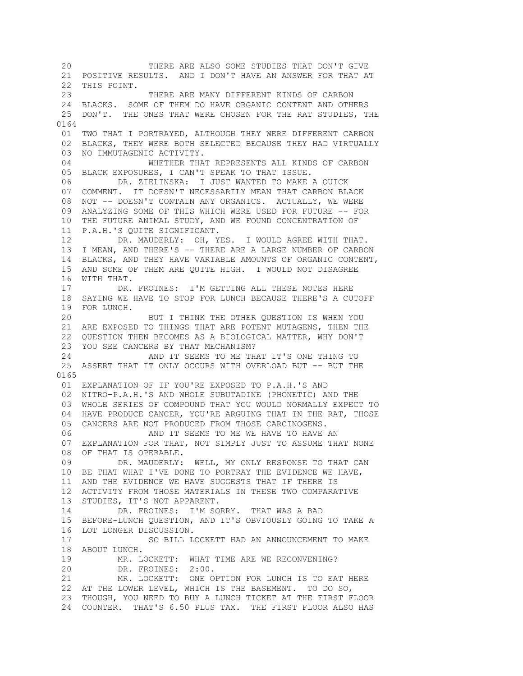20 THERE ARE ALSO SOME STUDIES THAT DON'T GIVE 21 POSITIVE RESULTS. AND I DON'T HAVE AN ANSWER FOR THAT AT 22 THIS POINT. 23 THERE ARE MANY DIFFERENT KINDS OF CARBON 24 BLACKS. SOME OF THEM DO HAVE ORGANIC CONTENT AND OTHERS 25 DON'T. THE ONES THAT WERE CHOSEN FOR THE RAT STUDIES, THE 0164 01 TWO THAT I PORTRAYED, ALTHOUGH THEY WERE DIFFERENT CARBON 02 BLACKS, THEY WERE BOTH SELECTED BECAUSE THEY HAD VIRTUALLY 03 NO IMMUTAGENIC ACTIVITY. 04 WHETHER THAT REPRESENTS ALL KINDS OF CARBON 05 BLACK EXPOSURES, I CAN'T SPEAK TO THAT ISSUE. 06 DR. ZIELINSKA: I JUST WANTED TO MAKE A QUICK 07 COMMENT. IT DOESN'T NECESSARILY MEAN THAT CARBON BLACK 08 NOT -- DOESN'T CONTAIN ANY ORGANICS. ACTUALLY, WE WERE 09 ANALYZING SOME OF THIS WHICH WERE USED FOR FUTURE -- FOR 10 THE FUTURE ANIMAL STUDY, AND WE FOUND CONCENTRATION OF 11 P.A.H.'S QUITE SIGNIFICANT. 12 DR. MAUDERLY: OH, YES. I WOULD AGREE WITH THAT. 13 I MEAN, AND THERE'S -- THERE ARE A LARGE NUMBER OF CARBON 14 BLACKS, AND THEY HAVE VARIABLE AMOUNTS OF ORGANIC CONTENT, 15 AND SOME OF THEM ARE QUITE HIGH. I WOULD NOT DISAGREE 16 WITH THAT. 17 DR. FROINES: I'M GETTING ALL THESE NOTES HERE 18 SAYING WE HAVE TO STOP FOR LUNCH BECAUSE THERE'S A CUTOFF 19 FOR LUNCH. 20 BUT I THINK THE OTHER QUESTION IS WHEN YOU 21 ARE EXPOSED TO THINGS THAT ARE POTENT MUTAGENS, THEN THE 22 QUESTION THEN BECOMES AS A BIOLOGICAL MATTER, WHY DON'T 23 YOU SEE CANCERS BY THAT MECHANISM? 24 AND IT SEEMS TO ME THAT IT'S ONE THING TO 25 ASSERT THAT IT ONLY OCCURS WITH OVERLOAD BUT -- BUT THE 0165 01 EXPLANATION OF IF YOU'RE EXPOSED TO P.A.H.'S AND 02 NITRO-P.A.H.'S AND WHOLE SUBUTADINE (PHONETIC) AND THE 03 WHOLE SERIES OF COMPOUND THAT YOU WOULD NORMALLY EXPECT TO 04 HAVE PRODUCE CANCER, YOU'RE ARGUING THAT IN THE RAT, THOSE 05 CANCERS ARE NOT PRODUCED FROM THOSE CARCINOGENS. 06 **AND IT SEEMS TO ME WE HAVE TO HAVE AN**  07 EXPLANATION FOR THAT, NOT SIMPLY JUST TO ASSUME THAT NONE 08 OF THAT IS OPERABLE. 09 DR. MAUDERLY: WELL, MY ONLY RESPONSE TO THAT CAN 10 BE THAT WHAT I'VE DONE TO PORTRAY THE EVIDENCE WE HAVE, 11 AND THE EVIDENCE WE HAVE SUGGESTS THAT IF THERE IS 12 ACTIVITY FROM THOSE MATERIALS IN THESE TWO COMPARATIVE 13 STUDIES, IT'S NOT APPARENT. 14 DR. FROINES: I'M SORRY. THAT WAS A BAD 15 BEFORE-LUNCH QUESTION, AND IT'S OBVIOUSLY GOING TO TAKE A 16 LOT LONGER DISCUSSION. 17 SO BILL LOCKETT HAD AN ANNOUNCEMENT TO MAKE 18 ABOUT LUNCH. 19 MR. LOCKETT: WHAT TIME ARE WE RECONVENING?<br>20 DR. FROINES: 2:00. DR. FROINES: 2:00. 21 MR. LOCKETT: ONE OPTION FOR LUNCH IS TO EAT HERE 22 AT THE LOWER LEVEL, WHICH IS THE BASEMENT. TO DO SO, 23 THOUGH, YOU NEED TO BUY A LUNCH TICKET AT THE FIRST FLOOR 24 COUNTER. THAT'S 6.50 PLUS TAX. THE FIRST FLOOR ALSO HAS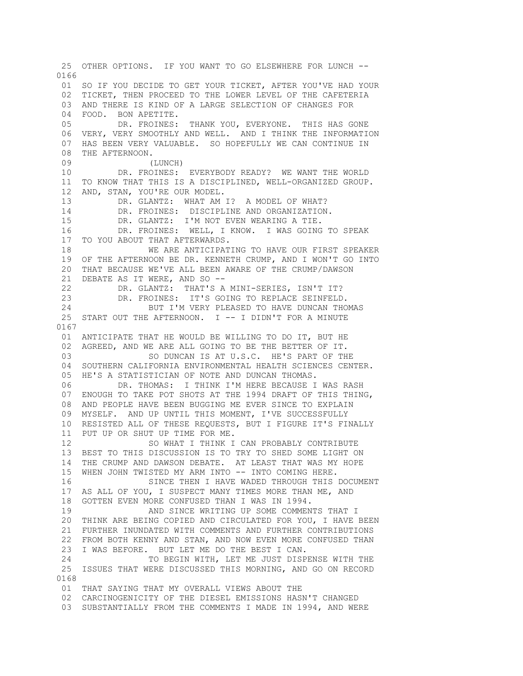25 OTHER OPTIONS. IF YOU WANT TO GO ELSEWHERE FOR LUNCH -- 0166 01 SO IF YOU DECIDE TO GET YOUR TICKET, AFTER YOU'VE HAD YOUR 02 TICKET, THEN PROCEED TO THE LOWER LEVEL OF THE CAFETERIA 03 AND THERE IS KIND OF A LARGE SELECTION OF CHANGES FOR 04 FOOD. BON APETITE. 05 DR. FROINES: THANK YOU, EVERYONE. THIS HAS GONE 06 VERY, VERY SMOOTHLY AND WELL. AND I THINK THE INFORMATION 07 HAS BEEN VERY VALUABLE. SO HOPEFULLY WE CAN CONTINUE IN 08 THE AFTERNOON. 09 (LUNCH) 10 DR. FROINES: EVERYBODY READY? WE WANT THE WORLD 11 TO KNOW THAT THIS IS A DISCIPLINED, WELL-ORGANIZED GROUP. 12 AND, STAN, YOU'RE OUR MODEL. 13 DR. GLANTZ: WHAT AM I? A MODEL OF WHAT? 14 DR. FROINES: DISCIPLINE AND ORGANIZATION. 15 DR. GLANTZ: I'M NOT EVEN WEARING A TIE. 16 DR. FROINES: WELL, I KNOW. I WAS GOING TO SPEAK 17 TO YOU ABOUT THAT AFTERWARDS. 18 WE ARE ANTICIPATING TO HAVE OUR FIRST SPEAKER 19 OF THE AFTERNOON BE DR. KENNETH CRUMP, AND I WON'T GO INTO 20 THAT BECAUSE WE'VE ALL BEEN AWARE OF THE CRUMP/DAWSON 21 DEBATE AS IT WERE, AND SO -- 22 DR. GLANTZ: THAT'S A MINI-SERIES, ISN'T IT? 23 DR. FROINES: IT'S GOING TO REPLACE SEINFELD. 24 BUT I'M VERY PLEASED TO HAVE DUNCAN THOMAS 25 START OUT THE AFTERNOON. I -- I DIDN'T FOR A MINUTE 0167 01 ANTICIPATE THAT HE WOULD BE WILLING TO DO IT, BUT HE 02 AGREED, AND WE ARE ALL GOING TO BE THE BETTER OF IT. 03 SO DUNCAN IS AT U.S.C. HE'S PART OF THE 04 SOUTHERN CALIFORNIA ENVIRONMENTAL HEALTH SCIENCES CENTER. 05 HE'S A STATISTICIAN OF NOTE AND DUNCAN THOMAS. 06 DR. THOMAS: I THINK I'M HERE BECAUSE I WAS RASH 07 ENOUGH TO TAKE POT SHOTS AT THE 1994 DRAFT OF THIS THING, 08 AND PEOPLE HAVE BEEN BUGGING ME EVER SINCE TO EXPLAIN 09 MYSELF. AND UP UNTIL THIS MOMENT, I'VE SUCCESSFULLY 10 RESISTED ALL OF THESE REQUESTS, BUT I FIGURE IT'S FINALLY 11 PUT UP OR SHUT UP TIME FOR ME. 12 SO WHAT I THINK I CAN PROBABLY CONTRIBUTE 13 BEST TO THIS DISCUSSION IS TO TRY TO SHED SOME LIGHT ON 14 THE CRUMP AND DAWSON DEBATE. AT LEAST THAT WAS MY HOPE 15 WHEN JOHN TWISTED MY ARM INTO -- INTO COMING HERE. 16 SINCE THEN I HAVE WADED THROUGH THIS DOCUMENT 17 AS ALL OF YOU, I SUSPECT MANY TIMES MORE THAN ME, AND 18 GOTTEN EVEN MORE CONFUSED THAN I WAS IN 1994. 19 AND SINCE WRITING UP SOME COMMENTS THAT I 20 THINK ARE BEING COPIED AND CIRCULATED FOR YOU, I HAVE BEEN 21 FURTHER INUNDATED WITH COMMENTS AND FURTHER CONTRIBUTIONS 22 FROM BOTH KENNY AND STAN, AND NOW EVEN MORE CONFUSED THAN 23 I WAS BEFORE. BUT LET ME DO THE BEST I CAN. 24 TO BEGIN WITH, LET ME JUST DISPENSE WITH THE 25 ISSUES THAT WERE DISCUSSED THIS MORNING, AND GO ON RECORD 0168 01 THAT SAYING THAT MY OVERALL VIEWS ABOUT THE 02 CARCINOGENICITY OF THE DIESEL EMISSIONS HASN'T CHANGED 03 SUBSTANTIALLY FROM THE COMMENTS I MADE IN 1994, AND WERE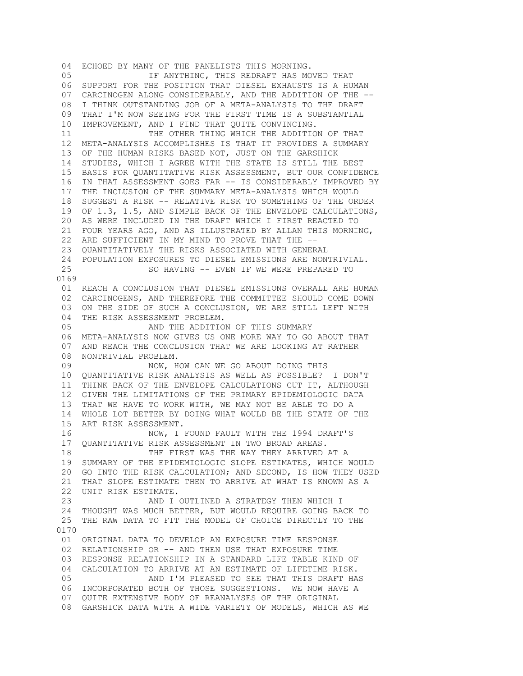04 ECHOED BY MANY OF THE PANELISTS THIS MORNING. 05 IF ANYTHING, THIS REDRAFT HAS MOVED THAT 06 SUPPORT FOR THE POSITION THAT DIESEL EXHAUSTS IS A HUMAN 07 CARCINOGEN ALONG CONSIDERABLY, AND THE ADDITION OF THE -- 08 I THINK OUTSTANDING JOB OF A META-ANALYSIS TO THE DRAFT 09 THAT I'M NOW SEEING FOR THE FIRST TIME IS A SUBSTANTIAL 10 IMPROVEMENT, AND I FIND THAT QUITE CONVINCING. 11 THE OTHER THING WHICH THE ADDITION OF THAT 12 META-ANALYSIS ACCOMPLISHES IS THAT IT PROVIDES A SUMMARY 13 OF THE HUMAN RISKS BASED NOT, JUST ON THE GARSHICK 14 STUDIES, WHICH I AGREE WITH THE STATE IS STILL THE BEST 15 BASIS FOR QUANTITATIVE RISK ASSESSMENT, BUT OUR CONFIDENCE 16 IN THAT ASSESSMENT GOES FAR -- IS CONSIDERABLY IMPROVED BY 17 THE INCLUSION OF THE SUMMARY META-ANALYSIS WHICH WOULD 18 SUGGEST A RISK -- RELATIVE RISK TO SOMETHING OF THE ORDER 19 OF 1.3, 1.5, AND SIMPLE BACK OF THE ENVELOPE CALCULATIONS, 20 AS WERE INCLUDED IN THE DRAFT WHICH I FIRST REACTED TO 21 FOUR YEARS AGO, AND AS ILLUSTRATED BY ALLAN THIS MORNING, 22 ARE SUFFICIENT IN MY MIND TO PROVE THAT THE -- 23 QUANTITATIVELY THE RISKS ASSOCIATED WITH GENERAL 24 POPULATION EXPOSURES TO DIESEL EMISSIONS ARE NONTRIVIAL. 25 SO HAVING -- EVEN IF WE WERE PREPARED TO 0169 01 REACH A CONCLUSION THAT DIESEL EMISSIONS OVERALL ARE HUMAN 02 CARCINOGENS, AND THEREFORE THE COMMITTEE SHOULD COME DOWN 03 ON THE SIDE OF SUCH A CONCLUSION, WE ARE STILL LEFT WITH 04 THE RISK ASSESSMENT PROBLEM. 05 AND THE ADDITION OF THIS SUMMARY 06 META-ANALYSIS NOW GIVES US ONE MORE WAY TO GO ABOUT THAT 07 AND REACH THE CONCLUSION THAT WE ARE LOOKING AT RATHER 08 NONTRIVIAL PROBLEM.<br>09 NOW. H NOW, HOW CAN WE GO ABOUT DOING THIS 10 QUANTITATIVE RISK ANALYSIS AS WELL AS POSSIBLE? I DON'T 11 THINK BACK OF THE ENVELOPE CALCULATIONS CUT IT, ALTHOUGH 12 GIVEN THE LIMITATIONS OF THE PRIMARY EPIDEMIOLOGIC DATA 13 THAT WE HAVE TO WORK WITH, WE MAY NOT BE ABLE TO DO A 14 WHOLE LOT BETTER BY DOING WHAT WOULD BE THE STATE OF THE 15 ART RISK ASSESSMENT. 16 NOW, I FOUND FAULT WITH THE 1994 DRAFT'S 17 QUANTITATIVE RISK ASSESSMENT IN TWO BROAD AREAS. 18 THE FIRST WAS THE WAY THEY ARRIVED AT A 19 SUMMARY OF THE EPIDEMIOLOGIC SLOPE ESTIMATES, WHICH WOULD 20 GO INTO THE RISK CALCULATION; AND SECOND, IS HOW THEY USED 21 THAT SLOPE ESTIMATE THEN TO ARRIVE AT WHAT IS KNOWN AS A 22 UNIT RISK ESTIMATE. 23 AND I OUTLINED A STRATEGY THEN WHICH I 24 THOUGHT WAS MUCH BETTER, BUT WOULD REQUIRE GOING BACK TO 25 THE RAW DATA TO FIT THE MODEL OF CHOICE DIRECTLY TO THE 0170 01 ORIGINAL DATA TO DEVELOP AN EXPOSURE TIME RESPONSE 02 RELATIONSHIP OR -- AND THEN USE THAT EXPOSURE TIME 03 RESPONSE RELATIONSHIP IN A STANDARD LIFE TABLE KIND OF 04 CALCULATION TO ARRIVE AT AN ESTIMATE OF LIFETIME RISK. 05 AND I'M PLEASED TO SEE THAT THIS DRAFT HAS 06 INCORPORATED BOTH OF THOSE SUGGESTIONS. WE NOW HAVE A 07 QUITE EXTENSIVE BODY OF REANALYSES OF THE ORIGINAL 08 GARSHICK DATA WITH A WIDE VARIETY OF MODELS, WHICH AS WE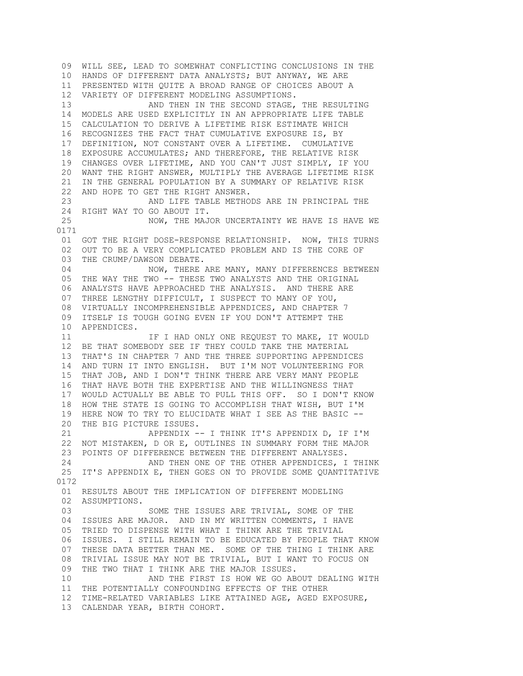09 WILL SEE, LEAD TO SOMEWHAT CONFLICTING CONCLUSIONS IN THE 10 HANDS OF DIFFERENT DATA ANALYSTS; BUT ANYWAY, WE ARE 11 PRESENTED WITH QUITE A BROAD RANGE OF CHOICES ABOUT A 12 VARIETY OF DIFFERENT MODELING ASSUMPTIONS. 13 AND THEN IN THE SECOND STAGE, THE RESULTING 14 MODELS ARE USED EXPLICITLY IN AN APPROPRIATE LIFE TABLE 15 CALCULATION TO DERIVE A LIFETIME RISK ESTIMATE WHICH 16 RECOGNIZES THE FACT THAT CUMULATIVE EXPOSURE IS, BY 17 DEFINITION, NOT CONSTANT OVER A LIFETIME. CUMULATIVE 18 EXPOSURE ACCUMULATES; AND THEREFORE, THE RELATIVE RISK 19 CHANGES OVER LIFETIME, AND YOU CAN'T JUST SIMPLY, IF YOU 20 WANT THE RIGHT ANSWER, MULTIPLY THE AVERAGE LIFETIME RISK 21 IN THE GENERAL POPULATION BY A SUMMARY OF RELATIVE RISK 22 AND HOPE TO GET THE RIGHT ANSWER. 23 AND LIFE TABLE METHODS ARE IN PRINCIPAL THE 24 RIGHT WAY TO GO ABOUT IT. 25 NOW, THE MAJOR UNCERTAINTY WE HAVE IS HAVE WE 0171 01 GOT THE RIGHT DOSE-RESPONSE RELATIONSHIP. NOW, THIS TURNS 02 OUT TO BE A VERY COMPLICATED PROBLEM AND IS THE CORE OF 03 THE CRUMP/DAWSON DEBATE. 04 NOW, THERE ARE MANY, MANY DIFFERENCES BETWEEN 05 THE WAY THE TWO -- THESE TWO ANALYSTS AND THE ORIGINAL 06 ANALYSTS HAVE APPROACHED THE ANALYSIS. AND THERE ARE 07 THREE LENGTHY DIFFICULT, I SUSPECT TO MANY OF YOU, 08 VIRTUALLY INCOMPREHENSIBLE APPENDICES, AND CHAPTER 7 09 ITSELF IS TOUGH GOING EVEN IF YOU DON'T ATTEMPT THE 10 APPENDICES. 11 **IF I HAD ONLY ONE REQUEST TO MAKE, IT WOULD**  12 BE THAT SOMEBODY SEE IF THEY COULD TAKE THE MATERIAL 13 THAT'S IN CHAPTER 7 AND THE THREE SUPPORTING APPENDICES 14 AND TURN IT INTO ENGLISH. BUT I'M NOT VOLUNTEERING FOR 15 THAT JOB, AND I DON'T THINK THERE ARE VERY MANY PEOPLE 16 THAT HAVE BOTH THE EXPERTISE AND THE WILLINGNESS THAT 17 WOULD ACTUALLY BE ABLE TO PULL THIS OFF. SO I DON'T KNOW 18 HOW THE STATE IS GOING TO ACCOMPLISH THAT WISH, BUT I'M 19 HERE NOW TO TRY TO ELUCIDATE WHAT I SEE AS THE BASIC -- 20 THE BIG PICTURE ISSUES. 21 APPENDIX -- I THINK IT'S APPENDIX D, IF I'M 22 NOT MISTAKEN, D OR E, OUTLINES IN SUMMARY FORM THE MAJOR 23 POINTS OF DIFFERENCE BETWEEN THE DIFFERENT ANALYSES. 24 AND THEN ONE OF THE OTHER APPENDICES, I THINK 25 IT'S APPENDIX E, THEN GOES ON TO PROVIDE SOME QUANTITATIVE 0172 01 RESULTS ABOUT THE IMPLICATION OF DIFFERENT MODELING 02 ASSUMPTIONS. 03 SOME THE ISSUES ARE TRIVIAL, SOME OF THE 04 ISSUES ARE MAJOR. AND IN MY WRITTEN COMMENTS, I HAVE 05 TRIED TO DISPENSE WITH WHAT I THINK ARE THE TRIVIAL 06 ISSUES. I STILL REMAIN TO BE EDUCATED BY PEOPLE THAT KNOW 07 THESE DATA BETTER THAN ME. SOME OF THE THING I THINK ARE 08 TRIVIAL ISSUE MAY NOT BE TRIVIAL, BUT I WANT TO FOCUS ON 09 THE TWO THAT I THINK ARE THE MAJOR ISSUES. 10 AND THE FIRST IS HOW WE GO ABOUT DEALING WITH 11 THE POTENTIALLY CONFOUNDING EFFECTS OF THE OTHER 12 TIME-RELATED VARIABLES LIKE ATTAINED AGE, AGED EXPOSURE, 13 CALENDAR YEAR, BIRTH COHORT.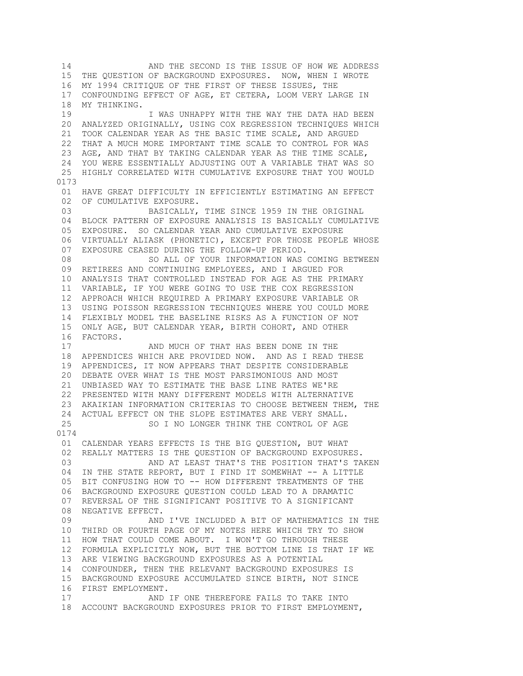14 AND THE SECOND IS THE ISSUE OF HOW WE ADDRESS 15 THE QUESTION OF BACKGROUND EXPOSURES. NOW, WHEN I WROTE 16 MY 1994 CRITIQUE OF THE FIRST OF THESE ISSUES, THE 17 CONFOUNDING EFFECT OF AGE, ET CETERA, LOOM VERY LARGE IN 18 MY THINKING. 19 I WAS UNHAPPY WITH THE WAY THE DATA HAD BEEN 20 ANALYZED ORIGINALLY, USING COX REGRESSION TECHNIQUES WHICH 21 TOOK CALENDAR YEAR AS THE BASIC TIME SCALE, AND ARGUED 22 THAT A MUCH MORE IMPORTANT TIME SCALE TO CONTROL FOR WAS 23 AGE, AND THAT BY TAKING CALENDAR YEAR AS THE TIME SCALE, 24 YOU WERE ESSENTIALLY ADJUSTING OUT A VARIABLE THAT WAS SO 25 HIGHLY CORRELATED WITH CUMULATIVE EXPOSURE THAT YOU WOULD 0173 01 HAVE GREAT DIFFICULTY IN EFFICIENTLY ESTIMATING AN EFFECT 02 OF CUMULATIVE EXPOSURE. 03 BASICALLY, TIME SINCE 1959 IN THE ORIGINAL 04 BLOCK PATTERN OF EXPOSURE ANALYSIS IS BASICALLY CUMULATIVE 05 EXPOSURE. SO CALENDAR YEAR AND CUMULATIVE EXPOSURE 06 VIRTUALLY ALIASK (PHONETIC), EXCEPT FOR THOSE PEOPLE WHOSE 07 EXPOSURE CEASED DURING THE FOLLOW-UP PERIOD. 08 SO ALL OF YOUR INFORMATION WAS COMING BETWEEN 09 RETIREES AND CONTINUING EMPLOYEES, AND I ARGUED FOR 10 ANALYSIS THAT CONTROLLED INSTEAD FOR AGE AS THE PRIMARY 11 VARIABLE, IF YOU WERE GOING TO USE THE COX REGRESSION 12 APPROACH WHICH REQUIRED A PRIMARY EXPOSURE VARIABLE OR 13 USING POISSON REGRESSION TECHNIQUES WHERE YOU COULD MORE 14 FLEXIBLY MODEL THE BASELINE RISKS AS A FUNCTION OF NOT 15 ONLY AGE, BUT CALENDAR YEAR, BIRTH COHORT, AND OTHER 16 FACTORS. 17 **AND MUCH OF THAT HAS BEEN DONE IN THE**  18 APPENDICES WHICH ARE PROVIDED NOW. AND AS I READ THESE 19 APPENDICES, IT NOW APPEARS THAT DESPITE CONSIDERABLE 20 DEBATE OVER WHAT IS THE MOST PARSIMONIOUS AND MOST 21 UNBIASED WAY TO ESTIMATE THE BASE LINE RATES WE'RE 22 PRESENTED WITH MANY DIFFERENT MODELS WITH ALTERNATIVE 23 AKAIKIAN INFORMATION CRITERIAS TO CHOOSE BETWEEN THEM, THE 24 ACTUAL EFFECT ON THE SLOPE ESTIMATES ARE VERY SMALL. 25 SO I NO LONGER THINK THE CONTROL OF AGE 0174 01 CALENDAR YEARS EFFECTS IS THE BIG QUESTION, BUT WHAT 02 REALLY MATTERS IS THE QUESTION OF BACKGROUND EXPOSURES. 03 AND AT LEAST THAT'S THE POSITION THAT'S TAKEN 04 IN THE STATE REPORT, BUT I FIND IT SOMEWHAT -- A LITTLE 05 BIT CONFUSING HOW TO -- HOW DIFFERENT TREATMENTS OF THE 06 BACKGROUND EXPOSURE QUESTION COULD LEAD TO A DRAMATIC 07 REVERSAL OF THE SIGNIFICANT POSITIVE TO A SIGNIFICANT 08 NEGATIVE EFFECT. 09 AND I'VE INCLUDED A BIT OF MATHEMATICS IN THE 10 THIRD OR FOURTH PAGE OF MY NOTES HERE WHICH TRY TO SHOW 11 HOW THAT COULD COME ABOUT. I WON'T GO THROUGH THESE 12 FORMULA EXPLICITLY NOW, BUT THE BOTTOM LINE IS THAT IF WE 13 ARE VIEWING BACKGROUND EXPOSURES AS A POTENTIAL 14 CONFOUNDER, THEN THE RELEVANT BACKGROUND EXPOSURES IS 15 BACKGROUND EXPOSURE ACCUMULATED SINCE BIRTH, NOT SINCE 16 FIRST EMPLOYMENT. 17 AND IF ONE THEREFORE FAILS TO TAKE INTO 18 ACCOUNT BACKGROUND EXPOSURES PRIOR TO FIRST EMPLOYMENT,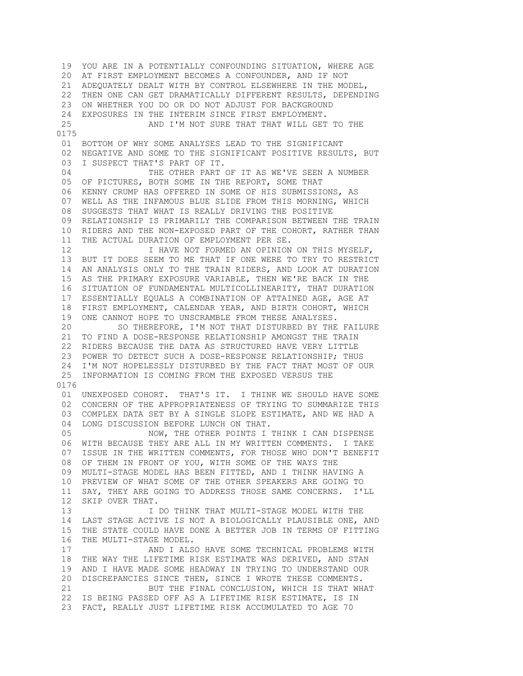19 YOU ARE IN A POTENTIALLY CONFOUNDING SITUATION, WHERE AGE 20 AT FIRST EMPLOYMENT BECOMES A CONFOUNDER, AND IF NOT 21 ADEQUATELY DEALT WITH BY CONTROL ELSEWHERE IN THE MODEL, 22 THEN ONE CAN GET DRAMATICALLY DIFFERENT RESULTS, DEPENDING 23 ON WHETHER YOU DO OR DO NOT ADJUST FOR BACKGROUND 24 EXPOSURES IN THE INTERIM SINCE FIRST EMPLOYMENT. 25 AND I'M NOT SURE THAT THAT WILL GET TO THE 0175 01 BOTTOM OF WHY SOME ANALYSES LEAD TO THE SIGNIFICANT 02 NEGATIVE AND SOME TO THE SIGNIFICANT POSITIVE RESULTS, BUT 03 I SUSPECT THAT'S PART OF IT. 04 THE OTHER PART OF IT AS WE'VE SEEN A NUMBER 05 OF PICTURES, BOTH SOME IN THE REPORT, SOME THAT 06 KENNY CRUMP HAS OFFERED IN SOME OF HIS SUBMISSIONS, AS 07 WELL AS THE INFAMOUS BLUE SLIDE FROM THIS MORNING, WHICH 08 SUGGESTS THAT WHAT IS REALLY DRIVING THE POSITIVE 09 RELATIONSHIP IS PRIMARILY THE COMPARISON BETWEEN THE TRAIN 10 RIDERS AND THE NON-EXPOSED PART OF THE COHORT, RATHER THAN 11 THE ACTUAL DURATION OF EMPLOYMENT PER SE. 12 **I HAVE NOT FORMED AN OPINION ON THIS MYSELF,**  13 BUT IT DOES SEEM TO ME THAT IF ONE WERE TO TRY TO RESTRICT 14 AN ANALYSIS ONLY TO THE TRAIN RIDERS, AND LOOK AT DURATION 15 AS THE PRIMARY EXPOSURE VARIABLE, THEN WE'RE BACK IN THE 16 SITUATION OF FUNDAMENTAL MULTICOLLINEARITY, THAT DURATION 17 ESSENTIALLY EQUALS A COMBINATION OF ATTAINED AGE, AGE AT 18 FIRST EMPLOYMENT, CALENDAR YEAR, AND BIRTH COHORT, WHICH 19 ONE CANNOT HOPE TO UNSCRAMBLE FROM THESE ANALYSES. 20 SO THEREFORE, I'M NOT THAT DISTURBED BY THE FAILURE 21 TO FIND A DOSE-RESPONSE RELATIONSHIP AMONGST THE TRAIN 22 RIDERS BECAUSE THE DATA AS STRUCTURED HAVE VERY LITTLE 23 POWER TO DETECT SUCH A DOSE-RESPONSE RELATIONSHIP; THUS 24 I'M NOT HOPELESSLY DISTURBED BY THE FACT THAT MOST OF OUR 25 INFORMATION IS COMING FROM THE EXPOSED VERSUS THE 0176 01 UNEXPOSED COHORT. THAT'S IT. I THINK WE SHOULD HAVE SOME 02 CONCERN OF THE APPROPRIATENESS OF TRYING TO SUMMARIZE THIS 03 COMPLEX DATA SET BY A SINGLE SLOPE ESTIMATE, AND WE HAD A 04 LONG DISCUSSION BEFORE LUNCH ON THAT. 05 NOW, THE OTHER POINTS I THINK I CAN DISPENSE 06 WITH BECAUSE THEY ARE ALL IN MY WRITTEN COMMENTS. I TAKE 07 ISSUE IN THE WRITTEN COMMENTS, FOR THOSE WHO DON'T BENEFIT 08 OF THEM IN FRONT OF YOU, WITH SOME OF THE WAYS THE 09 MULTI-STAGE MODEL HAS BEEN FITTED, AND I THINK HAVING A 10 PREVIEW OF WHAT SOME OF THE OTHER SPEAKERS ARE GOING TO 11 SAY, THEY ARE GOING TO ADDRESS THOSE SAME CONCERNS. I'LL 12 SKIP OVER THAT. 13 **I DO THINK THAT MULTI-STAGE MODEL WITH THE**  14 LAST STAGE ACTIVE IS NOT A BIOLOGICALLY PLAUSIBLE ONE, AND 15 THE STATE COULD HAVE DONE A BETTER JOB IN TERMS OF FITTING 16 THE MULTI-STAGE MODEL. 17 AND I ALSO HAVE SOME TECHNICAL PROBLEMS WITH 18 THE WAY THE LIFETIME RISK ESTIMATE WAS DERIVED, AND STAN 19 AND I HAVE MADE SOME HEADWAY IN TRYING TO UNDERSTAND OUR 20 DISCREPANCIES SINCE THEN, SINCE I WROTE THESE COMMENTS. 21 BUT THE FINAL CONCLUSION, WHICH IS THAT WHAT 22 IS BEING PASSED OFF AS A LIFETIME RISK ESTIMATE, IS IN 23 FACT, REALLY JUST LIFETIME RISK ACCUMULATED TO AGE 70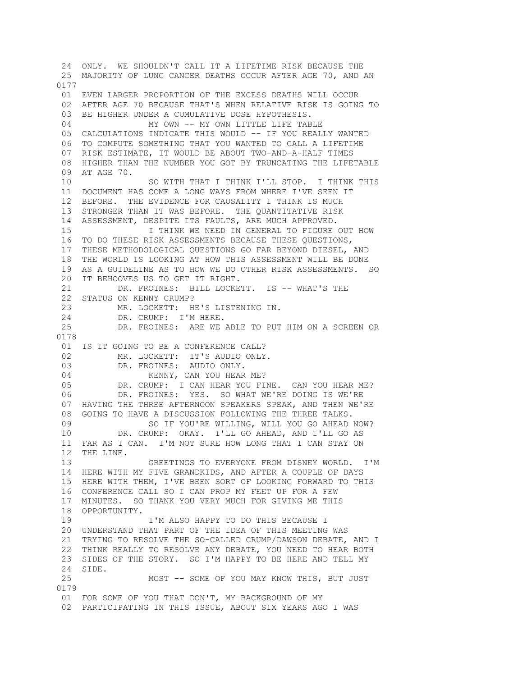24 ONLY. WE SHOULDN'T CALL IT A LIFETIME RISK BECAUSE THE 25 MAJORITY OF LUNG CANCER DEATHS OCCUR AFTER AGE 70, AND AN 0177 01 EVEN LARGER PROPORTION OF THE EXCESS DEATHS WILL OCCUR 02 AFTER AGE 70 BECAUSE THAT'S WHEN RELATIVE RISK IS GOING TO 03 BE HIGHER UNDER A CUMULATIVE DOSE HYPOTHESIS. 04 MY OWN -- MY OWN LITTLE LIFE TABLE 05 CALCULATIONS INDICATE THIS WOULD -- IF YOU REALLY WANTED 06 TO COMPUTE SOMETHING THAT YOU WANTED TO CALL A LIFETIME 07 RISK ESTIMATE, IT WOULD BE ABOUT TWO-AND-A-HALF TIMES 08 HIGHER THAN THE NUMBER YOU GOT BY TRUNCATING THE LIFETABLE 09 AT AGE 70. 10 SO WITH THAT I THINK I'LL STOP. I THINK THIS 11 DOCUMENT HAS COME A LONG WAYS FROM WHERE I'VE SEEN IT 12 BEFORE. THE EVIDENCE FOR CAUSALITY I THINK IS MUCH 13 STRONGER THAN IT WAS BEFORE. THE QUANTITATIVE RISK 14 ASSESSMENT, DESPITE ITS FAULTS, ARE MUCH APPROVED. 15 I THINK WE NEED IN GENERAL TO FIGURE OUT HOW 16 TO DO THESE RISK ASSESSMENTS BECAUSE THESE QUESTIONS, 17 THESE METHODOLOGICAL QUESTIONS GO FAR BEYOND DIESEL, AND 18 THE WORLD IS LOOKING AT HOW THIS ASSESSMENT WILL BE DONE 19 AS A GUIDELINE AS TO HOW WE DO OTHER RISK ASSESSMENTS. SO 20 IT BEHOOVES US TO GET IT RIGHT. 21 DR. FROINES: BILL LOCKETT. IS -- WHAT'S THE 22 STATUS ON KENNY CRUMP? 23 MR. LOCKETT: HE'S LISTENING IN. 24 DR. CRUMP: I'M HERE. 25 DR. FROINES: ARE WE ABLE TO PUT HIM ON A SCREEN OR 0178 01 IS IT GOING TO BE A CONFERENCE CALL? 02 MR. LOCKETT: IT'S AUDIO ONLY.<br>03 DR. FROINES: AUDIO ONLY. DR. FROINES: AUDIO ONLY. 04 KENNY, CAN YOU HEAR ME? 05 DR. CRUMP: I CAN HEAR YOU FINE. CAN YOU HEAR ME? 06 DR. FROINES: YES. SO WHAT WE'RE DOING IS WE'RE 07 HAVING THE THREE AFTERNOON SPEAKERS SPEAK, AND THEN WE'RE 08 GOING TO HAVE A DISCUSSION FOLLOWING THE THREE TALKS. 09 SO IF YOU'RE WILLING, WILL YOU GO AHEAD NOW? 10 DR. CRUMP: OKAY. I'LL GO AHEAD, AND I'LL GO AS 11 FAR AS I CAN. I'M NOT SURE HOW LONG THAT I CAN STAY ON 12 THE LINE. 13 GREETINGS TO EVERYONE FROM DISNEY WORLD. I'M 14 HERE WITH MY FIVE GRANDKIDS, AND AFTER A COUPLE OF DAYS 15 HERE WITH THEM, I'VE BEEN SORT OF LOOKING FORWARD TO THIS 16 CONFERENCE CALL SO I CAN PROP MY FEET UP FOR A FEW 17 MINUTES. SO THANK YOU VERY MUCH FOR GIVING ME THIS 18 OPPORTUNITY. 19 I'M ALSO HAPPY TO DO THIS BECAUSE I 20 UNDERSTAND THAT PART OF THE IDEA OF THIS MEETING WAS 21 TRYING TO RESOLVE THE SO-CALLED CRUMP/DAWSON DEBATE, AND I 22 THINK REALLY TO RESOLVE ANY DEBATE, YOU NEED TO HEAR BOTH 23 SIDES OF THE STORY. SO I'M HAPPY TO BE HERE AND TELL MY 24 SIDE. 25 MOST -- SOME OF YOU MAY KNOW THIS, BUT JUST 0179 01 FOR SOME OF YOU THAT DON'T, MY BACKGROUND OF MY 02 PARTICIPATING IN THIS ISSUE, ABOUT SIX YEARS AGO I WAS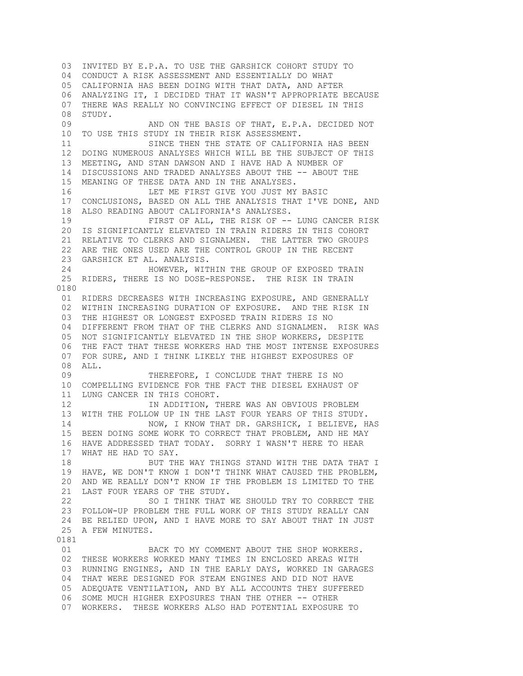03 INVITED BY E.P.A. TO USE THE GARSHICK COHORT STUDY TO 04 CONDUCT A RISK ASSESSMENT AND ESSENTIALLY DO WHAT 05 CALIFORNIA HAS BEEN DOING WITH THAT DATA, AND AFTER 06 ANALYZING IT, I DECIDED THAT IT WASN'T APPROPRIATE BECAUSE 07 THERE WAS REALLY NO CONVINCING EFFECT OF DIESEL IN THIS 08 STUDY. 09 AND ON THE BASIS OF THAT, E.P.A. DECIDED NOT 10 TO USE THIS STUDY IN THEIR RISK ASSESSMENT. 11 SINCE THEN THE STATE OF CALIFORNIA HAS BEEN 12 DOING NUMEROUS ANALYSES WHICH WILL BE THE SUBJECT OF THIS 13 MEETING, AND STAN DAWSON AND I HAVE HAD A NUMBER OF 14 DISCUSSIONS AND TRADED ANALYSES ABOUT THE -- ABOUT THE 15 MEANING OF THESE DATA AND IN THE ANALYSES. 16 LET ME FIRST GIVE YOU JUST MY BASIC 17 CONCLUSIONS, BASED ON ALL THE ANALYSIS THAT I'VE DONE, AND 18 ALSO READING ABOUT CALIFORNIA'S ANALYSES. 19 FIRST OF ALL, THE RISK OF -- LUNG CANCER RISK 20 IS SIGNIFICANTLY ELEVATED IN TRAIN RIDERS IN THIS COHORT 21 RELATIVE TO CLERKS AND SIGNALMEN. THE LATTER TWO GROUPS 22 ARE THE ONES USED ARE THE CONTROL GROUP IN THE RECENT 23 GARSHICK ET AL. ANALYSIS. 24 HOWEVER, WITHIN THE GROUP OF EXPOSED TRAIN 25 RIDERS, THERE IS NO DOSE-RESPONSE. THE RISK IN TRAIN 0180 01 RIDERS DECREASES WITH INCREASING EXPOSURE, AND GENERALLY 02 WITHIN INCREASING DURATION OF EXPOSURE. AND THE RISK IN 03 THE HIGHEST OR LONGEST EXPOSED TRAIN RIDERS IS NO 04 DIFFERENT FROM THAT OF THE CLERKS AND SIGNALMEN. RISK WAS 05 NOT SIGNIFICANTLY ELEVATED IN THE SHOP WORKERS, DESPITE 06 THE FACT THAT THESE WORKERS HAD THE MOST INTENSE EXPOSURES 07 FOR SURE, AND I THINK LIKELY THE HIGHEST EXPOSURES OF 08 ALL. 09 THEREFORE, I CONCLUDE THAT THERE IS NO 10 COMPELLING EVIDENCE FOR THE FACT THE DIESEL EXHAUST OF 11 LUNG CANCER IN THIS COHORT. 12 **IN ADDITION, THERE WAS AN OBVIOUS PROBLEM**  13 WITH THE FOLLOW UP IN THE LAST FOUR YEARS OF THIS STUDY. 14 NOW, I KNOW THAT DR. GARSHICK, I BELIEVE, HAS 15 BEEN DOING SOME WORK TO CORRECT THAT PROBLEM, AND HE MAY 16 HAVE ADDRESSED THAT TODAY. SORRY I WASN'T HERE TO HEAR 17 WHAT HE HAD TO SAY. 18 BUT THE WAY THINGS STAND WITH THE DATA THAT I 19 HAVE, WE DON'T KNOW I DON'T THINK WHAT CAUSED THE PROBLEM, 20 AND WE REALLY DON'T KNOW IF THE PROBLEM IS LIMITED TO THE 21 LAST FOUR YEARS OF THE STUDY. 22 SO I THINK THAT WE SHOULD TRY TO CORRECT THE 23 FOLLOW-UP PROBLEM THE FULL WORK OF THIS STUDY REALLY CAN 24 BE RELIED UPON, AND I HAVE MORE TO SAY ABOUT THAT IN JUST 25 A FEW MINUTES. 0181 01 **BACK TO MY COMMENT ABOUT THE SHOP WORKERS.**  02 THESE WORKERS WORKED MANY TIMES IN ENCLOSED AREAS WITH 03 RUNNING ENGINES, AND IN THE EARLY DAYS, WORKED IN GARAGES 04 THAT WERE DESIGNED FOR STEAM ENGINES AND DID NOT HAVE 05 ADEQUATE VENTILATION, AND BY ALL ACCOUNTS THEY SUFFERED 06 SOME MUCH HIGHER EXPOSURES THAN THE OTHER -- OTHER 07 WORKERS. THESE WORKERS ALSO HAD POTENTIAL EXPOSURE TO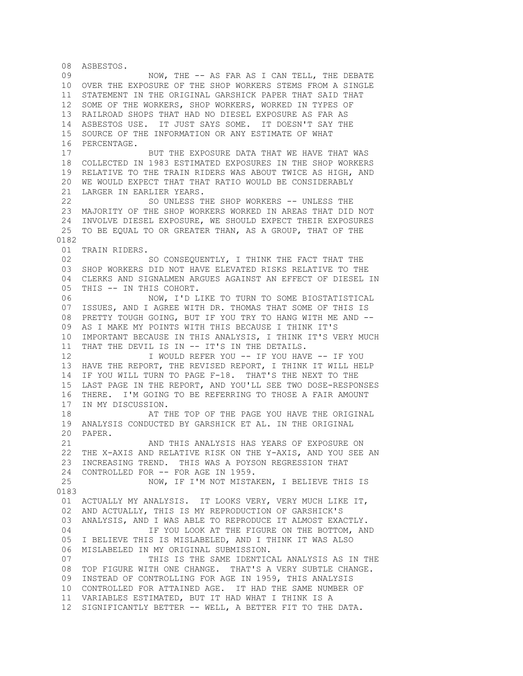08 ASBESTOS. 09 NOW, THE -- AS FAR AS I CAN TELL, THE DEBATE 10 OVER THE EXPOSURE OF THE SHOP WORKERS STEMS FROM A SINGLE 11 STATEMENT IN THE ORIGINAL GARSHICK PAPER THAT SAID THAT 12 SOME OF THE WORKERS, SHOP WORKERS, WORKED IN TYPES OF 13 RAILROAD SHOPS THAT HAD NO DIESEL EXPOSURE AS FAR AS 14 ASBESTOS USE. IT JUST SAYS SOME. IT DOESN'T SAY THE 15 SOURCE OF THE INFORMATION OR ANY ESTIMATE OF WHAT 16 PERCENTAGE. 17 BUT THE EXPOSURE DATA THAT WE HAVE THAT WAS 18 COLLECTED IN 1983 ESTIMATED EXPOSURES IN THE SHOP WORKERS 19 RELATIVE TO THE TRAIN RIDERS WAS ABOUT TWICE AS HIGH, AND 20 WE WOULD EXPECT THAT THAT RATIO WOULD BE CONSIDERABLY 21 LARGER IN EARLIER YEARS. 22 SO UNLESS THE SHOP WORKERS -- UNLESS THE 23 MAJORITY OF THE SHOP WORKERS WORKED IN AREAS THAT DID NOT 24 INVOLVE DIESEL EXPOSURE, WE SHOULD EXPECT THEIR EXPOSURES 25 TO BE EQUAL TO OR GREATER THAN, AS A GROUP, THAT OF THE 0182 01 TRAIN RIDERS. 02 SO CONSEQUENTLY, I THINK THE FACT THAT THE 03 SHOP WORKERS DID NOT HAVE ELEVATED RISKS RELATIVE TO THE 04 CLERKS AND SIGNALMEN ARGUES AGAINST AN EFFECT OF DIESEL IN 05 THIS -- IN THIS COHORT. 06 NOW, I'D LIKE TO TURN TO SOME BIOSTATISTICAL 07 ISSUES, AND I AGREE WITH DR. THOMAS THAT SOME OF THIS IS 08 PRETTY TOUGH GOING, BUT IF YOU TRY TO HANG WITH ME AND -- 09 AS I MAKE MY POINTS WITH THIS BECAUSE I THINK IT'S 10 IMPORTANT BECAUSE IN THIS ANALYSIS, I THINK IT'S VERY MUCH 11 THAT THE DEVIL IS IN -- IT'S IN THE DETAILS. 12 I WOULD REFER YOU -- IF YOU HAVE -- IF YOU 13 HAVE THE REPORT, THE REVISED REPORT, I THINK IT WILL HELP 14 IF YOU WILL TURN TO PAGE F-18. THAT'S THE NEXT TO THE 15 LAST PAGE IN THE REPORT, AND YOU'LL SEE TWO DOSE-RESPONSES 16 THERE. I'M GOING TO BE REFERRING TO THOSE A FAIR AMOUNT 17 IN MY DISCUSSION. 18 AT THE TOP OF THE PAGE YOU HAVE THE ORIGINAL 19 ANALYSIS CONDUCTED BY GARSHICK ET AL. IN THE ORIGINAL 20 PAPER. 21 AND THIS ANALYSIS HAS YEARS OF EXPOSURE ON 22 THE X-AXIS AND RELATIVE RISK ON THE Y-AXIS, AND YOU SEE AN 23 INCREASING TREND. THIS WAS A POYSON REGRESSION THAT 24 CONTROLLED FOR -- FOR AGE IN 1959. 25 NOW, IF I'M NOT MISTAKEN, I BELIEVE THIS IS 0183 01 ACTUALLY MY ANALYSIS. IT LOOKS VERY, VERY MUCH LIKE IT, 02 AND ACTUALLY, THIS IS MY REPRODUCTION OF GARSHICK'S 03 ANALYSIS, AND I WAS ABLE TO REPRODUCE IT ALMOST EXACTLY. 04 **IF YOU LOOK AT THE FIGURE ON THE BOTTOM, AND**  05 I BELIEVE THIS IS MISLABELED, AND I THINK IT WAS ALSO 06 MISLABELED IN MY ORIGINAL SUBMISSION. 07 THIS IS THE SAME IDENTICAL ANALYSIS AS IN THE 08 TOP FIGURE WITH ONE CHANGE. THAT'S A VERY SUBTLE CHANGE. 09 INSTEAD OF CONTROLLING FOR AGE IN 1959, THIS ANALYSIS 10 CONTROLLED FOR ATTAINED AGE. IT HAD THE SAME NUMBER OF 11 VARIABLES ESTIMATED, BUT IT HAD WHAT I THINK IS A 12 SIGNIFICANTLY BETTER -- WELL, A BETTER FIT TO THE DATA.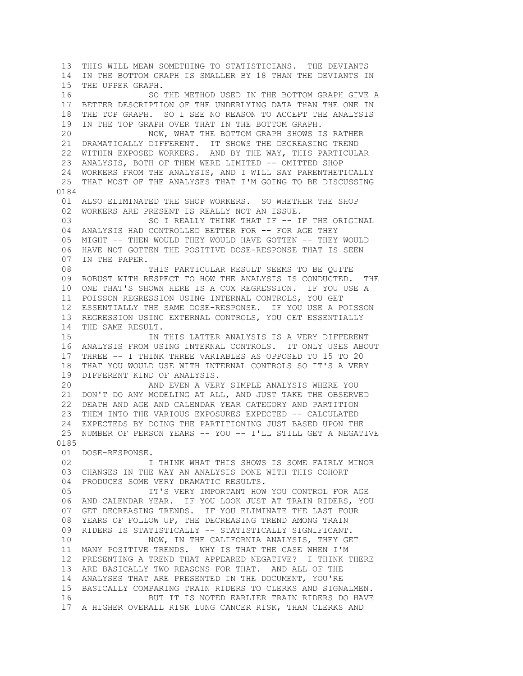13 THIS WILL MEAN SOMETHING TO STATISTICIANS. THE DEVIANTS 14 IN THE BOTTOM GRAPH IS SMALLER BY 18 THAN THE DEVIANTS IN 15 THE UPPER GRAPH. 16 SO THE METHOD USED IN THE BOTTOM GRAPH GIVE A 17 BETTER DESCRIPTION OF THE UNDERLYING DATA THAN THE ONE IN 18 THE TOP GRAPH. SO I SEE NO REASON TO ACCEPT THE ANALYSIS 19 IN THE TOP GRAPH OVER THAT IN THE BOTTOM GRAPH. 20 NOW, WHAT THE BOTTOM GRAPH SHOWS IS RATHER 21 DRAMATICALLY DIFFERENT. IT SHOWS THE DECREASING TREND 22 WITHIN EXPOSED WORKERS. AND BY THE WAY, THIS PARTICULAR 23 ANALYSIS, BOTH OF THEM WERE LIMITED -- OMITTED SHOP 24 WORKERS FROM THE ANALYSIS, AND I WILL SAY PARENTHETICALLY 25 THAT MOST OF THE ANALYSES THAT I'M GOING TO BE DISCUSSING 0184 01 ALSO ELIMINATED THE SHOP WORKERS. SO WHETHER THE SHOP 02 WORKERS ARE PRESENT IS REALLY NOT AN ISSUE. 03 SO I REALLY THINK THAT IF -- IF THE ORIGINAL 04 ANALYSIS HAD CONTROLLED BETTER FOR -- FOR AGE THEY 05 MIGHT -- THEN WOULD THEY WOULD HAVE GOTTEN -- THEY WOULD 06 HAVE NOT GOTTEN THE POSITIVE DOSE-RESPONSE THAT IS SEEN 07 IN THE PAPER. 08 THIS PARTICULAR RESULT SEEMS TO BE QUITE 09 ROBUST WITH RESPECT TO HOW THE ANALYSIS IS CONDUCTED. THE 10 ONE THAT'S SHOWN HERE IS A COX REGRESSION. IF YOU USE A 11 POISSON REGRESSION USING INTERNAL CONTROLS, YOU GET 12 ESSENTIALLY THE SAME DOSE-RESPONSE. IF YOU USE A POISSON 13 REGRESSION USING EXTERNAL CONTROLS, YOU GET ESSENTIALLY 14 THE SAME RESULT. 15 IN THIS LATTER ANALYSIS IS A VERY DIFFERENT 16 ANALYSIS FROM USING INTERNAL CONTROLS. IT ONLY USES ABOUT 17 THREE -- I THINK THREE VARIABLES AS OPPOSED TO 15 TO 20 18 THAT YOU WOULD USE WITH INTERNAL CONTROLS SO IT'S A VERY 19 DIFFERENT KIND OF ANALYSIS. 20 AND EVEN A VERY SIMPLE ANALYSIS WHERE YOU 21 DON'T DO ANY MODELING AT ALL, AND JUST TAKE THE OBSERVED 22 DEATH AND AGE AND CALENDAR YEAR CATEGORY AND PARTITION 23 THEM INTO THE VARIOUS EXPOSURES EXPECTED -- CALCULATED 24 EXPECTEDS BY DOING THE PARTITIONING JUST BASED UPON THE 25 NUMBER OF PERSON YEARS -- YOU -- I'LL STILL GET A NEGATIVE 0185 01 DOSE-RESPONSE. 02 **I THINK WHAT THIS SHOWS IS SOME FAIRLY MINOR**  03 CHANGES IN THE WAY AN ANALYSIS DONE WITH THIS COHORT 04 PRODUCES SOME VERY DRAMATIC RESULTS. 05 IT'S VERY IMPORTANT HOW YOU CONTROL FOR AGE 06 AND CALENDAR YEAR. IF YOU LOOK JUST AT TRAIN RIDERS, YOU 07 GET DECREASING TRENDS. IF YOU ELIMINATE THE LAST FOUR 08 YEARS OF FOLLOW UP, THE DECREASING TREND AMONG TRAIN 09 RIDERS IS STATISTICALLY -- STATISTICALLY SIGNIFICANT. 10 NOW, IN THE CALIFORNIA ANALYSIS, THEY GET 11 MANY POSITIVE TRENDS. WHY IS THAT THE CASE WHEN I'M 12 PRESENTING A TREND THAT APPEARED NEGATIVE? I THINK THERE 13 ARE BASICALLY TWO REASONS FOR THAT. AND ALL OF THE 14 ANALYSES THAT ARE PRESENTED IN THE DOCUMENT, YOU'RE 15 BASICALLY COMPARING TRAIN RIDERS TO CLERKS AND SIGNALMEN. 16 BUT IT IS NOTED EARLIER TRAIN RIDERS DO HAVE 17 A HIGHER OVERALL RISK LUNG CANCER RISK, THAN CLERKS AND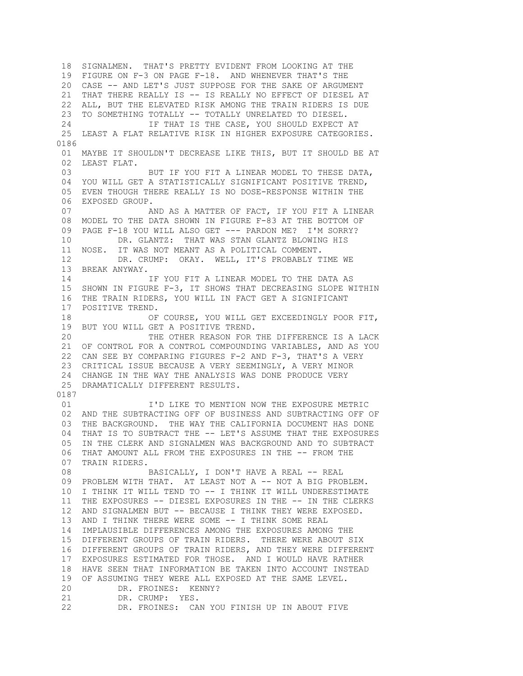18 SIGNALMEN. THAT'S PRETTY EVIDENT FROM LOOKING AT THE 19 FIGURE ON F-3 ON PAGE F-18. AND WHENEVER THAT'S THE 20 CASE -- AND LET'S JUST SUPPOSE FOR THE SAKE OF ARGUMENT 21 THAT THERE REALLY IS -- IS REALLY NO EFFECT OF DIESEL AT 22 ALL, BUT THE ELEVATED RISK AMONG THE TRAIN RIDERS IS DUE 23 TO SOMETHING TOTALLY -- TOTALLY UNRELATED TO DIESEL. 24 IF THAT IS THE CASE, YOU SHOULD EXPECT AT 25 LEAST A FLAT RELATIVE RISK IN HIGHER EXPOSURE CATEGORIES. 0186 01 MAYBE IT SHOULDN'T DECREASE LIKE THIS, BUT IT SHOULD BE AT 02 LEAST FLAT. 03 BUT IF YOU FIT A LINEAR MODEL TO THESE DATA, 04 YOU WILL GET A STATISTICALLY SIGNIFICANT POSITIVE TREND, 05 EVEN THOUGH THERE REALLY IS NO DOSE-RESPONSE WITHIN THE 06 EXPOSED GROUP. 07 AND AS A MATTER OF FACT, IF YOU FIT A LINEAR 08 MODEL TO THE DATA SHOWN IN FIGURE F-83 AT THE BOTTOM OF 09 PAGE F-18 YOU WILL ALSO GET --- PARDON ME? I'M SORRY? 10 DR. GLANTZ: THAT WAS STAN GLANTZ BLOWING HIS 11 NOSE. IT WAS NOT MEANT AS A POLITICAL COMMENT. 12 DR. CRUMP: OKAY. WELL, IT'S PROBABLY TIME WE 13 BREAK ANYWAY. 14 IF YOU FIT A LINEAR MODEL TO THE DATA AS 15 SHOWN IN FIGURE F-3, IT SHOWS THAT DECREASING SLOPE WITHIN 16 THE TRAIN RIDERS, YOU WILL IN FACT GET A SIGNIFICANT 17 POSITIVE TREND. 18 OF COURSE, YOU WILL GET EXCEEDINGLY POOR FIT, 19 BUT YOU WILL GET A POSITIVE TREND. 20 THE OTHER REASON FOR THE DIFFERENCE IS A LACK 21 OF CONTROL FOR A CONTROL COMPOUNDING VARIABLES, AND AS YOU 22 CAN SEE BY COMPARING FIGURES F-2 AND F-3, THAT'S A VERY 23 CRITICAL ISSUE BECAUSE A VERY SEEMINGLY, A VERY MINOR 24 CHANGE IN THE WAY THE ANALYSIS WAS DONE PRODUCE VERY 25 DRAMATICALLY DIFFERENT RESULTS. 0187 01 **I'D LIKE TO MENTION NOW THE EXPOSURE METRIC**  02 AND THE SUBTRACTING OFF OF BUSINESS AND SUBTRACTING OFF OF 03 THE BACKGROUND. THE WAY THE CALIFORNIA DOCUMENT HAS DONE 04 THAT IS TO SUBTRACT THE -- LET'S ASSUME THAT THE EXPOSURES 05 IN THE CLERK AND SIGNALMEN WAS BACKGROUND AND TO SUBTRACT 06 THAT AMOUNT ALL FROM THE EXPOSURES IN THE -- FROM THE 07 TRAIN RIDERS. 08 BASICALLY, I DON'T HAVE A REAL -- REAL 09 PROBLEM WITH THAT. AT LEAST NOT A -- NOT A BIG PROBLEM. 10 I THINK IT WILL TEND TO -- I THINK IT WILL UNDERESTIMATE 11 THE EXPOSURES -- DIESEL EXPOSURES IN THE -- IN THE CLERKS 12 AND SIGNALMEN BUT -- BECAUSE I THINK THEY WERE EXPOSED. 13 AND I THINK THERE WERE SOME -- I THINK SOME REAL 14 IMPLAUSIBLE DIFFERENCES AMONG THE EXPOSURES AMONG THE 15 DIFFERENT GROUPS OF TRAIN RIDERS. THERE WERE ABOUT SIX 16 DIFFERENT GROUPS OF TRAIN RIDERS, AND THEY WERE DIFFERENT 17 EXPOSURES ESTIMATED FOR THOSE. AND I WOULD HAVE RATHER 18 HAVE SEEN THAT INFORMATION BE TAKEN INTO ACCOUNT INSTEAD 19 OF ASSUMING THEY WERE ALL EXPOSED AT THE SAME LEVEL. 20 DR. FROINES: KENNY? 21 DR. CRUMP: YES. 22 DR. FROINES: CAN YOU FINISH UP IN ABOUT FIVE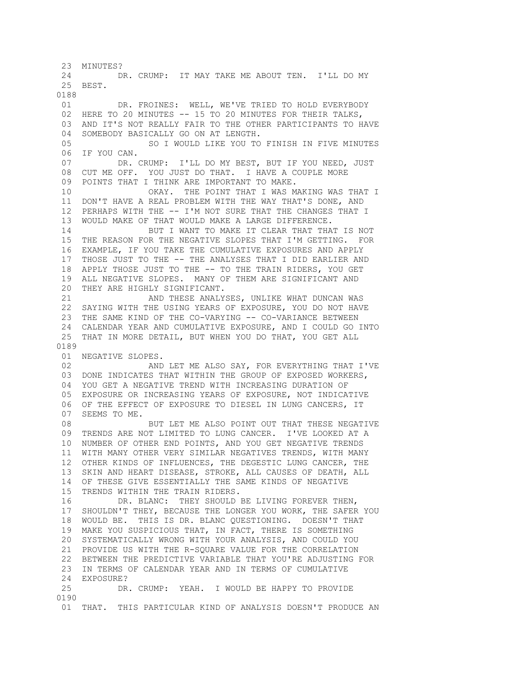23 MINUTES? 24 DR. CRUMP: IT MAY TAKE ME ABOUT TEN. I'LL DO MY 25 BEST. 0188 01 DR. FROINES: WELL, WE'VE TRIED TO HOLD EVERYBODY 02 HERE TO 20 MINUTES -- 15 TO 20 MINUTES FOR THEIR TALKS, 03 AND IT'S NOT REALLY FAIR TO THE OTHER PARTICIPANTS TO HAVE 04 SOMEBODY BASICALLY GO ON AT LENGTH. 05 SO I WOULD LIKE YOU TO FINISH IN FIVE MINUTES 06 IF YOU CAN. 07 DR. CRUMP: I'LL DO MY BEST, BUT IF YOU NEED, JUST 08 CUT ME OFF. YOU JUST DO THAT. I HAVE A COUPLE MORE 09 POINTS THAT I THINK ARE IMPORTANT TO MAKE. 10 OKAY. THE POINT THAT I WAS MAKING WAS THAT I 11 DON'T HAVE A REAL PROBLEM WITH THE WAY THAT'S DONE, AND 12 PERHAPS WITH THE -- I'M NOT SURE THAT THE CHANGES THAT I 13 WOULD MAKE OF THAT WOULD MAKE A LARGE DIFFERENCE. 14 BUT I WANT TO MAKE IT CLEAR THAT THAT IS NOT 15 THE REASON FOR THE NEGATIVE SLOPES THAT I'M GETTING. FOR 16 EXAMPLE, IF YOU TAKE THE CUMULATIVE EXPOSURES AND APPLY 17 THOSE JUST TO THE -- THE ANALYSES THAT I DID EARLIER AND 18 APPLY THOSE JUST TO THE -- TO THE TRAIN RIDERS, YOU GET 19 ALL NEGATIVE SLOPES. MANY OF THEM ARE SIGNIFICANT AND 20 THEY ARE HIGHLY SIGNIFICANT. 21 AND THESE ANALYSES, UNLIKE WHAT DUNCAN WAS 22 SAYING WITH THE USING YEARS OF EXPOSURE, YOU DO NOT HAVE 23 THE SAME KIND OF THE CO-VARYING -- CO-VARIANCE BETWEEN 24 CALENDAR YEAR AND CUMULATIVE EXPOSURE, AND I COULD GO INTO 25 THAT IN MORE DETAIL, BUT WHEN YOU DO THAT, YOU GET ALL 0189 01 NEGATIVE SLOPES.<br>02 AND AND LET ME ALSO SAY, FOR EVERYTHING THAT I'VE 03 DONE INDICATES THAT WITHIN THE GROUP OF EXPOSED WORKERS, 04 YOU GET A NEGATIVE TREND WITH INCREASING DURATION OF 05 EXPOSURE OR INCREASING YEARS OF EXPOSURE, NOT INDICATIVE 06 OF THE EFFECT OF EXPOSURE TO DIESEL IN LUNG CANCERS, IT 07 SEEMS TO ME. 08 BUT LET ME ALSO POINT OUT THAT THESE NEGATIVE 09 TRENDS ARE NOT LIMITED TO LUNG CANCER. I'VE LOOKED AT A 10 NUMBER OF OTHER END POINTS, AND YOU GET NEGATIVE TRENDS 11 WITH MANY OTHER VERY SIMILAR NEGATIVES TRENDS, WITH MANY 12 OTHER KINDS OF INFLUENCES, THE DEGESTIC LUNG CANCER, THE 13 SKIN AND HEART DISEASE, STROKE, ALL CAUSES OF DEATH, ALL 14 OF THESE GIVE ESSENTIALLY THE SAME KINDS OF NEGATIVE 15 TRENDS WITHIN THE TRAIN RIDERS. 16 DR. BLANC: THEY SHOULD BE LIVING FOREVER THEN, 17 SHOULDN'T THEY, BECAUSE THE LONGER YOU WORK, THE SAFER YOU 18 WOULD BE. THIS IS DR. BLANC QUESTIONING. DOESN'T THAT 19 MAKE YOU SUSPICIOUS THAT, IN FACT, THERE IS SOMETHING 20 SYSTEMATICALLY WRONG WITH YOUR ANALYSIS, AND COULD YOU 21 PROVIDE US WITH THE R-SQUARE VALUE FOR THE CORRELATION 22 BETWEEN THE PREDICTIVE VARIABLE THAT YOU'RE ADJUSTING FOR 23 IN TERMS OF CALENDAR YEAR AND IN TERMS OF CUMULATIVE 24 EXPOSURE? 25 DR. CRUMP: YEAH. I WOULD BE HAPPY TO PROVIDE 0190 01 THAT. THIS PARTICULAR KIND OF ANALYSIS DOESN'T PRODUCE AN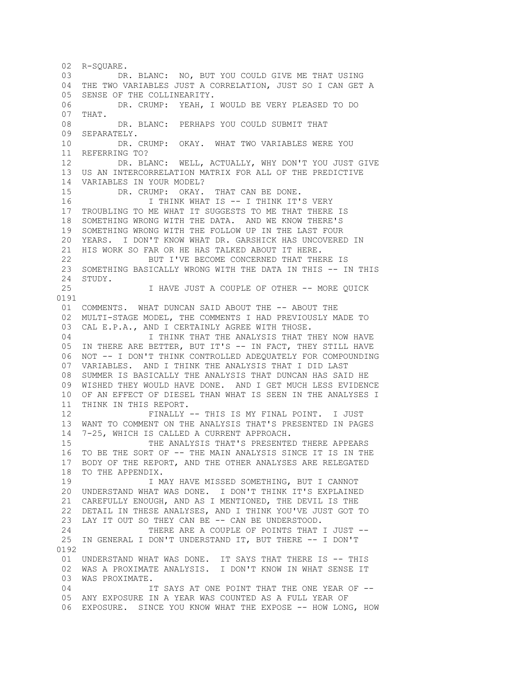02 R-SOUARE. 03 DR. BLANC: NO, BUT YOU COULD GIVE ME THAT USING 04 THE TWO VARIABLES JUST A CORRELATION, JUST SO I CAN GET A 05 SENSE OF THE COLLINEARITY. 06 DR. CRUMP: YEAH, I WOULD BE VERY PLEASED TO DO 07 THAT. 08 DR. BLANC: PERHAPS YOU COULD SUBMIT THAT 09 SEPARATELY. 10 DR. CRUMP: OKAY. WHAT TWO VARIABLES WERE YOU 11 REFERRING TO? 12 DR. BLANC: WELL, ACTUALLY, WHY DON'T YOU JUST GIVE 13 US AN INTERCORRELATION MATRIX FOR ALL OF THE PREDICTIVE 14 VARIABLES IN YOUR MODEL? 15 DR. CRUMP: OKAY. THAT CAN BE DONE. 16 I THINK WHAT IS -- I THINK IT'S VERY 17 TROUBLING TO ME WHAT IT SUGGESTS TO ME THAT THERE IS 18 SOMETHING WRONG WITH THE DATA. AND WE KNOW THERE'S 19 SOMETHING WRONG WITH THE FOLLOW UP IN THE LAST FOUR 20 YEARS. I DON'T KNOW WHAT DR. GARSHICK HAS UNCOVERED IN 21 HIS WORK SO FAR OR HE HAS TALKED ABOUT IT HERE. 22 BUT I'VE BECOME CONCERNED THAT THERE IS 23 SOMETHING BASICALLY WRONG WITH THE DATA IN THIS -- IN THIS 24 STUDY. 25 I HAVE JUST A COUPLE OF OTHER -- MORE QUICK 0191 01 COMMENTS. WHAT DUNCAN SAID ABOUT THE -- ABOUT THE 02 MULTI-STAGE MODEL, THE COMMENTS I HAD PREVIOUSLY MADE TO 03 CAL E.P.A., AND I CERTAINLY AGREE WITH THOSE. 04 **I THINK THAT THE ANALYSIS THAT THEY NOW HAVE**  05 IN THERE ARE BETTER, BUT IT'S -- IN FACT, THEY STILL HAVE 06 NOT -- I DON'T THINK CONTROLLED ADEQUATELY FOR COMPOUNDING<br>07 VARIABLES. AND I THINK THE ANALYSIS THAT I DID LAST VARIABLES. AND I THINK THE ANALYSIS THAT I DID LAST 08 SUMMER IS BASICALLY THE ANALYSIS THAT DUNCAN HAS SAID HE 09 WISHED THEY WOULD HAVE DONE. AND I GET MUCH LESS EVIDENCE 10 OF AN EFFECT OF DIESEL THAN WHAT IS SEEN IN THE ANALYSES I 11 THINK IN THIS REPORT. 12 FINALLY -- THIS IS MY FINAL POINT. I JUST 13 WANT TO COMMENT ON THE ANALYSIS THAT'S PRESENTED IN PAGES 14 7-25, WHICH IS CALLED A CURRENT APPROACH. 15 THE ANALYSIS THAT'S PRESENTED THERE APPEARS 16 TO BE THE SORT OF -- THE MAIN ANALYSIS SINCE IT IS IN THE 17 BODY OF THE REPORT, AND THE OTHER ANALYSES ARE RELEGATED 18 TO THE APPENDIX. 19 19 I MAY HAVE MISSED SOMETHING, BUT I CANNOT 20 UNDERSTAND WHAT WAS DONE. I DON'T THINK IT'S EXPLAINED 21 CAREFULLY ENOUGH, AND AS I MENTIONED, THE DEVIL IS THE 22 DETAIL IN THESE ANALYSES, AND I THINK YOU'VE JUST GOT TO 23 LAY IT OUT SO THEY CAN BE -- CAN BE UNDERSTOOD. 24 THERE ARE A COUPLE OF POINTS THAT I JUST -- 25 IN GENERAL I DON'T UNDERSTAND IT, BUT THERE -- I DON'T 0192 01 UNDERSTAND WHAT WAS DONE. IT SAYS THAT THERE IS -- THIS 02 WAS A PROXIMATE ANALYSIS. I DON'T KNOW IN WHAT SENSE IT 03 WAS PROXIMATE. 04 **IT SAYS AT ONE POINT THAT THE ONE YEAR OF --** 05 ANY EXPOSURE IN A YEAR WAS COUNTED AS A FULL YEAR OF 06 EXPOSURE. SINCE YOU KNOW WHAT THE EXPOSE -- HOW LONG, HOW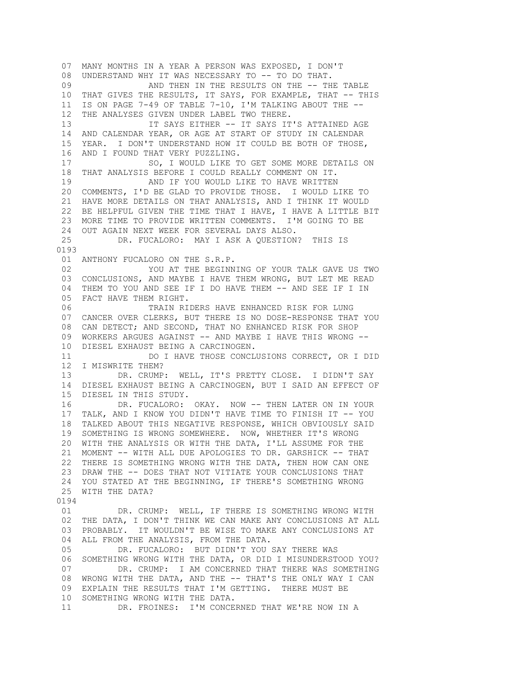07 MANY MONTHS IN A YEAR A PERSON WAS EXPOSED, I DON'T 08 UNDERSTAND WHY IT WAS NECESSARY TO -- TO DO THAT. 09 AND THEN IN THE RESULTS ON THE -- THE TABLE 10 THAT GIVES THE RESULTS, IT SAYS, FOR EXAMPLE, THAT -- THIS 11 IS ON PAGE 7-49 OF TABLE 7-10, I'M TALKING ABOUT THE -- 12 THE ANALYSES GIVEN UNDER LABEL TWO THERE. 13 IT SAYS EITHER -- IT SAYS IT'S ATTAINED AGE 14 AND CALENDAR YEAR, OR AGE AT START OF STUDY IN CALENDAR 15 YEAR. I DON'T UNDERSTAND HOW IT COULD BE BOTH OF THOSE, 16 AND I FOUND THAT VERY PUZZLING. 17 SO, I WOULD LIKE TO GET SOME MORE DETAILS ON 18 THAT ANALYSIS BEFORE I COULD REALLY COMMENT ON IT. 19 **AND IF YOU WOULD LIKE TO HAVE WRITTEN**  20 COMMENTS, I'D BE GLAD TO PROVIDE THOSE. I WOULD LIKE TO 21 HAVE MORE DETAILS ON THAT ANALYSIS, AND I THINK IT WOULD 22 BE HELPFUL GIVEN THE TIME THAT I HAVE, I HAVE A LITTLE BIT 23 MORE TIME TO PROVIDE WRITTEN COMMENTS. I'M GOING TO BE 24 OUT AGAIN NEXT WEEK FOR SEVERAL DAYS ALSO.<br>25 DR. FUCALORO: MAY I ASK A OUESTION DR. FUCALORO: MAY I ASK A QUESTION? THIS IS 0193 01 ANTHONY FUCALORO ON THE S.R.P. 02 YOU AT THE BEGINNING OF YOUR TALK GAVE US TWO 03 CONCLUSIONS, AND MAYBE I HAVE THEM WRONG, BUT LET ME READ 04 THEM TO YOU AND SEE IF I DO HAVE THEM -- AND SEE IF I IN 05 FACT HAVE THEM RIGHT. 06 TRAIN RIDERS HAVE ENHANCED RISK FOR LUNG 07 CANCER OVER CLERKS, BUT THERE IS NO DOSE-RESPONSE THAT YOU 08 CAN DETECT; AND SECOND, THAT NO ENHANCED RISK FOR SHOP 09 WORKERS ARGUES AGAINST -- AND MAYBE I HAVE THIS WRONG -- 10 DIESEL EXHAUST BEING A CARCINOGEN. 11 DO I HAVE THOSE CONCLUSIONS CORRECT, OR I DID 12 I MISWRITE THEM? 13 DR. CRUMP: WELL, IT'S PRETTY CLOSE. I DIDN'T SAY 14 DIESEL EXHAUST BEING A CARCINOGEN, BUT I SAID AN EFFECT OF 15 DIESEL IN THIS STUDY. 16 DR. FUCALORO: OKAY. NOW -- THEN LATER ON IN YOUR 17 TALK, AND I KNOW YOU DIDN'T HAVE TIME TO FINISH IT -- YOU 18 TALKED ABOUT THIS NEGATIVE RESPONSE, WHICH OBVIOUSLY SAID 19 SOMETHING IS WRONG SOMEWHERE. NOW, WHETHER IT'S WRONG 20 WITH THE ANALYSIS OR WITH THE DATA, I'LL ASSUME FOR THE 21 MOMENT -- WITH ALL DUE APOLOGIES TO DR. GARSHICK -- THAT 22 THERE IS SOMETHING WRONG WITH THE DATA, THEN HOW CAN ONE 23 DRAW THE -- DOES THAT NOT VITIATE YOUR CONCLUSIONS THAT 24 YOU STATED AT THE BEGINNING, IF THERE'S SOMETHING WRONG 25 WITH THE DATA? 0194 01 DR. CRUMP: WELL, IF THERE IS SOMETHING WRONG WITH 02 THE DATA, I DON'T THINK WE CAN MAKE ANY CONCLUSIONS AT ALL 03 PROBABLY. IT WOULDN'T BE WISE TO MAKE ANY CONCLUSIONS AT 04 ALL FROM THE ANALYSIS, FROM THE DATA. 05 DR. FUCALORO: BUT DIDN'T YOU SAY THERE WAS 06 SOMETHING WRONG WITH THE DATA, OR DID I MISUNDERSTOOD YOU? 07 DR. CRUMP: I AM CONCERNED THAT THERE WAS SOMETHING 08 WRONG WITH THE DATA, AND THE -- THAT'S THE ONLY WAY I CAN 09 EXPLAIN THE RESULTS THAT I'M GETTING. THERE MUST BE 10 SOMETHING WRONG WITH THE DATA. 11 DR. FROINES: I'M CONCERNED THAT WE'RE NOW IN A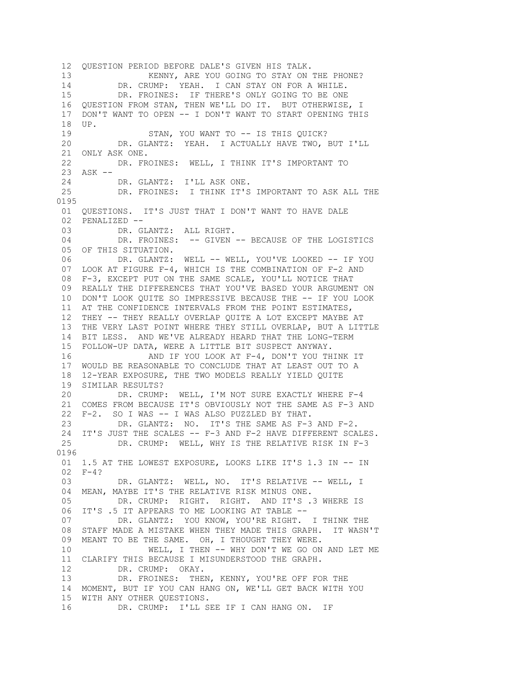12 QUESTION PERIOD BEFORE DALE'S GIVEN HIS TALK. 13 KENNY, ARE YOU GOING TO STAY ON THE PHONE? 14 DR. CRUMP: YEAH. I CAN STAY ON FOR A WHILE. 15 DR. FROINES: IF THERE'S ONLY GOING TO BE ONE 16 QUESTION FROM STAN, THEN WE'LL DO IT. BUT OTHERWISE, I 17 DON'T WANT TO OPEN -- I DON'T WANT TO START OPENING THIS 18 UP. 19 STAN, YOU WANT TO -- IS THIS QUICK? 20 DR. GLANTZ: YEAH. I ACTUALLY HAVE TWO, BUT I'LL 21 ONLY ASK ONE. 22 DR. FROINES: WELL, I THINK IT'S IMPORTANT TO 23 ASK -- 24 DR. GLANTZ: I'LL ASK ONE. 25 DR. FROINES: I THINK IT'S IMPORTANT TO ASK ALL THE 0195 01 QUESTIONS. IT'S JUST THAT I DON'T WANT TO HAVE DALE 02 PENALIZED -- 03 DR. GLANTZ: ALL RIGHT. 04 DR. FROINES: -- GIVEN -- BECAUSE OF THE LOGISTICS 05 OF THIS SITUATION. 06 DR. GLANTZ: WELL -- WELL, YOU'VE LOOKED -- IF YOU 07 LOOK AT FIGURE F-4, WHICH IS THE COMBINATION OF F-2 AND 08 F-3, EXCEPT PUT ON THE SAME SCALE, YOU'LL NOTICE THAT 09 REALLY THE DIFFERENCES THAT YOU'VE BASED YOUR ARGUMENT ON 10 DON'T LOOK QUITE SO IMPRESSIVE BECAUSE THE -- IF YOU LOOK 11 AT THE CONFIDENCE INTERVALS FROM THE POINT ESTIMATES, 12 THEY -- THEY REALLY OVERLAP QUITE A LOT EXCEPT MAYBE AT 13 THE VERY LAST POINT WHERE THEY STILL OVERLAP, BUT A LITTLE 14 BIT LESS. AND WE'VE ALREADY HEARD THAT THE LONG-TERM 15 FOLLOW-UP DATA, WERE A LITTLE BIT SUSPECT ANYWAY. 16 AND IF YOU LOOK AT F-4, DON'T YOU THINK IT 17 WOULD BE REASONABLE TO CONCLUDE THAT AT LEAST OUT TO A 18 12-YEAR EXPOSURE, THE TWO MODELS REALLY YIELD QUITE 19 SIMILAR RESULTS? 20 DR. CRUMP: WELL, I'M NOT SURE EXACTLY WHERE F-4 21 COMES FROM BECAUSE IT'S OBVIOUSLY NOT THE SAME AS F-3 AND 22 F-2. SO I WAS -- I WAS ALSO PUZZLED BY THAT. 23 DR. GLANTZ: NO. IT'S THE SAME AS F-3 AND F-2. 24 IT'S JUST THE SCALES -- F-3 AND F-2 HAVE DIFFERENT SCALES. 25 DR. CRUMP: WELL, WHY IS THE RELATIVE RISK IN F-3 0196 01 1.5 AT THE LOWEST EXPOSURE, LOOKS LIKE IT'S 1.3 IN -- IN 02 F-4? 03 DR. GLANTZ: WELL, NO. IT'S RELATIVE -- WELL, I 04 MEAN, MAYBE IT'S THE RELATIVE RISK MINUS ONE. 05 DR. CRUMP: RIGHT. RIGHT. AND IT'S .3 WHERE IS 06 IT'S .5 IT APPEARS TO ME LOOKING AT TABLE -- 07 DR. GLANTZ: YOU KNOW, YOU'RE RIGHT. I THINK THE 08 STAFF MADE A MISTAKE WHEN THEY MADE THIS GRAPH. IT WASN'T 09 MEANT TO BE THE SAME. OH, I THOUGHT THEY WERE. 10 WELL, I THEN -- WHY DON'T WE GO ON AND LET ME 11 CLARIFY THIS BECAUSE I MISUNDERSTOOD THE GRAPH. 12 DR. CRUMP: OKAY. 13 DR. FROINES: THEN, KENNY, YOU'RE OFF FOR THE 14 MOMENT, BUT IF YOU CAN HANG ON, WE'LL GET BACK WITH YOU 15 WITH ANY OTHER QUESTIONS. 16 DR. CRUMP: I'LL SEE IF I CAN HANG ON. IF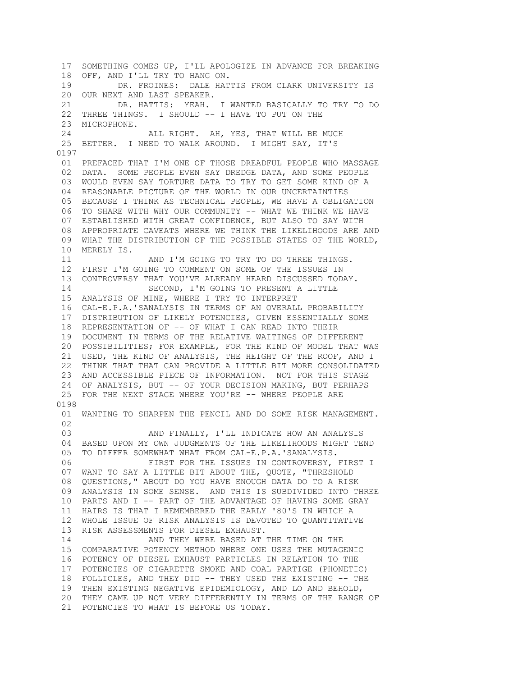17 SOMETHING COMES UP, I'LL APOLOGIZE IN ADVANCE FOR BREAKING 18 OFF, AND I'LL TRY TO HANG ON. 19 DR. FROINES: DALE HATTIS FROM CLARK UNIVERSITY IS 20 OUR NEXT AND LAST SPEAKER. 21 DR. HATTIS: YEAH. I WANTED BASICALLY TO TRY TO DO 22 THREE THINGS. I SHOULD -- I HAVE TO PUT ON THE 23 MICROPHONE. 24 ALL RIGHT. AH, YES, THAT WILL BE MUCH 25 BETTER. I NEED TO WALK AROUND. I MIGHT SAY, IT'S 0197 01 PREFACED THAT I'M ONE OF THOSE DREADFUL PEOPLE WHO MASSAGE 02 DATA. SOME PEOPLE EVEN SAY DREDGE DATA, AND SOME PEOPLE 03 WOULD EVEN SAY TORTURE DATA TO TRY TO GET SOME KIND OF A 04 REASONABLE PICTURE OF THE WORLD IN OUR UNCERTAINTIES 05 BECAUSE I THINK AS TECHNICAL PEOPLE, WE HAVE A OBLIGATION 06 TO SHARE WITH WHY OUR COMMUNITY -- WHAT WE THINK WE HAVE 07 ESTABLISHED WITH GREAT CONFIDENCE, BUT ALSO TO SAY WITH 08 APPROPRIATE CAVEATS WHERE WE THINK THE LIKELIHOODS ARE AND 09 WHAT THE DISTRIBUTION OF THE POSSIBLE STATES OF THE WORLD, 10 MERELY IS. 11 AND I'M GOING TO TRY TO DO THREE THINGS. 12 FIRST I'M GOING TO COMMENT ON SOME OF THE ISSUES IN 13 CONTROVERSY THAT YOU'VE ALREADY HEARD DISCUSSED TODAY. 14 SECOND, I'M GOING TO PRESENT A LITTLE 15 ANALYSIS OF MINE, WHERE I TRY TO INTERPRET 16 CAL-E.P.A.'SANALYSIS IN TERMS OF AN OVERALL PROBABILITY 17 DISTRIBUTION OF LIKELY POTENCIES, GIVEN ESSENTIALLY SOME 18 REPRESENTATION OF -- OF WHAT I CAN READ INTO THEIR 19 DOCUMENT IN TERMS OF THE RELATIVE WAITINGS OF DIFFERENT 20 POSSIBILITIES; FOR EXAMPLE, FOR THE KIND OF MODEL THAT WAS 21 USED, THE KIND OF ANALYSIS, THE HEIGHT OF THE ROOF, AND I 22 THINK THAT THAT CAN PROVIDE A LITTLE BIT MORE CONSOLIDATED 23 AND ACCESSIBLE PIECE OF INFORMATION. NOT FOR THIS STAGE 24 OF ANALYSIS, BUT -- OF YOUR DECISION MAKING, BUT PERHAPS 25 FOR THE NEXT STAGE WHERE YOU'RE -- WHERE PEOPLE ARE 0198 01 WANTING TO SHARPEN THE PENCIL AND DO SOME RISK MANAGEMENT. 02 03 AND FINALLY, I'LL INDICATE HOW AN ANALYSIS 04 BASED UPON MY OWN JUDGMENTS OF THE LIKELIHOODS MIGHT TEND 05 TO DIFFER SOMEWHAT WHAT FROM CAL-E.P.A.'SANALYSIS. 06 FIRST FOR THE ISSUES IN CONTROVERSY, FIRST I 07 WANT TO SAY A LITTLE BIT ABOUT THE, QUOTE, "THRESHOLD 08 QUESTIONS," ABOUT DO YOU HAVE ENOUGH DATA DO TO A RISK 09 ANALYSIS IN SOME SENSE. AND THIS IS SUBDIVIDED INTO THREE 10 PARTS AND I -- PART OF THE ADVANTAGE OF HAVING SOME GRAY 11 HAIRS IS THAT I REMEMBERED THE EARLY '80'S IN WHICH A 12 WHOLE ISSUE OF RISK ANALYSIS IS DEVOTED TO QUANTITATIVE 13 RISK ASSESSMENTS FOR DIESEL EXHAUST. 14 AND THEY WERE BASED AT THE TIME ON THE 15 COMPARATIVE POTENCY METHOD WHERE ONE USES THE MUTAGENIC 16 POTENCY OF DIESEL EXHAUST PARTICLES IN RELATION TO THE 17 POTENCIES OF CIGARETTE SMOKE AND COAL PARTIGE (PHONETIC) 18 FOLLICLES, AND THEY DID -- THEY USED THE EXISTING -- THE 19 THEN EXISTING NEGATIVE EPIDEMIOLOGY, AND LO AND BEHOLD, 20 THEY CAME UP NOT VERY DIFFERENTLY IN TERMS OF THE RANGE OF 21 POTENCIES TO WHAT IS BEFORE US TODAY.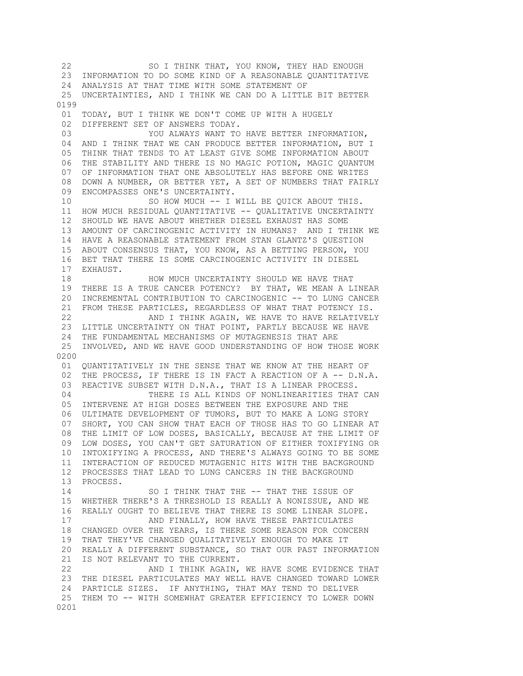22 SO I THINK THAT, YOU KNOW, THEY HAD ENOUGH 23 INFORMATION TO DO SOME KIND OF A REASONABLE QUANTITATIVE 24 ANALYSIS AT THAT TIME WITH SOME STATEMENT OF 25 UNCERTAINTIES, AND I THINK WE CAN DO A LITTLE BIT BETTER 0199 01 TODAY, BUT I THINK WE DON'T COME UP WITH A HUGELY 02 DIFFERENT SET OF ANSWERS TODAY. 03 YOU ALWAYS WANT TO HAVE BETTER INFORMATION, 04 AND I THINK THAT WE CAN PRODUCE BETTER INFORMATION, BUT I 05 THINK THAT TENDS TO AT LEAST GIVE SOME INFORMATION ABOUT 06 THE STABILITY AND THERE IS NO MAGIC POTION, MAGIC QUANTUM 07 OF INFORMATION THAT ONE ABSOLUTELY HAS BEFORE ONE WRITES 08 DOWN A NUMBER, OR BETTER YET, A SET OF NUMBERS THAT FAIRLY 09 ENCOMPASSES ONE'S UNCERTAINTY. 10 SO HOW MUCH -- I WILL BE QUICK ABOUT THIS. 11 HOW MUCH RESIDUAL QUANTITATIVE -- QUALITATIVE UNCERTAINTY 12 SHOULD WE HAVE ABOUT WHETHER DIESEL EXHAUST HAS SOME 13 AMOUNT OF CARCINOGENIC ACTIVITY IN HUMANS? AND I THINK WE 14 HAVE A REASONABLE STATEMENT FROM STAN GLANTZ'S QUESTION 15 ABOUT CONSENSUS THAT, YOU KNOW, AS A BETTING PERSON, YOU 16 BET THAT THERE IS SOME CARCINOGENIC ACTIVITY IN DIESEL 17 EXHAUST. 18 **HOW MUCH UNCERTAINTY SHOULD WE HAVE THAT**  19 THERE IS A TRUE CANCER POTENCY? BY THAT, WE MEAN A LINEAR 20 INCREMENTAL CONTRIBUTION TO CARCINOGENIC -- TO LUNG CANCER 21 FROM THESE PARTICLES, REGARDLESS OF WHAT THAT POTENCY IS. 22 AND I THINK AGAIN, WE HAVE TO HAVE RELATIVELY 23 LITTLE UNCERTAINTY ON THAT POINT, PARTLY BECAUSE WE HAVE 24 THE FUNDAMENTAL MECHANISMS OF MUTAGENESIS THAT ARE 25 INVOLVED, AND WE HAVE GOOD UNDERSTANDING OF HOW THOSE WORK 0200 01 QUANTITATIVELY IN THE SENSE THAT WE KNOW AT THE HEART OF 02 THE PROCESS, IF THERE IS IN FACT A REACTION OF A -- D.N.A. 03 REACTIVE SUBSET WITH D.N.A., THAT IS A LINEAR PROCESS. 04 THERE IS ALL KINDS OF NONLINEARITIES THAT CAN 05 INTERVENE AT HIGH DOSES BETWEEN THE EXPOSURE AND THE 06 ULTIMATE DEVELOPMENT OF TUMORS, BUT TO MAKE A LONG STORY 07 SHORT, YOU CAN SHOW THAT EACH OF THOSE HAS TO GO LINEAR AT 08 THE LIMIT OF LOW DOSES, BASICALLY, BECAUSE AT THE LIMIT OF 09 LOW DOSES, YOU CAN'T GET SATURATION OF EITHER TOXIFYING OR 10 INTOXIFYING A PROCESS, AND THERE'S ALWAYS GOING TO BE SOME 11 INTERACTION OF REDUCED MUTAGENIC HITS WITH THE BACKGROUND 12 PROCESSES THAT LEAD TO LUNG CANCERS IN THE BACKGROUND 13 PROCESS. 14 SO I THINK THAT THE -- THAT THE ISSUE OF 15 WHETHER THERE'S A THRESHOLD IS REALLY A NONISSUE, AND WE 16 REALLY OUGHT TO BELIEVE THAT THERE IS SOME LINEAR SLOPE. 17 AND FINALLY, HOW HAVE THESE PARTICULATES 18 CHANGED OVER THE YEARS, IS THERE SOME REASON FOR CONCERN 19 THAT THEY'VE CHANGED QUALITATIVELY ENOUGH TO MAKE IT 20 REALLY A DIFFERENT SUBSTANCE, SO THAT OUR PAST INFORMATION 21 IS NOT RELEVANT TO THE CURRENT. 22 AND I THINK AGAIN, WE HAVE SOME EVIDENCE THAT 23 THE DIESEL PARTICULATES MAY WELL HAVE CHANGED TOWARD LOWER 24 PARTICLE SIZES. IF ANYTHING, THAT MAY TEND TO DELIVER 25 THEM TO -- WITH SOMEWHAT GREATER EFFICIENCY TO LOWER DOWN 0201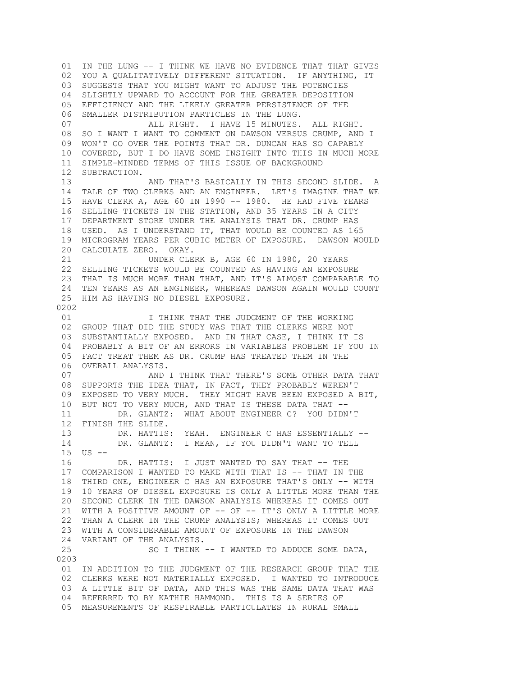01 IN THE LUNG -- I THINK WE HAVE NO EVIDENCE THAT THAT GIVES 02 YOU A QUALITATIVELY DIFFERENT SITUATION. IF ANYTHING, IT 03 SUGGESTS THAT YOU MIGHT WANT TO ADJUST THE POTENCIES 04 SLIGHTLY UPWARD TO ACCOUNT FOR THE GREATER DEPOSITION 05 EFFICIENCY AND THE LIKELY GREATER PERSISTENCE OF THE 06 SMALLER DISTRIBUTION PARTICLES IN THE LUNG. 07 ALL RIGHT. I HAVE 15 MINUTES. ALL RIGHT. 08 SO I WANT I WANT TO COMMENT ON DAWSON VERSUS CRUMP, AND I 09 WON'T GO OVER THE POINTS THAT DR. DUNCAN HAS SO CAPABLY 10 COVERED, BUT I DO HAVE SOME INSIGHT INTO THIS IN MUCH MORE 11 SIMPLE-MINDED TERMS OF THIS ISSUE OF BACKGROUND 12 SUBTRACTION. 13 AND THAT'S BASICALLY IN THIS SECOND SLIDE. 14 TALE OF TWO CLERKS AND AN ENGINEER. LET'S IMAGINE THAT WE 15 HAVE CLERK A, AGE 60 IN 1990 -- 1980. HE HAD FIVE YEARS 16 SELLING TICKETS IN THE STATION, AND 35 YEARS IN A CITY 17 DEPARTMENT STORE UNDER THE ANALYSIS THAT DR. CRUMP HAS 18 USED. AS I UNDERSTAND IT, THAT WOULD BE COUNTED AS 165 19 MICROGRAM YEARS PER CUBIC METER OF EXPOSURE. DAWSON WOULD 20 CALCULATE ZERO. OKAY. 21 UNDER CLERK B, AGE 60 IN 1980, 20 YEARS 22 SELLING TICKETS WOULD BE COUNTED AS HAVING AN EXPOSURE 23 THAT IS MUCH MORE THAN THAT, AND IT'S ALMOST COMPARABLE TO 24 TEN YEARS AS AN ENGINEER, WHEREAS DAWSON AGAIN WOULD COUNT 25 HIM AS HAVING NO DIESEL EXPOSURE. 0202 01 **I THINK THAT THE JUDGMENT OF THE WORKING**  02 GROUP THAT DID THE STUDY WAS THAT THE CLERKS WERE NOT 03 SUBSTANTIALLY EXPOSED. AND IN THAT CASE, I THINK IT IS 04 PROBABLY A BIT OF AN ERRORS IN VARIABLES PROBLEM IF YOU IN 05 FACT TREAT THEM AS DR. CRUMP HAS TREATED THEM IN THE 06 OVERALL ANALYSIS. 07 AND I THINK THAT THERE'S SOME OTHER DATA THAT 08 SUPPORTS THE IDEA THAT, IN FACT, THEY PROBABLY WEREN'T 09 EXPOSED TO VERY MUCH. THEY MIGHT HAVE BEEN EXPOSED A BIT, 10 BUT NOT TO VERY MUCH, AND THAT IS THESE DATA THAT -- 11 DR. GLANTZ: WHAT ABOUT ENGINEER C? YOU DIDN'T 12 FINISH THE SLIDE. 13 DR. HATTIS: YEAH. ENGINEER C HAS ESSENTIALLY -- 14 DR. GLANTZ: I MEAN, IF YOU DIDN'T WANT TO TELL 15 US -- 16 DR. HATTIS: I JUST WANTED TO SAY THAT -- THE 17 COMPARISON I WANTED TO MAKE WITH THAT IS -- THAT IN THE 18 THIRD ONE, ENGINEER C HAS AN EXPOSURE THAT'S ONLY -- WITH 19 10 YEARS OF DIESEL EXPOSURE IS ONLY A LITTLE MORE THAN THE 20 SECOND CLERK IN THE DAWSON ANALYSIS WHEREAS IT COMES OUT 21 WITH A POSITIVE AMOUNT OF -- OF -- IT'S ONLY A LITTLE MORE 22 THAN A CLERK IN THE CRUMP ANALYSIS; WHEREAS IT COMES OUT 23 WITH A CONSIDERABLE AMOUNT OF EXPOSURE IN THE DAWSON 24 VARIANT OF THE ANALYSIS. 25 SO I THINK -- I WANTED TO ADDUCE SOME DATA, 0203 01 IN ADDITION TO THE JUDGMENT OF THE RESEARCH GROUP THAT THE 02 CLERKS WERE NOT MATERIALLY EXPOSED. I WANTED TO INTRODUCE 03 A LITTLE BIT OF DATA, AND THIS WAS THE SAME DATA THAT WAS 04 REFERRED TO BY KATHIE HAMMOND. THIS IS A SERIES OF 05 MEASUREMENTS OF RESPIRABLE PARTICULATES IN RURAL SMALL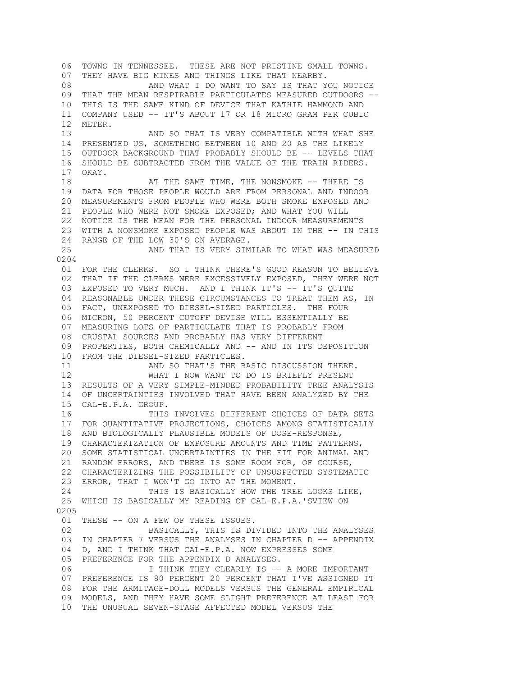06 TOWNS IN TENNESSEE. THESE ARE NOT PRISTINE SMALL TOWNS. 07 THEY HAVE BIG MINES AND THINGS LIKE THAT NEARBY. 08 AND WHAT I DO WANT TO SAY IS THAT YOU NOTICE 09 THAT THE MEAN RESPIRABLE PARTICULATES MEASURED OUTDOORS -- 10 THIS IS THE SAME KIND OF DEVICE THAT KATHIE HAMMOND AND 11 COMPANY USED -- IT'S ABOUT 17 OR 18 MICRO GRAM PER CUBIC 12 METER. 13 AND SO THAT IS VERY COMPATIBLE WITH WHAT SHE 14 PRESENTED US, SOMETHING BETWEEN 10 AND 20 AS THE LIKELY 15 OUTDOOR BACKGROUND THAT PROBABLY SHOULD BE -- LEVELS THAT 16 SHOULD BE SUBTRACTED FROM THE VALUE OF THE TRAIN RIDERS. 17 OKAY. 18 **AT THE SAME TIME, THE NONSMOKE -- THERE IS**  19 DATA FOR THOSE PEOPLE WOULD ARE FROM PERSONAL AND INDOOR 20 MEASUREMENTS FROM PEOPLE WHO WERE BOTH SMOKE EXPOSED AND 21 PEOPLE WHO WERE NOT SMOKE EXPOSED; AND WHAT YOU WILL 22 NOTICE IS THE MEAN FOR THE PERSONAL INDOOR MEASUREMENTS 23 WITH A NONSMOKE EXPOSED PEOPLE WAS ABOUT IN THE -- IN THIS 24 RANGE OF THE LOW 30'S ON AVERAGE. 25 AND THAT IS VERY SIMILAR TO WHAT WAS MEASURED 0204 01 FOR THE CLERKS. SO I THINK THERE'S GOOD REASON TO BELIEVE 02 THAT IF THE CLERKS WERE EXCESSIVELY EXPOSED, THEY WERE NOT 03 EXPOSED TO VERY MUCH. AND I THINK IT'S -- IT'S QUITE 04 REASONABLE UNDER THESE CIRCUMSTANCES TO TREAT THEM AS, IN 05 FACT, UNEXPOSED TO DIESEL-SIZED PARTICLES. THE FOUR 06 MICRON, 50 PERCENT CUTOFF DEVISE WILL ESSENTIALLY BE 07 MEASURING LOTS OF PARTICULATE THAT IS PROBABLY FROM 08 CRUSTAL SOURCES AND PROBABLY HAS VERY DIFFERENT 09 PROPERTIES, BOTH CHEMICALLY AND -- AND IN ITS DEPOSITION 10 FROM THE DIESEL-SIZED PARTICLES.<br>11 AND SO THAT'S THE B AND SO THAT'S THE BASIC DISCUSSION THERE. 12 WHAT I NOW WANT TO DO IS BRIEFLY PRESENT 13 RESULTS OF A VERY SIMPLE-MINDED PROBABILITY TREE ANALYSIS 14 OF UNCERTAINTIES INVOLVED THAT HAVE BEEN ANALYZED BY THE 15 CAL-E.P.A. GROUP. 16 THIS INVOLVES DIFFERENT CHOICES OF DATA SETS 17 FOR QUANTITATIVE PROJECTIONS, CHOICES AMONG STATISTICALLY 18 AND BIOLOGICALLY PLAUSIBLE MODELS OF DOSE-RESPONSE, 19 CHARACTERIZATION OF EXPOSURE AMOUNTS AND TIME PATTERNS, 20 SOME STATISTICAL UNCERTAINTIES IN THE FIT FOR ANIMAL AND 21 RANDOM ERRORS, AND THERE IS SOME ROOM FOR, OF COURSE, 22 CHARACTERIZING THE POSSIBILITY OF UNSUSPECTED SYSTEMATIC 23 ERROR, THAT I WON'T GO INTO AT THE MOMENT. 24 THIS IS BASICALLY HOW THE TREE LOOKS LIKE, 25 WHICH IS BASICALLY MY READING OF CAL-E.P.A.'SVIEW ON 0205 01 THESE -- ON A FEW OF THESE ISSUES. 02 BASICALLY, THIS IS DIVIDED INTO THE ANALYSES 03 IN CHAPTER 7 VERSUS THE ANALYSES IN CHAPTER D -- APPENDIX 04 D, AND I THINK THAT CAL-E.P.A. NOW EXPRESSES SOME 05 PREFERENCE FOR THE APPENDIX D ANALYSES. 06 1 THINK THEY CLEARLY IS -- A MORE IMPORTANT 07 PREFERENCE IS 80 PERCENT 20 PERCENT THAT I'VE ASSIGNED IT 08 FOR THE ARMITAGE-DOLL MODELS VERSUS THE GENERAL EMPIRICAL 09 MODELS, AND THEY HAVE SOME SLIGHT PREFERENCE AT LEAST FOR 10 THE UNUSUAL SEVEN-STAGE AFFECTED MODEL VERSUS THE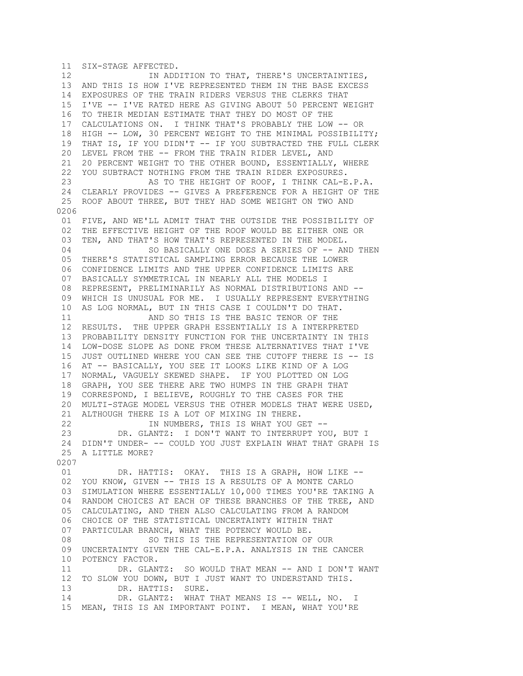11 SIX-STAGE AFFECTED. 12 IN ADDITION TO THAT, THERE'S UNCERTAINTIES, 13 AND THIS IS HOW I'VE REPRESENTED THEM IN THE BASE EXCESS 14 EXPOSURES OF THE TRAIN RIDERS VERSUS THE CLERKS THAT 15 I'VE -- I'VE RATED HERE AS GIVING ABOUT 50 PERCENT WEIGHT 16 TO THEIR MEDIAN ESTIMATE THAT THEY DO MOST OF THE 17 CALCULATIONS ON. I THINK THAT'S PROBABLY THE LOW -- OR 18 HIGH -- LOW, 30 PERCENT WEIGHT TO THE MINIMAL POSSIBILITY; 19 THAT IS, IF YOU DIDN'T -- IF YOU SUBTRACTED THE FULL CLERK 20 LEVEL FROM THE -- FROM THE TRAIN RIDER LEVEL, AND 21 20 PERCENT WEIGHT TO THE OTHER BOUND, ESSENTIALLY, WHERE 22 YOU SUBTRACT NOTHING FROM THE TRAIN RIDER EXPOSURES. 23 AS TO THE HEIGHT OF ROOF, I THINK CAL-E.P.A. 24 CLEARLY PROVIDES -- GIVES A PREFERENCE FOR A HEIGHT OF THE 25 ROOF ABOUT THREE, BUT THEY HAD SOME WEIGHT ON TWO AND 0206 01 FIVE, AND WE'LL ADMIT THAT THE OUTSIDE THE POSSIBILITY OF 02 THE EFFECTIVE HEIGHT OF THE ROOF WOULD BE EITHER ONE OR 03 TEN, AND THAT'S HOW THAT'S REPRESENTED IN THE MODEL. 04 SO BASICALLY ONE DOES A SERIES OF -- AND THEN 05 THERE'S STATISTICAL SAMPLING ERROR BECAUSE THE LOWER 06 CONFIDENCE LIMITS AND THE UPPER CONFIDENCE LIMITS ARE 07 BASICALLY SYMMETRICAL IN NEARLY ALL THE MODELS I 08 REPRESENT, PRELIMINARILY AS NORMAL DISTRIBUTIONS AND -- 09 WHICH IS UNUSUAL FOR ME. I USUALLY REPRESENT EVERYTHING 10 AS LOG NORMAL, BUT IN THIS CASE I COULDN'T DO THAT. 11 AND SO THIS IS THE BASIC TENOR OF THE 12 RESULTS. THE UPPER GRAPH ESSENTIALLY IS A INTERPRETED 13 PROBABILITY DENSITY FUNCTION FOR THE UNCERTAINTY IN THIS 14 LOW-DOSE SLOPE AS DONE FROM THESE ALTERNATIVES THAT I'VE 15 JUST OUTLINED WHERE YOU CAN SEE THE CUTOFF THERE IS -- IS 16 AT -- BASICALLY, YOU SEE IT LOOKS LIKE KIND OF A LOG 17 NORMAL, VAGUELY SKEWED SHAPE. IF YOU PLOTTED ON LOG 18 GRAPH, YOU SEE THERE ARE TWO HUMPS IN THE GRAPH THAT 19 CORRESPOND, I BELIEVE, ROUGHLY TO THE CASES FOR THE 20 MULTI-STAGE MODEL VERSUS THE OTHER MODELS THAT WERE USED, 21 ALTHOUGH THERE IS A LOT OF MIXING IN THERE. 22 IN NUMBERS, THIS IS WHAT YOU GET -- 23 DR. GLANTZ: I DON'T WANT TO INTERRUPT YOU, BUT I 24 DIDN'T UNDER- -- COULD YOU JUST EXPLAIN WHAT THAT GRAPH IS 25 A LITTLE MORE? 0207 01 DR. HATTIS: OKAY. THIS IS A GRAPH, HOW LIKE -- 02 YOU KNOW, GIVEN -- THIS IS A RESULTS OF A MONTE CARLO 03 SIMULATION WHERE ESSENTIALLY 10,000 TIMES YOU'RE TAKING A 04 RANDOM CHOICES AT EACH OF THESE BRANCHES OF THE TREE, AND 05 CALCULATING, AND THEN ALSO CALCULATING FROM A RANDOM 06 CHOICE OF THE STATISTICAL UNCERTAINTY WITHIN THAT 07 PARTICULAR BRANCH, WHAT THE POTENCY WOULD BE. 08 SO THIS IS THE REPRESENTATION OF OUR 09 UNCERTAINTY GIVEN THE CAL-E.P.A. ANALYSIS IN THE CANCER 10 POTENCY FACTOR. 11 DR. GLANTZ: SO WOULD THAT MEAN -- AND I DON'T WANT 12 TO SLOW YOU DOWN, BUT I JUST WANT TO UNDERSTAND THIS. 13 DR. HATTIS: SURE. 14 DR. GLANTZ: WHAT THAT MEANS IS -- WELL, NO. I 15 MEAN, THIS IS AN IMPORTANT POINT. I MEAN, WHAT YOU'RE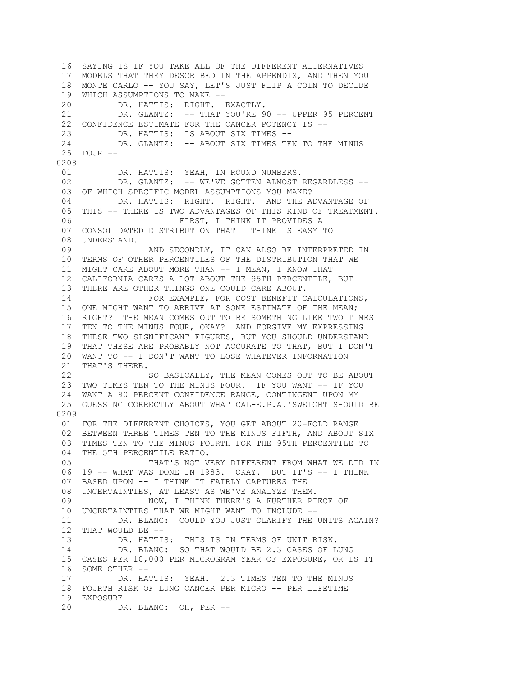16 SAYING IS IF YOU TAKE ALL OF THE DIFFERENT ALTERNATIVES 17 MODELS THAT THEY DESCRIBED IN THE APPENDIX, AND THEN YOU 18 MONTE CARLO -- YOU SAY, LET'S JUST FLIP A COIN TO DECIDE 19 WHICH ASSUMPTIONS TO MAKE -- 20 DR. HATTIS: RIGHT. EXACTLY. 21 DR. GLANTZ: -- THAT YOU'RE 90 -- UPPER 95 PERCENT 22 CONFIDENCE ESTIMATE FOR THE CANCER POTENCY IS -- 23 DR. HATTIS: IS ABOUT SIX TIMES -- 24 DR. GLANTZ: -- ABOUT SIX TIMES TEN TO THE MINUS 25 FOUR -- 0208 01 DR. HATTIS: YEAH, IN ROUND NUMBERS. 02 DR. GLANTZ: -- WE'VE GOTTEN ALMOST REGARDLESS -- 03 OF WHICH SPECIFIC MODEL ASSUMPTIONS YOU MAKE? 04 DR. HATTIS: RIGHT. RIGHT. AND THE ADVANTAGE OF 05 THIS -- THERE IS TWO ADVANTAGES OF THIS KIND OF TREATMENT. 06 FIRST, I THINK IT PROVIDES A 07 CONSOLIDATED DISTRIBUTION THAT I THINK IS EASY TO 08 UNDERSTAND. 09 AND SECONDLY, IT CAN ALSO BE INTERPRETED IN 10 TERMS OF OTHER PERCENTILES OF THE DISTRIBUTION THAT WE 11 MIGHT CARE ABOUT MORE THAN -- I MEAN, I KNOW THAT 12 CALIFORNIA CARES A LOT ABOUT THE 95TH PERCENTILE, BUT 13 THERE ARE OTHER THINGS ONE COULD CARE ABOUT. 14 FOR EXAMPLE, FOR COST BENEFIT CALCULATIONS, 15 ONE MIGHT WANT TO ARRIVE AT SOME ESTIMATE OF THE MEAN; 16 RIGHT? THE MEAN COMES OUT TO BE SOMETHING LIKE TWO TIMES 17 TEN TO THE MINUS FOUR, OKAY? AND FORGIVE MY EXPRESSING 18 THESE TWO SIGNIFICANT FIGURES, BUT YOU SHOULD UNDERSTAND 19 THAT THESE ARE PROBABLY NOT ACCURATE TO THAT, BUT I DON'T 20 WANT TO -- I DON'T WANT TO LOSE WHATEVER INFORMATION 21 THAT'S THERE. 22 SO BASICALLY, THE MEAN COMES OUT TO BE ABOUT 23 TWO TIMES TEN TO THE MINUS FOUR. IF YOU WANT -- IF YOU 24 WANT A 90 PERCENT CONFIDENCE RANGE, CONTINGENT UPON MY 25 GUESSING CORRECTLY ABOUT WHAT CAL-E.P.A.'SWEIGHT SHOULD BE 0209 01 FOR THE DIFFERENT CHOICES, YOU GET ABOUT 20-FOLD RANGE 02 BETWEEN THREE TIMES TEN TO THE MINUS FIFTH, AND ABOUT SIX 03 TIMES TEN TO THE MINUS FOURTH FOR THE 95TH PERCENTILE TO 04 THE 5TH PERCENTILE RATIO. 05 THAT'S NOT VERY DIFFERENT FROM WHAT WE DID IN 06 19 -- WHAT WAS DONE IN 1983. OKAY. BUT IT'S -- I THINK 07 BASED UPON -- I THINK IT FAIRLY CAPTURES THE 08 UNCERTAINTIES, AT LEAST AS WE'VE ANALYZE THEM. 09 NOW, I THINK THERE'S A FURTHER PIECE OF 10 UNCERTAINTIES THAT WE MIGHT WANT TO INCLUDE -- 11 DR. BLANC: COULD YOU JUST CLARIFY THE UNITS AGAIN? 12 THAT WOULD BE -- 13 DR. HATTIS: THIS IS IN TERMS OF UNIT RISK. 14 DR. BLANC: SO THAT WOULD BE 2.3 CASES OF LUNG 15 CASES PER 10,000 PER MICROGRAM YEAR OF EXPOSURE, OR IS IT 16 SOME OTHER -- 17 DR. HATTIS: YEAH. 2.3 TIMES TEN TO THE MINUS 18 FOURTH RISK OF LUNG CANCER PER MICRO -- PER LIFETIME 19 EXPOSURE -- 20 DR. BLANC: OH, PER --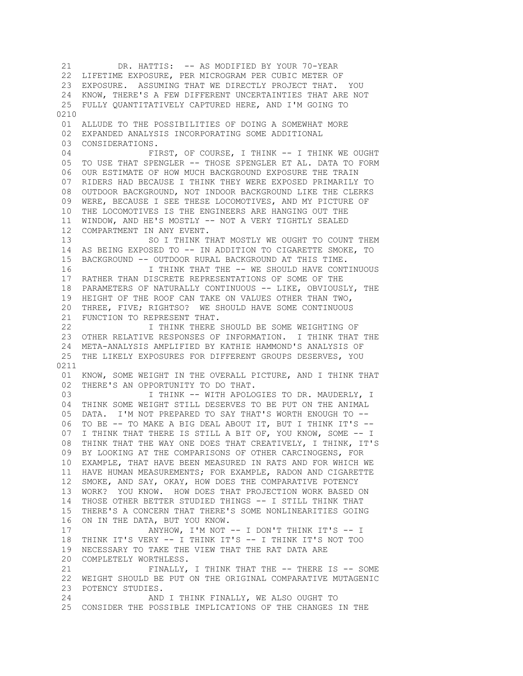21 DR. HATTIS: -- AS MODIFIED BY YOUR 70-YEAR 22 LIFETIME EXPOSURE, PER MICROGRAM PER CUBIC METER OF 23 EXPOSURE. ASSUMING THAT WE DIRECTLY PROJECT THAT. YOU 24 KNOW, THERE'S A FEW DIFFERENT UNCERTAINTIES THAT ARE NOT 25 FULLY QUANTITATIVELY CAPTURED HERE, AND I'M GOING TO 0210 01 ALLUDE TO THE POSSIBILITIES OF DOING A SOMEWHAT MORE 02 EXPANDED ANALYSIS INCORPORATING SOME ADDITIONAL 03 CONSIDERATIONS. 04 FIRST, OF COURSE, I THINK -- I THINK WE OUGHT 05 TO USE THAT SPENGLER -- THOSE SPENGLER ET AL. DATA TO FORM 06 OUR ESTIMATE OF HOW MUCH BACKGROUND EXPOSURE THE TRAIN 07 RIDERS HAD BECAUSE I THINK THEY WERE EXPOSED PRIMARILY TO 08 OUTDOOR BACKGROUND, NOT INDOOR BACKGROUND LIKE THE CLERKS 09 WERE, BECAUSE I SEE THESE LOCOMOTIVES, AND MY PICTURE OF 10 THE LOCOMOTIVES IS THE ENGINEERS ARE HANGING OUT THE 11 WINDOW, AND HE'S MOSTLY -- NOT A VERY TIGHTLY SEALED 12 COMPARTMENT IN ANY EVENT. 13 SO I THINK THAT MOSTLY WE OUGHT TO COUNT THEM 14 AS BEING EXPOSED TO -- IN ADDITION TO CIGARETTE SMOKE, TO 15 BACKGROUND -- OUTDOOR RURAL BACKGROUND AT THIS TIME. 16 I THINK THAT THE -- WE SHOULD HAVE CONTINUOUS 17 RATHER THAN DISCRETE REPRESENTATIONS OF SOME OF THE 18 PARAMETERS OF NATURALLY CONTINUOUS -- LIKE, OBVIOUSLY, THE 19 HEIGHT OF THE ROOF CAN TAKE ON VALUES OTHER THAN TWO, 20 THREE, FIVE; RIGHTSO? WE SHOULD HAVE SOME CONTINUOUS 21 FUNCTION TO REPRESENT THAT. 22 I THINK THERE SHOULD BE SOME WEIGHTING OF 23 OTHER RELATIVE RESPONSES OF INFORMATION. I THINK THAT THE 24 META-ANALYSIS AMPLIFIED BY KATHIE HAMMOND'S ANALYSIS OF 25 THE LIKELY EXPOSURES FOR DIFFERENT GROUPS DESERVES, YOU 0211 01 KNOW, SOME WEIGHT IN THE OVERALL PICTURE, AND I THINK THAT 02 THERE'S AN OPPORTUNITY TO DO THAT. 03 **I THINK -- WITH APOLOGIES TO DR. MAUDERLY, I**  04 THINK SOME WEIGHT STILL DESERVES TO BE PUT ON THE ANIMAL 05 DATA. I'M NOT PREPARED TO SAY THAT'S WORTH ENOUGH TO -- 06 TO BE -- TO MAKE A BIG DEAL ABOUT IT, BUT I THINK IT'S -- 07 I THINK THAT THERE IS STILL A BIT OF, YOU KNOW, SOME -- I 08 THINK THAT THE WAY ONE DOES THAT CREATIVELY, I THINK, IT'S 09 BY LOOKING AT THE COMPARISONS OF OTHER CARCINOGENS, FOR 10 EXAMPLE, THAT HAVE BEEN MEASURED IN RATS AND FOR WHICH WE 11 HAVE HUMAN MEASUREMENTS; FOR EXAMPLE, RADON AND CIGARETTE 12 SMOKE, AND SAY, OKAY, HOW DOES THE COMPARATIVE POTENCY 13 WORK? YOU KNOW. HOW DOES THAT PROJECTION WORK BASED ON 14 THOSE OTHER BETTER STUDIED THINGS -- I STILL THINK THAT 15 THERE'S A CONCERN THAT THERE'S SOME NONLINEARITIES GOING 16 ON IN THE DATA, BUT YOU KNOW. 17 ANYHOW, I'M NOT -- I DON'T THINK IT'S -- I 18 THINK IT'S VERY -- I THINK IT'S -- I THINK IT'S NOT TOO 19 NECESSARY TO TAKE THE VIEW THAT THE RAT DATA ARE 20 COMPLETELY WORTHLESS. 21 FINALLY, I THINK THAT THE -- THERE IS -- SOME 22 WEIGHT SHOULD BE PUT ON THE ORIGINAL COMPARATIVE MUTAGENIC 23 POTENCY STUDIES. 24 AND I THINK FINALLY, WE ALSO OUGHT TO 25 CONSIDER THE POSSIBLE IMPLICATIONS OF THE CHANGES IN THE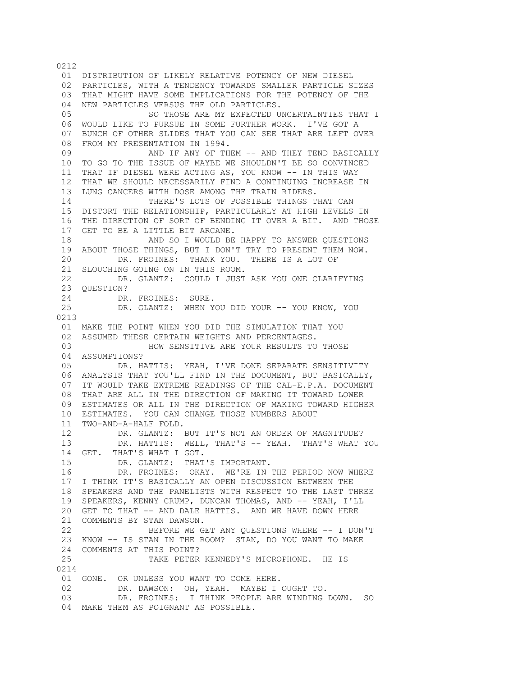01 DISTRIBUTION OF LIKELY RELATIVE POTENCY OF NEW DIESEL 02 PARTICLES, WITH A TENDENCY TOWARDS SMALLER PARTICLE SIZES 03 THAT MIGHT HAVE SOME IMPLICATIONS FOR THE POTENCY OF THE 04 NEW PARTICLES VERSUS THE OLD PARTICLES. 05 6 SO THOSE ARE MY EXPECTED UNCERTAINTIES THAT I 06 WOULD LIKE TO PURSUE IN SOME FURTHER WORK. I'VE GOT A 07 BUNCH OF OTHER SLIDES THAT YOU CAN SEE THAT ARE LEFT OVER 08 FROM MY PRESENTATION IN 1994. 09 AND IF ANY OF THEM -- AND THEY TEND BASICALLY 10 TO GO TO THE ISSUE OF MAYBE WE SHOULDN'T BE SO CONVINCED 11 THAT IF DIESEL WERE ACTING AS, YOU KNOW -- IN THIS WAY 12 THAT WE SHOULD NECESSARILY FIND A CONTINUING INCREASE IN 13 LUNG CANCERS WITH DOSE AMONG THE TRAIN RIDERS. 14 THERE'S LOTS OF POSSIBLE THINGS THAT CAN 15 DISTORT THE RELATIONSHIP, PARTICULARLY AT HIGH LEVELS IN 16 THE DIRECTION OF SORT OF BENDING IT OVER A BIT. AND THOSE 17 GET TO BE A LITTLE BIT ARCANE. 18 AND SO I WOULD BE HAPPY TO ANSWER QUESTIONS 19 ABOUT THOSE THINGS, BUT I DON'T TRY TO PRESENT THEM NOW. 20 DR. FROINES: THANK YOU. THERE IS A LOT OF 21 SLOUCHING GOING ON IN THIS ROOM. 22 DR. GLANTZ: COULD I JUST ASK YOU ONE CLARIFYING 23 QUESTION? 24 DR. FROINES: SURE. 25 DR. GLANTZ: WHEN YOU DID YOUR -- YOU KNOW, YOU 0213 01 MAKE THE POINT WHEN YOU DID THE SIMULATION THAT YOU 02 ASSUMED THESE CERTAIN WEIGHTS AND PERCENTAGES. 03 HOW SENSITIVE ARE YOUR RESULTS TO THOSE 04 ASSUMPTIONS?<br>05 DR. H. DR. HATTIS: YEAH, I'VE DONE SEPARATE SENSITIVITY 06 ANALYSIS THAT YOU'LL FIND IN THE DOCUMENT, BUT BASICALLY, 07 IT WOULD TAKE EXTREME READINGS OF THE CAL-E.P.A. DOCUMENT 08 THAT ARE ALL IN THE DIRECTION OF MAKING IT TOWARD LOWER 09 ESTIMATES OR ALL IN THE DIRECTION OF MAKING TOWARD HIGHER 10 ESTIMATES. YOU CAN CHANGE THOSE NUMBERS ABOUT 11 TWO-AND-A-HALF FOLD. 12 DR. GLANTZ: BUT IT'S NOT AN ORDER OF MAGNITUDE? 13 DR. HATTIS: WELL, THAT'S -- YEAH. THAT'S WHAT YOU 14 GET. THAT'S WHAT I GOT. 15 DR. GLANTZ: THAT'S IMPORTANT. 16 DR. FROINES: OKAY. WE'RE IN THE PERIOD NOW WHERE 17 I THINK IT'S BASICALLY AN OPEN DISCUSSION BETWEEN THE 18 SPEAKERS AND THE PANELISTS WITH RESPECT TO THE LAST THREE 19 SPEAKERS, KENNY CRUMP, DUNCAN THOMAS, AND -- YEAH, I'LL 20 GET TO THAT -- AND DALE HATTIS. AND WE HAVE DOWN HERE 21 COMMENTS BY STAN DAWSON. 22 BEFORE WE GET ANY QUESTIONS WHERE -- I DON'T 23 KNOW -- IS STAN IN THE ROOM? STAN, DO YOU WANT TO MAKE 24 COMMENTS AT THIS POINT? 25 TAKE PETER KENNEDY'S MICROPHONE. HE IS 0214 01 GONE. OR UNLESS YOU WANT TO COME HERE. 02 DR. DAWSON: OH, YEAH. MAYBE I OUGHT TO. 03 DR. FROINES: I THINK PEOPLE ARE WINDING DOWN. SO 04 MAKE THEM AS POIGNANT AS POSSIBLE.

0212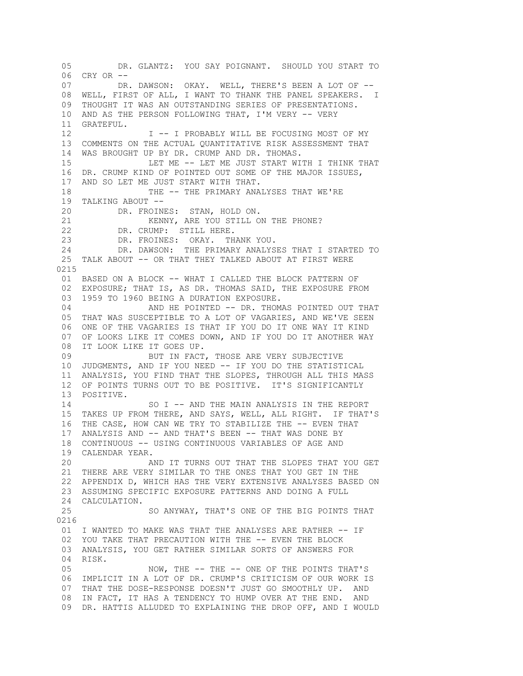05 DR. GLANTZ: YOU SAY POIGNANT. SHOULD YOU START TO 06 CRY OR -- 07 DR. DAWSON: OKAY. WELL, THERE'S BEEN A LOT OF -- 08 WELL, FIRST OF ALL, I WANT TO THANK THE PANEL SPEAKERS. I 09 THOUGHT IT WAS AN OUTSTANDING SERIES OF PRESENTATIONS. 10 AND AS THE PERSON FOLLOWING THAT, I'M VERY -- VERY 11 GRATEFUL. 12  $I - - I$  PROBABLY WILL BE FOCUSING MOST OF MY 13 COMMENTS ON THE ACTUAL QUANTITATIVE RISK ASSESSMENT THAT 14 WAS BROUGHT UP BY DR. CRUMP AND DR. THOMAS. 15 LET ME -- LET ME JUST START WITH I THINK THAT 16 DR. CRUMP KIND OF POINTED OUT SOME OF THE MAJOR ISSUES, 17 AND SO LET ME JUST START WITH THAT. 18 THE -- THE PRIMARY ANALYSES THAT WE'RE 19 TALKING ABOUT -- 20 DR. FROINES: STAN, HOLD ON. 21 KENNY, ARE YOU STILL ON THE PHONE? 22 DR. CRUMP: STILL HERE. 23 DR. FROINES: OKAY. THANK YOU. 24 DR. DAWSON: THE PRIMARY ANALYSES THAT I STARTED TO 25 TALK ABOUT -- OR THAT THEY TALKED ABOUT AT FIRST WERE 0215 01 BASED ON A BLOCK -- WHAT I CALLED THE BLOCK PATTERN OF 02 EXPOSURE; THAT IS, AS DR. THOMAS SAID, THE EXPOSURE FROM 03 1959 TO 1960 BEING A DURATION EXPOSURE. 04 AND HE POINTED -- DR. THOMAS POINTED OUT THAT 05 THAT WAS SUSCEPTIBLE TO A LOT OF VAGARIES, AND WE'VE SEEN 06 ONE OF THE VAGARIES IS THAT IF YOU DO IT ONE WAY IT KIND 07 OF LOOKS LIKE IT COMES DOWN, AND IF YOU DO IT ANOTHER WAY 08 IT LOOK LIKE IT GOES UP. 09 BUT IN FACT, THOSE ARE VERY SUBJECTIVE 10 JUDGMENTS, AND IF YOU NEED -- IF YOU DO THE STATISTICAL 11 ANALYSIS, YOU FIND THAT THE SLOPES, THROUGH ALL THIS MASS 12 OF POINTS TURNS OUT TO BE POSITIVE. IT'S SIGNIFICANTLY 13 POSITIVE. 14 SO I -- AND THE MAIN ANALYSIS IN THE REPORT 15 TAKES UP FROM THERE, AND SAYS, WELL, ALL RIGHT. IF THAT'S 16 THE CASE, HOW CAN WE TRY TO STABILIZE THE -- EVEN THAT 17 ANALYSIS AND -- AND THAT'S BEEN -- THAT WAS DONE BY 18 CONTINUOUS -- USING CONTINUOUS VARIABLES OF AGE AND 19 CALENDAR YEAR. 20 AND IT TURNS OUT THAT THE SLOPES THAT YOU GET 21 THERE ARE VERY SIMILAR TO THE ONES THAT YOU GET IN THE 22 APPENDIX D, WHICH HAS THE VERY EXTENSIVE ANALYSES BASED ON 23 ASSUMING SPECIFIC EXPOSURE PATTERNS AND DOING A FULL 24 CALCULATION. 25 SO ANYWAY, THAT'S ONE OF THE BIG POINTS THAT 0216 01 I WANTED TO MAKE WAS THAT THE ANALYSES ARE RATHER -- IF 02 YOU TAKE THAT PRECAUTION WITH THE -- EVEN THE BLOCK 03 ANALYSIS, YOU GET RATHER SIMILAR SORTS OF ANSWERS FOR 04 RISK.<br>05 NOW, THE -- THE -- ONE OF THE POINTS THAT'S 06 IMPLICIT IN A LOT OF DR. CRUMP'S CRITICISM OF OUR WORK IS 07 THAT THE DOSE-RESPONSE DOESN'T JUST GO SMOOTHLY UP. AND 08 IN FACT, IT HAS A TENDENCY TO HUMP OVER AT THE END. AND 09 DR. HATTIS ALLUDED TO EXPLAINING THE DROP OFF, AND I WOULD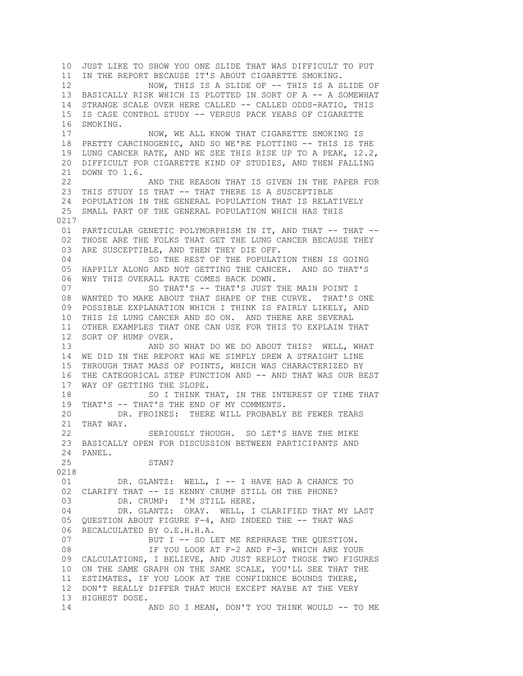10 JUST LIKE TO SHOW YOU ONE SLIDE THAT WAS DIFFICULT TO PUT 11 IN THE REPORT BECAUSE IT'S ABOUT CIGARETTE SMOKING. 12 NOW, THIS IS A SLIDE OF -- THIS IS A SLIDE OF 13 BASICALLY RISK WHICH IS PLOTTED IN SORT OF A -- A SOMEWHAT 14 STRANGE SCALE OVER HERE CALLED -- CALLED ODDS-RATIO, THIS 15 IS CASE CONTROL STUDY -- VERSUS PACK YEARS OF CIGARETTE 16 SMOKING. 17 NOW, WE ALL KNOW THAT CIGARETTE SMOKING IS 18 PRETTY CARCINOGENIC, AND SO WE'RE PLOTTING -- THIS IS THE 19 LUNG CANCER RATE, AND WE SEE THIS RISE UP TO A PEAK, 12.2, 20 DIFFICULT FOR CIGARETTE KIND OF STUDIES, AND THEN FALLING 21 DOWN TO 1.6. 22 AND THE REASON THAT IS GIVEN IN THE PAPER FOR 23 THIS STUDY IS THAT -- THAT THERE IS A SUSCEPTIBLE 24 POPULATION IN THE GENERAL POPULATION THAT IS RELATIVELY 25 SMALL PART OF THE GENERAL POPULATION WHICH HAS THIS 0217 01 PARTICULAR GENETIC POLYMORPHISM IN IT, AND THAT -- THAT -- 02 THOSE ARE THE FOLKS THAT GET THE LUNG CANCER BECAUSE THEY 03 ARE SUSCEPTIBLE, AND THEN THEY DIE OFF. 04 SO THE REST OF THE POPULATION THEN IS GOING 05 HAPPILY ALONG AND NOT GETTING THE CANCER. AND SO THAT'S 06 WHY THIS OVERALL RATE COMES BACK DOWN. 07 SO THAT'S -- THAT'S JUST THE MAIN POINT I 08 WANTED TO MAKE ABOUT THAT SHAPE OF THE CURVE. THAT'S ONE 09 POSSIBLE EXPLANATION WHICH I THINK IS FAIRLY LIKELY, AND 10 THIS IS LUNG CANCER AND SO ON. AND THERE ARE SEVERAL 11 OTHER EXAMPLES THAT ONE CAN USE FOR THIS TO EXPLAIN THAT 12 SORT OF HUMP OVER. 13 AND SO WHAT DO WE DO ABOUT THIS? WELL, WHAT 14 WE DID IN THE REPORT WAS WE SIMPLY DREW A STRAIGHT LINE 15 THROUGH THAT MASS OF POINTS, WHICH WAS CHARACTERIZED BY 16 THE CATEGORICAL STEP FUNCTION AND -- AND THAT WAS OUR BEST 17 WAY OF GETTING THE SLOPE. 18 SO I THINK THAT, IN THE INTEREST OF TIME THAT 19 THAT'S -- THAT'S THE END OF MY COMMENTS. 20 DR. FROINES: THERE WILL PROBABLY BE FEWER TEARS 21 THAT WAY. 22 SERIOUSLY THOUGH. SO LET'S HAVE THE MIKE 23 BASICALLY OPEN FOR DISCUSSION BETWEEN PARTICIPANTS AND 24 PANEL. 25 STAN? 0218 01 DR. GLANTZ: WELL, I -- I HAVE HAD A CHANCE TO 02 CLARIFY THAT -- IS KENNY CRUMP STILL ON THE PHONE?<br>03 DR. CRUMP: I'M STILL HERE. DR. CRUMP: I'M STILL HERE. 04 DR. GLANTZ: OKAY. WELL, I CLARIFIED THAT MY LAST 05 QUESTION ABOUT FIGURE F-4, AND INDEED THE -- THAT WAS 06 RECALCULATED BY O.E.H.H.A. 07 BUT I -- SO LET ME REPHRASE THE QUESTION. 08 IF YOU LOOK AT F-2 AND F-3, WHICH ARE YOUR 09 CALCULATIONS, I BELIEVE, AND JUST REPLOT THOSE TWO FIGURES 10 ON THE SAME GRAPH ON THE SAME SCALE, YOU'LL SEE THAT THE 11 ESTIMATES, IF YOU LOOK AT THE CONFIDENCE BOUNDS THERE, 12 DON'T REALLY DIFFER THAT MUCH EXCEPT MAYBE AT THE VERY 13 HIGHEST DOSE. 14 AND SO I MEAN, DON'T YOU THINK WOULD -- TO ME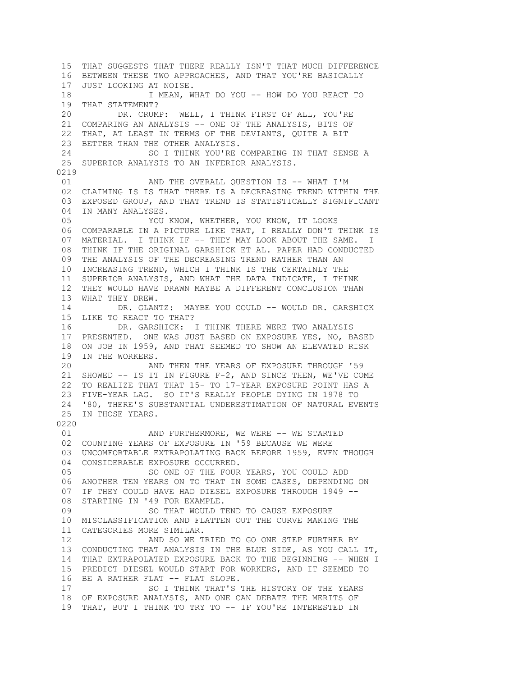15 THAT SUGGESTS THAT THERE REALLY ISN'T THAT MUCH DIFFERENCE 16 BETWEEN THESE TWO APPROACHES, AND THAT YOU'RE BASICALLY 17 JUST LOOKING AT NOISE. 18 I MEAN, WHAT DO YOU -- HOW DO YOU REACT TO 19 THAT STATEMENT? 20 DR. CRUMP: WELL, I THINK FIRST OF ALL, YOU'RE 21 COMPARING AN ANALYSIS -- ONE OF THE ANALYSIS, BITS OF 22 THAT, AT LEAST IN TERMS OF THE DEVIANTS, QUITE A BIT 23 BETTER THAN THE OTHER ANALYSIS. 24 SO I THINK YOU'RE COMPARING IN THAT SENSE A 25 SUPERIOR ANALYSIS TO AN INFERIOR ANALYSIS. 0219 01 AND THE OVERALL QUESTION IS -- WHAT I'M 02 CLAIMING IS IS THAT THERE IS A DECREASING TREND WITHIN THE 03 EXPOSED GROUP, AND THAT TREND IS STATISTICALLY SIGNIFICANT 04 IN MANY ANALYSES. 05 YOU KNOW, WHETHER, YOU KNOW, IT LOOKS 06 COMPARABLE IN A PICTURE LIKE THAT, I REALLY DON'T THINK IS 07 MATERIAL. I THINK IF -- THEY MAY LOOK ABOUT THE SAME. I 08 THINK IF THE ORIGINAL GARSHICK ET AL. PAPER HAD CONDUCTED 09 THE ANALYSIS OF THE DECREASING TREND RATHER THAN AN 10 INCREASING TREND, WHICH I THINK IS THE CERTAINLY THE 11 SUPERIOR ANALYSIS, AND WHAT THE DATA INDICATE, I THINK 12 THEY WOULD HAVE DRAWN MAYBE A DIFFERENT CONCLUSION THAN 13 WHAT THEY DREW. 14 DR. GLANTZ: MAYBE YOU COULD -- WOULD DR. GARSHICK 15 LIKE TO REACT TO THAT? 16 DR. GARSHICK: I THINK THERE WERE TWO ANALYSIS 17 PRESENTED. ONE WAS JUST BASED ON EXPOSURE YES, NO, BASED 18 ON JOB IN 1959, AND THAT SEEMED TO SHOW AN ELEVATED RISK 19 IN THE WORKERS.<br>20 AN AND THEN THE YEARS OF EXPOSURE THROUGH '59 21 SHOWED -- IS IT IN FIGURE F-2, AND SINCE THEN, WE'VE COME 22 TO REALIZE THAT THAT 15- TO 17-YEAR EXPOSURE POINT HAS A 23 FIVE-YEAR LAG. SO IT'S REALLY PEOPLE DYING IN 1978 TO 24 '80, THERE'S SUBSTANTIAL UNDERESTIMATION OF NATURAL EVENTS 25 IN THOSE YEARS. 0220 01 AND FURTHERMORE, WE WERE -- WE STARTED 02 COUNTING YEARS OF EXPOSURE IN '59 BECAUSE WE WERE 03 UNCOMFORTABLE EXTRAPOLATING BACK BEFORE 1959, EVEN THOUGH 04 CONSIDERABLE EXPOSURE OCCURRED. 05 SO ONE OF THE FOUR YEARS, YOU COULD ADD 06 ANOTHER TEN YEARS ON TO THAT IN SOME CASES, DEPENDING ON 07 IF THEY COULD HAVE HAD DIESEL EXPOSURE THROUGH 1949 -- 08 STARTING IN '49 FOR EXAMPLE. 09 SO THAT WOULD TEND TO CAUSE EXPOSURE 10 MISCLASSIFICATION AND FLATTEN OUT THE CURVE MAKING THE 11 CATEGORIES MORE SIMILAR. 12 AND SO WE TRIED TO GO ONE STEP FURTHER BY 13 CONDUCTING THAT ANALYSIS IN THE BLUE SIDE, AS YOU CALL IT, 14 THAT EXTRAPOLATED EXPOSURE BACK TO THE BEGINNING -- WHEN I 15 PREDICT DIESEL WOULD START FOR WORKERS, AND IT SEEMED TO 16 BE A RATHER FLAT -- FLAT SLOPE. 17 SO I THINK THAT'S THE HISTORY OF THE YEARS 18 OF EXPOSURE ANALYSIS, AND ONE CAN DEBATE THE MERITS OF 19 THAT, BUT I THINK TO TRY TO -- IF YOU'RE INTERESTED IN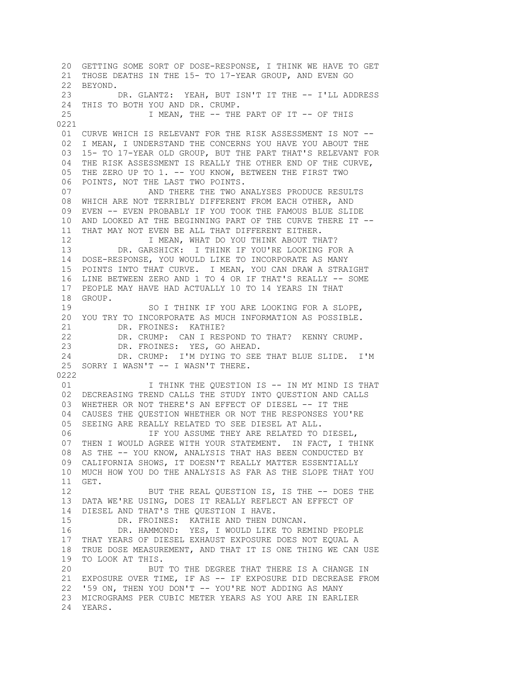20 GETTING SOME SORT OF DOSE-RESPONSE, I THINK WE HAVE TO GET 21 THOSE DEATHS IN THE 15- TO 17-YEAR GROUP, AND EVEN GO 22 BEYOND. 23 DR. GLANTZ: YEAH, BUT ISN'T IT THE -- I'LL ADDRESS 24 THIS TO BOTH YOU AND DR. CRUMP. 25 I MEAN, THE -- THE PART OF IT -- OF THIS 0221 01 CURVE WHICH IS RELEVANT FOR THE RISK ASSESSMENT IS NOT -- 02 I MEAN, I UNDERSTAND THE CONCERNS YOU HAVE YOU ABOUT THE 03 15- TO 17-YEAR OLD GROUP, BUT THE PART THAT'S RELEVANT FOR 04 THE RISK ASSESSMENT IS REALLY THE OTHER END OF THE CURVE, 05 THE ZERO UP TO 1. -- YOU KNOW, BETWEEN THE FIRST TWO 06 POINTS, NOT THE LAST TWO POINTS. 07 **AND THERE THE TWO ANALYSES PRODUCE RESULTS**  08 WHICH ARE NOT TERRIBLY DIFFERENT FROM EACH OTHER, AND 09 EVEN -- EVEN PROBABLY IF YOU TOOK THE FAMOUS BLUE SLIDE 10 AND LOOKED AT THE BEGINNING PART OF THE CURVE THERE IT -- 11 THAT MAY NOT EVEN BE ALL THAT DIFFERENT EITHER. 12 I MEAN, WHAT DO YOU THINK ABOUT THAT? 13 DR. GARSHICK: I THINK IF YOU'RE LOOKING FOR A 14 DOSE-RESPONSE, YOU WOULD LIKE TO INCORPORATE AS MANY 15 POINTS INTO THAT CURVE. I MEAN, YOU CAN DRAW A STRAIGHT 16 LINE BETWEEN ZERO AND 1 TO 4 OR IF THAT'S REALLY -- SOME 17 PEOPLE MAY HAVE HAD ACTUALLY 10 TO 14 YEARS IN THAT 18 GROUP. 19 SO I THINK IF YOU ARE LOOKING FOR A SLOPE, 20 YOU TRY TO INCORPORATE AS MUCH INFORMATION AS POSSIBLE. 21 DR. FROINES: KATHIE? 22 DR. CRUMP: CAN I RESPOND TO THAT? KENNY CRUMP.<br>23 DR. FROINES: YES, GO AHEAD. DR. FROINES: YES, GO AHEAD. 24 DR. CRUMP: I'M DYING TO SEE THAT BLUE SLIDE. I'M 25 SORRY I WASN'T -- I WASN'T THERE. 0222 01 I THINK THE QUESTION IS -- IN MY MIND IS THAT 02 DECREASING TREND CALLS THE STUDY INTO QUESTION AND CALLS 03 WHETHER OR NOT THERE'S AN EFFECT OF DIESEL -- IT THE 04 CAUSES THE QUESTION WHETHER OR NOT THE RESPONSES YOU'RE 05 SEEING ARE REALLY RELATED TO SEE DIESEL AT ALL. 06 THE YOU ASSUME THEY ARE RELATED TO DIESEL, 07 THEN I WOULD AGREE WITH YOUR STATEMENT. IN FACT, I THINK 08 AS THE -- YOU KNOW, ANALYSIS THAT HAS BEEN CONDUCTED BY 09 CALIFORNIA SHOWS, IT DOESN'T REALLY MATTER ESSENTIALLY 10 MUCH HOW YOU DO THE ANALYSIS AS FAR AS THE SLOPE THAT YOU 11 GET. 12 BUT THE REAL QUESTION IS, IS THE -- DOES THE 13 DATA WE'RE USING, DOES IT REALLY REFLECT AN EFFECT OF 14 DIESEL AND THAT'S THE QUESTION I HAVE. 15 DR. FROINES: KATHIE AND THEN DUNCAN. 16 DR. HAMMOND: YES, I WOULD LIKE TO REMIND PEOPLE 17 THAT YEARS OF DIESEL EXHAUST EXPOSURE DOES NOT EQUAL A 18 TRUE DOSE MEASUREMENT, AND THAT IT IS ONE THING WE CAN USE 19 TO LOOK AT THIS. 20 BUT TO THE DEGREE THAT THERE IS A CHANGE IN 21 EXPOSURE OVER TIME, IF AS -- IF EXPOSURE DID DECREASE FROM 22 '59 ON, THEN YOU DON'T -- YOU'RE NOT ADDING AS MANY 23 MICROGRAMS PER CUBIC METER YEARS AS YOU ARE IN EARLIER 24 YEARS.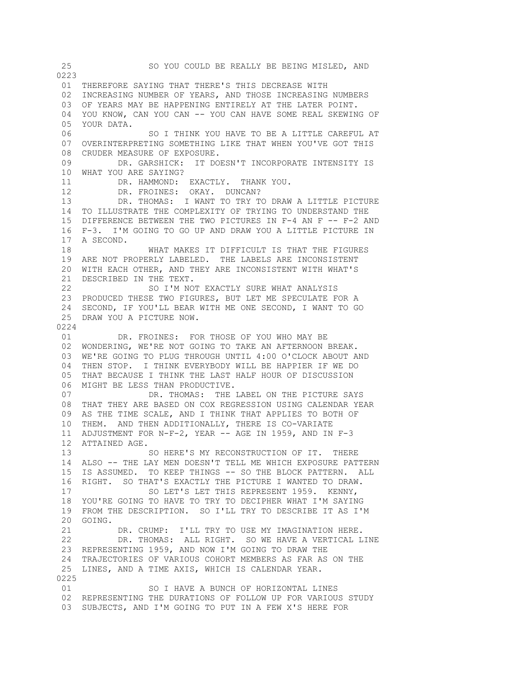25 SO YOU COULD BE REALLY BE BEING MISLED, AND 0223 01 THEREFORE SAYING THAT THERE'S THIS DECREASE WITH 02 INCREASING NUMBER OF YEARS, AND THOSE INCREASING NUMBERS 03 OF YEARS MAY BE HAPPENING ENTIRELY AT THE LATER POINT. 04 YOU KNOW, CAN YOU CAN -- YOU CAN HAVE SOME REAL SKEWING OF 05 YOUR DATA. 06 SO I THINK YOU HAVE TO BE A LITTLE CAREFUL AT 07 OVERINTERPRETING SOMETHING LIKE THAT WHEN YOU'VE GOT THIS 08 CRUDER MEASURE OF EXPOSURE. 09 DR. GARSHICK: IT DOESN'T INCORPORATE INTENSITY IS 10 WHAT YOU ARE SAYING? 11 DR. HAMMOND: EXACTLY. THANK YOU. 12 DR. FROINES: OKAY. DUNCAN? 13 DR. THOMAS: I WANT TO TRY TO DRAW A LITTLE PICTURE 14 TO ILLUSTRATE THE COMPLEXITY OF TRYING TO UNDERSTAND THE 15 DIFFERENCE BETWEEN THE TWO PICTURES IN F-4 AN F -- F-2 AND 16 F-3. I'M GOING TO GO UP AND DRAW YOU A LITTLE PICTURE IN 17 A SECOND. 18 WHAT MAKES IT DIFFICULT IS THAT THE FIGURES 19 ARE NOT PROPERLY LABELED. THE LABELS ARE INCONSISTENT 20 WITH EACH OTHER, AND THEY ARE INCONSISTENT WITH WHAT'S 21 DESCRIBED IN THE TEXT. 22 SO I'M NOT EXACTLY SURE WHAT ANALYSIS 23 PRODUCED THESE TWO FIGURES, BUT LET ME SPECULATE FOR A 24 SECOND, IF YOU'LL BEAR WITH ME ONE SECOND, I WANT TO GO 25 DRAW YOU A PICTURE NOW. 0224 01 DR. FROINES: FOR THOSE OF YOU WHO MAY BE 02 WONDERING, WE'RE NOT GOING TO TAKE AN AFTERNOON BREAK. 03 WE'RE GOING TO PLUG THROUGH UNTIL 4:00 O'CLOCK ABOUT AND 04 THEN STOP. I THINK EVERYBODY WILL BE HAPPIER IF WE DO 05 THAT BECAUSE I THINK THE LAST HALF HOUR OF DISCUSSION 06 MIGHT BE LESS THAN PRODUCTIVE. 07 DR. THOMAS: THE LABEL ON THE PICTURE SAYS 08 THAT THEY ARE BASED ON COX REGRESSION USING CALENDAR YEAR 09 AS THE TIME SCALE, AND I THINK THAT APPLIES TO BOTH OF 10 THEM. AND THEN ADDITIONALLY, THERE IS CO-VARIATE 11 ADJUSTMENT FOR N-F-2, YEAR -- AGE IN 1959, AND IN F-3 12 ATTAINED AGE. 13 SO HERE'S MY RECONSTRUCTION OF IT. THERE 14 ALSO -- THE LAY MEN DOESN'T TELL ME WHICH EXPOSURE PATTERN 15 IS ASSUMED. TO KEEP THINGS -- SO THE BLOCK PATTERN. ALL 16 RIGHT. SO THAT'S EXACTLY THE PICTURE I WANTED TO DRAW. 17 SO LET'S LET THIS REPRESENT 1959. KENNY. 18 YOU'RE GOING TO HAVE TO TRY TO DECIPHER WHAT I'M SAYING 19 FROM THE DESCRIPTION. SO I'LL TRY TO DESCRIBE IT AS I'M 20 GOING. 21 DR. CRUMP: I'LL TRY TO USE MY IMAGINATION HERE. 22 DR. THOMAS: ALL RIGHT. SO WE HAVE A VERTICAL LINE 23 REPRESENTING 1959, AND NOW I'M GOING TO DRAW THE 24 TRAJECTORIES OF VARIOUS COHORT MEMBERS AS FAR AS ON THE 25 LINES, AND A TIME AXIS, WHICH IS CALENDAR YEAR. 0225 01 SO I HAVE A BUNCH OF HORIZONTAL LINES 02 REPRESENTING THE DURATIONS OF FOLLOW UP FOR VARIOUS STUDY 03 SUBJECTS, AND I'M GOING TO PUT IN A FEW X'S HERE FOR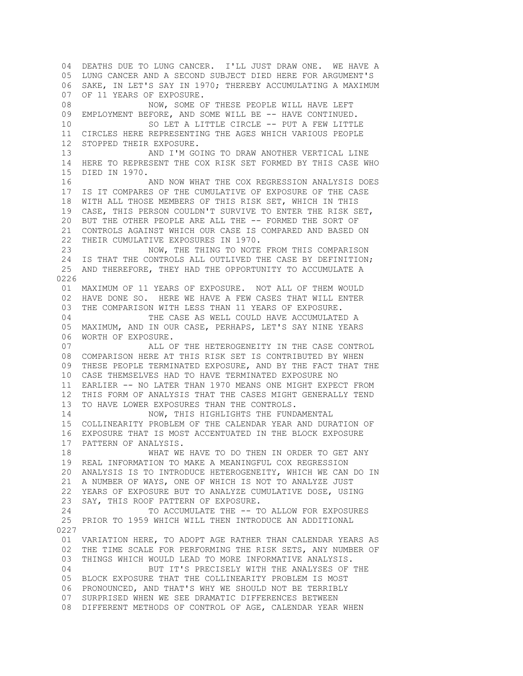04 DEATHS DUE TO LUNG CANCER. I'LL JUST DRAW ONE. WE HAVE A 05 LUNG CANCER AND A SECOND SUBJECT DIED HERE FOR ARGUMENT'S 06 SAKE, IN LET'S SAY IN 1970; THEREBY ACCUMULATING A MAXIMUM 07 OF 11 YEARS OF EXPOSURE. 08 NOW, SOME OF THESE PEOPLE WILL HAVE LEFT 09 EMPLOYMENT BEFORE, AND SOME WILL BE -- HAVE CONTINUED. 10 SO LET A LITTLE CIRCLE -- PUT A FEW LITTLE 11 CIRCLES HERE REPRESENTING THE AGES WHICH VARIOUS PEOPLE 12 STOPPED THEIR EXPOSURE. 13 AND I'M GOING TO DRAW ANOTHER VERTICAL LINE 14 HERE TO REPRESENT THE COX RISK SET FORMED BY THIS CASE WHO 15 DIED IN 1970. 16 AND NOW WHAT THE COX REGRESSION ANALYSIS DOES 17 IS IT COMPARES OF THE CUMULATIVE OF EXPOSURE OF THE CASE 18 WITH ALL THOSE MEMBERS OF THIS RISK SET, WHICH IN THIS 19 CASE, THIS PERSON COULDN'T SURVIVE TO ENTER THE RISK SET, 20 BUT THE OTHER PEOPLE ARE ALL THE -- FORMED THE SORT OF 21 CONTROLS AGAINST WHICH OUR CASE IS COMPARED AND BASED ON 22 THEIR CUMULATIVE EXPOSURES IN 1970. 23 NOW, THE THING TO NOTE FROM THIS COMPARISON 24 IS THAT THE CONTROLS ALL OUTLIVED THE CASE BY DEFINITION; 25 AND THEREFORE, THEY HAD THE OPPORTUNITY TO ACCUMULATE A 0226 01 MAXIMUM OF 11 YEARS OF EXPOSURE. NOT ALL OF THEM WOULD 02 HAVE DONE SO. HERE WE HAVE A FEW CASES THAT WILL ENTER 03 THE COMPARISON WITH LESS THAN 11 YEARS OF EXPOSURE. 04 THE CASE AS WELL COULD HAVE ACCUMULATED A 05 MAXIMUM, AND IN OUR CASE, PERHAPS, LET'S SAY NINE YEARS 06 WORTH OF EXPOSURE. 07 ALL OF THE HETEROGENEITY IN THE CASE CONTROL 08 COMPARISON HERE AT THIS RISK SET IS CONTRIBUTED BY WHEN 09 THESE PEOPLE TERMINATED EXPOSURE, AND BY THE FACT THAT THE 10 CASE THEMSELVES HAD TO HAVE TERMINATED EXPOSURE NO 11 EARLIER -- NO LATER THAN 1970 MEANS ONE MIGHT EXPECT FROM 12 THIS FORM OF ANALYSIS THAT THE CASES MIGHT GENERALLY TEND 13 TO HAVE LOWER EXPOSURES THAN THE CONTROLS. 14 NOW, THIS HIGHLIGHTS THE FUNDAMENTAL 15 COLLINEARITY PROBLEM OF THE CALENDAR YEAR AND DURATION OF 16 EXPOSURE THAT IS MOST ACCENTUATED IN THE BLOCK EXPOSURE 17 PATTERN OF ANALYSIS. 18 WHAT WE HAVE TO DO THEN IN ORDER TO GET ANY 19 REAL INFORMATION TO MAKE A MEANINGFUL COX REGRESSION 20 ANALYSIS IS TO INTRODUCE HETEROGENEITY, WHICH WE CAN DO IN 21 A NUMBER OF WAYS, ONE OF WHICH IS NOT TO ANALYZE JUST 22 YEARS OF EXPOSURE BUT TO ANALYZE CUMULATIVE DOSE, USING 23 SAY, THIS ROOF PATTERN OF EXPOSURE. 24 TO ACCUMULATE THE  $--$  TO ALLOW FOR EXPOSURES 25 PRIOR TO 1959 WHICH WILL THEN INTRODUCE AN ADDITIONAL 0227 01 VARIATION HERE, TO ADOPT AGE RATHER THAN CALENDAR YEARS AS 02 THE TIME SCALE FOR PERFORMING THE RISK SETS, ANY NUMBER OF 03 THINGS WHICH WOULD LEAD TO MORE INFORMATIVE ANALYSIS. 04 BUT IT'S PRECISELY WITH THE ANALYSES OF THE 05 BLOCK EXPOSURE THAT THE COLLINEARITY PROBLEM IS MOST 06 PRONOUNCED, AND THAT'S WHY WE SHOULD NOT BE TERRIBLY 07 SURPRISED WHEN WE SEE DRAMATIC DIFFERENCES BETWEEN 08 DIFFERENT METHODS OF CONTROL OF AGE, CALENDAR YEAR WHEN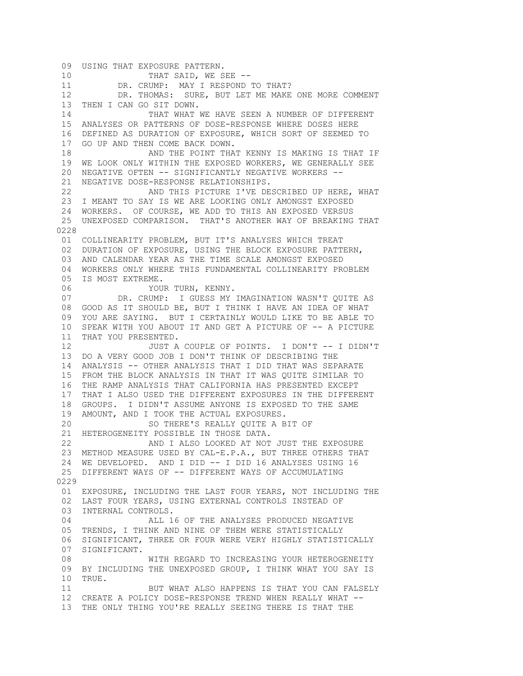09 USING THAT EXPOSURE PATTERN. 10 THAT SAID, WE SEE -- 11 DR. CRUMP: MAY I RESPOND TO THAT? 12 DR. THOMAS: SURE, BUT LET ME MAKE ONE MORE COMMENT 13 THEN I CAN GO SIT DOWN. 14 THAT WHAT WE HAVE SEEN A NUMBER OF DIFFERENT 15 ANALYSES OR PATTERNS OF DOSE-RESPONSE WHERE DOSES HERE 16 DEFINED AS DURATION OF EXPOSURE, WHICH SORT OF SEEMED TO 17 GO UP AND THEN COME BACK DOWN. 18 AND THE POINT THAT KENNY IS MAKING IS THAT IF 19 WE LOOK ONLY WITHIN THE EXPOSED WORKERS, WE GENERALLY SEE 20 NEGATIVE OFTEN -- SIGNIFICANTLY NEGATIVE WORKERS -- 21 NEGATIVE DOSE-RESPONSE RELATIONSHIPS. 22 AND THIS PICTURE I'VE DESCRIBED UP HERE, WHAT 23 I MEANT TO SAY IS WE ARE LOOKING ONLY AMONGST EXPOSED 24 WORKERS. OF COURSE, WE ADD TO THIS AN EXPOSED VERSUS 25 UNEXPOSED COMPARISON. THAT'S ANOTHER WAY OF BREAKING THAT 0228 01 COLLINEARITY PROBLEM, BUT IT'S ANALYSES WHICH TREAT 02 DURATION OF EXPOSURE, USING THE BLOCK EXPOSURE PATTERN, 03 AND CALENDAR YEAR AS THE TIME SCALE AMONGST EXPOSED 04 WORKERS ONLY WHERE THIS FUNDAMENTAL COLLINEARITY PROBLEM 05 IS MOST EXTREME. 06 YOUR TURN, KENNY. 07 DR. CRUMP: I GUESS MY IMAGINATION WASN'T QUITE AS 08 GOOD AS IT SHOULD BE, BUT I THINK I HAVE AN IDEA OF WHAT 09 YOU ARE SAYING. BUT I CERTAINLY WOULD LIKE TO BE ABLE TO 10 SPEAK WITH YOU ABOUT IT AND GET A PICTURE OF -- A PICTURE 11 THAT YOU PRESENTED. 12 JUST A COUPLE OF POINTS. I DON'T -- I DIDN'T 13 DO A VERY GOOD JOB I DON'T THINK OF DESCRIBING THE 14 ANALYSIS -- OTHER ANALYSIS THAT I DID THAT WAS SEPARATE 15 FROM THE BLOCK ANALYSIS IN THAT IT WAS QUITE SIMILAR TO 16 THE RAMP ANALYSIS THAT CALIFORNIA HAS PRESENTED EXCEPT 17 THAT I ALSO USED THE DIFFERENT EXPOSURES IN THE DIFFERENT 18 GROUPS. I DIDN'T ASSUME ANYONE IS EXPOSED TO THE SAME 19 AMOUNT, AND I TOOK THE ACTUAL EXPOSURES. 20 SO THERE'S REALLY QUITE A BIT OF 21 HETEROGENEITY POSSIBLE IN THOSE DATA. 22 AND I ALSO LOOKED AT NOT JUST THE EXPOSURE 23 METHOD MEASURE USED BY CAL-E.P.A., BUT THREE OTHERS THAT 24 WE DEVELOPED. AND I DID -- I DID 16 ANALYSES USING 16 25 DIFFERENT WAYS OF -- DIFFERENT WAYS OF ACCUMULATING 0229 01 EXPOSURE, INCLUDING THE LAST FOUR YEARS, NOT INCLUDING THE 02 LAST FOUR YEARS, USING EXTERNAL CONTROLS INSTEAD OF 03 INTERNAL CONTROLS. 04 **ALL 16 OF THE ANALYSES PRODUCED NEGATIVE**  05 TRENDS, I THINK AND NINE OF THEM WERE STATISTICALLY 06 SIGNIFICANT, THREE OR FOUR WERE VERY HIGHLY STATISTICALLY 07 SIGNIFICANT. 08 WITH REGARD TO INCREASING YOUR HETEROGENEITY 09 BY INCLUDING THE UNEXPOSED GROUP, I THINK WHAT YOU SAY IS 10 TRUE. 11 BUT WHAT ALSO HAPPENS IS THAT YOU CAN FALSELY 12 CREATE A POLICY DOSE-RESPONSE TREND WHEN REALLY WHAT -- 13 THE ONLY THING YOU'RE REALLY SEEING THERE IS THAT THE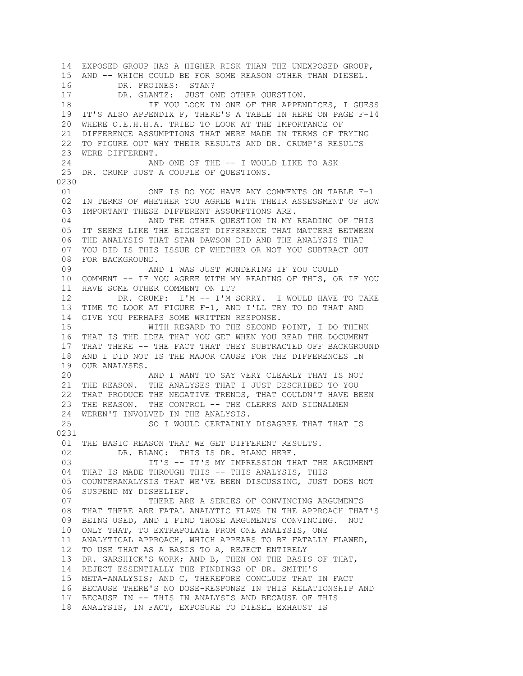14 EXPOSED GROUP HAS A HIGHER RISK THAN THE UNEXPOSED GROUP, 15 AND -- WHICH COULD BE FOR SOME REASON OTHER THAN DIESEL. 16 DR. FROINES: STAN? 17 DR. GLANTZ: JUST ONE OTHER QUESTION. 18 IF YOU LOOK IN ONE OF THE APPENDICES, I GUESS 19 IT'S ALSO APPENDIX F, THERE'S A TABLE IN HERE ON PAGE F-14 20 WHERE O.E.H.H.A. TRIED TO LOOK AT THE IMPORTANCE OF 21 DIFFERENCE ASSUMPTIONS THAT WERE MADE IN TERMS OF TRYING 22 TO FIGURE OUT WHY THEIR RESULTS AND DR. CRUMP'S RESULTS 23 WERE DIFFERENT. 24 AND ONE OF THE -- I WOULD LIKE TO ASK 25 DR. CRUMP JUST A COUPLE OF QUESTIONS. 0230 01 ONE IS DO YOU HAVE ANY COMMENTS ON TABLE F-1 02 IN TERMS OF WHETHER YOU AGREE WITH THEIR ASSESSMENT OF HOW 03 IMPORTANT THESE DIFFERENT ASSUMPTIONS ARE. 04 **AND THE OTHER QUESTION IN MY READING OF THIS**  05 IT SEEMS LIKE THE BIGGEST DIFFERENCE THAT MATTERS BETWEEN 06 THE ANALYSIS THAT STAN DAWSON DID AND THE ANALYSIS THAT 07 YOU DID IS THIS ISSUE OF WHETHER OR NOT YOU SUBTRACT OUT 08 FOR BACKGROUND. 09 AND I WAS JUST WONDERING IF YOU COULD 10 COMMENT -- IF YOU AGREE WITH MY READING OF THIS, OR IF YOU 11 HAVE SOME OTHER COMMENT ON IT? 12 DR. CRUMP: I'M -- I'M SORRY. I WOULD HAVE TO TAKE 13 TIME TO LOOK AT FIGURE F-1, AND I'LL TRY TO DO THAT AND 14 GIVE YOU PERHAPS SOME WRITTEN RESPONSE. 15 WITH REGARD TO THE SECOND POINT, I DO THINK 16 THAT IS THE IDEA THAT YOU GET WHEN YOU READ THE DOCUMENT 17 THAT THERE -- THE FACT THAT THEY SUBTRACTED OFF BACKGROUND 18 AND I DID NOT IS THE MAJOR CAUSE FOR THE DIFFERENCES IN 19 OUR ANALYSES. 20 AND I WANT TO SAY VERY CLEARLY THAT IS NOT 21 THE REASON. THE ANALYSES THAT I JUST DESCRIBED TO YOU 22 THAT PRODUCE THE NEGATIVE TRENDS, THAT COULDN'T HAVE BEEN 23 THE REASON. THE CONTROL -- THE CLERKS AND SIGNALMEN 24 WEREN'T INVOLVED IN THE ANALYSIS. 25 SO I WOULD CERTAINLY DISAGREE THAT THAT IS 0231 01 THE BASIC REASON THAT WE GET DIFFERENT RESULTS. 02 DR. BLANC: THIS IS DR. BLANC HERE. 03 **IT'S -- IT'S MY IMPRESSION THAT THE ARGUMENT** 04 THAT IS MADE THROUGH THIS -- THIS ANALYSIS, THIS 05 COUNTERANALYSIS THAT WE'VE BEEN DISCUSSING, JUST DOES NOT 06 SUSPEND MY DISBELIEF. 07 THERE ARE A SERIES OF CONVINCING ARGUMENTS 08 THAT THERE ARE FATAL ANALYTIC FLAWS IN THE APPROACH THAT'S 09 BEING USED, AND I FIND THOSE ARGUMENTS CONVINCING. NOT 10 ONLY THAT, TO EXTRAPOLATE FROM ONE ANALYSIS, ONE 11 ANALYTICAL APPROACH, WHICH APPEARS TO BE FATALLY FLAWED, 12 TO USE THAT AS A BASIS TO A, REJECT ENTIRELY 13 DR. GARSHICK'S WORK; AND B, THEN ON THE BASIS OF THAT, 14 REJECT ESSENTIALLY THE FINDINGS OF DR. SMITH'S 15 META-ANALYSIS; AND C, THEREFORE CONCLUDE THAT IN FACT 16 BECAUSE THERE'S NO DOSE-RESPONSE IN THIS RELATIONSHIP AND 17 BECAUSE IN -- THIS IN ANALYSIS AND BECAUSE OF THIS 18 ANALYSIS, IN FACT, EXPOSURE TO DIESEL EXHAUST IS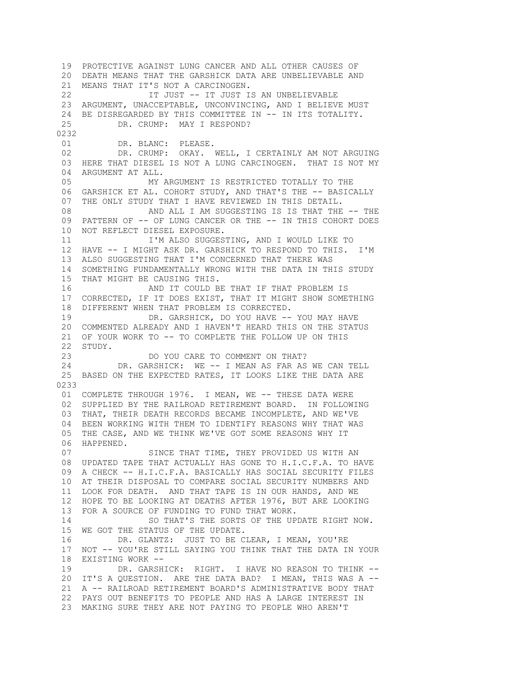19 PROTECTIVE AGAINST LUNG CANCER AND ALL OTHER CAUSES OF 20 DEATH MEANS THAT THE GARSHICK DATA ARE UNBELIEVABLE AND 21 MEANS THAT IT'S NOT A CARCINOGEN. 22 IT JUST -- IT JUST IS AN UNBELIEVABLE 23 ARGUMENT, UNACCEPTABLE, UNCONVINCING, AND I BELIEVE MUST 24 BE DISREGARDED BY THIS COMMITTEE IN -- IN ITS TOTALITY. 25 DR. CRUMP: MAY I RESPOND? 0232 01 DR. BLANC: PLEASE. 02 DR. CRUMP: OKAY. WELL, I CERTAINLY AM NOT ARGUING 03 HERE THAT DIESEL IS NOT A LUNG CARCINOGEN. THAT IS NOT MY 04 ARGUMENT AT ALL. 05 MY ARGUMENT IS RESTRICTED TOTALLY TO THE 06 GARSHICK ET AL. COHORT STUDY, AND THAT'S THE -- BASICALLY 07 THE ONLY STUDY THAT I HAVE REVIEWED IN THIS DETAIL. 08 AND ALL I AM SUGGESTING IS IS THAT THE -- THE 09 PATTERN OF -- OF LUNG CANCER OR THE -- IN THIS COHORT DOES 10 NOT REFLECT DIESEL EXPOSURE. 11 I'M ALSO SUGGESTING, AND I WOULD LIKE TO 12 HAVE -- I MIGHT ASK DR. GARSHICK TO RESPOND TO THIS. I'M 13 ALSO SUGGESTING THAT I'M CONCERNED THAT THERE WAS 14 SOMETHING FUNDAMENTALLY WRONG WITH THE DATA IN THIS STUDY 15 THAT MIGHT BE CAUSING THIS. 16 AND IT COULD BE THAT IF THAT PROBLEM IS 17 CORRECTED, IF IT DOES EXIST, THAT IT MIGHT SHOW SOMETHING 18 DIFFERENT WHEN THAT PROBLEM IS CORRECTED. 19 DR. GARSHICK, DO YOU HAVE -- YOU MAY HAVE 20 COMMENTED ALREADY AND I HAVEN'T HEARD THIS ON THE STATUS 21 OF YOUR WORK TO -- TO COMPLETE THE FOLLOW UP ON THIS 22 STUDY. 23 DO YOU CARE TO COMMENT ON THAT?<br>24 DR. GARSHICK: WE -- I MEAN AS FAR AS DR. GARSHICK: WE -- I MEAN AS FAR AS WE CAN TELL 25 BASED ON THE EXPECTED RATES, IT LOOKS LIKE THE DATA ARE 0233 01 COMPLETE THROUGH 1976. I MEAN, WE -- THESE DATA WERE 02 SUPPLIED BY THE RAILROAD RETIREMENT BOARD. IN FOLLOWING 03 THAT, THEIR DEATH RECORDS BECAME INCOMPLETE, AND WE'VE 04 BEEN WORKING WITH THEM TO IDENTIFY REASONS WHY THAT WAS 05 THE CASE, AND WE THINK WE'VE GOT SOME REASONS WHY IT 06 HAPPENED. 07 SINCE THAT TIME, THEY PROVIDED US WITH AN 08 UPDATED TAPE THAT ACTUALLY HAS GONE TO H.I.C.F.A. TO HAVE 09 A CHECK -- H.I.C.F.A. BASICALLY HAS SOCIAL SECURITY FILES 10 AT THEIR DISPOSAL TO COMPARE SOCIAL SECURITY NUMBERS AND 11 LOOK FOR DEATH. AND THAT TAPE IS IN OUR HANDS, AND WE 12 HOPE TO BE LOOKING AT DEATHS AFTER 1976, BUT ARE LOOKING 13 FOR A SOURCE OF FUNDING TO FUND THAT WORK. 14 SO THAT'S THE SORTS OF THE UPDATE RIGHT NOW. 15 WE GOT THE STATUS OF THE UPDATE. 16 DR. GLANTZ: JUST TO BE CLEAR, I MEAN, YOU'RE 17 NOT -- YOU'RE STILL SAYING YOU THINK THAT THE DATA IN YOUR 18 EXISTING WORK -- 19 DR. GARSHICK: RIGHT. I HAVE NO REASON TO THINK -- 20 IT'S A QUESTION. ARE THE DATA BAD? I MEAN, THIS WAS A -- 21 A -- RAILROAD RETIREMENT BOARD'S ADMINISTRATIVE BODY THAT 22 PAYS OUT BENEFITS TO PEOPLE AND HAS A LARGE INTEREST IN 23 MAKING SURE THEY ARE NOT PAYING TO PEOPLE WHO AREN'T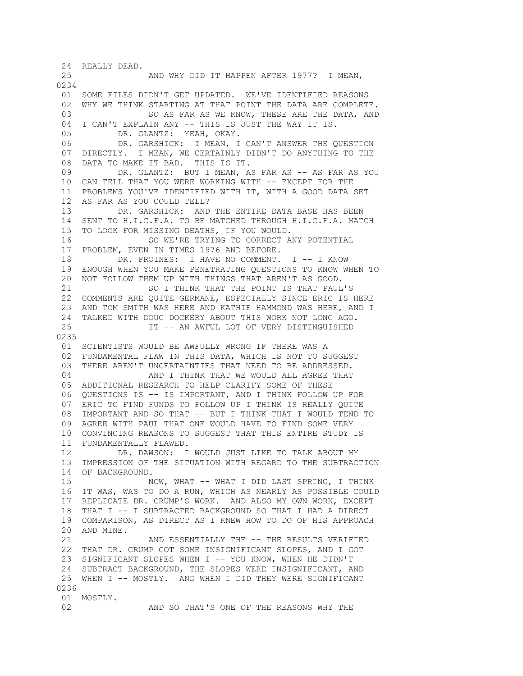24 REALLY DEAD. 25 AND WHY DID IT HAPPEN AFTER 1977? I MEAN, 0234 01 SOME FILES DIDN'T GET UPDATED. WE'VE IDENTIFIED REASONS 02 WHY WE THINK STARTING AT THAT POINT THE DATA ARE COMPLETE. 03 60 SO AS FAR AS WE KNOW, THESE ARE THE DATA, AND 04 I CAN'T EXPLAIN ANY -- THIS IS JUST THE WAY IT IS. 05 DR. GLANTZ: YEAH, OKAY. 06 DR. GARSHICK: I MEAN, I CAN'T ANSWER THE QUESTION 07 DIRECTLY. I MEAN, WE CERTAINLY DIDN'T DO ANYTHING TO THE 08 DATA TO MAKE IT BAD. THIS IS IT. 09 DR. GLANTZ: BUT I MEAN, AS FAR AS -- AS FAR AS YOU 10 CAN TELL THAT YOU WERE WORKING WITH -- EXCEPT FOR THE 11 PROBLEMS YOU'VE IDENTIFIED WITH IT, WITH A GOOD DATA SET 12 AS FAR AS YOU COULD TELL? 13 DR. GARSHICK: AND THE ENTIRE DATA BASE HAS BEEN 14 SENT TO H.I.C.F.A. TO BE MATCHED THROUGH H.I.C.F.A. MATCH 15 TO LOOK FOR MISSING DEATHS, IF YOU WOULD. 16 SO WE'RE TRYING TO CORRECT ANY POTENTIAL 17 PROBLEM, EVEN IN TIMES 1976 AND BEFORE. 18 DR. FROINES: I HAVE NO COMMENT. I -- I KNOW 19 ENOUGH WHEN YOU MAKE PENETRATING QUESTIONS TO KNOW WHEN TO 20 NOT FOLLOW THEM UP WITH THINGS THAT AREN'T AS GOOD. 21 SO I THINK THAT THE POINT IS THAT PAUL'S 22 COMMENTS ARE QUITE GERMANE, ESPECIALLY SINCE ERIC IS HERE 23 AND TOM SMITH WAS HERE AND KATHIE HAMMOND WAS HERE, AND I 24 TALKED WITH DOUG DOCKERY ABOUT THIS WORK NOT LONG AGO. 25 IT -- AN AWFUL LOT OF VERY DISTINGUISHED 0235 01 SCIENTISTS WOULD BE AWFULLY WRONG IF THERE WAS A 02 FUNDAMENTAL FLAW IN THIS DATA, WHICH IS NOT TO SUGGEST 03 THERE AREN'T UNCERTAINTIES THAT NEED TO BE ADDRESSED. 04 AND I THINK THAT WE WOULD ALL AGREE THAT 05 ADDITIONAL RESEARCH TO HELP CLARIFY SOME OF THESE 06 QUESTIONS IS -- IS IMPORTANT, AND I THINK FOLLOW UP FOR 07 ERIC TO FIND FUNDS TO FOLLOW UP I THINK IS REALLY QUITE 08 IMPORTANT AND SO THAT -- BUT I THINK THAT I WOULD TEND TO 09 AGREE WITH PAUL THAT ONE WOULD HAVE TO FIND SOME VERY 10 CONVINCING REASONS TO SUGGEST THAT THIS ENTIRE STUDY IS 11 FUNDAMENTALLY FLAWED. 12 DR. DAWSON: I WOULD JUST LIKE TO TALK ABOUT MY 13 IMPRESSION OF THE SITUATION WITH REGARD TO THE SUBTRACTION 14 OF BACKGROUND. 15 NOW, WHAT -- WHAT I DID LAST SPRING, I THINK 16 IT WAS, WAS TO DO A RUN, WHICH AS NEARLY AS POSSIBLE COULD 17 REPLICATE DR. CRUMP'S WORK. AND ALSO MY OWN WORK, EXCEPT 18 THAT I -- I SUBTRACTED BACKGROUND SO THAT I HAD A DIRECT 19 COMPARISON, AS DIRECT AS I KNEW HOW TO DO OF HIS APPROACH 20 AND MINE. 21 AND ESSENTIALLY THE -- THE RESULTS VERIFIED 22 THAT DR. CRUMP GOT SOME INSIGNIFICANT SLOPES, AND I GOT 23 SIGNIFICANT SLOPES WHEN I -- YOU KNOW, WHEN HE DIDN'T 24 SUBTRACT BACKGROUND, THE SLOPES WERE INSIGNIFICANT, AND 25 WHEN I -- MOSTLY. AND WHEN I DID THEY WERE SIGNIFICANT 0236 01 MOSTLY. 02 AND SO THAT'S ONE OF THE REASONS WHY THE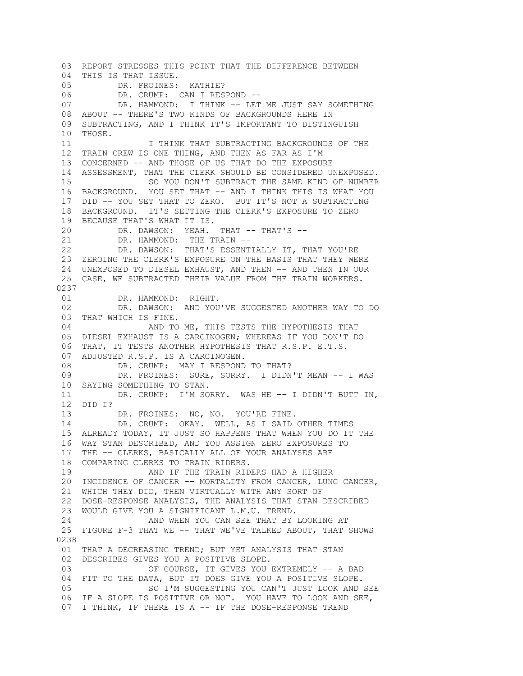03 REPORT STRESSES THIS POINT THAT THE DIFFERENCE BETWEEN 04 THIS IS THAT ISSUE. 05 DR. FROINES: KATHIE? 06 DR. CRUMP: CAN I RESPOND --<br>07 DR. HAMMOND: I THINK -- LET DR. HAMMOND: I THINK -- LET ME JUST SAY SOMETHING 08 ABOUT -- THERE'S TWO KINDS OF BACKGROUNDS HERE IN 09 SUBTRACTING, AND I THINK IT'S IMPORTANT TO DISTINGUISH 10 THOSE. 11 **I THINK THAT SUBTRACTING BACKGROUNDS OF THE**  12 TRAIN CREW IS ONE THING, AND THEN AS FAR AS I'M 13 CONCERNED -- AND THOSE OF US THAT DO THE EXPOSURE 14 ASSESSMENT, THAT THE CLERK SHOULD BE CONSIDERED UNEXPOSED. 15 SO YOU DON'T SUBTRACT THE SAME KIND OF NUMBER 16 BACKGROUND. YOU SET THAT -- AND I THINK THIS IS WHAT YOU 17 DID -- YOU SET THAT TO ZERO. BUT IT'S NOT A SUBTRACTING 18 BACKGROUND. IT'S SETTING THE CLERK'S EXPOSURE TO ZERO 19 BECAUSE THAT'S WHAT IT IS. 20 DR. DAWSON: YEAH. THAT -- THAT'S --<br>21 DR. HAMMOND: THE TRAIN --DR. HAMMOND: THE TRAIN -- 22 DR. DAWSON: THAT'S ESSENTIALLY IT, THAT YOU'RE 23 ZEROING THE CLERK'S EXPOSURE ON THE BASIS THAT THEY WERE 24 UNEXPOSED TO DIESEL EXHAUST, AND THEN -- AND THEN IN OUR 25 CASE, WE SUBTRACTED THEIR VALUE FROM THE TRAIN WORKERS. 0237 01 DR. HAMMOND: RIGHT. 02 DR. DAWSON: AND YOU'VE SUGGESTED ANOTHER WAY TO DO 03 THAT WHICH IS FINE. 04 AND TO ME, THIS TESTS THE HYPOTHESIS THAT 05 DIESEL EXHAUST IS A CARCINOGEN; WHEREAS IF YOU DON'T DO 06 THAT, IT TESTS ANOTHER HYPOTHESIS THAT R.S.P. E.T.S. 07 ADJUSTED R.S.P. IS A CARCINOGEN.<br>08 DR. CRUMP: MAY I RESPOND DR. CRUMP: MAY I RESPOND TO THAT? 09 DR. FROINES: SURE, SORRY. I DIDN'T MEAN -- I WAS 10 SAYING SOMETHING TO STAN. 11 DR. CRUMP: I'M SORRY. WAS HE -- I DIDN'T BUTT IN, 12 DID I? 13 DR. FROINES: NO, NO. YOU'RE FINE. 14 DR. CRUMP: OKAY. WELL, AS I SAID OTHER TIMES 15 ALREADY TODAY, IT JUST SO HAPPENS THAT WHEN YOU DO IT THE 16 WAY STAN DESCRIBED, AND YOU ASSIGN ZERO EXPOSURES TO 17 THE -- CLERKS, BASICALLY ALL OF YOUR ANALYSES ARE 18 COMPARING CLERKS TO TRAIN RIDERS. 19 AND IF THE TRAIN RIDERS HAD A HIGHER 20 INCIDENCE OF CANCER -- MORTALITY FROM CANCER, LUNG CANCER, 21 WHICH THEY DID, THEN VIRTUALLY WITH ANY SORT OF 22 DOSE-RESPONSE ANALYSIS, THE ANALYSIS THAT STAN DESCRIBED 23 WOULD GIVE YOU A SIGNIFICANT L.M.U. TREND. 24 AND WHEN YOU CAN SEE THAT BY LOOKING AT 25 FIGURE F-3 THAT WE -- THAT WE'VE TALKED ABOUT, THAT SHOWS 0238 01 THAT A DECREASING TREND; BUT YET ANALYSIS THAT STAN 02 DESCRIBES GIVES YOU A POSITIVE SLOPE. 03 OF COURSE, IT GIVES YOU EXTREMELY -- A BAD 04 FIT TO THE DATA, BUT IT DOES GIVE YOU A POSITIVE SLOPE. 05 SO I'M SUGGESTING YOU CAN'T JUST LOOK AND SEE 06 IF A SLOPE IS POSITIVE OR NOT. YOU HAVE TO LOOK AND SEE, 07 I THINK, IF THERE IS A -- IF THE DOSE-RESPONSE TREND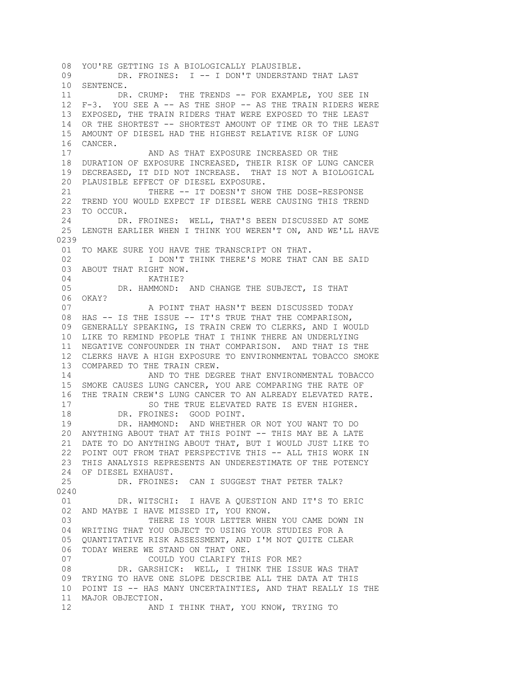08 YOU'RE GETTING IS A BIOLOGICALLY PLAUSIBLE. 09 DR. FROINES: I -- I DON'T UNDERSTAND THAT LAST 10 SENTENCE. 11 DR. CRUMP: THE TRENDS -- FOR EXAMPLE, YOU SEE IN 12 F-3. YOU SEE A -- AS THE SHOP -- AS THE TRAIN RIDERS WERE 13 EXPOSED, THE TRAIN RIDERS THAT WERE EXPOSED TO THE LEAST 14 OR THE SHORTEST -- SHORTEST AMOUNT OF TIME OR TO THE LEAST 15 AMOUNT OF DIESEL HAD THE HIGHEST RELATIVE RISK OF LUNG 16 CANCER. 17 AND AS THAT EXPOSURE INCREASED OR THE 18 DURATION OF EXPOSURE INCREASED, THEIR RISK OF LUNG CANCER 19 DECREASED, IT DID NOT INCREASE. THAT IS NOT A BIOLOGICAL 20 PLAUSIBLE EFFECT OF DIESEL EXPOSURE. 21 THERE -- IT DOESN'T SHOW THE DOSE-RESPONSE 22 TREND YOU WOULD EXPECT IF DIESEL WERE CAUSING THIS TREND 23 TO OCCUR. 24 DR. FROINES: WELL, THAT'S BEEN DISCUSSED AT SOME 25 LENGTH EARLIER WHEN I THINK YOU WEREN'T ON, AND WE'LL HAVE 0239 01 TO MAKE SURE YOU HAVE THE TRANSCRIPT ON THAT. 02 **I DON'T THINK THERE'S MORE THAT CAN BE SAID**  03 ABOUT THAT RIGHT NOW. 04 KATHIE? 05 DR. HAMMOND: AND CHANGE THE SUBJECT, IS THAT 06 OKAY? 07 A POINT THAT HASN'T BEEN DISCUSSED TODAY 08 HAS -- IS THE ISSUE -- IT'S TRUE THAT THE COMPARISON, 09 GENERALLY SPEAKING, IS TRAIN CREW TO CLERKS, AND I WOULD 10 LIKE TO REMIND PEOPLE THAT I THINK THERE AN UNDERLYING 11 NEGATIVE CONFOUNDER IN THAT COMPARISON. AND THAT IS THE 12 CLERKS HAVE A HIGH EXPOSURE TO ENVIRONMENTAL TOBACCO SMOKE 13 COMPARED TO THE TRAIN CREW. 14 AND TO THE DEGREE THAT ENVIRONMENTAL TOBACCO 15 SMOKE CAUSES LUNG CANCER, YOU ARE COMPARING THE RATE OF 16 THE TRAIN CREW'S LUNG CANCER TO AN ALREADY ELEVATED RATE. 17 SO THE TRUE ELEVATED RATE IS EVEN HIGHER. 18 DR. FROINES: GOOD POINT. 19 DR. HAMMOND: AND WHETHER OR NOT YOU WANT TO DO 20 ANYTHING ABOUT THAT AT THIS POINT -- THIS MAY BE A LATE 21 DATE TO DO ANYTHING ABOUT THAT, BUT I WOULD JUST LIKE TO 22 POINT OUT FROM THAT PERSPECTIVE THIS -- ALL THIS WORK IN 23 THIS ANALYSIS REPRESENTS AN UNDERESTIMATE OF THE POTENCY 24 OF DIESEL EXHAUST. 25 DR. FROINES: CAN I SUGGEST THAT PETER TALK? 0240 01 DR. WITSCHI: I HAVE A QUESTION AND IT'S TO ERIC 02 AND MAYBE I HAVE MISSED IT, YOU KNOW. 03 THERE IS YOUR LETTER WHEN YOU CAME DOWN IN 04 WRITING THAT YOU OBJECT TO USING YOUR STUDIES FOR A 05 QUANTITATIVE RISK ASSESSMENT, AND I'M NOT QUITE CLEAR 06 TODAY WHERE WE STAND ON THAT ONE. 07 COULD YOU CLARIFY THIS FOR ME? 08 DR. GARSHICK: WELL, I THINK THE ISSUE WAS THAT 09 TRYING TO HAVE ONE SLOPE DESCRIBE ALL THE DATA AT THIS 10 POINT IS -- HAS MANY UNCERTAINTIES, AND THAT REALLY IS THE 11 MAJOR OBJECTION. 12 AND I THINK THAT, YOU KNOW, TRYING TO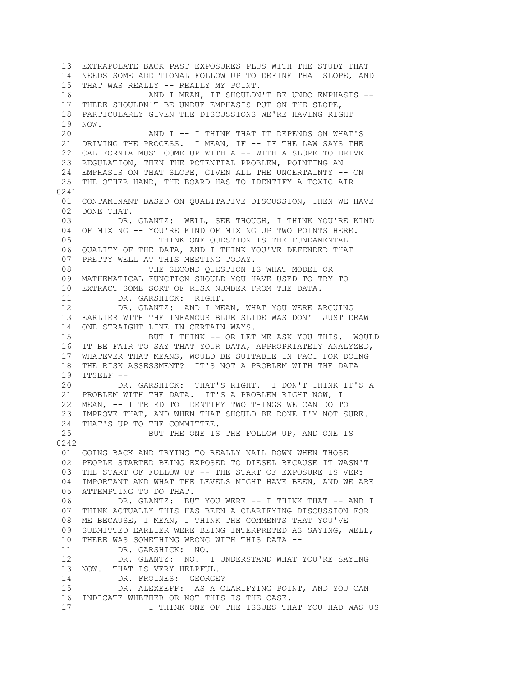13 EXTRAPOLATE BACK PAST EXPOSURES PLUS WITH THE STUDY THAT 14 NEEDS SOME ADDITIONAL FOLLOW UP TO DEFINE THAT SLOPE, AND 15 THAT WAS REALLY -- REALLY MY POINT. 16 AND I MEAN, IT SHOULDN'T BE UNDO EMPHASIS -- 17 THERE SHOULDN'T BE UNDUE EMPHASIS PUT ON THE SLOPE, 18 PARTICULARLY GIVEN THE DISCUSSIONS WE'RE HAVING RIGHT 19 NOW. 20 AND I -- I THINK THAT IT DEPENDS ON WHAT'S 21 DRIVING THE PROCESS. I MEAN, IF -- IF THE LAW SAYS THE 22 CALIFORNIA MUST COME UP WITH A -- WITH A SLOPE TO DRIVE 23 REGULATION, THEN THE POTENTIAL PROBLEM, POINTING AN 24 EMPHASIS ON THAT SLOPE, GIVEN ALL THE UNCERTAINTY -- ON 25 THE OTHER HAND, THE BOARD HAS TO IDENTIFY A TOXIC AIR 0241 01 CONTAMINANT BASED ON QUALITATIVE DISCUSSION, THEN WE HAVE 02 DONE THAT. 03 DR. GLANTZ: WELL, SEE THOUGH, I THINK YOU'RE KIND 04 OF MIXING -- YOU'RE KIND OF MIXING UP TWO POINTS HERE.<br>05 I THINK ONE OUESTION IS THE FUNDAMENTAL I THINK ONE QUESTION IS THE FUNDAMENTAL 06 QUALITY OF THE DATA, AND I THINK YOU'VE DEFENDED THAT 07 PRETTY WELL AT THIS MEETING TODAY. 08 THE SECOND QUESTION IS WHAT MODEL OR 09 MATHEMATICAL FUNCTION SHOULD YOU HAVE USED TO TRY TO 10 EXTRACT SOME SORT OF RISK NUMBER FROM THE DATA. 11 DR. GARSHICK: RIGHT. 12 DR. GLANTZ: AND I MEAN, WHAT YOU WERE ARGUING 13 EARLIER WITH THE INFAMOUS BLUE SLIDE WAS DON'T JUST DRAW 14 ONE STRAIGHT LINE IN CERTAIN WAYS. 15 BUT I THINK -- OR LET ME ASK YOU THIS. WOULD 16 IT BE FAIR TO SAY THAT YOUR DATA, APPROPRIATELY ANALYZED, 17 WHATEVER THAT MEANS, WOULD BE SUITABLE IN FACT FOR DOING 18 THE RISK ASSESSMENT? IT'S NOT A PROBLEM WITH THE DATA 19 ITSELF -- 20 DR. GARSHICK: THAT'S RIGHT. I DON'T THINK IT'S A 21 PROBLEM WITH THE DATA. IT'S A PROBLEM RIGHT NOW, I 22 MEAN, -- I TRIED TO IDENTIFY TWO THINGS WE CAN DO TO 23 IMPROVE THAT, AND WHEN THAT SHOULD BE DONE I'M NOT SURE. 24 THAT'S UP TO THE COMMITTEE. 25 BUT THE ONE IS THE FOLLOW UP, AND ONE IS 0242 01 GOING BACK AND TRYING TO REALLY NAIL DOWN WHEN THOSE 02 PEOPLE STARTED BEING EXPOSED TO DIESEL BECAUSE IT WASN'T 03 THE START OF FOLLOW UP -- THE START OF EXPOSURE IS VERY 04 IMPORTANT AND WHAT THE LEVELS MIGHT HAVE BEEN, AND WE ARE 05 ATTEMPTING TO DO THAT. 06 DR. GLANTZ: BUT YOU WERE -- I THINK THAT -- AND I 07 THINK ACTUALLY THIS HAS BEEN A CLARIFYING DISCUSSION FOR 08 ME BECAUSE, I MEAN, I THINK THE COMMENTS THAT YOU'VE 09 SUBMITTED EARLIER WERE BEING INTERPRETED AS SAYING, WELL, 10 THERE WAS SOMETHING WRONG WITH THIS DATA -- 11 DR. GARSHICK: NO. 12 DR. GLANTZ: NO. I UNDERSTAND WHAT YOU'RE SAYING 13 NOW. THAT IS VERY HELPFUL. 14 DR. FROINES: GEORGE? 15 DR. ALEXEEFF: AS A CLARIFYING POINT, AND YOU CAN 16 INDICATE WHETHER OR NOT THIS IS THE CASE. 17 THINK ONE OF THE ISSUES THAT YOU HAD WAS US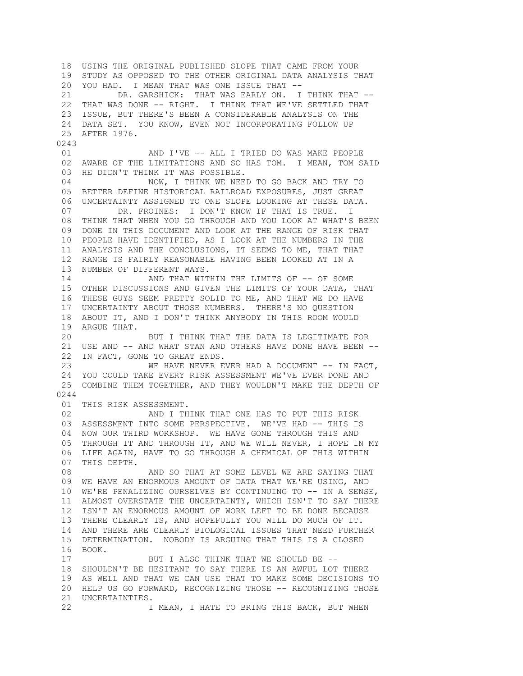18 USING THE ORIGINAL PUBLISHED SLOPE THAT CAME FROM YOUR 19 STUDY AS OPPOSED TO THE OTHER ORIGINAL DATA ANALYSIS THAT 20 YOU HAD. I MEAN THAT WAS ONE ISSUE THAT -- 21 DR. GARSHICK: THAT WAS EARLY ON. I THINK THAT -- 22 THAT WAS DONE -- RIGHT. I THINK THAT WE'VE SETTLED THAT 23 ISSUE, BUT THERE'S BEEN A CONSIDERABLE ANALYSIS ON THE 24 DATA SET. YOU KNOW, EVEN NOT INCORPORATING FOLLOW UP 25 AFTER 1976. 0243 01 **AND I'VE -- ALL I TRIED DO WAS MAKE PEOPLE**  02 AWARE OF THE LIMITATIONS AND SO HAS TOM. I MEAN, TOM SAID 03 HE DIDN'T THINK IT WAS POSSIBLE. 04 NOW, I THINK WE NEED TO GO BACK AND TRY TO 05 BETTER DEFINE HISTORICAL RAILROAD EXPOSURES, JUST GREAT 06 UNCERTAINTY ASSIGNED TO ONE SLOPE LOOKING AT THESE DATA. 07 DR. FROINES: I DON'T KNOW IF THAT IS TRUE. I 08 THINK THAT WHEN YOU GO THROUGH AND YOU LOOK AT WHAT'S BEEN 09 DONE IN THIS DOCUMENT AND LOOK AT THE RANGE OF RISK THAT 10 PEOPLE HAVE IDENTIFIED, AS I LOOK AT THE NUMBERS IN THE 11 ANALYSIS AND THE CONCLUSIONS, IT SEEMS TO ME, THAT THAT 12 RANGE IS FAIRLY REASONABLE HAVING BEEN LOOKED AT IN A 13 NUMBER OF DIFFERENT WAYS. 14 AND THAT WITHIN THE LIMITS OF -- OF SOME 15 OTHER DISCUSSIONS AND GIVEN THE LIMITS OF YOUR DATA, THAT 16 THESE GUYS SEEM PRETTY SOLID TO ME, AND THAT WE DO HAVE 17 UNCERTAINTY ABOUT THOSE NUMBERS. THERE'S NO QUESTION 18 ABOUT IT, AND I DON'T THINK ANYBODY IN THIS ROOM WOULD 19 ARGUE THAT. 20 BUT I THINK THAT THE DATA IS LEGITIMATE FOR 21 USE AND -- AND WHAT STAN AND OTHERS HAVE DONE HAVE BEEN --22 IN FACT, GONE TO GREAT ENDS.<br>23 WE HAVE NEVER E WE HAVE NEVER EVER HAD A DOCUMENT -- IN FACT, 24 YOU COULD TAKE EVERY RISK ASSESSMENT WE'VE EVER DONE AND 25 COMBINE THEM TOGETHER, AND THEY WOULDN'T MAKE THE DEPTH OF 0244 01 THIS RISK ASSESSMENT. 02 AND I THINK THAT ONE HAS TO PUT THIS RISK 03 ASSESSMENT INTO SOME PERSPECTIVE. WE'VE HAD -- THIS IS 04 NOW OUR THIRD WORKSHOP. WE HAVE GONE THROUGH THIS AND 05 THROUGH IT AND THROUGH IT, AND WE WILL NEVER, I HOPE IN MY 06 LIFE AGAIN, HAVE TO GO THROUGH A CHEMICAL OF THIS WITHIN 07 THIS DEPTH. 08 AND SO THAT AT SOME LEVEL WE ARE SAYING THAT 09 WE HAVE AN ENORMOUS AMOUNT OF DATA THAT WE'RE USING, AND 10 WE'RE PENALIZING OURSELVES BY CONTINUING TO -- IN A SENSE, 11 ALMOST OVERSTATE THE UNCERTAINTY, WHICH ISN'T TO SAY THERE 12 ISN'T AN ENORMOUS AMOUNT OF WORK LEFT TO BE DONE BECAUSE 13 THERE CLEARLY IS, AND HOPEFULLY YOU WILL DO MUCH OF IT. 14 AND THERE ARE CLEARLY BIOLOGICAL ISSUES THAT NEED FURTHER 15 DETERMINATION. NOBODY IS ARGUING THAT THIS IS A CLOSED 16 BOOK. 17 BUT I ALSO THINK THAT WE SHOULD BE -- 18 SHOULDN'T BE HESITANT TO SAY THERE IS AN AWFUL LOT THERE 19 AS WELL AND THAT WE CAN USE THAT TO MAKE SOME DECISIONS TO 20 HELP US GO FORWARD, RECOGNIZING THOSE -- RECOGNIZING THOSE 21 UNCERTAINTIES. 22 I MEAN, I HATE TO BRING THIS BACK, BUT WHEN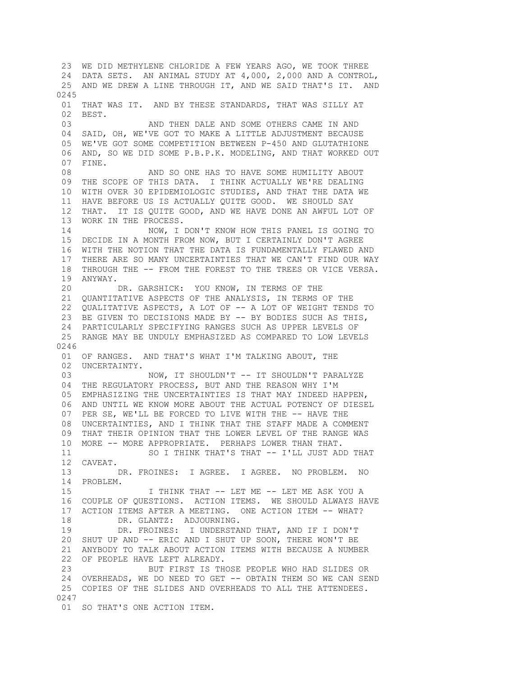23 WE DID METHYLENE CHLORIDE A FEW YEARS AGO, WE TOOK THREE 24 DATA SETS. AN ANIMAL STUDY AT 4,000, 2,000 AND A CONTROL, 25 AND WE DREW A LINE THROUGH IT, AND WE SAID THAT'S IT. AND 0245 01 THAT WAS IT. AND BY THESE STANDARDS, THAT WAS SILLY AT 02 BEST. 03 AND THEN DALE AND SOME OTHERS CAME IN AND 04 SAID, OH, WE'VE GOT TO MAKE A LITTLE ADJUSTMENT BECAUSE 05 WE'VE GOT SOME COMPETITION BETWEEN P-450 AND GLUTATHIONE 06 AND, SO WE DID SOME P.B.P.K. MODELING, AND THAT WORKED OUT 07 FINE. 08 AND SO ONE HAS TO HAVE SOME HUMILITY ABOUT 09 THE SCOPE OF THIS DATA. I THINK ACTUALLY WE'RE DEALING 10 WITH OVER 30 EPIDEMIOLOGIC STUDIES, AND THAT THE DATA WE 11 HAVE BEFORE US IS ACTUALLY QUITE GOOD. WE SHOULD SAY 12 THAT. IT IS QUITE GOOD, AND WE HAVE DONE AN AWFUL LOT OF 13 WORK IN THE PROCESS. 14 NOW, I DON'T KNOW HOW THIS PANEL IS GOING TO 15 DECIDE IN A MONTH FROM NOW, BUT I CERTAINLY DON'T AGREE 16 WITH THE NOTION THAT THE DATA IS FUNDAMENTALLY FLAWED AND 17 THERE ARE SO MANY UNCERTAINTIES THAT WE CAN'T FIND OUR WAY 18 THROUGH THE -- FROM THE FOREST TO THE TREES OR VICE VERSA. 19 ANYWAY. 20 DR. GARSHICK: YOU KNOW, IN TERMS OF THE 21 QUANTITATIVE ASPECTS OF THE ANALYSIS, IN TERMS OF THE 22 QUALITATIVE ASPECTS, A LOT OF -- A LOT OF WEIGHT TENDS TO 23 BE GIVEN TO DECISIONS MADE BY -- BY BODIES SUCH AS THIS, 24 PARTICULARLY SPECIFYING RANGES SUCH AS UPPER LEVELS OF 25 RANGE MAY BE UNDULY EMPHASIZED AS COMPARED TO LOW LEVELS 0246 01 OF RANGES. AND THAT'S WHAT I'M TALKING ABOUT, THE 02 UNCERTAINTY. 03 NOW, IT SHOULDN'T -- IT SHOULDN'T PARALYZE 04 THE REGULATORY PROCESS, BUT AND THE REASON WHY I'M 05 EMPHASIZING THE UNCERTAINTIES IS THAT MAY INDEED HAPPEN, 06 AND UNTIL WE KNOW MORE ABOUT THE ACTUAL POTENCY OF DIESEL 07 PER SE, WE'LL BE FORCED TO LIVE WITH THE -- HAVE THE 08 UNCERTAINTIES, AND I THINK THAT THE STAFF MADE A COMMENT 09 THAT THEIR OPINION THAT THE LOWER LEVEL OF THE RANGE WAS 10 MORE -- MORE APPROPRIATE. PERHAPS LOWER THAN THAT. 11 SO I THINK THAT'S THAT -- I'LL JUST ADD THAT 12 CAVEAT. 13 DR. FROINES: I AGREE. I AGREE. NO PROBLEM. NO 14 PROBLEM. 15 THINK THAT -- LET ME -- LET ME ASK YOU A 16 COUPLE OF QUESTIONS. ACTION ITEMS. WE SHOULD ALWAYS HAVE 17 ACTION ITEMS AFTER A MEETING. ONE ACTION ITEM -- WHAT? 18 DR. GLANTZ: ADJOURNING. 19 DR. FROINES: I UNDERSTAND THAT, AND IF I DON'T 20 SHUT UP AND -- ERIC AND I SHUT UP SOON, THERE WON'T BE 21 ANYBODY TO TALK ABOUT ACTION ITEMS WITH BECAUSE A NUMBER 22 OF PEOPLE HAVE LEFT ALREADY. 23 BUT FIRST IS THOSE PEOPLE WHO HAD SLIDES OR 24 OVERHEADS, WE DO NEED TO GET -- OBTAIN THEM SO WE CAN SEND 25 COPIES OF THE SLIDES AND OVERHEADS TO ALL THE ATTENDEES. 0247 01 SO THAT'S ONE ACTION ITEM.